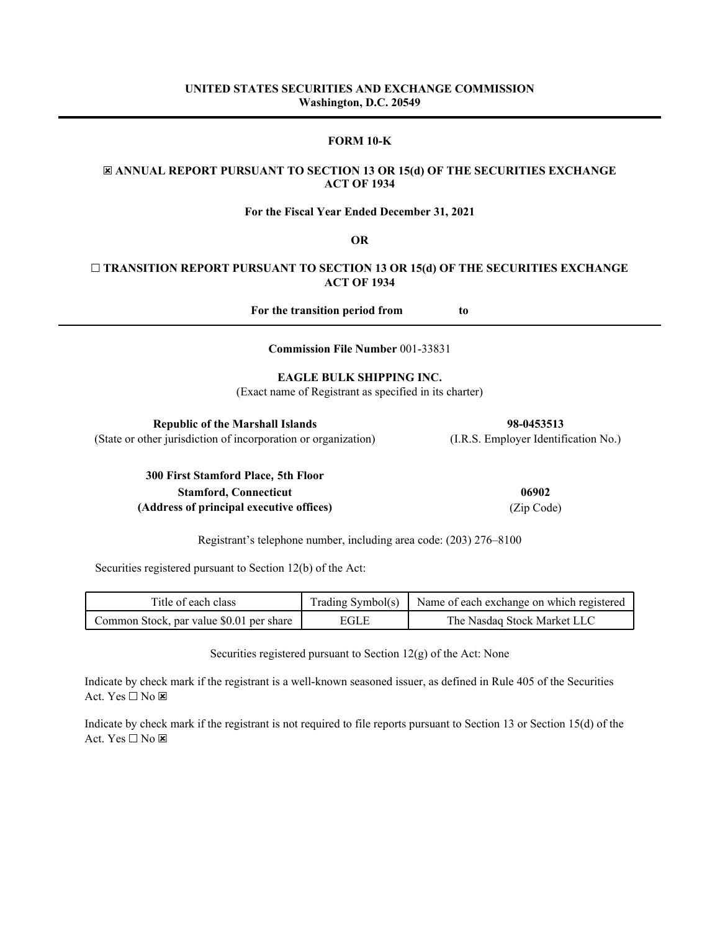## **FORM 10-K**

# ☒ **ANNUAL REPORT PURSUANT TO SECTION 13 OR 15(d) OF THE SECURITIES EXCHANGE ACT OF 1934**

**For the Fiscal Year Ended December 31, 2021**

**OR**

# ☐ **TRANSITION REPORT PURSUANT TO SECTION 13 OR 15(d) OF THE SECURITIES EXCHANGE ACT OF 1934**

**For the transition period from to**

**Commission File Number** 001-33831

# **EAGLE BULK SHIPPING INC.**

(Exact name of Registrant as specified in its charter)

| <b>Republic of the Marshall Islands</b>                        | 98-0453513                           |
|----------------------------------------------------------------|--------------------------------------|
| (State or other jurisdiction of incorporation or organization) | (I.R.S. Employer Identification No.) |

**300 First Stamford Place, 5th Floor Stamford, Connecticut 06902 (Address of principal executive offices)** (Zip Code)

Registrant's telephone number, including area code: (203) 276–8100

Securities registered pursuant to Section 12(b) of the Act:

| Title of each class                      |       | Trading Symbol(s)   Name of each exchange on which registered |
|------------------------------------------|-------|---------------------------------------------------------------|
| Common Stock, par value \$0.01 per share | EGL E | The Nasdaq Stock Market LLC                                   |

Securities registered pursuant to Section 12(g) of the Act: None

Indicate by check mark if the registrant is a well-known seasoned issuer, as defined in Rule 405 of the Securities Act. Yes  $\Box$  No  $\boxtimes$ 

Indicate by check mark if the registrant is not required to file reports pursuant to Section 13 or Section 15(d) of the Act. Yes  $\square$  No  $\square$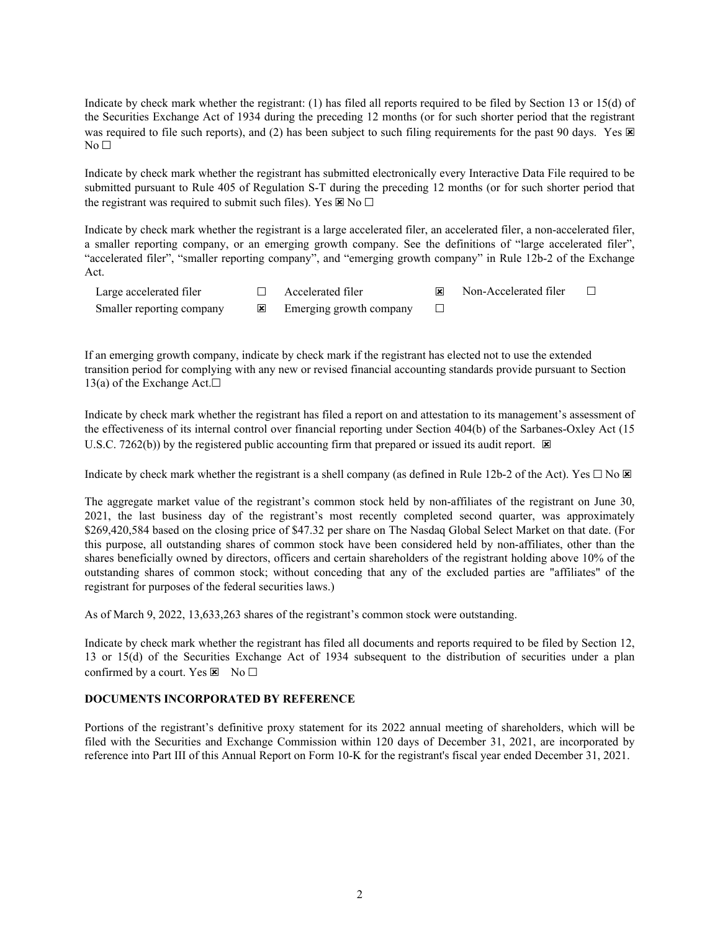Indicate by check mark whether the registrant: (1) has filed all reports required to be filed by Section 13 or 15(d) of the Securities Exchange Act of 1934 during the preceding 12 months (or for such shorter period that the registrant was required to file such reports), and (2) has been subject to such filing requirements for the past 90 days. Yes  $\boxtimes$  $No<sub>1</sub>$ 

Indicate by check mark whether the registrant has submitted electronically every Interactive Data File required to be submitted pursuant to Rule 405 of Regulation S-T during the preceding 12 months (or for such shorter period that the registrant was required to submit such files). Yes  $\mathbb{F} \setminus N_0 \square$ 

Indicate by check mark whether the registrant is a large accelerated filer, an accelerated filer, a non-accelerated filer, a smaller reporting company, or an emerging growth company. See the definitions of "large accelerated filer", "accelerated filer", "smaller reporting company", and "emerging growth company" in Rule 12b-2 of the Exchange Act.

| Large accelerated filer   | Accelerated filer       | Non-Accelerated filer |  |
|---------------------------|-------------------------|-----------------------|--|
| Smaller reporting company | Emerging growth company |                       |  |

If an emerging growth company, indicate by check mark if the registrant has elected not to use the extended transition period for complying with any new or revised financial accounting standards provide pursuant to Section 13(a) of the Exchange Act. $□$ 

Indicate by check mark whether the registrant has filed a report on and attestation to its management's assessment of the effectiveness of its internal control over financial reporting under Section 404(b) of the Sarbanes-Oxley Act (15 U.S.C. 7262(b)) by the registered public accounting firm that prepared or issued its audit report.  $\boxtimes$ 

Indicate by check mark whether the registrant is a shell company (as defined in Rule 12b-2 of the Act). Yes  $\Box$  No  $\boxtimes$ 

The aggregate market value of the registrant's common stock held by non-affiliates of the registrant on June 30, 2021, the last business day of the registrant's most recently completed second quarter, was approximately \$269,420,584 based on the closing price of \$47.32 per share on The Nasdaq Global Select Market on that date. (For this purpose, all outstanding shares of common stock have been considered held by non-affiliates, other than the shares beneficially owned by directors, officers and certain shareholders of the registrant holding above 10% of the outstanding shares of common stock; without conceding that any of the excluded parties are "affiliates" of the registrant for purposes of the federal securities laws.)

As of March 9, 2022, 13,633,263 shares of the registrant's common stock were outstanding.

Indicate by check mark whether the registrant has filed all documents and reports required to be filed by Section 12, 13 or 15(d) of the Securities Exchange Act of 1934 subsequent to the distribution of securities under a plan confirmed by a court. Yes  $\boxtimes$  No  $\Box$ 

## **DOCUMENTS INCORPORATED BY REFERENCE**

Portions of the registrant's definitive proxy statement for its 2022 annual meeting of shareholders, which will be filed with the Securities and Exchange Commission within 120 days of December 31, 2021, are incorporated by reference into Part III of this Annual Report on Form 10-K for the registrant's fiscal year ended December 31, 2021.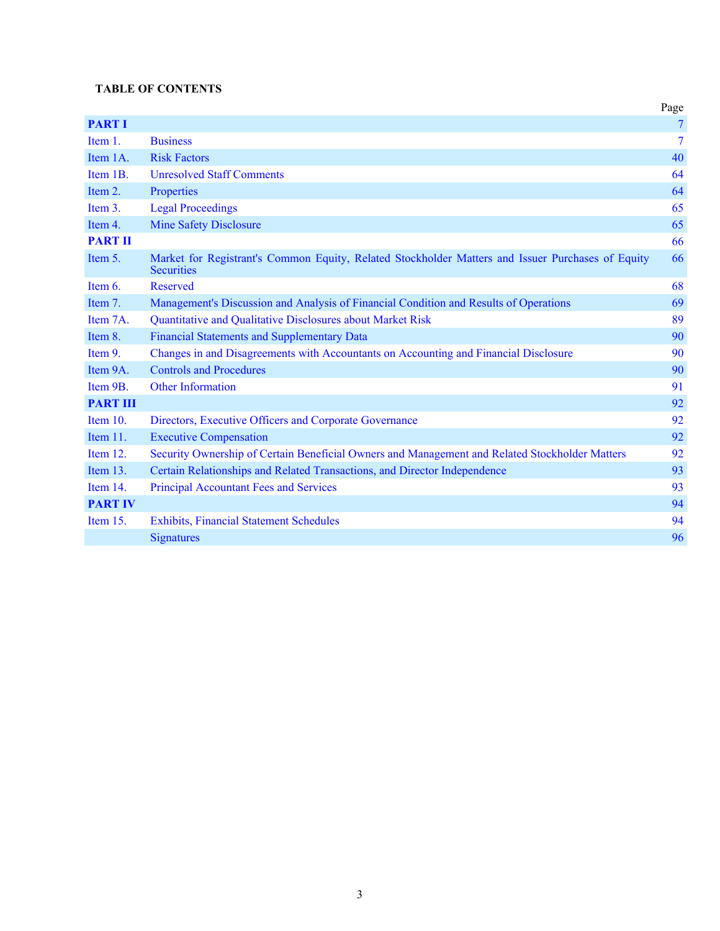# **TABLE OF CONTENTS**

|                 |                                                                                                                        | Page           |
|-----------------|------------------------------------------------------------------------------------------------------------------------|----------------|
| <b>PART I</b>   |                                                                                                                        | 7              |
| Item 1.         | <b>Business</b>                                                                                                        | $\overline{7}$ |
| Item 1A.        | <b>Risk Factors</b>                                                                                                    | 40             |
| Item 1B.        | <b>Unresolved Staff Comments</b>                                                                                       | 64             |
| Item 2.         | Properties                                                                                                             | 64             |
| Item 3.         | <b>Legal Proceedings</b>                                                                                               | 65             |
| Item 4.         | <b>Mine Safety Disclosure</b>                                                                                          | 65             |
| <b>PART II</b>  |                                                                                                                        | 66             |
| Item 5.         | Market for Registrant's Common Equity, Related Stockholder Matters and Issuer Purchases of Equity<br><b>Securities</b> | 66             |
| Item $6$ .      | <b>Reserved</b>                                                                                                        | 68             |
| Item 7.         | Management's Discussion and Analysis of Financial Condition and Results of Operations                                  | 69             |
| Item 7A.        | Quantitative and Qualitative Disclosures about Market Risk                                                             | 89             |
| Item 8.         | <b>Financial Statements and Supplementary Data</b>                                                                     | 90             |
| Item 9.         | Changes in and Disagreements with Accountants on Accounting and Financial Disclosure                                   | 90             |
| Item 9A.        | <b>Controls and Procedures</b>                                                                                         | 90             |
| Item 9B.        | <b>Other Information</b>                                                                                               | 91             |
| <b>PART III</b> |                                                                                                                        | 92             |
| Item $10$ .     | Directors, Executive Officers and Corporate Governance                                                                 | 92             |
| Item $11$ .     | <b>Executive Compensation</b>                                                                                          | 92             |
| Item $12$ .     | Security Ownership of Certain Beneficial Owners and Management and Related Stockholder Matters                         | 92             |
| Item 13.        | Certain Relationships and Related Transactions, and Director Independence                                              | 93             |
| Item 14.        | <b>Principal Accountant Fees and Services</b>                                                                          | 93             |
| <b>PART IV</b>  |                                                                                                                        | 94             |
| Item $15$ .     | <b>Exhibits, Financial Statement Schedules</b>                                                                         | 94             |
|                 | <b>Signatures</b>                                                                                                      | 96             |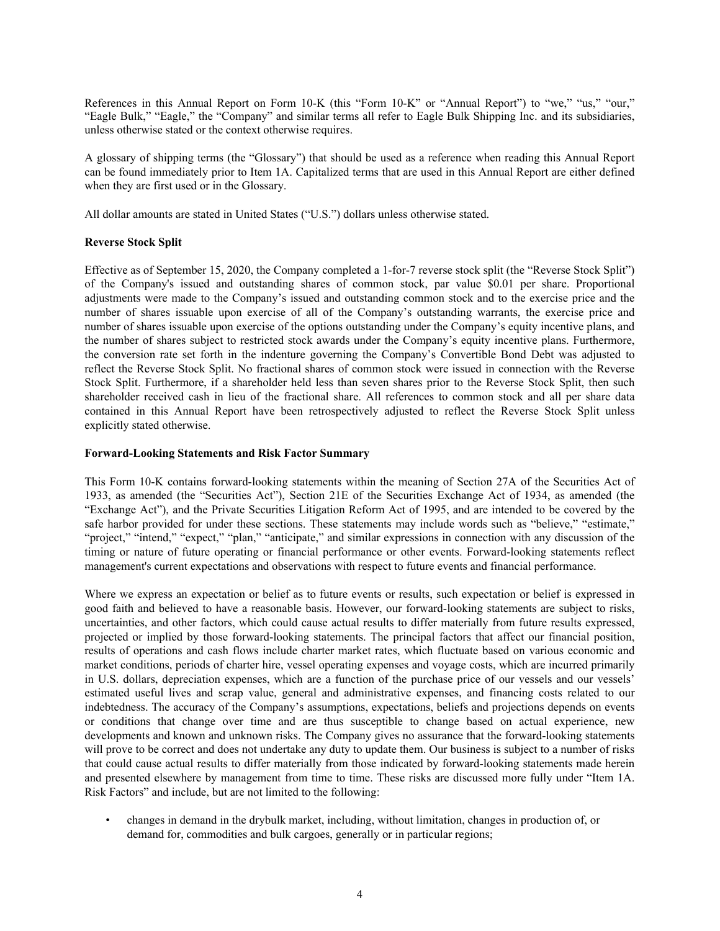References in this Annual Report on Form 10-K (this "Form 10-K" or "Annual Report") to "we," "us," "our," "Eagle Bulk," "Eagle," the "Company" and similar terms all refer to Eagle Bulk Shipping Inc. and its subsidiaries, unless otherwise stated or the context otherwise requires.

A glossary of shipping terms (the "Glossary") that should be used as a reference when reading this Annual Report can be found immediately prior to Item 1A. Capitalized terms that are used in this Annual Report are either defined when they are first used or in the Glossary.

All dollar amounts are stated in United States ("U.S.") dollars unless otherwise stated.

### **Reverse Stock Split**

Effective as of September 15, 2020, the Company completed a 1-for-7 reverse stock split (the "Reverse Stock Split") of the Company's issued and outstanding shares of common stock, par value \$0.01 per share. Proportional adjustments were made to the Company's issued and outstanding common stock and to the exercise price and the number of shares issuable upon exercise of all of the Company's outstanding warrants, the exercise price and number of shares issuable upon exercise of the options outstanding under the Company's equity incentive plans, and the number of shares subject to restricted stock awards under the Company's equity incentive plans. Furthermore, the conversion rate set forth in the indenture governing the Company's Convertible Bond Debt was adjusted to reflect the Reverse Stock Split. No fractional shares of common stock were issued in connection with the Reverse Stock Split. Furthermore, if a shareholder held less than seven shares prior to the Reverse Stock Split, then such shareholder received cash in lieu of the fractional share. All references to common stock and all per share data contained in this Annual Report have been retrospectively adjusted to reflect the Reverse Stock Split unless explicitly stated otherwise.

### **Forward-Looking Statements and Risk Factor Summary**

This Form 10-K contains forward-looking statements within the meaning of Section 27A of the Securities Act of 1933, as amended (the "Securities Act"), Section 21E of the Securities Exchange Act of 1934, as amended (the "Exchange Act"), and the Private Securities Litigation Reform Act of 1995, and are intended to be covered by the safe harbor provided for under these sections. These statements may include words such as "believe," "estimate," "project," "intend," "expect," "plan," "anticipate," and similar expressions in connection with any discussion of the timing or nature of future operating or financial performance or other events. Forward-looking statements reflect management's current expectations and observations with respect to future events and financial performance.

Where we express an expectation or belief as to future events or results, such expectation or belief is expressed in good faith and believed to have a reasonable basis. However, our forward-looking statements are subject to risks, uncertainties, and other factors, which could cause actual results to differ materially from future results expressed, projected or implied by those forward-looking statements. The principal factors that affect our financial position, results of operations and cash flows include charter market rates, which fluctuate based on various economic and market conditions, periods of charter hire, vessel operating expenses and voyage costs, which are incurred primarily in U.S. dollars, depreciation expenses, which are a function of the purchase price of our vessels and our vessels' estimated useful lives and scrap value, general and administrative expenses, and financing costs related to our indebtedness. The accuracy of the Company's assumptions, expectations, beliefs and projections depends on events or conditions that change over time and are thus susceptible to change based on actual experience, new developments and known and unknown risks. The Company gives no assurance that the forward-looking statements will prove to be correct and does not undertake any duty to update them. Our business is subject to a number of risks that could cause actual results to differ materially from those indicated by forward-looking statements made herein and presented elsewhere by management from time to time. These risks are discussed more fully under "Item 1A. Risk Factors" and include, but are not limited to the following:

• changes in demand in the drybulk market, including, without limitation, changes in production of, or demand for, commodities and bulk cargoes, generally or in particular regions;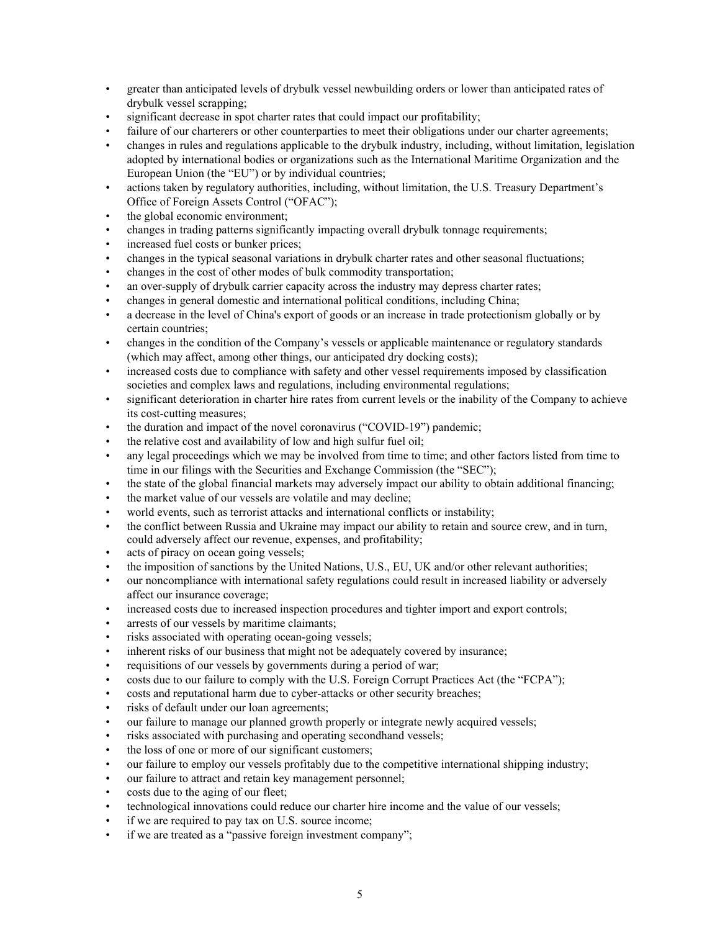- greater than anticipated levels of drybulk vessel newbuilding orders or lower than anticipated rates of drybulk vessel scrapping;
- significant decrease in spot charter rates that could impact our profitability;
- failure of our charterers or other counterparties to meet their obligations under our charter agreements;
- changes in rules and regulations applicable to the drybulk industry, including, without limitation, legislation adopted by international bodies or organizations such as the International Maritime Organization and the European Union (the "EU") or by individual countries;
- actions taken by regulatory authorities, including, without limitation, the U.S. Treasury Department's Office of Foreign Assets Control ("OFAC");
- the global economic environment;
- changes in trading patterns significantly impacting overall drybulk tonnage requirements;
- increased fuel costs or bunker prices;
- changes in the typical seasonal variations in drybulk charter rates and other seasonal fluctuations;
- changes in the cost of other modes of bulk commodity transportation;
- an over-supply of drybulk carrier capacity across the industry may depress charter rates;
- changes in general domestic and international political conditions, including China;
- a decrease in the level of China's export of goods or an increase in trade protectionism globally or by certain countries;
- changes in the condition of the Company's vessels or applicable maintenance or regulatory standards (which may affect, among other things, our anticipated dry docking costs);
- increased costs due to compliance with safety and other vessel requirements imposed by classification societies and complex laws and regulations, including environmental regulations;
- significant deterioration in charter hire rates from current levels or the inability of the Company to achieve its cost-cutting measures;
- the duration and impact of the novel coronavirus ("COVID-19") pandemic;
- the relative cost and availability of low and high sulfur fuel oil;
- any legal proceedings which we may be involved from time to time; and other factors listed from time to time in our filings with the Securities and Exchange Commission (the "SEC");
- the state of the global financial markets may adversely impact our ability to obtain additional financing;
- the market value of our vessels are volatile and may decline;
- world events, such as terrorist attacks and international conflicts or instability;
- the conflict between Russia and Ukraine may impact our ability to retain and source crew, and in turn, could adversely affect our revenue, expenses, and profitability;
- acts of piracy on ocean going vessels;
- the imposition of sanctions by the United Nations, U.S., EU, UK and/or other relevant authorities;
- our noncompliance with international safety regulations could result in increased liability or adversely affect our insurance coverage;
- increased costs due to increased inspection procedures and tighter import and export controls;
- arrests of our vessels by maritime claimants;
- risks associated with operating ocean-going vessels;
- inherent risks of our business that might not be adequately covered by insurance;
- requisitions of our vessels by governments during a period of war;
- costs due to our failure to comply with the U.S. Foreign Corrupt Practices Act (the "FCPA");
- costs and reputational harm due to cyber-attacks or other security breaches;
- risks of default under our loan agreements;
- our failure to manage our planned growth properly or integrate newly acquired vessels;
- risks associated with purchasing and operating secondhand vessels;
- the loss of one or more of our significant customers;
- our failure to employ our vessels profitably due to the competitive international shipping industry;
- our failure to attract and retain key management personnel;
- costs due to the aging of our fleet;
- technological innovations could reduce our charter hire income and the value of our vessels;
- if we are required to pay tax on U.S. source income;
- if we are treated as a "passive foreign investment company";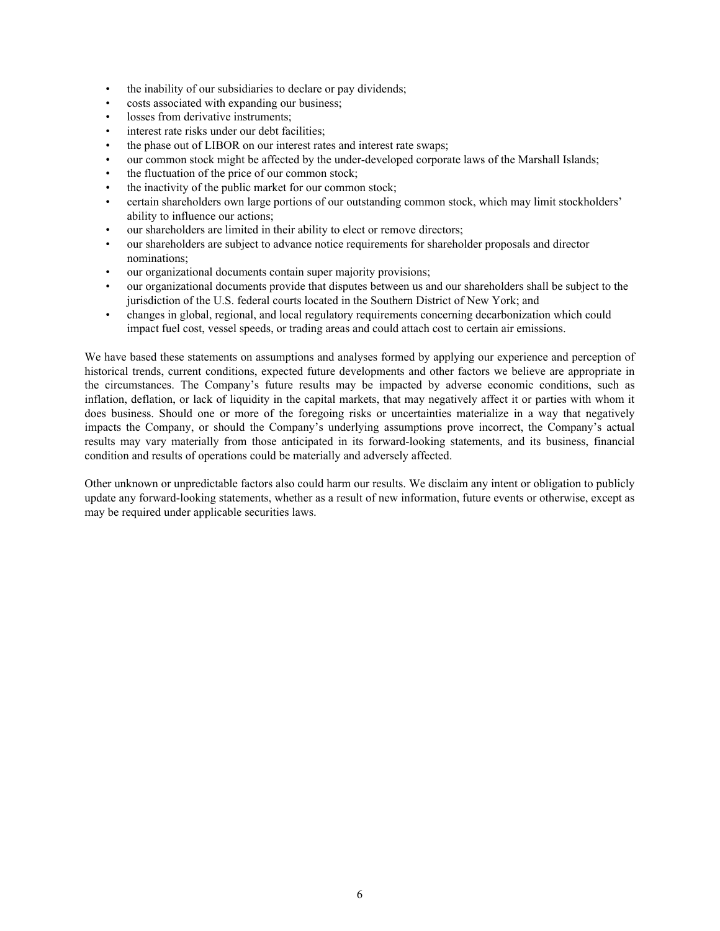- the inability of our subsidiaries to declare or pay dividends;
- costs associated with expanding our business;
- losses from derivative instruments;
- interest rate risks under our debt facilities:
- the phase out of LIBOR on our interest rates and interest rate swaps;
- our common stock might be affected by the under-developed corporate laws of the Marshall Islands;
- the fluctuation of the price of our common stock;
- the inactivity of the public market for our common stock;
- certain shareholders own large portions of our outstanding common stock, which may limit stockholders' ability to influence our actions;
- our shareholders are limited in their ability to elect or remove directors;
- our shareholders are subject to advance notice requirements for shareholder proposals and director nominations;
- our organizational documents contain super majority provisions;
- our organizational documents provide that disputes between us and our shareholders shall be subject to the jurisdiction of the U.S. federal courts located in the Southern District of New York; and
- changes in global, regional, and local regulatory requirements concerning decarbonization which could impact fuel cost, vessel speeds, or trading areas and could attach cost to certain air emissions.

We have based these statements on assumptions and analyses formed by applying our experience and perception of historical trends, current conditions, expected future developments and other factors we believe are appropriate in the circumstances. The Company's future results may be impacted by adverse economic conditions, such as inflation, deflation, or lack of liquidity in the capital markets, that may negatively affect it or parties with whom it does business. Should one or more of the foregoing risks or uncertainties materialize in a way that negatively impacts the Company, or should the Company's underlying assumptions prove incorrect, the Company's actual results may vary materially from those anticipated in its forward-looking statements, and its business, financial condition and results of operations could be materially and adversely affected.

Other unknown or unpredictable factors also could harm our results. We disclaim any intent or obligation to publicly update any forward-looking statements, whether as a result of new information, future events or otherwise, except as may be required under applicable securities laws.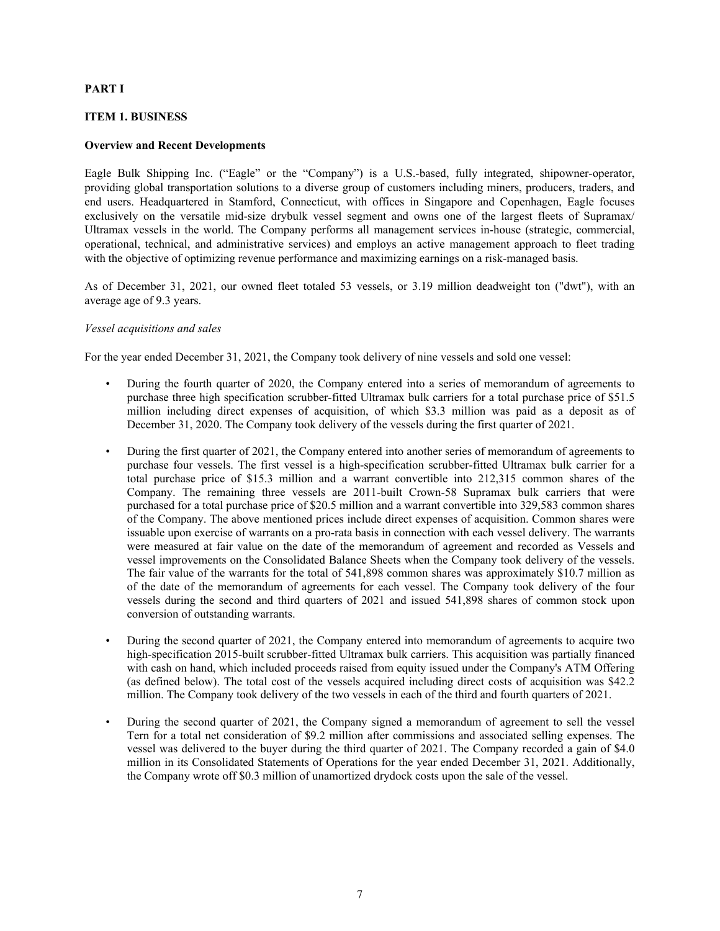### **PART I**

### **ITEM 1. BUSINESS**

#### **Overview and Recent Developments**

Eagle Bulk Shipping Inc. ("Eagle" or the "Company") is a U.S.-based, fully integrated, shipowner-operator, providing global transportation solutions to a diverse group of customers including miners, producers, traders, and end users. Headquartered in Stamford, Connecticut, with offices in Singapore and Copenhagen, Eagle focuses exclusively on the versatile mid-size drybulk vessel segment and owns one of the largest fleets of Supramax/ Ultramax vessels in the world. The Company performs all management services in-house (strategic, commercial, operational, technical, and administrative services) and employs an active management approach to fleet trading with the objective of optimizing revenue performance and maximizing earnings on a risk-managed basis.

As of December 31, 2021, our owned fleet totaled 53 vessels, or 3.19 million deadweight ton ("dwt"), with an average age of 9.3 years.

#### *Vessel acquisitions and sales*

For the year ended December 31, 2021, the Company took delivery of nine vessels and sold one vessel:

- During the fourth quarter of 2020, the Company entered into a series of memorandum of agreements to purchase three high specification scrubber-fitted Ultramax bulk carriers for a total purchase price of \$51.5 million including direct expenses of acquisition, of which \$3.3 million was paid as a deposit as of December 31, 2020. The Company took delivery of the vessels during the first quarter of 2021.
- During the first quarter of 2021, the Company entered into another series of memorandum of agreements to purchase four vessels. The first vessel is a high-specification scrubber-fitted Ultramax bulk carrier for a total purchase price of \$15.3 million and a warrant convertible into 212,315 common shares of the Company. The remaining three vessels are 2011-built Crown-58 Supramax bulk carriers that were purchased for a total purchase price of \$20.5 million and a warrant convertible into 329,583 common shares of the Company. The above mentioned prices include direct expenses of acquisition. Common shares were issuable upon exercise of warrants on a pro-rata basis in connection with each vessel delivery. The warrants were measured at fair value on the date of the memorandum of agreement and recorded as Vessels and vessel improvements on the Consolidated Balance Sheets when the Company took delivery of the vessels. The fair value of the warrants for the total of 541,898 common shares was approximately \$10.7 million as of the date of the memorandum of agreements for each vessel. The Company took delivery of the four vessels during the second and third quarters of 2021 and issued 541,898 shares of common stock upon conversion of outstanding warrants.
- During the second quarter of 2021, the Company entered into memorandum of agreements to acquire two high-specification 2015-built scrubber-fitted Ultramax bulk carriers. This acquisition was partially financed with cash on hand, which included proceeds raised from equity issued under the Company's ATM Offering (as defined below). The total cost of the vessels acquired including direct costs of acquisition was \$42.2 million. The Company took delivery of the two vessels in each of the third and fourth quarters of 2021.
- During the second quarter of 2021, the Company signed a memorandum of agreement to sell the vessel Tern for a total net consideration of \$9.2 million after commissions and associated selling expenses. The vessel was delivered to the buyer during the third quarter of 2021. The Company recorded a gain of \$4.0 million in its Consolidated Statements of Operations for the year ended December 31, 2021. Additionally, the Company wrote off \$0.3 million of unamortized drydock costs upon the sale of the vessel.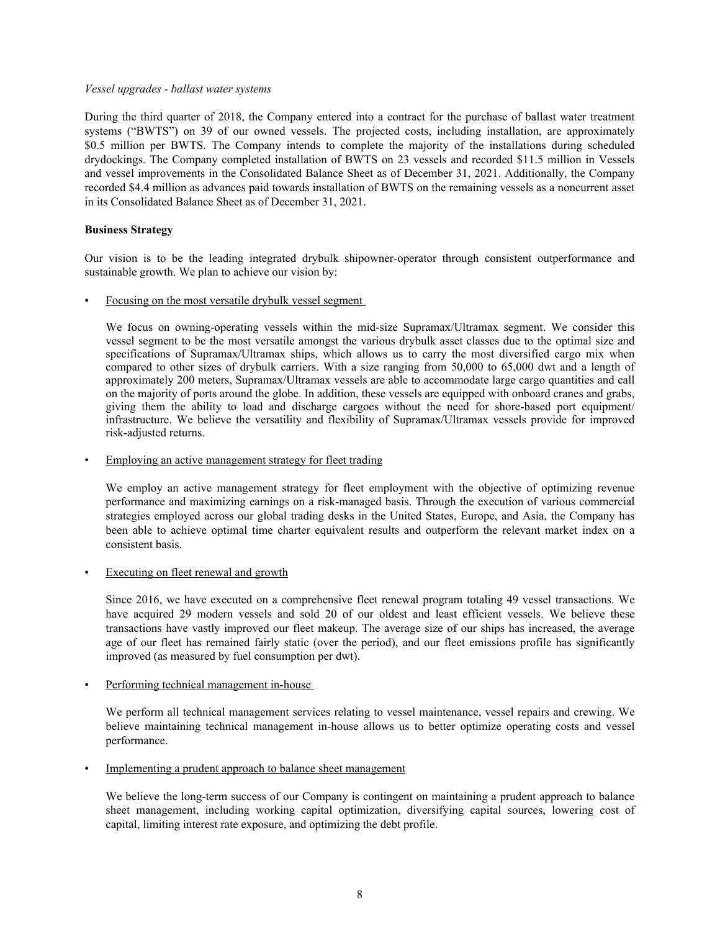#### *Vessel upgrades - ballast water systems*

During the third quarter of 2018, the Company entered into a contract for the purchase of ballast water treatment systems ("BWTS") on 39 of our owned vessels. The projected costs, including installation, are approximately \$0.5 million per BWTS. The Company intends to complete the majority of the installations during scheduled drydockings. The Company completed installation of BWTS on 23 vessels and recorded \$11.5 million in Vessels and vessel improvements in the Consolidated Balance Sheet as of December 31, 2021. Additionally, the Company recorded \$4.4 million as advances paid towards installation of BWTS on the remaining vessels as a noncurrent asset in its Consolidated Balance Sheet as of December 31, 2021.

## **Business Strategy**

Our vision is to be the leading integrated drybulk shipowner-operator through consistent outperformance and sustainable growth. We plan to achieve our vision by:

• Focusing on the most versatile drybulk vessel segment

We focus on owning-operating vessels within the mid-size Supramax/Ultramax segment. We consider this vessel segment to be the most versatile amongst the various drybulk asset classes due to the optimal size and specifications of Supramax/Ultramax ships, which allows us to carry the most diversified cargo mix when compared to other sizes of drybulk carriers. With a size ranging from 50,000 to 65,000 dwt and a length of approximately 200 meters, Supramax/Ultramax vessels are able to accommodate large cargo quantities and call on the majority of ports around the globe. In addition, these vessels are equipped with onboard cranes and grabs, giving them the ability to load and discharge cargoes without the need for shore-based port equipment/ infrastructure. We believe the versatility and flexibility of Supramax/Ultramax vessels provide for improved risk-adjusted returns.

Employing an active management strategy for fleet trading

We employ an active management strategy for fleet employment with the objective of optimizing revenue performance and maximizing earnings on a risk-managed basis. Through the execution of various commercial strategies employed across our global trading desks in the United States, Europe, and Asia, the Company has been able to achieve optimal time charter equivalent results and outperform the relevant market index on a consistent basis.

**Executing on fleet renewal and growth** 

Since 2016, we have executed on a comprehensive fleet renewal program totaling 49 vessel transactions. We have acquired 29 modern vessels and sold 20 of our oldest and least efficient vessels. We believe these transactions have vastly improved our fleet makeup. The average size of our ships has increased, the average age of our fleet has remained fairly static (over the period), and our fleet emissions profile has significantly improved (as measured by fuel consumption per dwt).

Performing technical management in-house

We perform all technical management services relating to vessel maintenance, vessel repairs and crewing. We believe maintaining technical management in-house allows us to better optimize operating costs and vessel performance.

Implementing a prudent approach to balance sheet management

We believe the long-term success of our Company is contingent on maintaining a prudent approach to balance sheet management, including working capital optimization, diversifying capital sources, lowering cost of capital, limiting interest rate exposure, and optimizing the debt profile.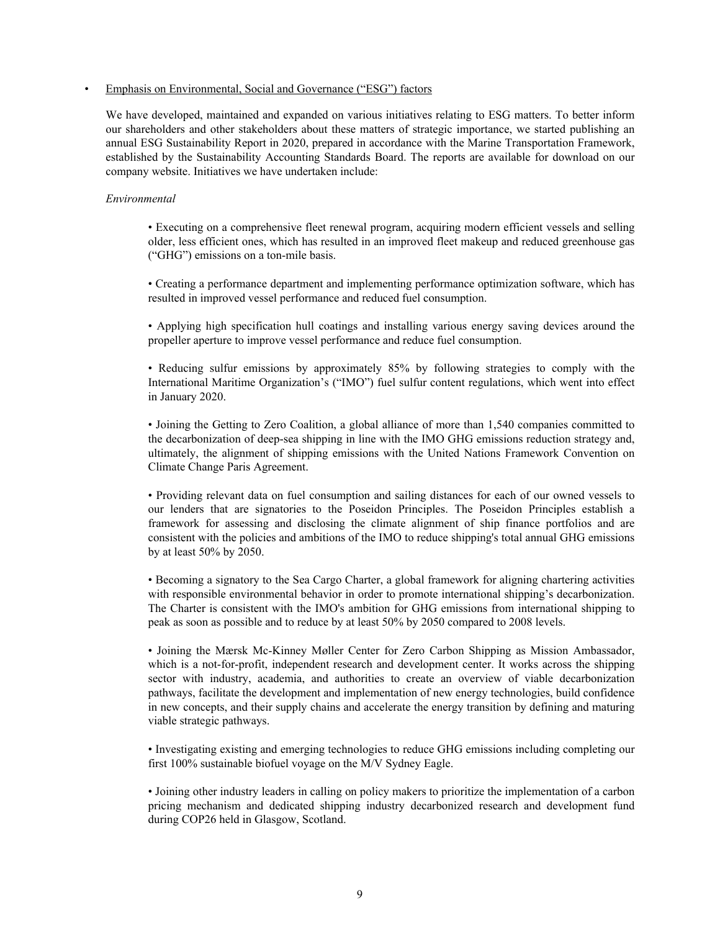#### • Emphasis on Environmental, Social and Governance ("ESG") factors

We have developed, maintained and expanded on various initiatives relating to ESG matters. To better inform our shareholders and other stakeholders about these matters of strategic importance, we started publishing an annual ESG Sustainability Report in 2020, prepared in accordance with the Marine Transportation Framework, established by the Sustainability Accounting Standards Board. The reports are available for download on our company website. Initiatives we have undertaken include:

#### *Environmental*

• Executing on a comprehensive fleet renewal program, acquiring modern efficient vessels and selling older, less efficient ones, which has resulted in an improved fleet makeup and reduced greenhouse gas ("GHG") emissions on a ton-mile basis.

• Creating a performance department and implementing performance optimization software, which has resulted in improved vessel performance and reduced fuel consumption.

• Applying high specification hull coatings and installing various energy saving devices around the propeller aperture to improve vessel performance and reduce fuel consumption.

• Reducing sulfur emissions by approximately 85% by following strategies to comply with the International Maritime Organization's ("IMO") fuel sulfur content regulations, which went into effect in January 2020.

• Joining the Getting to Zero Coalition, a global alliance of more than 1,540 companies committed to the decarbonization of deep-sea shipping in line with the IMO GHG emissions reduction strategy and, ultimately, the alignment of shipping emissions with the United Nations Framework Convention on Climate Change Paris Agreement.

• Providing relevant data on fuel consumption and sailing distances for each of our owned vessels to our lenders that are signatories to the Poseidon Principles. The Poseidon Principles establish a framework for assessing and disclosing the climate alignment of ship finance portfolios and are consistent with the policies and ambitions of the IMO to reduce shipping's total annual GHG emissions by at least 50% by 2050.

• Becoming a signatory to the Sea Cargo Charter, a global framework for aligning chartering activities with responsible environmental behavior in order to promote international shipping's decarbonization. The Charter is consistent with the IMO's ambition for GHG emissions from international shipping to peak as soon as possible and to reduce by at least 50% by 2050 compared to 2008 levels.

• Joining the Mærsk Mc-Kinney Møller Center for Zero Carbon Shipping as Mission Ambassador, which is a not-for-profit, independent research and development center. It works across the shipping sector with industry, academia, and authorities to create an overview of viable decarbonization pathways, facilitate the development and implementation of new energy technologies, build confidence in new concepts, and their supply chains and accelerate the energy transition by defining and maturing viable strategic pathways.

• Investigating existing and emerging technologies to reduce GHG emissions including completing our first 100% sustainable biofuel voyage on the M/V Sydney Eagle.

• Joining other industry leaders in calling on policy makers to prioritize the implementation of a carbon pricing mechanism and dedicated shipping industry decarbonized research and development fund during COP26 held in Glasgow, Scotland.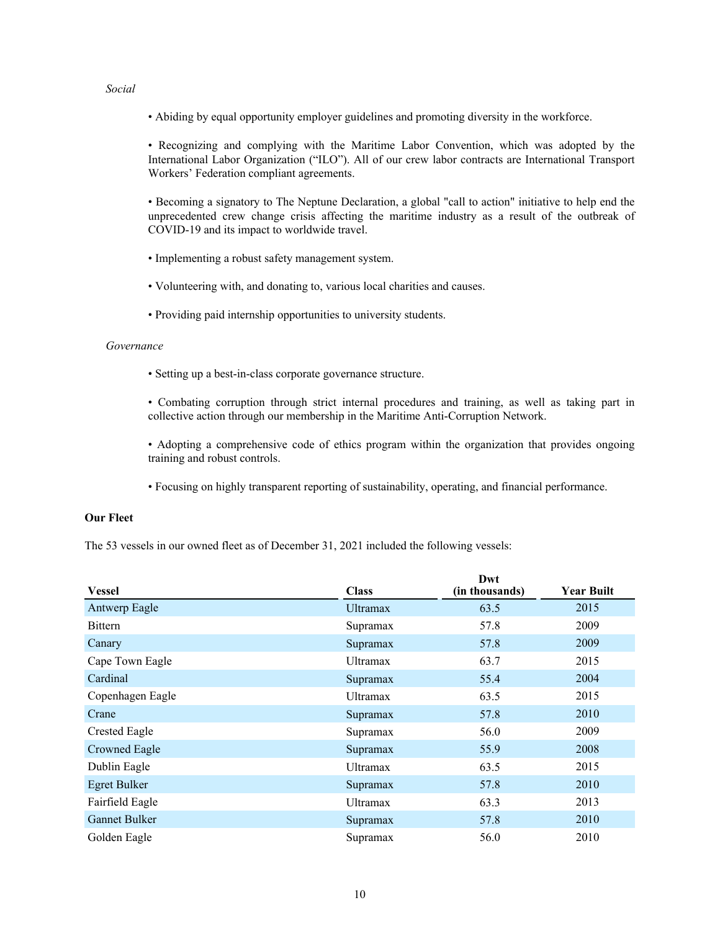### *Social*

• Abiding by equal opportunity employer guidelines and promoting diversity in the workforce.

• Recognizing and complying with the Maritime Labor Convention, which was adopted by the International Labor Organization ("ILO"). All of our crew labor contracts are International Transport Workers' Federation compliant agreements.

• Becoming a signatory to The Neptune Declaration, a global "call to action" initiative to help end the unprecedented crew change crisis affecting the maritime industry as a result of the outbreak of COVID-19 and its impact to worldwide travel.

- Implementing a robust safety management system.
- Volunteering with, and donating to, various local charities and causes.
- Providing paid internship opportunities to university students.

#### *Governance*

• Setting up a best-in-class corporate governance structure.

• Combating corruption through strict internal procedures and training, as well as taking part in collective action through our membership in the Maritime Anti-Corruption Network.

• Adopting a comprehensive code of ethics program within the organization that provides ongoing training and robust controls.

• Focusing on highly transparent reporting of sustainability, operating, and financial performance.

## **Our Fleet**

The 53 vessels in our owned fleet as of December 31, 2021 included the following vessels:

|                      |                 | Dwt            |                   |
|----------------------|-----------------|----------------|-------------------|
| <b>Vessel</b>        | <b>Class</b>    | (in thousands) | <b>Year Built</b> |
| Antwerp Eagle        | <b>Ultramax</b> | 63.5           | 2015              |
| <b>Bittern</b>       | Supramax        | 57.8           | 2009              |
| Canary               | Supramax        | 57.8           | 2009              |
| Cape Town Eagle      | <b>Ultramax</b> | 63.7           | 2015              |
| Cardinal             | Supramax        | 55.4           | 2004              |
| Copenhagen Eagle     | <b>Ultramax</b> | 63.5           | 2015              |
| Crane                | Supramax        | 57.8           | 2010              |
| <b>Crested Eagle</b> | Supramax        | 56.0           | 2009              |
| <b>Crowned Eagle</b> | Supramax        | 55.9           | 2008              |
| Dublin Eagle         | <b>Ultramax</b> | 63.5           | 2015              |
| Egret Bulker         | Supramax        | 57.8           | 2010              |
| Fairfield Eagle      | <b>Ultramax</b> | 63.3           | 2013              |
| <b>Gannet Bulker</b> | Supramax        | 57.8           | 2010              |
| Golden Eagle         | Supramax        | 56.0           | 2010              |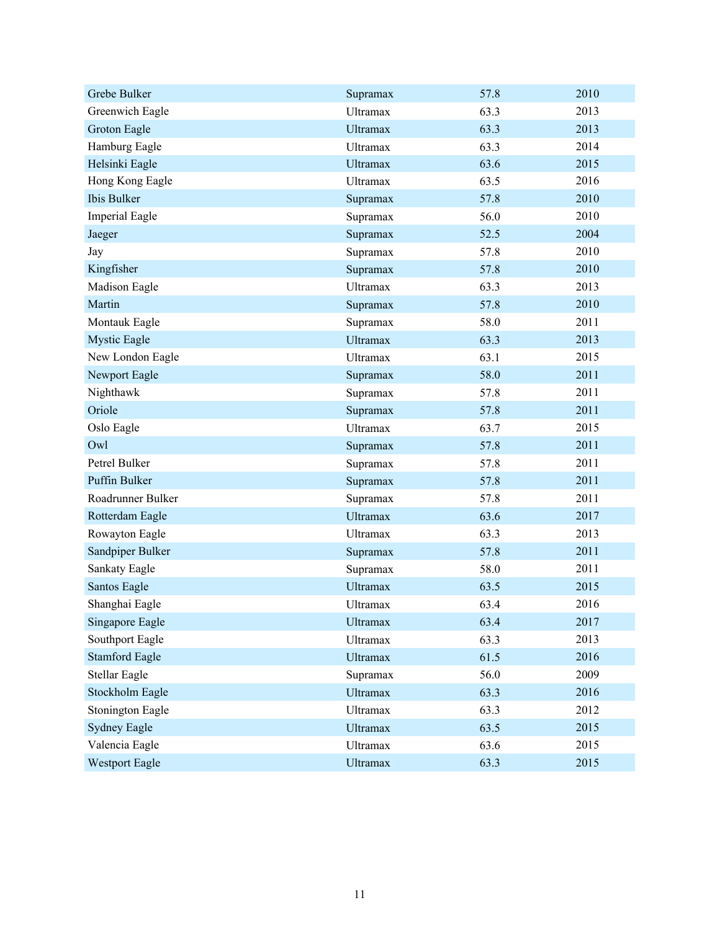| Grebe Bulker          | Supramax        | 57.8 | 2010 |
|-----------------------|-----------------|------|------|
| Greenwich Eagle       | <b>Ultramax</b> | 63.3 | 2013 |
| Groton Eagle          | <b>Ultramax</b> | 63.3 | 2013 |
| Hamburg Eagle         | Ultramax        | 63.3 | 2014 |
| Helsinki Eagle        | <b>Ultramax</b> | 63.6 | 2015 |
| Hong Kong Eagle       | Ultramax        | 63.5 | 2016 |
| Ibis Bulker           | Supramax        | 57.8 | 2010 |
| <b>Imperial Eagle</b> | Supramax        | 56.0 | 2010 |
| Jaeger                | Supramax        | 52.5 | 2004 |
| Jay                   | Supramax        | 57.8 | 2010 |
| Kingfisher            | Supramax        | 57.8 | 2010 |
| Madison Eagle         | <b>Ultramax</b> | 63.3 | 2013 |
| Martin                | Supramax        | 57.8 | 2010 |
| Montauk Eagle         | Supramax        | 58.0 | 2011 |
| Mystic Eagle          | <b>Ultramax</b> | 63.3 | 2013 |
| New London Eagle      | <b>Ultramax</b> | 63.1 | 2015 |
| Newport Eagle         | Supramax        | 58.0 | 2011 |
| Nighthawk             | Supramax        | 57.8 | 2011 |
| Oriole                | Supramax        | 57.8 | 2011 |
| Oslo Eagle            | <b>Ultramax</b> | 63.7 | 2015 |
| Owl                   | Supramax        | 57.8 | 2011 |
| Petrel Bulker         | Supramax        | 57.8 | 2011 |
| Puffin Bulker         | Supramax        | 57.8 | 2011 |
| Roadrunner Bulker     | Supramax        | 57.8 | 2011 |
| Rotterdam Eagle       | <b>Ultramax</b> | 63.6 | 2017 |
| Rowayton Eagle        | Ultramax        | 63.3 | 2013 |
| Sandpiper Bulker      | Supramax        | 57.8 | 2011 |
| Sankaty Eagle         | Supramax        | 58.0 | 2011 |
| Santos Eagle          | <b>Ultramax</b> | 63.5 | 2015 |
| Shanghai Eagle        | Ultramax        | 63.4 | 2016 |
| Singapore Eagle       | <b>Ultramax</b> | 63.4 | 2017 |
| Southport Eagle       | Ultramax        | 63.3 | 2013 |
| <b>Stamford Eagle</b> | <b>Ultramax</b> | 61.5 | 2016 |
| Stellar Eagle         | Supramax        | 56.0 | 2009 |
| Stockholm Eagle       | <b>Ultramax</b> | 63.3 | 2016 |
| Stonington Eagle      | Ultramax        | 63.3 | 2012 |
| <b>Sydney Eagle</b>   | <b>Ultramax</b> | 63.5 | 2015 |
| Valencia Eagle        | Ultramax        | 63.6 | 2015 |
| <b>Westport Eagle</b> | Ultramax        | 63.3 | 2015 |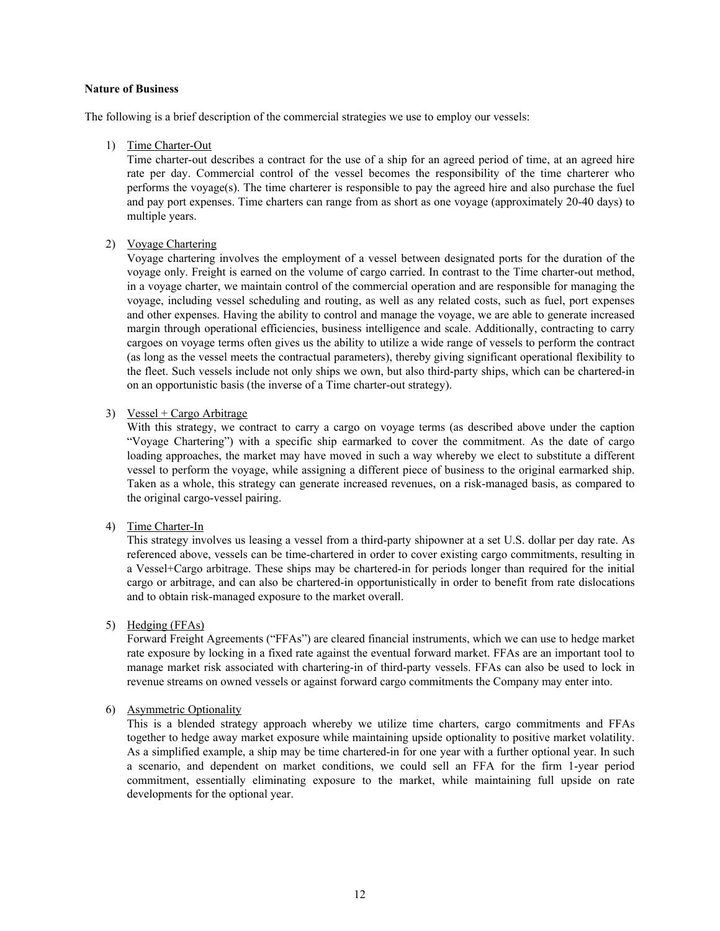#### **Nature of Business**

The following is a brief description of the commercial strategies we use to employ our vessels:

### 1) Time Charter-Out

 Time charter-out describes a contract for the use of a ship for an agreed period of time, at an agreed hire rate per day. Commercial control of the vessel becomes the responsibility of the time charterer who performs the voyage(s). The time charterer is responsible to pay the agreed hire and also purchase the fuel and pay port expenses. Time charters can range from as short as one voyage (approximately 20-40 days) to multiple years.

## 2) Voyage Chartering

 Voyage chartering involves the employment of a vessel between designated ports for the duration of the voyage only. Freight is earned on the volume of cargo carried. In contrast to the Time charter-out method, in a voyage charter, we maintain control of the commercial operation and are responsible for managing the voyage, including vessel scheduling and routing, as well as any related costs, such as fuel, port expenses and other expenses. Having the ability to control and manage the voyage, we are able to generate increased margin through operational efficiencies, business intelligence and scale. Additionally, contracting to carry cargoes on voyage terms often gives us the ability to utilize a wide range of vessels to perform the contract (as long as the vessel meets the contractual parameters), thereby giving significant operational flexibility to the fleet. Such vessels include not only ships we own, but also third-party ships, which can be chartered-in on an opportunistic basis (the inverse of a Time charter-out strategy).

## 3) Vessel + Cargo Arbitrage

With this strategy, we contract to carry a cargo on voyage terms (as described above under the caption "Voyage Chartering") with a specific ship earmarked to cover the commitment. As the date of cargo loading approaches, the market may have moved in such a way whereby we elect to substitute a different vessel to perform the voyage, while assigning a different piece of business to the original earmarked ship. Taken as a whole, this strategy can generate increased revenues, on a risk-managed basis, as compared to the original cargo-vessel pairing.

## 4) Time Charter-In

This strategy involves us leasing a vessel from a third-party shipowner at a set U.S. dollar per day rate. As referenced above, vessels can be time-chartered in order to cover existing cargo commitments, resulting in a Vessel+Cargo arbitrage. These ships may be chartered-in for periods longer than required for the initial cargo or arbitrage, and can also be chartered-in opportunistically in order to benefit from rate dislocations and to obtain risk-managed exposure to the market overall.

## 5) Hedging (FFAs)

Forward Freight Agreements ("FFAs") are cleared financial instruments, which we can use to hedge market rate exposure by locking in a fixed rate against the eventual forward market. FFAs are an important tool to manage market risk associated with chartering-in of third-party vessels. FFAs can also be used to lock in revenue streams on owned vessels or against forward cargo commitments the Company may enter into.

## 6) Asymmetric Optionality

This is a blended strategy approach whereby we utilize time charters, cargo commitments and FFAs together to hedge away market exposure while maintaining upside optionality to positive market volatility. As a simplified example, a ship may be time chartered-in for one year with a further optional year. In such a scenario, and dependent on market conditions, we could sell an FFA for the firm 1-year period commitment, essentially eliminating exposure to the market, while maintaining full upside on rate developments for the optional year.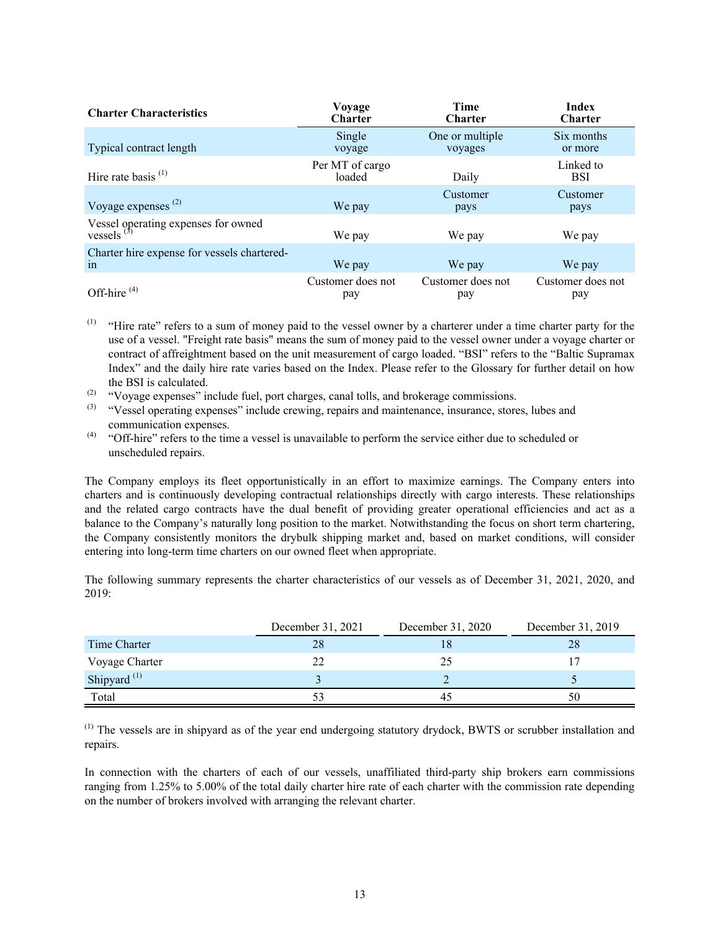| <b>Charter Characteristics</b>                       | Voyage<br><b>Charter</b>  | Time<br>Charter            | <b>Index</b><br><b>Charter</b> |
|------------------------------------------------------|---------------------------|----------------------------|--------------------------------|
| Typical contract length                              | Single<br>voyage          | One or multiple<br>voyages | Six months<br>or more          |
| Hire rate basis $(1)$                                | Per MT of cargo<br>loaded | Daily                      | Linked to<br><b>BSI</b>        |
| Voyage expenses $(2)$                                | We pay                    | Customer<br>pays           | Customer<br>pays               |
| Vessel operating expenses for owned<br>vessels $(3)$ | We pay                    | We pay                     | We pay                         |
| Charter hire expense for vessels chartered-<br>1n    | We pay                    | We pay                     | We pay                         |
| Off-hire $(4)$                                       | Customer does not<br>pay  | Customer does not<br>pay   | Customer does not<br>pay       |

- <sup>(1)</sup> "Hire rate" refers to a sum of money paid to the vessel owner by a charterer under a time charter party for the use of a vessel. "Freight rate basis" means the sum of money paid to the vessel owner under a voyage charter or contract of affreightment based on the unit measurement of cargo loaded. "BSI" refers to the "Baltic Supramax Index" and the daily hire rate varies based on the Index. Please refer to the Glossary for further detail on how the BSI is calculated.
- (2) "Voyage expenses" include fuel, port charges, canal tolls, and brokerage commissions.
- (3) "Vessel operating expenses" include crewing, repairs and maintenance, insurance, stores, lubes and communication expenses.
- (4) "Off-hire" refers to the time a vessel is unavailable to perform the service either due to scheduled or unscheduled repairs.

The Company employs its fleet opportunistically in an effort to maximize earnings. The Company enters into charters and is continuously developing contractual relationships directly with cargo interests. These relationships and the related cargo contracts have the dual benefit of providing greater operational efficiencies and act as a balance to the Company's naturally long position to the market. Notwithstanding the focus on short term chartering, the Company consistently monitors the drybulk shipping market and, based on market conditions, will consider entering into long-term time charters on our owned fleet when appropriate.

The following summary represents the charter characteristics of our vessels as of December 31, 2021, 2020, and 2019:

|                         | December 31, 2021 | December 31, 2020 | December 31, 2019 |
|-------------------------|-------------------|-------------------|-------------------|
| Time Charter            | 28                |                   | 28                |
| Voyage Charter          |                   |                   |                   |
| Shipyard <sup>(1)</sup> |                   |                   |                   |
| Total                   |                   | 4.                | 50                |

<sup>(1)</sup> The vessels are in shipyard as of the year end undergoing statutory drydock, BWTS or scrubber installation and repairs.

In connection with the charters of each of our vessels, unaffiliated third-party ship brokers earn commissions ranging from 1.25% to 5.00% of the total daily charter hire rate of each charter with the commission rate depending on the number of brokers involved with arranging the relevant charter.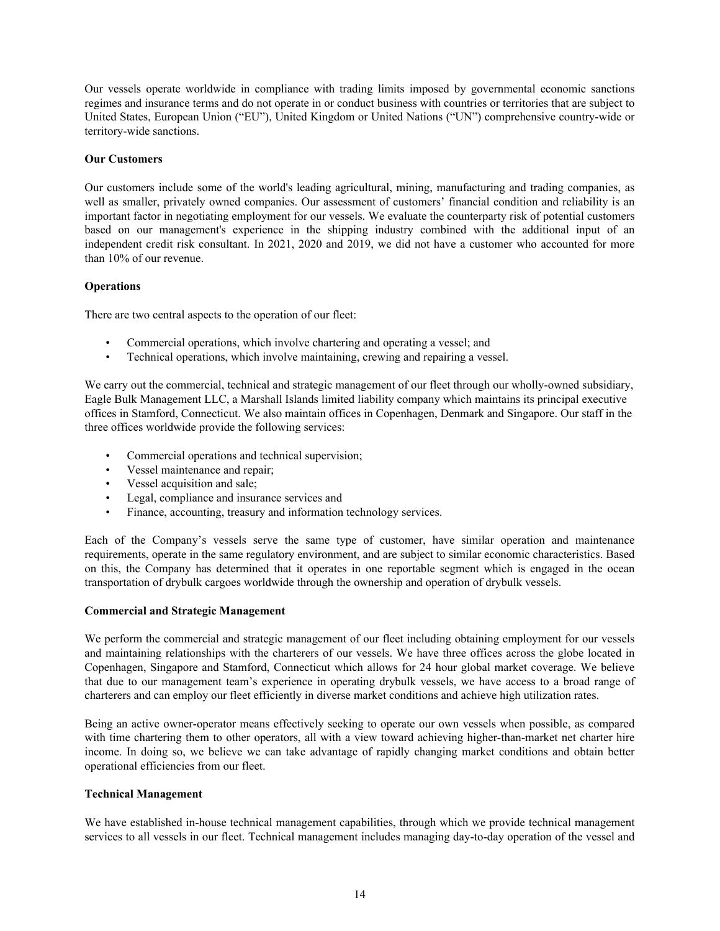Our vessels operate worldwide in compliance with trading limits imposed by governmental economic sanctions regimes and insurance terms and do not operate in or conduct business with countries or territories that are subject to United States, European Union ("EU"), United Kingdom or United Nations ("UN") comprehensive country-wide or territory-wide sanctions.

### **Our Customers**

Our customers include some of the world's leading agricultural, mining, manufacturing and trading companies, as well as smaller, privately owned companies. Our assessment of customers' financial condition and reliability is an important factor in negotiating employment for our vessels. We evaluate the counterparty risk of potential customers based on our management's experience in the shipping industry combined with the additional input of an independent credit risk consultant. In 2021, 2020 and 2019, we did not have a customer who accounted for more than 10% of our revenue.

### **Operations**

There are two central aspects to the operation of our fleet:

- Commercial operations, which involve chartering and operating a vessel; and
- Technical operations, which involve maintaining, crewing and repairing a vessel.

We carry out the commercial, technical and strategic management of our fleet through our wholly-owned subsidiary, Eagle Bulk Management LLC, a Marshall Islands limited liability company which maintains its principal executive offices in Stamford, Connecticut. We also maintain offices in Copenhagen, Denmark and Singapore. Our staff in the three offices worldwide provide the following services:

- Commercial operations and technical supervision;
- Vessel maintenance and repair;
- Vessel acquisition and sale;
- Legal, compliance and insurance services and
- Finance, accounting, treasury and information technology services.

Each of the Company's vessels serve the same type of customer, have similar operation and maintenance requirements, operate in the same regulatory environment, and are subject to similar economic characteristics. Based on this, the Company has determined that it operates in one reportable segment which is engaged in the ocean transportation of drybulk cargoes worldwide through the ownership and operation of drybulk vessels.

#### **Commercial and Strategic Management**

We perform the commercial and strategic management of our fleet including obtaining employment for our vessels and maintaining relationships with the charterers of our vessels. We have three offices across the globe located in Copenhagen, Singapore and Stamford, Connecticut which allows for 24 hour global market coverage. We believe that due to our management team's experience in operating drybulk vessels, we have access to a broad range of charterers and can employ our fleet efficiently in diverse market conditions and achieve high utilization rates.

Being an active owner-operator means effectively seeking to operate our own vessels when possible, as compared with time chartering them to other operators, all with a view toward achieving higher-than-market net charter hire income. In doing so, we believe we can take advantage of rapidly changing market conditions and obtain better operational efficiencies from our fleet.

#### **Technical Management**

We have established in-house technical management capabilities, through which we provide technical management services to all vessels in our fleet. Technical management includes managing day-to-day operation of the vessel and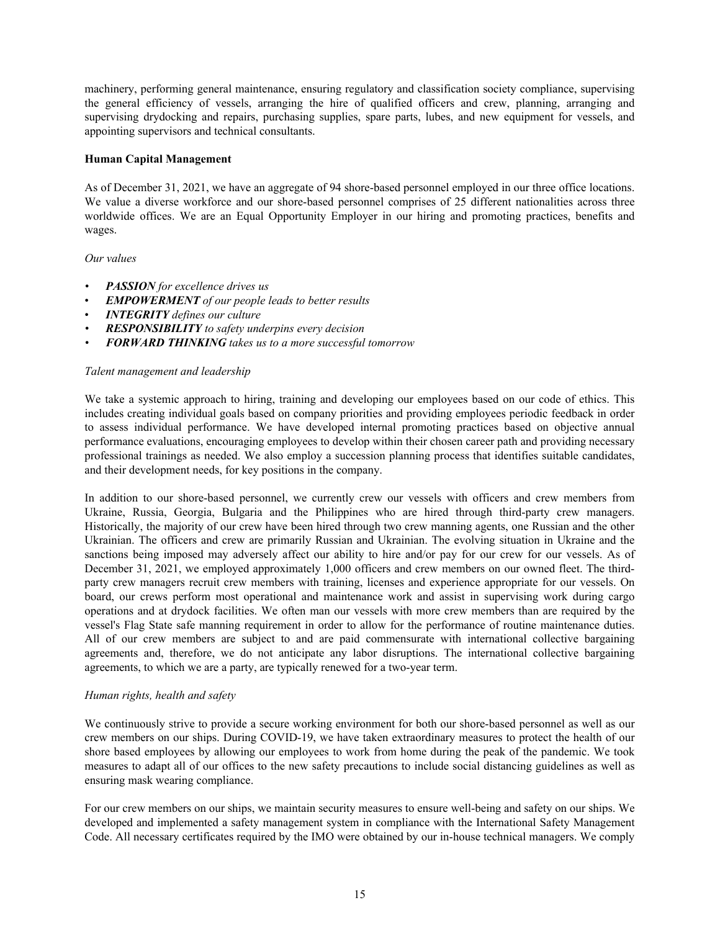machinery, performing general maintenance, ensuring regulatory and classification society compliance, supervising the general efficiency of vessels, arranging the hire of qualified officers and crew, planning, arranging and supervising drydocking and repairs, purchasing supplies, spare parts, lubes, and new equipment for vessels, and appointing supervisors and technical consultants.

### **Human Capital Management**

As of December 31, 2021, we have an aggregate of 94 shore-based personnel employed in our three office locations. We value a diverse workforce and our shore-based personnel comprises of 25 different nationalities across three worldwide offices. We are an Equal Opportunity Employer in our hiring and promoting practices, benefits and wages.

### *Our values*

- *• PASSION for excellence drives us*
- *EMPOWERMENT of our people leads to better results*
- *INTEGRITY defines our culture*
- *• RESPONSIBILITY to safety underpins every decision*
- *• FORWARD THINKING takes us to a more successful tomorrow*

#### *Talent management and leadership*

We take a systemic approach to hiring, training and developing our employees based on our code of ethics. This includes creating individual goals based on company priorities and providing employees periodic feedback in order to assess individual performance. We have developed internal promoting practices based on objective annual performance evaluations, encouraging employees to develop within their chosen career path and providing necessary professional trainings as needed. We also employ a succession planning process that identifies suitable candidates, and their development needs, for key positions in the company.

In addition to our shore-based personnel, we currently crew our vessels with officers and crew members from Ukraine, Russia, Georgia, Bulgaria and the Philippines who are hired through third-party crew managers. Historically, the majority of our crew have been hired through two crew manning agents, one Russian and the other Ukrainian. The officers and crew are primarily Russian and Ukrainian. The evolving situation in Ukraine and the sanctions being imposed may adversely affect our ability to hire and/or pay for our crew for our vessels. As of December 31, 2021, we employed approximately 1,000 officers and crew members on our owned fleet. The thirdparty crew managers recruit crew members with training, licenses and experience appropriate for our vessels. On board, our crews perform most operational and maintenance work and assist in supervising work during cargo operations and at drydock facilities. We often man our vessels with more crew members than are required by the vessel's Flag State safe manning requirement in order to allow for the performance of routine maintenance duties. All of our crew members are subject to and are paid commensurate with international collective bargaining agreements and, therefore, we do not anticipate any labor disruptions. The international collective bargaining agreements, to which we are a party, are typically renewed for a two-year term.

#### *Human rights, health and safety*

We continuously strive to provide a secure working environment for both our shore-based personnel as well as our crew members on our ships. During COVID-19, we have taken extraordinary measures to protect the health of our shore based employees by allowing our employees to work from home during the peak of the pandemic. We took measures to adapt all of our offices to the new safety precautions to include social distancing guidelines as well as ensuring mask wearing compliance.

For our crew members on our ships, we maintain security measures to ensure well-being and safety on our ships. We developed and implemented a safety management system in compliance with the International Safety Management Code. All necessary certificates required by the IMO were obtained by our in-house technical managers. We comply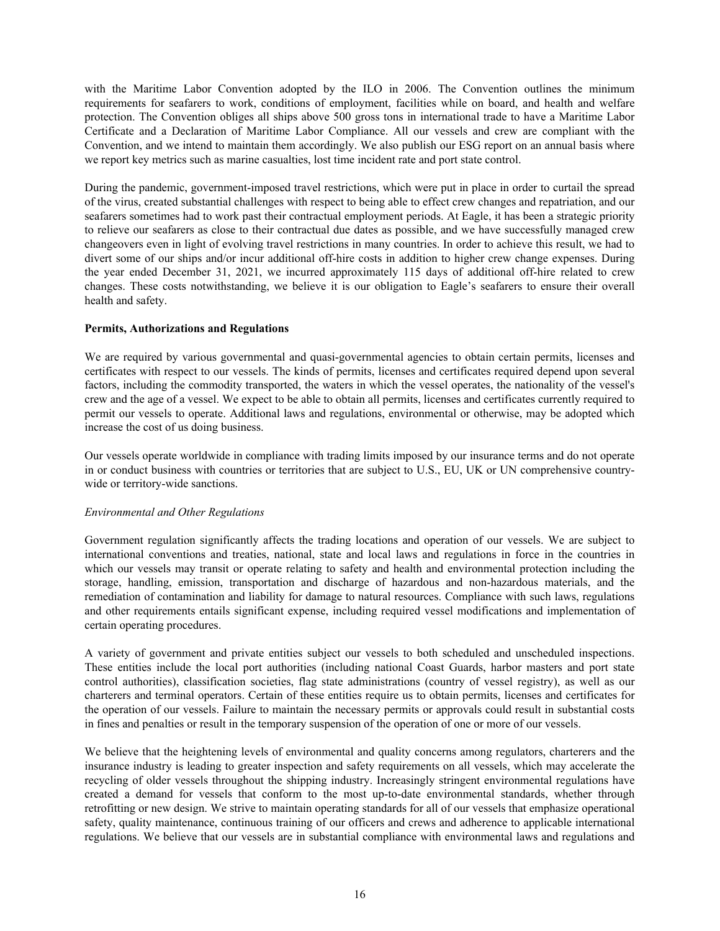with the Maritime Labor Convention adopted by the ILO in 2006. The Convention outlines the minimum requirements for seafarers to work, conditions of employment, facilities while on board, and health and welfare protection. The Convention obliges all ships above 500 gross tons in international trade to have a Maritime Labor Certificate and a Declaration of Maritime Labor Compliance. All our vessels and crew are compliant with the Convention, and we intend to maintain them accordingly. We also publish our ESG report on an annual basis where we report key metrics such as marine casualties, lost time incident rate and port state control.

During the pandemic, government-imposed travel restrictions, which were put in place in order to curtail the spread of the virus, created substantial challenges with respect to being able to effect crew changes and repatriation, and our seafarers sometimes had to work past their contractual employment periods. At Eagle, it has been a strategic priority to relieve our seafarers as close to their contractual due dates as possible, and we have successfully managed crew changeovers even in light of evolving travel restrictions in many countries. In order to achieve this result, we had to divert some of our ships and/or incur additional off-hire costs in addition to higher crew change expenses. During the year ended December 31, 2021, we incurred approximately 115 days of additional off-hire related to crew changes. These costs notwithstanding, we believe it is our obligation to Eagle's seafarers to ensure their overall health and safety.

### **Permits, Authorizations and Regulations**

We are required by various governmental and quasi-governmental agencies to obtain certain permits, licenses and certificates with respect to our vessels. The kinds of permits, licenses and certificates required depend upon several factors, including the commodity transported, the waters in which the vessel operates, the nationality of the vessel's crew and the age of a vessel. We expect to be able to obtain all permits, licenses and certificates currently required to permit our vessels to operate. Additional laws and regulations, environmental or otherwise, may be adopted which increase the cost of us doing business.

Our vessels operate worldwide in compliance with trading limits imposed by our insurance terms and do not operate in or conduct business with countries or territories that are subject to U.S., EU, UK or UN comprehensive countrywide or territory-wide sanctions.

## *Environmental and Other Regulations*

Government regulation significantly affects the trading locations and operation of our vessels. We are subject to international conventions and treaties, national, state and local laws and regulations in force in the countries in which our vessels may transit or operate relating to safety and health and environmental protection including the storage, handling, emission, transportation and discharge of hazardous and non-hazardous materials, and the remediation of contamination and liability for damage to natural resources. Compliance with such laws, regulations and other requirements entails significant expense, including required vessel modifications and implementation of certain operating procedures.

A variety of government and private entities subject our vessels to both scheduled and unscheduled inspections. These entities include the local port authorities (including national Coast Guards, harbor masters and port state control authorities), classification societies, flag state administrations (country of vessel registry), as well as our charterers and terminal operators. Certain of these entities require us to obtain permits, licenses and certificates for the operation of our vessels. Failure to maintain the necessary permits or approvals could result in substantial costs in fines and penalties or result in the temporary suspension of the operation of one or more of our vessels.

We believe that the heightening levels of environmental and quality concerns among regulators, charterers and the insurance industry is leading to greater inspection and safety requirements on all vessels, which may accelerate the recycling of older vessels throughout the shipping industry. Increasingly stringent environmental regulations have created a demand for vessels that conform to the most up-to-date environmental standards, whether through retrofitting or new design. We strive to maintain operating standards for all of our vessels that emphasize operational safety, quality maintenance, continuous training of our officers and crews and adherence to applicable international regulations. We believe that our vessels are in substantial compliance with environmental laws and regulations and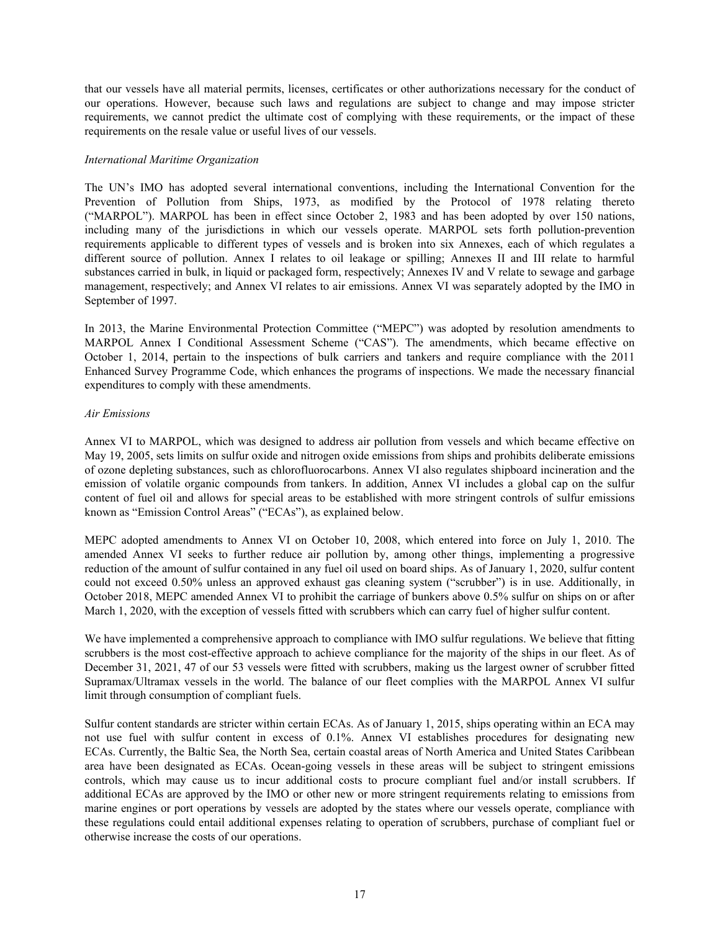that our vessels have all material permits, licenses, certificates or other authorizations necessary for the conduct of our operations. However, because such laws and regulations are subject to change and may impose stricter requirements, we cannot predict the ultimate cost of complying with these requirements, or the impact of these requirements on the resale value or useful lives of our vessels.

#### *International Maritime Organization*

The UN's IMO has adopted several international conventions, including the International Convention for the Prevention of Pollution from Ships, 1973, as modified by the Protocol of 1978 relating thereto ("MARPOL"). MARPOL has been in effect since October 2, 1983 and has been adopted by over 150 nations, including many of the jurisdictions in which our vessels operate. MARPOL sets forth pollution-prevention requirements applicable to different types of vessels and is broken into six Annexes, each of which regulates a different source of pollution. Annex I relates to oil leakage or spilling; Annexes II and III relate to harmful substances carried in bulk, in liquid or packaged form, respectively; Annexes IV and V relate to sewage and garbage management, respectively; and Annex VI relates to air emissions. Annex VI was separately adopted by the IMO in September of 1997.

In 2013, the Marine Environmental Protection Committee ("MEPC") was adopted by resolution amendments to MARPOL Annex I Conditional Assessment Scheme ("CAS"). The amendments, which became effective on October 1, 2014, pertain to the inspections of bulk carriers and tankers and require compliance with the 2011 Enhanced Survey Programme Code, which enhances the programs of inspections. We made the necessary financial expenditures to comply with these amendments.

### *Air Emissions*

Annex VI to MARPOL, which was designed to address air pollution from vessels and which became effective on May 19, 2005, sets limits on sulfur oxide and nitrogen oxide emissions from ships and prohibits deliberate emissions of ozone depleting substances, such as chlorofluorocarbons. Annex VI also regulates shipboard incineration and the emission of volatile organic compounds from tankers. In addition, Annex VI includes a global cap on the sulfur content of fuel oil and allows for special areas to be established with more stringent controls of sulfur emissions known as "Emission Control Areas" ("ECAs"), as explained below.

MEPC adopted amendments to Annex VI on October 10, 2008, which entered into force on July 1, 2010. The amended Annex VI seeks to further reduce air pollution by, among other things, implementing a progressive reduction of the amount of sulfur contained in any fuel oil used on board ships. As of January 1, 2020, sulfur content could not exceed 0.50% unless an approved exhaust gas cleaning system ("scrubber") is in use. Additionally, in October 2018, MEPC amended Annex VI to prohibit the carriage of bunkers above 0.5% sulfur on ships on or after March 1, 2020, with the exception of vessels fitted with scrubbers which can carry fuel of higher sulfur content.

We have implemented a comprehensive approach to compliance with IMO sulfur regulations. We believe that fitting scrubbers is the most cost-effective approach to achieve compliance for the majority of the ships in our fleet. As of December 31, 2021, 47 of our 53 vessels were fitted with scrubbers, making us the largest owner of scrubber fitted Supramax/Ultramax vessels in the world. The balance of our fleet complies with the MARPOL Annex VI sulfur limit through consumption of compliant fuels.

Sulfur content standards are stricter within certain ECAs. As of January 1, 2015, ships operating within an ECA may not use fuel with sulfur content in excess of 0.1%. Annex VI establishes procedures for designating new ECAs. Currently, the Baltic Sea, the North Sea, certain coastal areas of North America and United States Caribbean area have been designated as ECAs. Ocean-going vessels in these areas will be subject to stringent emissions controls, which may cause us to incur additional costs to procure compliant fuel and/or install scrubbers. If additional ECAs are approved by the IMO or other new or more stringent requirements relating to emissions from marine engines or port operations by vessels are adopted by the states where our vessels operate, compliance with these regulations could entail additional expenses relating to operation of scrubbers, purchase of compliant fuel or otherwise increase the costs of our operations.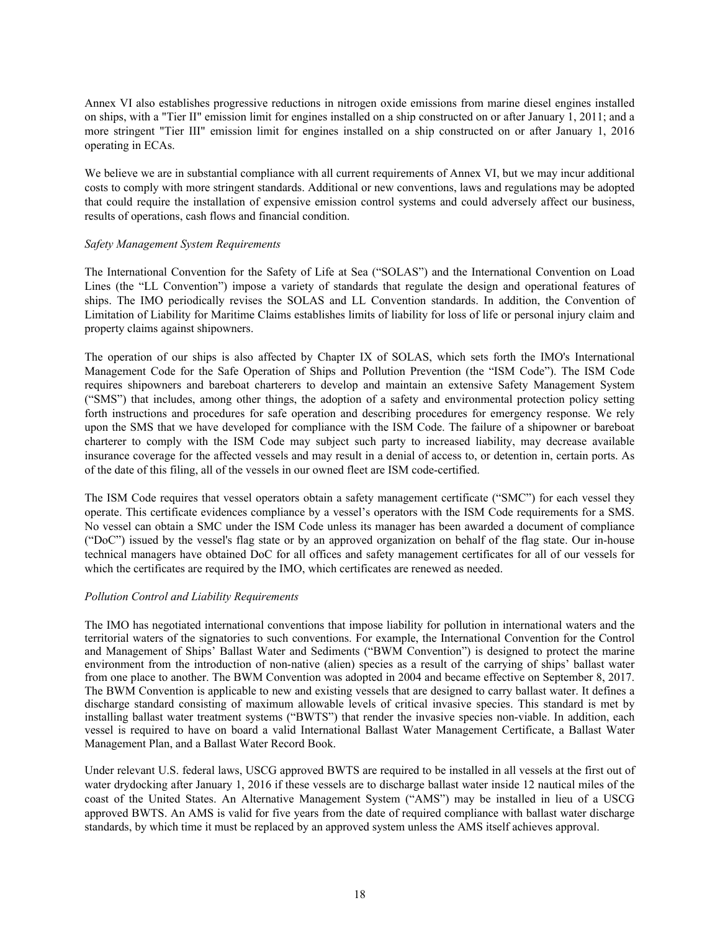Annex VI also establishes progressive reductions in nitrogen oxide emissions from marine diesel engines installed on ships, with a "Tier II" emission limit for engines installed on a ship constructed on or after January 1, 2011; and a more stringent "Tier III" emission limit for engines installed on a ship constructed on or after January 1, 2016 operating in ECAs.

We believe we are in substantial compliance with all current requirements of Annex VI, but we may incur additional costs to comply with more stringent standards. Additional or new conventions, laws and regulations may be adopted that could require the installation of expensive emission control systems and could adversely affect our business, results of operations, cash flows and financial condition.

### *Safety Management System Requirements*

The International Convention for the Safety of Life at Sea ("SOLAS") and the International Convention on Load Lines (the "LL Convention") impose a variety of standards that regulate the design and operational features of ships. The IMO periodically revises the SOLAS and LL Convention standards. In addition, the Convention of Limitation of Liability for Maritime Claims establishes limits of liability for loss of life or personal injury claim and property claims against shipowners.

The operation of our ships is also affected by Chapter IX of SOLAS, which sets forth the IMO's International Management Code for the Safe Operation of Ships and Pollution Prevention (the "ISM Code"). The ISM Code requires shipowners and bareboat charterers to develop and maintain an extensive Safety Management System ("SMS") that includes, among other things, the adoption of a safety and environmental protection policy setting forth instructions and procedures for safe operation and describing procedures for emergency response. We rely upon the SMS that we have developed for compliance with the ISM Code. The failure of a shipowner or bareboat charterer to comply with the ISM Code may subject such party to increased liability, may decrease available insurance coverage for the affected vessels and may result in a denial of access to, or detention in, certain ports. As of the date of this filing, all of the vessels in our owned fleet are ISM code-certified.

The ISM Code requires that vessel operators obtain a safety management certificate ("SMC") for each vessel they operate. This certificate evidences compliance by a vessel's operators with the ISM Code requirements for a SMS. No vessel can obtain a SMC under the ISM Code unless its manager has been awarded a document of compliance ("DoC") issued by the vessel's flag state or by an approved organization on behalf of the flag state. Our in-house technical managers have obtained DoC for all offices and safety management certificates for all of our vessels for which the certificates are required by the IMO, which certificates are renewed as needed.

#### *Pollution Control and Liability Requirements*

The IMO has negotiated international conventions that impose liability for pollution in international waters and the territorial waters of the signatories to such conventions. For example, the International Convention for the Control and Management of Ships' Ballast Water and Sediments ("BWM Convention") is designed to protect the marine environment from the introduction of non-native (alien) species as a result of the carrying of ships' ballast water from one place to another. The BWM Convention was adopted in 2004 and became effective on September 8, 2017. The BWM Convention is applicable to new and existing vessels that are designed to carry ballast water. It defines a discharge standard consisting of maximum allowable levels of critical invasive species. This standard is met by installing ballast water treatment systems ("BWTS") that render the invasive species non-viable. In addition, each vessel is required to have on board a valid International Ballast Water Management Certificate, a Ballast Water Management Plan, and a Ballast Water Record Book.

Under relevant U.S. federal laws, USCG approved BWTS are required to be installed in all vessels at the first out of water drydocking after January 1, 2016 if these vessels are to discharge ballast water inside 12 nautical miles of the coast of the United States. An Alternative Management System ("AMS") may be installed in lieu of a USCG approved BWTS. An AMS is valid for five years from the date of required compliance with ballast water discharge standards, by which time it must be replaced by an approved system unless the AMS itself achieves approval.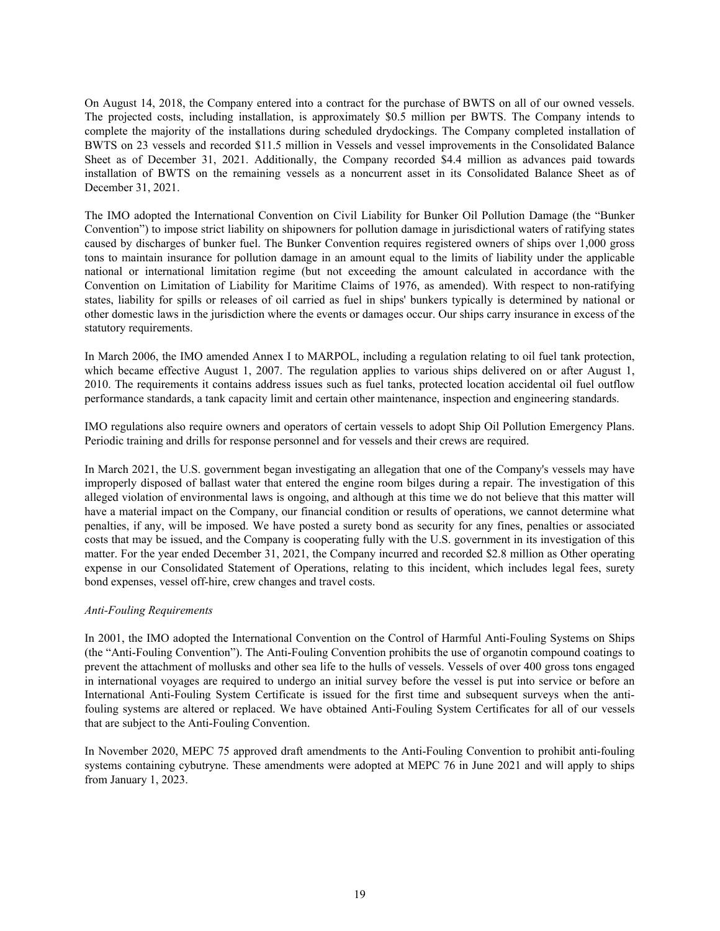On August 14, 2018, the Company entered into a contract for the purchase of BWTS on all of our owned vessels. The projected costs, including installation, is approximately \$0.5 million per BWTS. The Company intends to complete the majority of the installations during scheduled drydockings. The Company completed installation of BWTS on 23 vessels and recorded \$11.5 million in Vessels and vessel improvements in the Consolidated Balance Sheet as of December 31, 2021. Additionally, the Company recorded \$4.4 million as advances paid towards installation of BWTS on the remaining vessels as a noncurrent asset in its Consolidated Balance Sheet as of December 31, 2021.

The IMO adopted the International Convention on Civil Liability for Bunker Oil Pollution Damage (the "Bunker Convention") to impose strict liability on shipowners for pollution damage in jurisdictional waters of ratifying states caused by discharges of bunker fuel. The Bunker Convention requires registered owners of ships over 1,000 gross tons to maintain insurance for pollution damage in an amount equal to the limits of liability under the applicable national or international limitation regime (but not exceeding the amount calculated in accordance with the Convention on Limitation of Liability for Maritime Claims of 1976, as amended). With respect to non-ratifying states, liability for spills or releases of oil carried as fuel in ships' bunkers typically is determined by national or other domestic laws in the jurisdiction where the events or damages occur. Our ships carry insurance in excess of the statutory requirements.

In March 2006, the IMO amended Annex I to MARPOL, including a regulation relating to oil fuel tank protection, which became effective August 1, 2007. The regulation applies to various ships delivered on or after August 1, 2010. The requirements it contains address issues such as fuel tanks, protected location accidental oil fuel outflow performance standards, a tank capacity limit and certain other maintenance, inspection and engineering standards.

IMO regulations also require owners and operators of certain vessels to adopt Ship Oil Pollution Emergency Plans. Periodic training and drills for response personnel and for vessels and their crews are required.

In March 2021, the U.S. government began investigating an allegation that one of the Company's vessels may have improperly disposed of ballast water that entered the engine room bilges during a repair. The investigation of this alleged violation of environmental laws is ongoing, and although at this time we do not believe that this matter will have a material impact on the Company, our financial condition or results of operations, we cannot determine what penalties, if any, will be imposed. We have posted a surety bond as security for any fines, penalties or associated costs that may be issued, and the Company is cooperating fully with the U.S. government in its investigation of this matter. For the year ended December 31, 2021, the Company incurred and recorded \$2.8 million as Other operating expense in our Consolidated Statement of Operations, relating to this incident, which includes legal fees, surety bond expenses, vessel off-hire, crew changes and travel costs.

## *Anti-Fouling Requirements*

In 2001, the IMO adopted the International Convention on the Control of Harmful Anti-Fouling Systems on Ships (the "Anti-Fouling Convention"). The Anti-Fouling Convention prohibits the use of organotin compound coatings to prevent the attachment of mollusks and other sea life to the hulls of vessels. Vessels of over 400 gross tons engaged in international voyages are required to undergo an initial survey before the vessel is put into service or before an International Anti-Fouling System Certificate is issued for the first time and subsequent surveys when the antifouling systems are altered or replaced. We have obtained Anti-Fouling System Certificates for all of our vessels that are subject to the Anti-Fouling Convention.

In November 2020, MEPC 75 approved draft amendments to the Anti-Fouling Convention to prohibit anti-fouling systems containing cybutryne. These amendments were adopted at MEPC 76 in June 2021 and will apply to ships from January 1, 2023.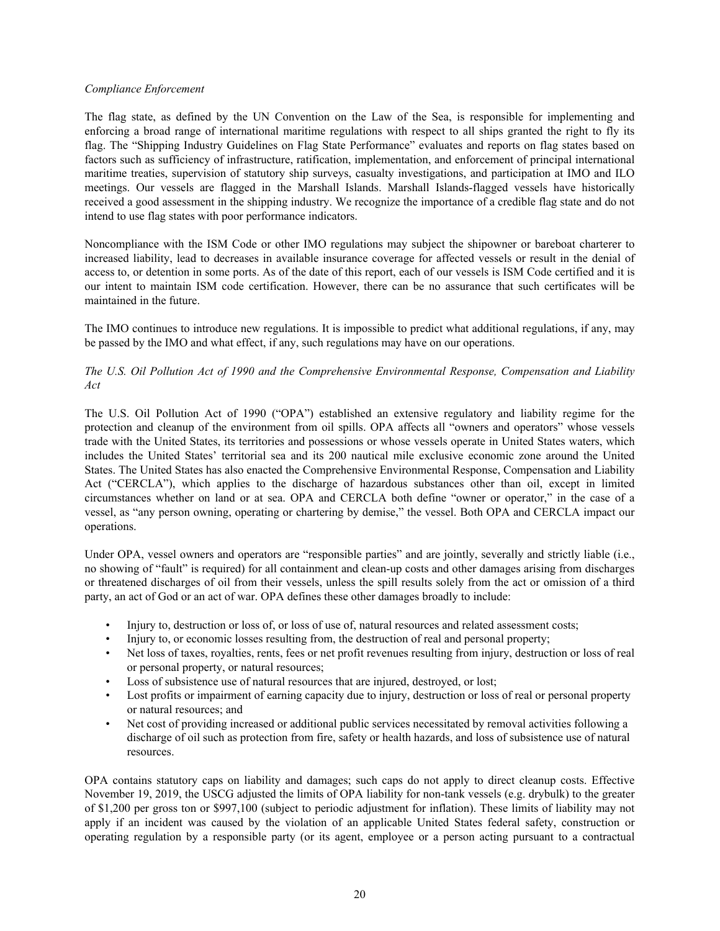### *Compliance Enforcement*

The flag state, as defined by the UN Convention on the Law of the Sea, is responsible for implementing and enforcing a broad range of international maritime regulations with respect to all ships granted the right to fly its flag. The "Shipping Industry Guidelines on Flag State Performance" evaluates and reports on flag states based on factors such as sufficiency of infrastructure, ratification, implementation, and enforcement of principal international maritime treaties, supervision of statutory ship surveys, casualty investigations, and participation at IMO and ILO meetings. Our vessels are flagged in the Marshall Islands. Marshall Islands-flagged vessels have historically received a good assessment in the shipping industry. We recognize the importance of a credible flag state and do not intend to use flag states with poor performance indicators.

Noncompliance with the ISM Code or other IMO regulations may subject the shipowner or bareboat charterer to increased liability, lead to decreases in available insurance coverage for affected vessels or result in the denial of access to, or detention in some ports. As of the date of this report, each of our vessels is ISM Code certified and it is our intent to maintain ISM code certification. However, there can be no assurance that such certificates will be maintained in the future.

The IMO continues to introduce new regulations. It is impossible to predict what additional regulations, if any, may be passed by the IMO and what effect, if any, such regulations may have on our operations.

## *The U.S. Oil Pollution Act of 1990 and the Comprehensive Environmental Response, Compensation and Liability Act*

The U.S. Oil Pollution Act of 1990 ("OPA") established an extensive regulatory and liability regime for the protection and cleanup of the environment from oil spills. OPA affects all "owners and operators" whose vessels trade with the United States, its territories and possessions or whose vessels operate in United States waters, which includes the United States' territorial sea and its 200 nautical mile exclusive economic zone around the United States. The United States has also enacted the Comprehensive Environmental Response, Compensation and Liability Act ("CERCLA"), which applies to the discharge of hazardous substances other than oil, except in limited circumstances whether on land or at sea. OPA and CERCLA both define "owner or operator," in the case of a vessel, as "any person owning, operating or chartering by demise," the vessel. Both OPA and CERCLA impact our operations.

Under OPA, vessel owners and operators are "responsible parties" and are jointly, severally and strictly liable (i.e., no showing of "fault" is required) for all containment and clean-up costs and other damages arising from discharges or threatened discharges of oil from their vessels, unless the spill results solely from the act or omission of a third party, an act of God or an act of war. OPA defines these other damages broadly to include:

- Injury to, destruction or loss of, or loss of use of, natural resources and related assessment costs;
- Injury to, or economic losses resulting from, the destruction of real and personal property;
- Net loss of taxes, royalties, rents, fees or net profit revenues resulting from injury, destruction or loss of real or personal property, or natural resources;
- Loss of subsistence use of natural resources that are injured, destroyed, or lost;
- Lost profits or impairment of earning capacity due to injury, destruction or loss of real or personal property or natural resources; and
- Net cost of providing increased or additional public services necessitated by removal activities following a discharge of oil such as protection from fire, safety or health hazards, and loss of subsistence use of natural resources.

OPA contains statutory caps on liability and damages; such caps do not apply to direct cleanup costs. Effective November 19, 2019, the USCG adjusted the limits of OPA liability for non-tank vessels (e.g. drybulk) to the greater of \$1,200 per gross ton or \$997,100 (subject to periodic adjustment for inflation). These limits of liability may not apply if an incident was caused by the violation of an applicable United States federal safety, construction or operating regulation by a responsible party (or its agent, employee or a person acting pursuant to a contractual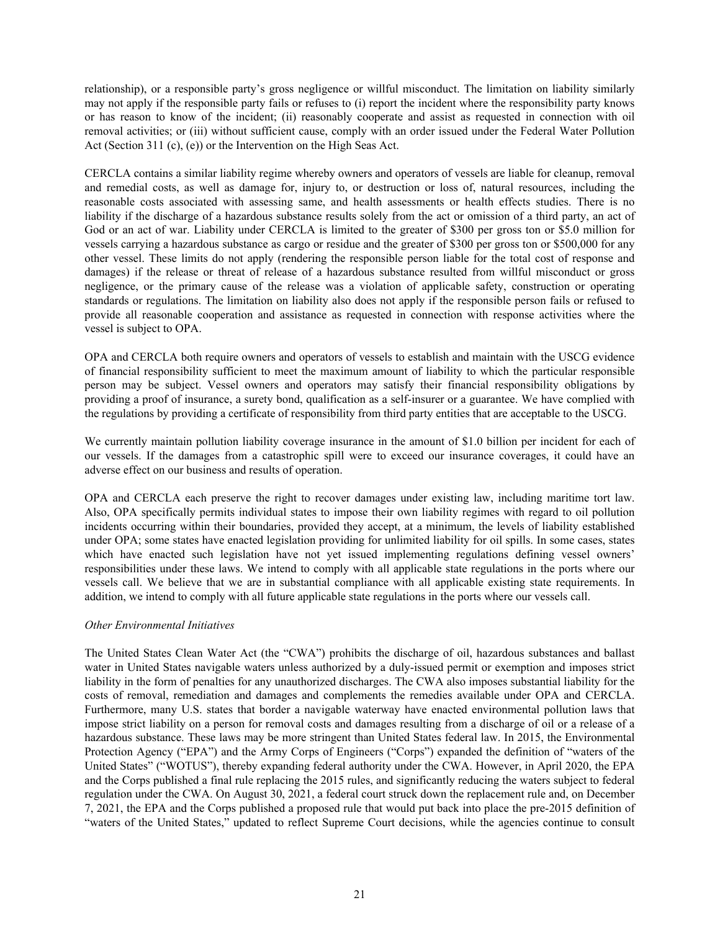relationship), or a responsible party's gross negligence or willful misconduct. The limitation on liability similarly may not apply if the responsible party fails or refuses to (i) report the incident where the responsibility party knows or has reason to know of the incident; (ii) reasonably cooperate and assist as requested in connection with oil removal activities; or (iii) without sufficient cause, comply with an order issued under the Federal Water Pollution Act (Section 311 (c), (e)) or the Intervention on the High Seas Act.

CERCLA contains a similar liability regime whereby owners and operators of vessels are liable for cleanup, removal and remedial costs, as well as damage for, injury to, or destruction or loss of, natural resources, including the reasonable costs associated with assessing same, and health assessments or health effects studies. There is no liability if the discharge of a hazardous substance results solely from the act or omission of a third party, an act of God or an act of war. Liability under CERCLA is limited to the greater of \$300 per gross ton or \$5.0 million for vessels carrying a hazardous substance as cargo or residue and the greater of \$300 per gross ton or \$500,000 for any other vessel. These limits do not apply (rendering the responsible person liable for the total cost of response and damages) if the release or threat of release of a hazardous substance resulted from willful misconduct or gross negligence, or the primary cause of the release was a violation of applicable safety, construction or operating standards or regulations. The limitation on liability also does not apply if the responsible person fails or refused to provide all reasonable cooperation and assistance as requested in connection with response activities where the vessel is subject to OPA.

OPA and CERCLA both require owners and operators of vessels to establish and maintain with the USCG evidence of financial responsibility sufficient to meet the maximum amount of liability to which the particular responsible person may be subject. Vessel owners and operators may satisfy their financial responsibility obligations by providing a proof of insurance, a surety bond, qualification as a self-insurer or a guarantee. We have complied with the regulations by providing a certificate of responsibility from third party entities that are acceptable to the USCG.

We currently maintain pollution liability coverage insurance in the amount of \$1.0 billion per incident for each of our vessels. If the damages from a catastrophic spill were to exceed our insurance coverages, it could have an adverse effect on our business and results of operation.

OPA and CERCLA each preserve the right to recover damages under existing law, including maritime tort law. Also, OPA specifically permits individual states to impose their own liability regimes with regard to oil pollution incidents occurring within their boundaries, provided they accept, at a minimum, the levels of liability established under OPA; some states have enacted legislation providing for unlimited liability for oil spills. In some cases, states which have enacted such legislation have not yet issued implementing regulations defining vessel owners' responsibilities under these laws. We intend to comply with all applicable state regulations in the ports where our vessels call. We believe that we are in substantial compliance with all applicable existing state requirements. In addition, we intend to comply with all future applicable state regulations in the ports where our vessels call.

## *Other Environmental Initiatives*

The United States Clean Water Act (the "CWA") prohibits the discharge of oil, hazardous substances and ballast water in United States navigable waters unless authorized by a duly-issued permit or exemption and imposes strict liability in the form of penalties for any unauthorized discharges. The CWA also imposes substantial liability for the costs of removal, remediation and damages and complements the remedies available under OPA and CERCLA. Furthermore, many U.S. states that border a navigable waterway have enacted environmental pollution laws that impose strict liability on a person for removal costs and damages resulting from a discharge of oil or a release of a hazardous substance. These laws may be more stringent than United States federal law. In 2015, the Environmental Protection Agency ("EPA") and the Army Corps of Engineers ("Corps") expanded the definition of "waters of the United States" ("WOTUS"), thereby expanding federal authority under the CWA. However, in April 2020, the EPA and the Corps published a final rule replacing the 2015 rules, and significantly reducing the waters subject to federal regulation under the CWA. On August 30, 2021, a federal court struck down the replacement rule and, on December 7, 2021, the EPA and the Corps published a proposed rule that would put back into place the pre-2015 definition of "waters of the United States," updated to reflect Supreme Court decisions, while the agencies continue to consult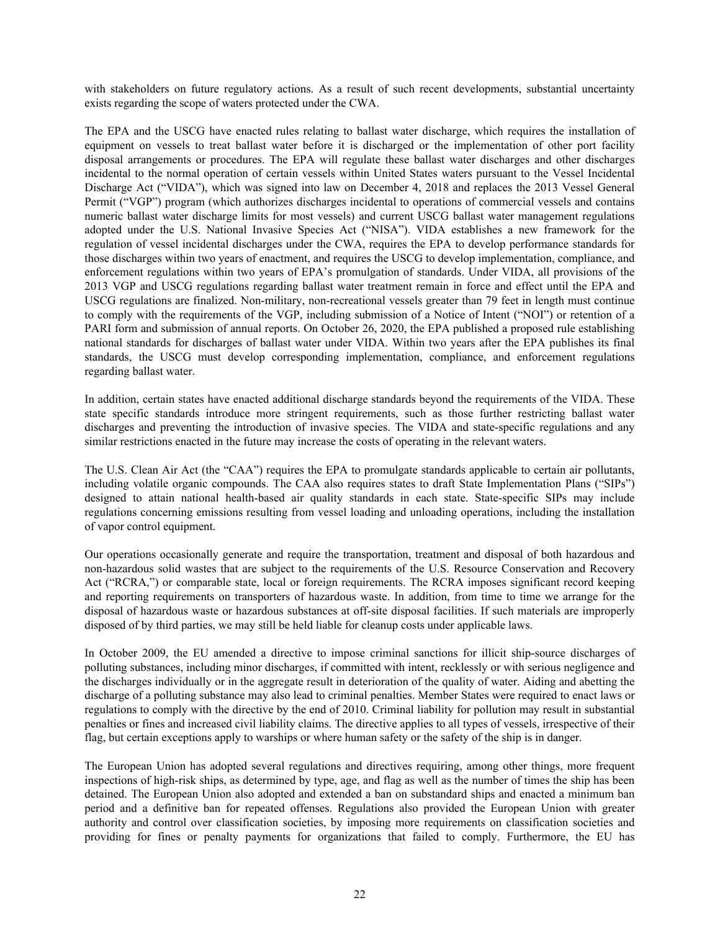with stakeholders on future regulatory actions. As a result of such recent developments, substantial uncertainty exists regarding the scope of waters protected under the CWA.

The EPA and the USCG have enacted rules relating to ballast water discharge, which requires the installation of equipment on vessels to treat ballast water before it is discharged or the implementation of other port facility disposal arrangements or procedures. The EPA will regulate these ballast water discharges and other discharges incidental to the normal operation of certain vessels within United States waters pursuant to the Vessel Incidental Discharge Act ("VIDA"), which was signed into law on December 4, 2018 and replaces the 2013 Vessel General Permit ("VGP") program (which authorizes discharges incidental to operations of commercial vessels and contains numeric ballast water discharge limits for most vessels) and current USCG ballast water management regulations adopted under the U.S. National Invasive Species Act ("NISA"). VIDA establishes a new framework for the regulation of vessel incidental discharges under the CWA, requires the EPA to develop performance standards for those discharges within two years of enactment, and requires the USCG to develop implementation, compliance, and enforcement regulations within two years of EPA's promulgation of standards. Under VIDA, all provisions of the 2013 VGP and USCG regulations regarding ballast water treatment remain in force and effect until the EPA and USCG regulations are finalized. Non-military, non-recreational vessels greater than 79 feet in length must continue to comply with the requirements of the VGP, including submission of a Notice of Intent ("NOI") or retention of a PARI form and submission of annual reports. On October 26, 2020, the EPA published a proposed rule establishing national standards for discharges of ballast water under VIDA. Within two years after the EPA publishes its final standards, the USCG must develop corresponding implementation, compliance, and enforcement regulations regarding ballast water.

In addition, certain states have enacted additional discharge standards beyond the requirements of the VIDA. These state specific standards introduce more stringent requirements, such as those further restricting ballast water discharges and preventing the introduction of invasive species. The VIDA and state-specific regulations and any similar restrictions enacted in the future may increase the costs of operating in the relevant waters.

The U.S. Clean Air Act (the "CAA") requires the EPA to promulgate standards applicable to certain air pollutants, including volatile organic compounds. The CAA also requires states to draft State Implementation Plans ("SIPs") designed to attain national health-based air quality standards in each state. State-specific SIPs may include regulations concerning emissions resulting from vessel loading and unloading operations, including the installation of vapor control equipment.

Our operations occasionally generate and require the transportation, treatment and disposal of both hazardous and non-hazardous solid wastes that are subject to the requirements of the U.S. Resource Conservation and Recovery Act ("RCRA,") or comparable state, local or foreign requirements. The RCRA imposes significant record keeping and reporting requirements on transporters of hazardous waste. In addition, from time to time we arrange for the disposal of hazardous waste or hazardous substances at off-site disposal facilities. If such materials are improperly disposed of by third parties, we may still be held liable for cleanup costs under applicable laws.

In October 2009, the EU amended a directive to impose criminal sanctions for illicit ship-source discharges of polluting substances, including minor discharges, if committed with intent, recklessly or with serious negligence and the discharges individually or in the aggregate result in deterioration of the quality of water. Aiding and abetting the discharge of a polluting substance may also lead to criminal penalties. Member States were required to enact laws or regulations to comply with the directive by the end of 2010. Criminal liability for pollution may result in substantial penalties or fines and increased civil liability claims. The directive applies to all types of vessels, irrespective of their flag, but certain exceptions apply to warships or where human safety or the safety of the ship is in danger.

The European Union has adopted several regulations and directives requiring, among other things, more frequent inspections of high-risk ships, as determined by type, age, and flag as well as the number of times the ship has been detained. The European Union also adopted and extended a ban on substandard ships and enacted a minimum ban period and a definitive ban for repeated offenses. Regulations also provided the European Union with greater authority and control over classification societies, by imposing more requirements on classification societies and providing for fines or penalty payments for organizations that failed to comply. Furthermore, the EU has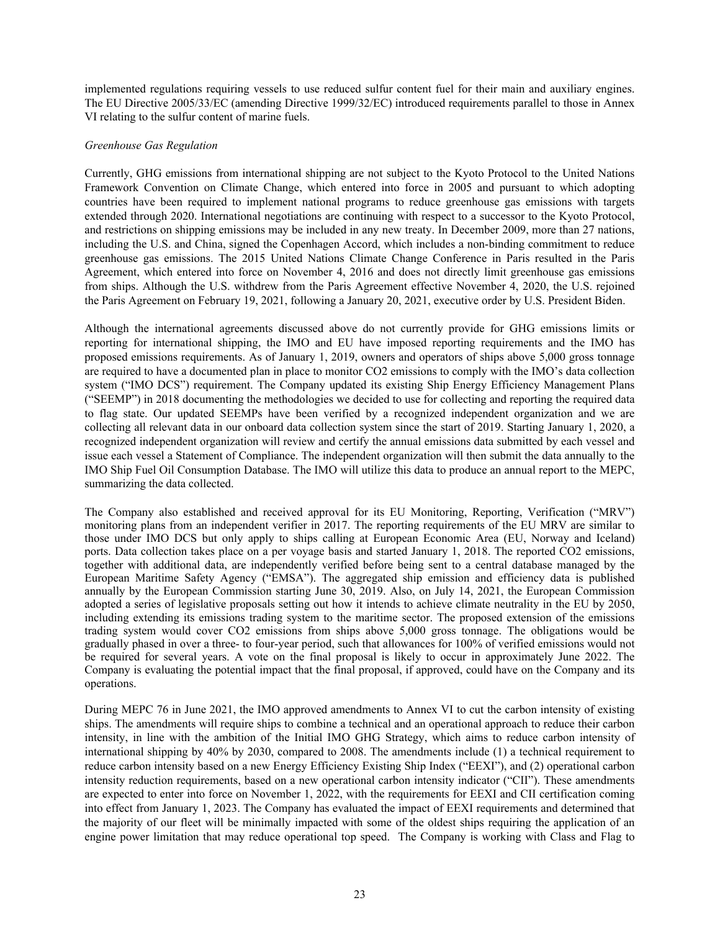implemented regulations requiring vessels to use reduced sulfur content fuel for their main and auxiliary engines. The EU Directive 2005/33/EC (amending Directive 1999/32/EC) introduced requirements parallel to those in Annex VI relating to the sulfur content of marine fuels.

### *Greenhouse Gas Regulation*

Currently, GHG emissions from international shipping are not subject to the Kyoto Protocol to the United Nations Framework Convention on Climate Change, which entered into force in 2005 and pursuant to which adopting countries have been required to implement national programs to reduce greenhouse gas emissions with targets extended through 2020. International negotiations are continuing with respect to a successor to the Kyoto Protocol, and restrictions on shipping emissions may be included in any new treaty. In December 2009, more than 27 nations, including the U.S. and China, signed the Copenhagen Accord, which includes a non-binding commitment to reduce greenhouse gas emissions. The 2015 United Nations Climate Change Conference in Paris resulted in the Paris Agreement, which entered into force on November 4, 2016 and does not directly limit greenhouse gas emissions from ships. Although the U.S. withdrew from the Paris Agreement effective November 4, 2020, the U.S. rejoined the Paris Agreement on February 19, 2021, following a January 20, 2021, executive order by U.S. President Biden.

Although the international agreements discussed above do not currently provide for GHG emissions limits or reporting for international shipping, the IMO and EU have imposed reporting requirements and the IMO has proposed emissions requirements. As of January 1, 2019, owners and operators of ships above 5,000 gross tonnage are required to have a documented plan in place to monitor CO2 emissions to comply with the IMO's data collection system ("IMO DCS") requirement. The Company updated its existing Ship Energy Efficiency Management Plans ("SEEMP") in 2018 documenting the methodologies we decided to use for collecting and reporting the required data to flag state. Our updated SEEMPs have been verified by a recognized independent organization and we are collecting all relevant data in our onboard data collection system since the start of 2019. Starting January 1, 2020, a recognized independent organization will review and certify the annual emissions data submitted by each vessel and issue each vessel a Statement of Compliance. The independent organization will then submit the data annually to the IMO Ship Fuel Oil Consumption Database. The IMO will utilize this data to produce an annual report to the MEPC, summarizing the data collected.

The Company also established and received approval for its EU Monitoring, Reporting, Verification ("MRV") monitoring plans from an independent verifier in 2017. The reporting requirements of the EU MRV are similar to those under IMO DCS but only apply to ships calling at European Economic Area (EU, Norway and Iceland) ports. Data collection takes place on a per voyage basis and started January 1, 2018. The reported CO2 emissions, together with additional data, are independently verified before being sent to a central database managed by the European Maritime Safety Agency ("EMSA"). The aggregated ship emission and efficiency data is published annually by the European Commission starting June 30, 2019. Also, on July 14, 2021, the European Commission adopted a series of legislative proposals setting out how it intends to achieve climate neutrality in the EU by 2050, including extending its emissions trading system to the maritime sector. The proposed extension of the emissions trading system would cover CO2 emissions from ships above 5,000 gross tonnage. The obligations would be gradually phased in over a three- to four-year period, such that allowances for 100% of verified emissions would not be required for several years. A vote on the final proposal is likely to occur in approximately June 2022. The Company is evaluating the potential impact that the final proposal, if approved, could have on the Company and its operations.

During MEPC 76 in June 2021, the IMO approved amendments to Annex VI to cut the carbon intensity of existing ships. The amendments will require ships to combine a technical and an operational approach to reduce their carbon intensity, in line with the ambition of the Initial IMO GHG Strategy, which aims to reduce carbon intensity of international shipping by 40% by 2030, compared to 2008. The amendments include (1) a technical requirement to reduce carbon intensity based on a new Energy Efficiency Existing Ship Index ("EEXI"), and (2) operational carbon intensity reduction requirements, based on a new operational carbon intensity indicator ("CII"). These amendments are expected to enter into force on November 1, 2022, with the requirements for EEXI and CII certification coming into effect from January 1, 2023. The Company has evaluated the impact of EEXI requirements and determined that the majority of our fleet will be minimally impacted with some of the oldest ships requiring the application of an engine power limitation that may reduce operational top speed. The Company is working with Class and Flag to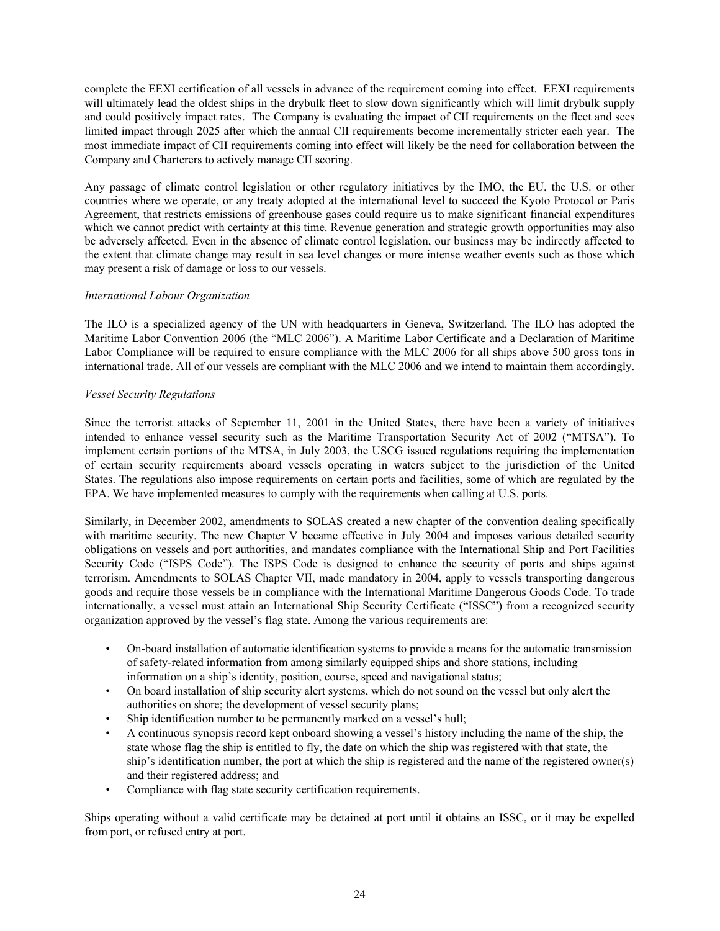complete the EEXI certification of all vessels in advance of the requirement coming into effect. EEXI requirements will ultimately lead the oldest ships in the drybulk fleet to slow down significantly which will limit drybulk supply and could positively impact rates. The Company is evaluating the impact of CII requirements on the fleet and sees limited impact through 2025 after which the annual CII requirements become incrementally stricter each year. The most immediate impact of CII requirements coming into effect will likely be the need for collaboration between the Company and Charterers to actively manage CII scoring.

Any passage of climate control legislation or other regulatory initiatives by the IMO, the EU, the U.S. or other countries where we operate, or any treaty adopted at the international level to succeed the Kyoto Protocol or Paris Agreement, that restricts emissions of greenhouse gases could require us to make significant financial expenditures which we cannot predict with certainty at this time. Revenue generation and strategic growth opportunities may also be adversely affected. Even in the absence of climate control legislation, our business may be indirectly affected to the extent that climate change may result in sea level changes or more intense weather events such as those which may present a risk of damage or loss to our vessels.

## *International Labour Organization*

The ILO is a specialized agency of the UN with headquarters in Geneva, Switzerland. The ILO has adopted the Maritime Labor Convention 2006 (the "MLC 2006"). A Maritime Labor Certificate and a Declaration of Maritime Labor Compliance will be required to ensure compliance with the MLC 2006 for all ships above 500 gross tons in international trade. All of our vessels are compliant with the MLC 2006 and we intend to maintain them accordingly.

### *Vessel Security Regulations*

Since the terrorist attacks of September 11, 2001 in the United States, there have been a variety of initiatives intended to enhance vessel security such as the Maritime Transportation Security Act of 2002 ("MTSA"). To implement certain portions of the MTSA, in July 2003, the USCG issued regulations requiring the implementation of certain security requirements aboard vessels operating in waters subject to the jurisdiction of the United States. The regulations also impose requirements on certain ports and facilities, some of which are regulated by the EPA. We have implemented measures to comply with the requirements when calling at U.S. ports.

Similarly, in December 2002, amendments to SOLAS created a new chapter of the convention dealing specifically with maritime security. The new Chapter V became effective in July 2004 and imposes various detailed security obligations on vessels and port authorities, and mandates compliance with the International Ship and Port Facilities Security Code ("ISPS Code"). The ISPS Code is designed to enhance the security of ports and ships against terrorism. Amendments to SOLAS Chapter VII, made mandatory in 2004, apply to vessels transporting dangerous goods and require those vessels be in compliance with the International Maritime Dangerous Goods Code. To trade internationally, a vessel must attain an International Ship Security Certificate ("ISSC") from a recognized security organization approved by the vessel's flag state. Among the various requirements are:

- On-board installation of automatic identification systems to provide a means for the automatic transmission of safety-related information from among similarly equipped ships and shore stations, including information on a ship's identity, position, course, speed and navigational status;
- On board installation of ship security alert systems, which do not sound on the vessel but only alert the authorities on shore; the development of vessel security plans;
- Ship identification number to be permanently marked on a vessel's hull;
- A continuous synopsis record kept onboard showing a vessel's history including the name of the ship, the state whose flag the ship is entitled to fly, the date on which the ship was registered with that state, the ship's identification number, the port at which the ship is registered and the name of the registered owner(s) and their registered address; and
- Compliance with flag state security certification requirements.

Ships operating without a valid certificate may be detained at port until it obtains an ISSC, or it may be expelled from port, or refused entry at port.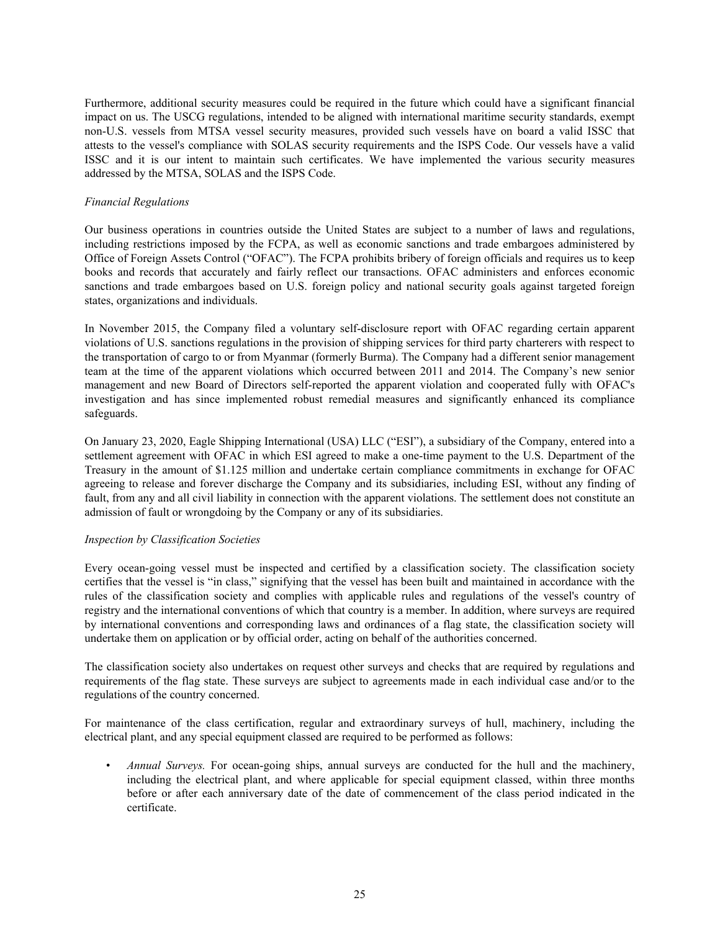Furthermore, additional security measures could be required in the future which could have a significant financial impact on us. The USCG regulations, intended to be aligned with international maritime security standards, exempt non-U.S. vessels from MTSA vessel security measures, provided such vessels have on board a valid ISSC that attests to the vessel's compliance with SOLAS security requirements and the ISPS Code. Our vessels have a valid ISSC and it is our intent to maintain such certificates. We have implemented the various security measures addressed by the MTSA, SOLAS and the ISPS Code.

### *Financial Regulations*

Our business operations in countries outside the United States are subject to a number of laws and regulations, including restrictions imposed by the FCPA, as well as economic sanctions and trade embargoes administered by Office of Foreign Assets Control ("OFAC"). The FCPA prohibits bribery of foreign officials and requires us to keep books and records that accurately and fairly reflect our transactions. OFAC administers and enforces economic sanctions and trade embargoes based on U.S. foreign policy and national security goals against targeted foreign states, organizations and individuals.

In November 2015, the Company filed a voluntary self-disclosure report with OFAC regarding certain apparent violations of U.S. sanctions regulations in the provision of shipping services for third party charterers with respect to the transportation of cargo to or from Myanmar (formerly Burma). The Company had a different senior management team at the time of the apparent violations which occurred between 2011 and 2014. The Company's new senior management and new Board of Directors self-reported the apparent violation and cooperated fully with OFAC's investigation and has since implemented robust remedial measures and significantly enhanced its compliance safeguards.

On January 23, 2020, Eagle Shipping International (USA) LLC ("ESI"), a subsidiary of the Company, entered into a settlement agreement with OFAC in which ESI agreed to make a one-time payment to the U.S. Department of the Treasury in the amount of \$1.125 million and undertake certain compliance commitments in exchange for OFAC agreeing to release and forever discharge the Company and its subsidiaries, including ESI, without any finding of fault, from any and all civil liability in connection with the apparent violations. The settlement does not constitute an admission of fault or wrongdoing by the Company or any of its subsidiaries.

## *Inspection by Classification Societies*

Every ocean-going vessel must be inspected and certified by a classification society. The classification society certifies that the vessel is "in class," signifying that the vessel has been built and maintained in accordance with the rules of the classification society and complies with applicable rules and regulations of the vessel's country of registry and the international conventions of which that country is a member. In addition, where surveys are required by international conventions and corresponding laws and ordinances of a flag state, the classification society will undertake them on application or by official order, acting on behalf of the authorities concerned.

The classification society also undertakes on request other surveys and checks that are required by regulations and requirements of the flag state. These surveys are subject to agreements made in each individual case and/or to the regulations of the country concerned.

For maintenance of the class certification, regular and extraordinary surveys of hull, machinery, including the electrical plant, and any special equipment classed are required to be performed as follows:

*• Annual Surveys.* For ocean-going ships, annual surveys are conducted for the hull and the machinery, including the electrical plant, and where applicable for special equipment classed, within three months before or after each anniversary date of the date of commencement of the class period indicated in the certificate.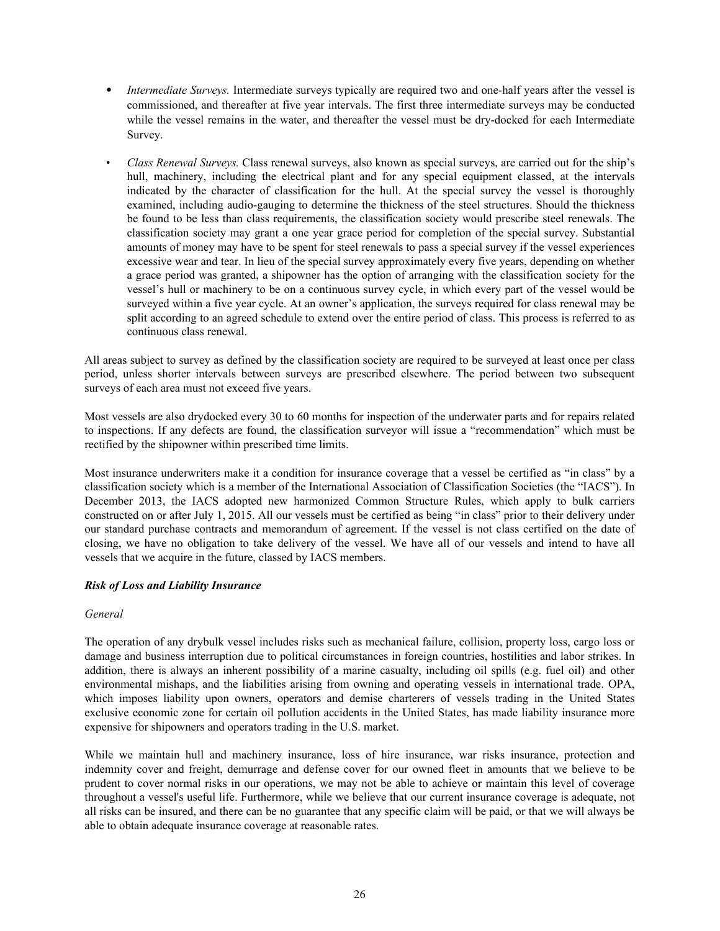- *Intermediate Surveys.* Intermediate surveys typically are required two and one-half years after the vessel is commissioned, and thereafter at five year intervals. The first three intermediate surveys may be conducted while the vessel remains in the water, and thereafter the vessel must be dry-docked for each Intermediate Survey.
- *• Class Renewal Surveys.* Class renewal surveys, also known as special surveys, are carried out for the ship's hull, machinery, including the electrical plant and for any special equipment classed, at the intervals indicated by the character of classification for the hull. At the special survey the vessel is thoroughly examined, including audio-gauging to determine the thickness of the steel structures. Should the thickness be found to be less than class requirements, the classification society would prescribe steel renewals. The classification society may grant a one year grace period for completion of the special survey. Substantial amounts of money may have to be spent for steel renewals to pass a special survey if the vessel experiences excessive wear and tear. In lieu of the special survey approximately every five years, depending on whether a grace period was granted, a shipowner has the option of arranging with the classification society for the vessel's hull or machinery to be on a continuous survey cycle, in which every part of the vessel would be surveyed within a five year cycle. At an owner's application, the surveys required for class renewal may be split according to an agreed schedule to extend over the entire period of class. This process is referred to as continuous class renewal.

All areas subject to survey as defined by the classification society are required to be surveyed at least once per class period, unless shorter intervals between surveys are prescribed elsewhere. The period between two subsequent surveys of each area must not exceed five years.

Most vessels are also drydocked every 30 to 60 months for inspection of the underwater parts and for repairs related to inspections. If any defects are found, the classification surveyor will issue a "recommendation" which must be rectified by the shipowner within prescribed time limits.

Most insurance underwriters make it a condition for insurance coverage that a vessel be certified as "in class" by a classification society which is a member of the International Association of Classification Societies (the "IACS"). In December 2013, the IACS adopted new harmonized Common Structure Rules, which apply to bulk carriers constructed on or after July 1, 2015. All our vessels must be certified as being "in class" prior to their delivery under our standard purchase contracts and memorandum of agreement. If the vessel is not class certified on the date of closing, we have no obligation to take delivery of the vessel. We have all of our vessels and intend to have all vessels that we acquire in the future, classed by IACS members.

## *Risk of Loss and Liability Insurance*

## *General*

The operation of any drybulk vessel includes risks such as mechanical failure, collision, property loss, cargo loss or damage and business interruption due to political circumstances in foreign countries, hostilities and labor strikes. In addition, there is always an inherent possibility of a marine casualty, including oil spills (e.g. fuel oil) and other environmental mishaps, and the liabilities arising from owning and operating vessels in international trade. OPA, which imposes liability upon owners, operators and demise charterers of vessels trading in the United States exclusive economic zone for certain oil pollution accidents in the United States, has made liability insurance more expensive for shipowners and operators trading in the U.S. market.

While we maintain hull and machinery insurance, loss of hire insurance, war risks insurance, protection and indemnity cover and freight, demurrage and defense cover for our owned fleet in amounts that we believe to be prudent to cover normal risks in our operations, we may not be able to achieve or maintain this level of coverage throughout a vessel's useful life. Furthermore, while we believe that our current insurance coverage is adequate, not all risks can be insured, and there can be no guarantee that any specific claim will be paid, or that we will always be able to obtain adequate insurance coverage at reasonable rates.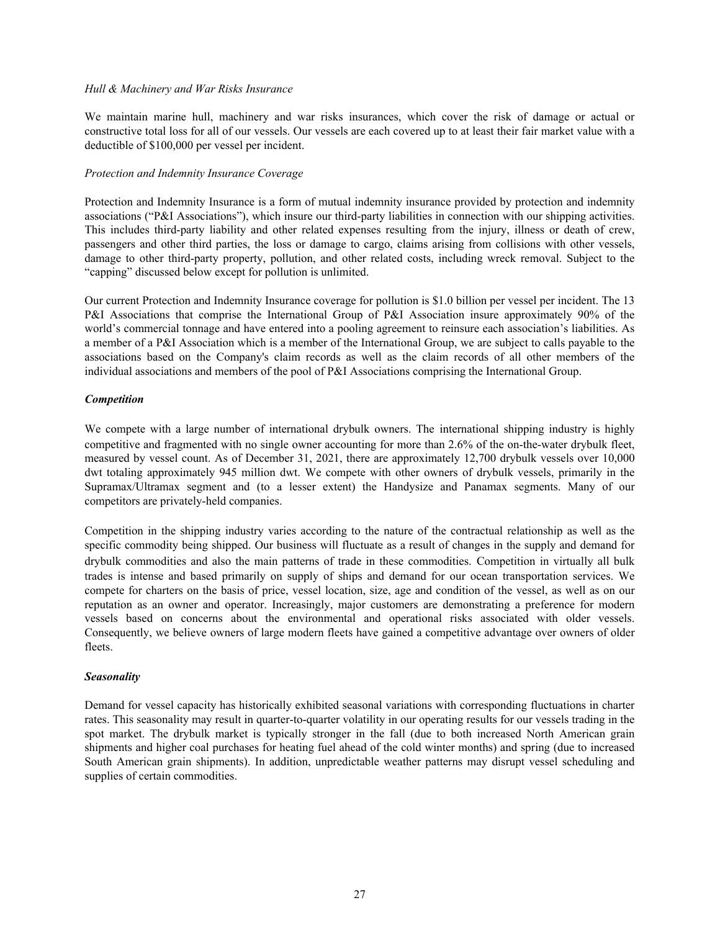#### *Hull & Machinery and War Risks Insurance*

We maintain marine hull, machinery and war risks insurances, which cover the risk of damage or actual or constructive total loss for all of our vessels. Our vessels are each covered up to at least their fair market value with a deductible of \$100,000 per vessel per incident.

#### *Protection and Indemnity Insurance Coverage*

Protection and Indemnity Insurance is a form of mutual indemnity insurance provided by protection and indemnity associations ("P&I Associations"), which insure our third-party liabilities in connection with our shipping activities. This includes third-party liability and other related expenses resulting from the injury, illness or death of crew, passengers and other third parties, the loss or damage to cargo, claims arising from collisions with other vessels, damage to other third-party property, pollution, and other related costs, including wreck removal. Subject to the "capping" discussed below except for pollution is unlimited.

Our current Protection and Indemnity Insurance coverage for pollution is \$1.0 billion per vessel per incident. The 13 P&I Associations that comprise the International Group of P&I Association insure approximately 90% of the world's commercial tonnage and have entered into a pooling agreement to reinsure each association's liabilities. As a member of a P&I Association which is a member of the International Group, we are subject to calls payable to the associations based on the Company's claim records as well as the claim records of all other members of the individual associations and members of the pool of P&I Associations comprising the International Group.

### *Competition*

We compete with a large number of international drybulk owners. The international shipping industry is highly competitive and fragmented with no single owner accounting for more than 2.6% of the on-the-water drybulk fleet, measured by vessel count. As of December 31, 2021, there are approximately 12,700 drybulk vessels over 10,000 dwt totaling approximately 945 million dwt. We compete with other owners of drybulk vessels, primarily in the Supramax/Ultramax segment and (to a lesser extent) the Handysize and Panamax segments. Many of our competitors are privately-held companies.

Competition in the shipping industry varies according to the nature of the contractual relationship as well as the specific commodity being shipped. Our business will fluctuate as a result of changes in the supply and demand for drybulk commodities and also the main patterns of trade in these commodities. Competition in virtually all bulk trades is intense and based primarily on supply of ships and demand for our ocean transportation services. We compete for charters on the basis of price, vessel location, size, age and condition of the vessel, as well as on our reputation as an owner and operator. Increasingly, major customers are demonstrating a preference for modern vessels based on concerns about the environmental and operational risks associated with older vessels. Consequently, we believe owners of large modern fleets have gained a competitive advantage over owners of older fleets.

## *Seasonality*

Demand for vessel capacity has historically exhibited seasonal variations with corresponding fluctuations in charter rates. This seasonality may result in quarter-to-quarter volatility in our operating results for our vessels trading in the spot market. The drybulk market is typically stronger in the fall (due to both increased North American grain shipments and higher coal purchases for heating fuel ahead of the cold winter months) and spring (due to increased South American grain shipments). In addition, unpredictable weather patterns may disrupt vessel scheduling and supplies of certain commodities.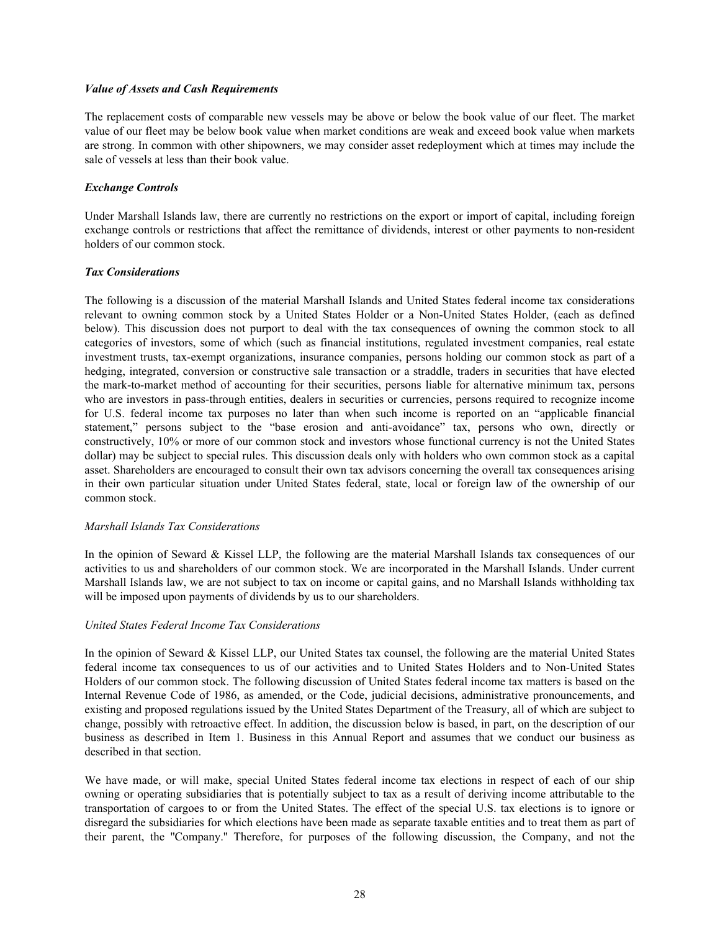#### *Value of Assets and Cash Requirements*

The replacement costs of comparable new vessels may be above or below the book value of our fleet. The market value of our fleet may be below book value when market conditions are weak and exceed book value when markets are strong. In common with other shipowners, we may consider asset redeployment which at times may include the sale of vessels at less than their book value.

# *Exchange Controls*

Under Marshall Islands law, there are currently no restrictions on the export or import of capital, including foreign exchange controls or restrictions that affect the remittance of dividends, interest or other payments to non-resident holders of our common stock.

### *Tax Considerations*

The following is a discussion of the material Marshall Islands and United States federal income tax considerations relevant to owning common stock by a United States Holder or a Non-United States Holder, (each as defined below). This discussion does not purport to deal with the tax consequences of owning the common stock to all categories of investors, some of which (such as financial institutions, regulated investment companies, real estate investment trusts, tax-exempt organizations, insurance companies, persons holding our common stock as part of a hedging, integrated, conversion or constructive sale transaction or a straddle, traders in securities that have elected the mark-to-market method of accounting for their securities, persons liable for alternative minimum tax, persons who are investors in pass-through entities, dealers in securities or currencies, persons required to recognize income for U.S. federal income tax purposes no later than when such income is reported on an "applicable financial statement," persons subject to the "base erosion and anti-avoidance" tax, persons who own, directly or constructively, 10% or more of our common stock and investors whose functional currency is not the United States dollar) may be subject to special rules. This discussion deals only with holders who own common stock as a capital asset. Shareholders are encouraged to consult their own tax advisors concerning the overall tax consequences arising in their own particular situation under United States federal, state, local or foreign law of the ownership of our common stock.

#### *Marshall Islands Tax Considerations*

In the opinion of Seward & Kissel LLP, the following are the material Marshall Islands tax consequences of our activities to us and shareholders of our common stock. We are incorporated in the Marshall Islands. Under current Marshall Islands law, we are not subject to tax on income or capital gains, and no Marshall Islands withholding tax will be imposed upon payments of dividends by us to our shareholders.

## *United States Federal Income Tax Considerations*

In the opinion of Seward & Kissel LLP, our United States tax counsel, the following are the material United States federal income tax consequences to us of our activities and to United States Holders and to Non-United States Holders of our common stock. The following discussion of United States federal income tax matters is based on the Internal Revenue Code of 1986, as amended, or the Code, judicial decisions, administrative pronouncements, and existing and proposed regulations issued by the United States Department of the Treasury, all of which are subject to change, possibly with retroactive effect. In addition, the discussion below is based, in part, on the description of our business as described in Item 1. Business in this Annual Report and assumes that we conduct our business as described in that section.

We have made, or will make, special United States federal income tax elections in respect of each of our ship owning or operating subsidiaries that is potentially subject to tax as a result of deriving income attributable to the transportation of cargoes to or from the United States. The effect of the special U.S. tax elections is to ignore or disregard the subsidiaries for which elections have been made as separate taxable entities and to treat them as part of their parent, the ''Company.'' Therefore, for purposes of the following discussion, the Company, and not the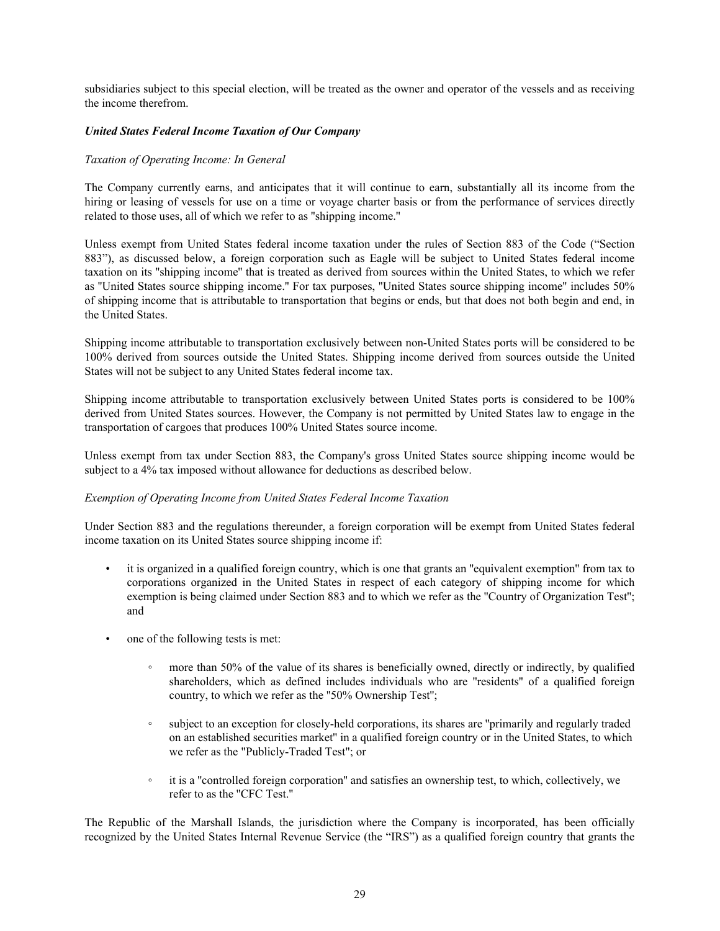subsidiaries subject to this special election, will be treated as the owner and operator of the vessels and as receiving the income therefrom.

#### *United States Federal Income Taxation of Our Company*

### *Taxation of Operating Income: In General*

The Company currently earns, and anticipates that it will continue to earn, substantially all its income from the hiring or leasing of vessels for use on a time or voyage charter basis or from the performance of services directly related to those uses, all of which we refer to as ''shipping income.''

Unless exempt from United States federal income taxation under the rules of Section 883 of the Code ("Section 883"), as discussed below, a foreign corporation such as Eagle will be subject to United States federal income taxation on its ''shipping income'' that is treated as derived from sources within the United States, to which we refer as ''United States source shipping income.'' For tax purposes, ''United States source shipping income'' includes 50% of shipping income that is attributable to transportation that begins or ends, but that does not both begin and end, in the United States.

Shipping income attributable to transportation exclusively between non-United States ports will be considered to be 100% derived from sources outside the United States. Shipping income derived from sources outside the United States will not be subject to any United States federal income tax.

Shipping income attributable to transportation exclusively between United States ports is considered to be 100% derived from United States sources. However, the Company is not permitted by United States law to engage in the transportation of cargoes that produces 100% United States source income.

Unless exempt from tax under Section 883, the Company's gross United States source shipping income would be subject to a 4% tax imposed without allowance for deductions as described below.

### *Exemption of Operating Income from United States Federal Income Taxation*

Under Section 883 and the regulations thereunder, a foreign corporation will be exempt from United States federal income taxation on its United States source shipping income if:

- it is organized in a qualified foreign country, which is one that grants an "equivalent exemption" from tax to corporations organized in the United States in respect of each category of shipping income for which exemption is being claimed under Section 883 and to which we refer as the ''Country of Organization Test''; and
- one of the following tests is met:
	- more than 50% of the value of its shares is beneficially owned, directly or indirectly, by qualified shareholders, which as defined includes individuals who are ''residents'' of a qualified foreign country, to which we refer as the ''50% Ownership Test'';
	- subject to an exception for closely-held corporations, its shares are ''primarily and regularly traded on an established securities market'' in a qualified foreign country or in the United States, to which we refer as the "Publicly-Traded Test"; or
	- it is a "controlled foreign corporation" and satisfies an ownership test, to which, collectively, we refer to as the ''CFC Test.''

The Republic of the Marshall Islands, the jurisdiction where the Company is incorporated, has been officially recognized by the United States Internal Revenue Service (the "IRS") as a qualified foreign country that grants the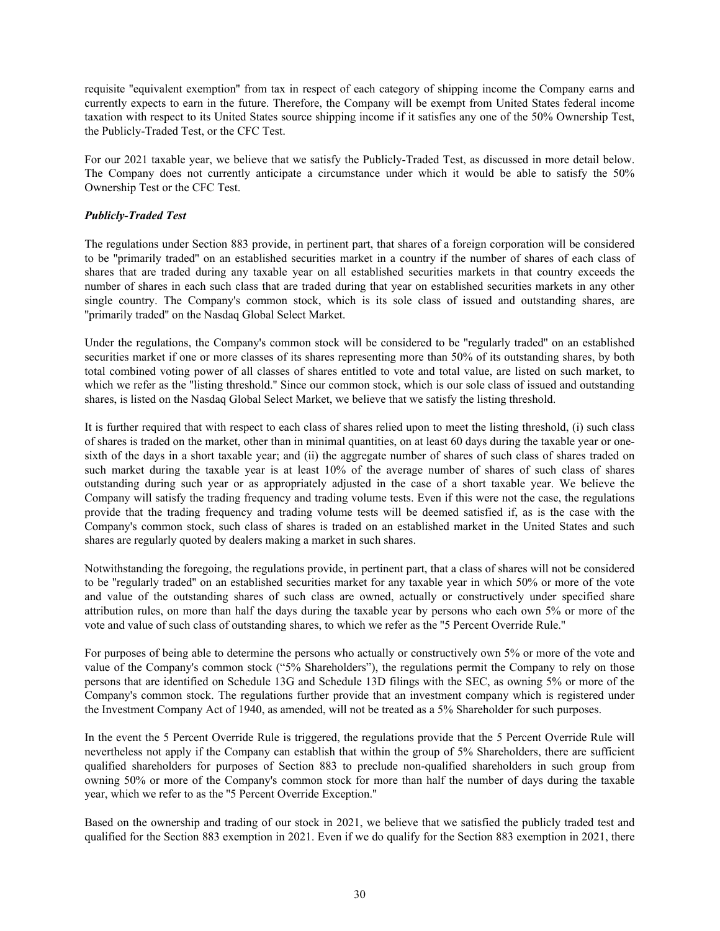requisite ''equivalent exemption'' from tax in respect of each category of shipping income the Company earns and currently expects to earn in the future. Therefore, the Company will be exempt from United States federal income taxation with respect to its United States source shipping income if it satisfies any one of the 50% Ownership Test, the Publicly-Traded Test, or the CFC Test.

For our 2021 taxable year, we believe that we satisfy the Publicly-Traded Test, as discussed in more detail below. The Company does not currently anticipate a circumstance under which it would be able to satisfy the 50% Ownership Test or the CFC Test.

## *Publicly-Traded Test*

The regulations under Section 883 provide, in pertinent part, that shares of a foreign corporation will be considered to be ''primarily traded'' on an established securities market in a country if the number of shares of each class of shares that are traded during any taxable year on all established securities markets in that country exceeds the number of shares in each such class that are traded during that year on established securities markets in any other single country. The Company's common stock, which is its sole class of issued and outstanding shares, are ''primarily traded'' on the Nasdaq Global Select Market.

Under the regulations, the Company's common stock will be considered to be ''regularly traded'' on an established securities market if one or more classes of its shares representing more than 50% of its outstanding shares, by both total combined voting power of all classes of shares entitled to vote and total value, are listed on such market, to which we refer as the "listing threshold." Since our common stock, which is our sole class of issued and outstanding shares, is listed on the Nasdaq Global Select Market, we believe that we satisfy the listing threshold.

It is further required that with respect to each class of shares relied upon to meet the listing threshold, (i) such class of shares is traded on the market, other than in minimal quantities, on at least 60 days during the taxable year or onesixth of the days in a short taxable year; and (ii) the aggregate number of shares of such class of shares traded on such market during the taxable year is at least 10% of the average number of shares of such class of shares outstanding during such year or as appropriately adjusted in the case of a short taxable year. We believe the Company will satisfy the trading frequency and trading volume tests. Even if this were not the case, the regulations provide that the trading frequency and trading volume tests will be deemed satisfied if, as is the case with the Company's common stock, such class of shares is traded on an established market in the United States and such shares are regularly quoted by dealers making a market in such shares.

Notwithstanding the foregoing, the regulations provide, in pertinent part, that a class of shares will not be considered to be ''regularly traded'' on an established securities market for any taxable year in which 50% or more of the vote and value of the outstanding shares of such class are owned, actually or constructively under specified share attribution rules, on more than half the days during the taxable year by persons who each own 5% or more of the vote and value of such class of outstanding shares, to which we refer as the ''5 Percent Override Rule.''

For purposes of being able to determine the persons who actually or constructively own 5% or more of the vote and value of the Company's common stock ("5% Shareholders"), the regulations permit the Company to rely on those persons that are identified on Schedule 13G and Schedule 13D filings with the SEC, as owning 5% or more of the Company's common stock. The regulations further provide that an investment company which is registered under the Investment Company Act of 1940, as amended, will not be treated as a 5% Shareholder for such purposes.

In the event the 5 Percent Override Rule is triggered, the regulations provide that the 5 Percent Override Rule will nevertheless not apply if the Company can establish that within the group of 5% Shareholders, there are sufficient qualified shareholders for purposes of Section 883 to preclude non-qualified shareholders in such group from owning 50% or more of the Company's common stock for more than half the number of days during the taxable year, which we refer to as the ''5 Percent Override Exception.''

Based on the ownership and trading of our stock in 2021, we believe that we satisfied the publicly traded test and qualified for the Section 883 exemption in 2021. Even if we do qualify for the Section 883 exemption in 2021, there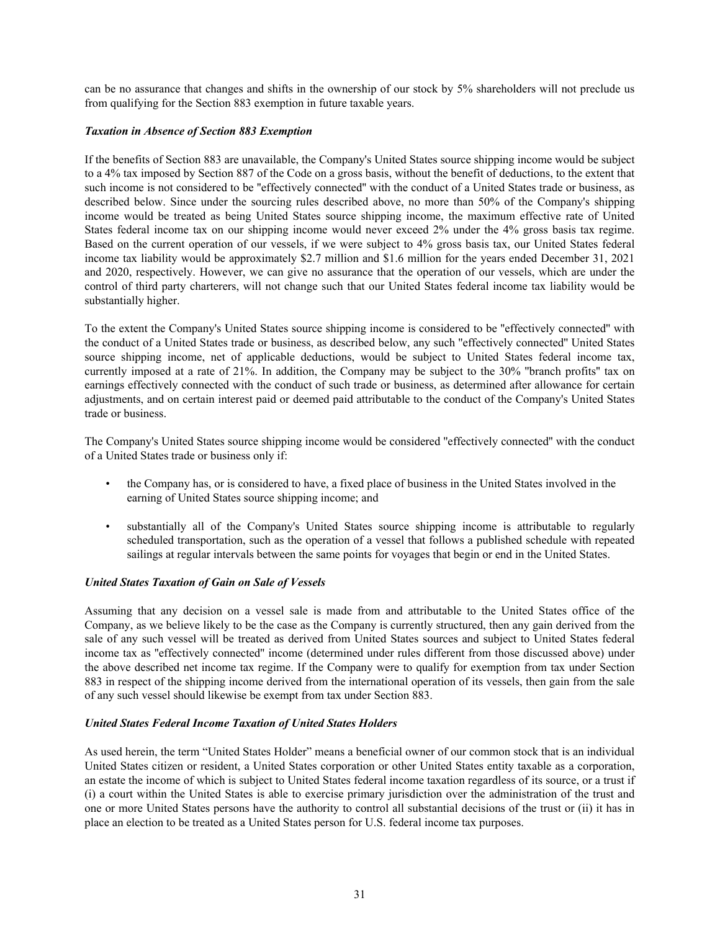can be no assurance that changes and shifts in the ownership of our stock by 5% shareholders will not preclude us from qualifying for the Section 883 exemption in future taxable years.

### *Taxation in Absence of Section 883 Exemption*

If the benefits of Section 883 are unavailable, the Company's United States source shipping income would be subject to a 4% tax imposed by Section 887 of the Code on a gross basis, without the benefit of deductions, to the extent that such income is not considered to be ''effectively connected'' with the conduct of a United States trade or business, as described below. Since under the sourcing rules described above, no more than 50% of the Company's shipping income would be treated as being United States source shipping income, the maximum effective rate of United States federal income tax on our shipping income would never exceed 2% under the 4% gross basis tax regime. Based on the current operation of our vessels, if we were subject to 4% gross basis tax, our United States federal income tax liability would be approximately \$2.7 million and \$1.6 million for the years ended December 31, 2021 and 2020, respectively. However, we can give no assurance that the operation of our vessels, which are under the control of third party charterers, will not change such that our United States federal income tax liability would be substantially higher.

To the extent the Company's United States source shipping income is considered to be ''effectively connected'' with the conduct of a United States trade or business, as described below, any such ''effectively connected'' United States source shipping income, net of applicable deductions, would be subject to United States federal income tax, currently imposed at a rate of 21%. In addition, the Company may be subject to the 30% ''branch profits'' tax on earnings effectively connected with the conduct of such trade or business, as determined after allowance for certain adjustments, and on certain interest paid or deemed paid attributable to the conduct of the Company's United States trade or business.

The Company's United States source shipping income would be considered ''effectively connected'' with the conduct of a United States trade or business only if:

- the Company has, or is considered to have, a fixed place of business in the United States involved in the earning of United States source shipping income; and
- substantially all of the Company's United States source shipping income is attributable to regularly scheduled transportation, such as the operation of a vessel that follows a published schedule with repeated sailings at regular intervals between the same points for voyages that begin or end in the United States.

## *United States Taxation of Gain on Sale of Vessels*

Assuming that any decision on a vessel sale is made from and attributable to the United States office of the Company, as we believe likely to be the case as the Company is currently structured, then any gain derived from the sale of any such vessel will be treated as derived from United States sources and subject to United States federal income tax as ''effectively connected'' income (determined under rules different from those discussed above) under the above described net income tax regime. If the Company were to qualify for exemption from tax under Section 883 in respect of the shipping income derived from the international operation of its vessels, then gain from the sale of any such vessel should likewise be exempt from tax under Section 883.

#### *United States Federal Income Taxation of United States Holders*

As used herein, the term "United States Holder" means a beneficial owner of our common stock that is an individual United States citizen or resident, a United States corporation or other United States entity taxable as a corporation, an estate the income of which is subject to United States federal income taxation regardless of its source, or a trust if (i) a court within the United States is able to exercise primary jurisdiction over the administration of the trust and one or more United States persons have the authority to control all substantial decisions of the trust or (ii) it has in place an election to be treated as a United States person for U.S. federal income tax purposes.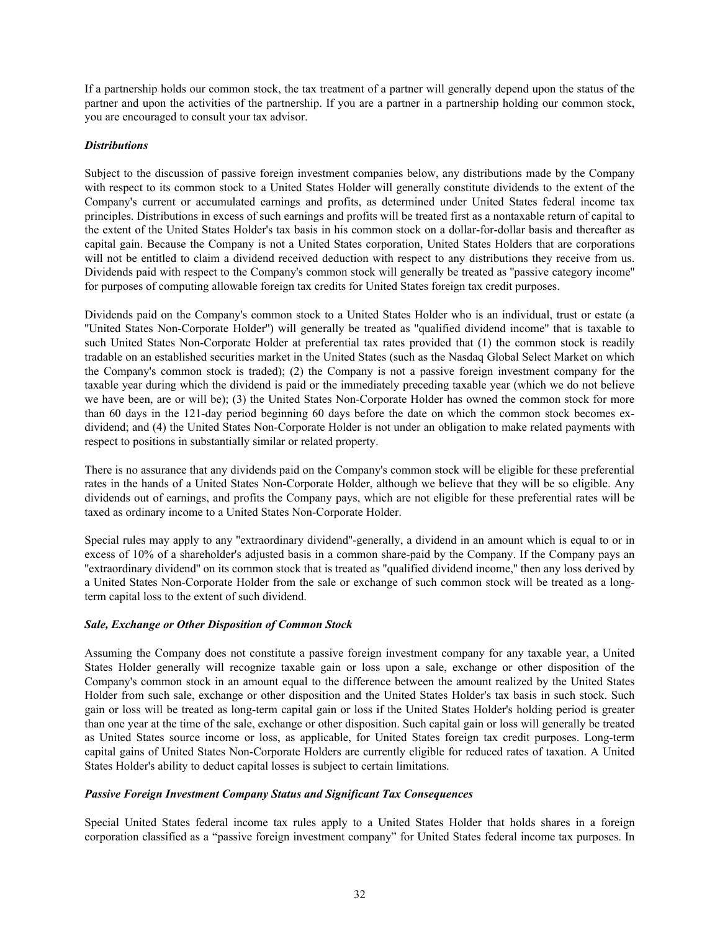If a partnership holds our common stock, the tax treatment of a partner will generally depend upon the status of the partner and upon the activities of the partnership. If you are a partner in a partnership holding our common stock, you are encouraged to consult your tax advisor.

## *Distributions*

Subject to the discussion of passive foreign investment companies below, any distributions made by the Company with respect to its common stock to a United States Holder will generally constitute dividends to the extent of the Company's current or accumulated earnings and profits, as determined under United States federal income tax principles. Distributions in excess of such earnings and profits will be treated first as a nontaxable return of capital to the extent of the United States Holder's tax basis in his common stock on a dollar-for-dollar basis and thereafter as capital gain. Because the Company is not a United States corporation, United States Holders that are corporations will not be entitled to claim a dividend received deduction with respect to any distributions they receive from us. Dividends paid with respect to the Company's common stock will generally be treated as ''passive category income'' for purposes of computing allowable foreign tax credits for United States foreign tax credit purposes.

Dividends paid on the Company's common stock to a United States Holder who is an individual, trust or estate (a ''United States Non-Corporate Holder'') will generally be treated as ''qualified dividend income'' that is taxable to such United States Non-Corporate Holder at preferential tax rates provided that (1) the common stock is readily tradable on an established securities market in the United States (such as the Nasdaq Global Select Market on which the Company's common stock is traded); (2) the Company is not a passive foreign investment company for the taxable year during which the dividend is paid or the immediately preceding taxable year (which we do not believe we have been, are or will be); (3) the United States Non-Corporate Holder has owned the common stock for more than 60 days in the 121-day period beginning 60 days before the date on which the common stock becomes exdividend; and (4) the United States Non-Corporate Holder is not under an obligation to make related payments with respect to positions in substantially similar or related property.

There is no assurance that any dividends paid on the Company's common stock will be eligible for these preferential rates in the hands of a United States Non-Corporate Holder, although we believe that they will be so eligible. Any dividends out of earnings, and profits the Company pays, which are not eligible for these preferential rates will be taxed as ordinary income to a United States Non-Corporate Holder.

Special rules may apply to any ''extraordinary dividend''-generally, a dividend in an amount which is equal to or in excess of 10% of a shareholder's adjusted basis in a common share-paid by the Company. If the Company pays an ''extraordinary dividend'' on its common stock that is treated as ''qualified dividend income,'' then any loss derived by a United States Non-Corporate Holder from the sale or exchange of such common stock will be treated as a longterm capital loss to the extent of such dividend.

## *Sale, Exchange or Other Disposition of Common Stock*

Assuming the Company does not constitute a passive foreign investment company for any taxable year, a United States Holder generally will recognize taxable gain or loss upon a sale, exchange or other disposition of the Company's common stock in an amount equal to the difference between the amount realized by the United States Holder from such sale, exchange or other disposition and the United States Holder's tax basis in such stock. Such gain or loss will be treated as long-term capital gain or loss if the United States Holder's holding period is greater than one year at the time of the sale, exchange or other disposition. Such capital gain or loss will generally be treated as United States source income or loss, as applicable, for United States foreign tax credit purposes. Long-term capital gains of United States Non-Corporate Holders are currently eligible for reduced rates of taxation. A United States Holder's ability to deduct capital losses is subject to certain limitations.

### *Passive Foreign Investment Company Status and Significant Tax Consequences*

Special United States federal income tax rules apply to a United States Holder that holds shares in a foreign corporation classified as a "passive foreign investment company" for United States federal income tax purposes. In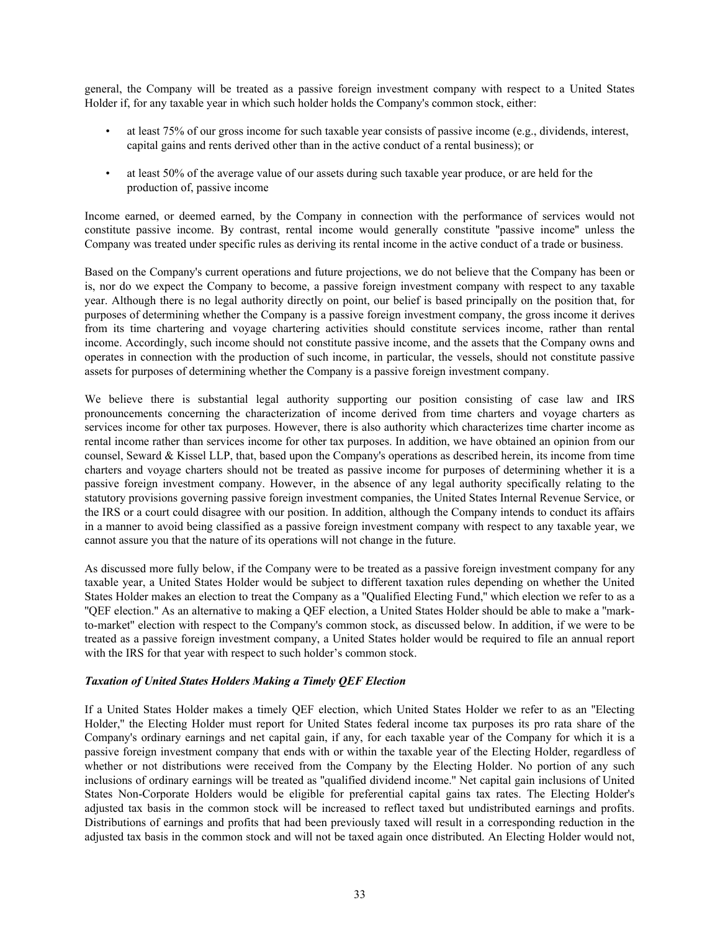general, the Company will be treated as a passive foreign investment company with respect to a United States Holder if, for any taxable year in which such holder holds the Company's common stock, either:

- at least 75% of our gross income for such taxable year consists of passive income (e.g., dividends, interest, capital gains and rents derived other than in the active conduct of a rental business); or
- at least 50% of the average value of our assets during such taxable year produce, or are held for the production of, passive income

Income earned, or deemed earned, by the Company in connection with the performance of services would not constitute passive income. By contrast, rental income would generally constitute ''passive income'' unless the Company was treated under specific rules as deriving its rental income in the active conduct of a trade or business.

Based on the Company's current operations and future projections, we do not believe that the Company has been or is, nor do we expect the Company to become, a passive foreign investment company with respect to any taxable year. Although there is no legal authority directly on point, our belief is based principally on the position that, for purposes of determining whether the Company is a passive foreign investment company, the gross income it derives from its time chartering and voyage chartering activities should constitute services income, rather than rental income. Accordingly, such income should not constitute passive income, and the assets that the Company owns and operates in connection with the production of such income, in particular, the vessels, should not constitute passive assets for purposes of determining whether the Company is a passive foreign investment company.

We believe there is substantial legal authority supporting our position consisting of case law and IRS pronouncements concerning the characterization of income derived from time charters and voyage charters as services income for other tax purposes. However, there is also authority which characterizes time charter income as rental income rather than services income for other tax purposes. In addition, we have obtained an opinion from our counsel, Seward & Kissel LLP, that, based upon the Company's operations as described herein, its income from time charters and voyage charters should not be treated as passive income for purposes of determining whether it is a passive foreign investment company. However, in the absence of any legal authority specifically relating to the statutory provisions governing passive foreign investment companies, the United States Internal Revenue Service, or the IRS or a court could disagree with our position. In addition, although the Company intends to conduct its affairs in a manner to avoid being classified as a passive foreign investment company with respect to any taxable year, we cannot assure you that the nature of its operations will not change in the future.

As discussed more fully below, if the Company were to be treated as a passive foreign investment company for any taxable year, a United States Holder would be subject to different taxation rules depending on whether the United States Holder makes an election to treat the Company as a ''Qualified Electing Fund,'' which election we refer to as a ''QEF election.'' As an alternative to making a QEF election, a United States Holder should be able to make a ''markto-market'' election with respect to the Company's common stock, as discussed below. In addition, if we were to be treated as a passive foreign investment company, a United States holder would be required to file an annual report with the IRS for that year with respect to such holder's common stock.

#### *Taxation of United States Holders Making a Timely QEF Election*

If a United States Holder makes a timely QEF election, which United States Holder we refer to as an ''Electing Holder,'' the Electing Holder must report for United States federal income tax purposes its pro rata share of the Company's ordinary earnings and net capital gain, if any, for each taxable year of the Company for which it is a passive foreign investment company that ends with or within the taxable year of the Electing Holder, regardless of whether or not distributions were received from the Company by the Electing Holder. No portion of any such inclusions of ordinary earnings will be treated as ''qualified dividend income.'' Net capital gain inclusions of United States Non-Corporate Holders would be eligible for preferential capital gains tax rates. The Electing Holder's adjusted tax basis in the common stock will be increased to reflect taxed but undistributed earnings and profits. Distributions of earnings and profits that had been previously taxed will result in a corresponding reduction in the adjusted tax basis in the common stock and will not be taxed again once distributed. An Electing Holder would not,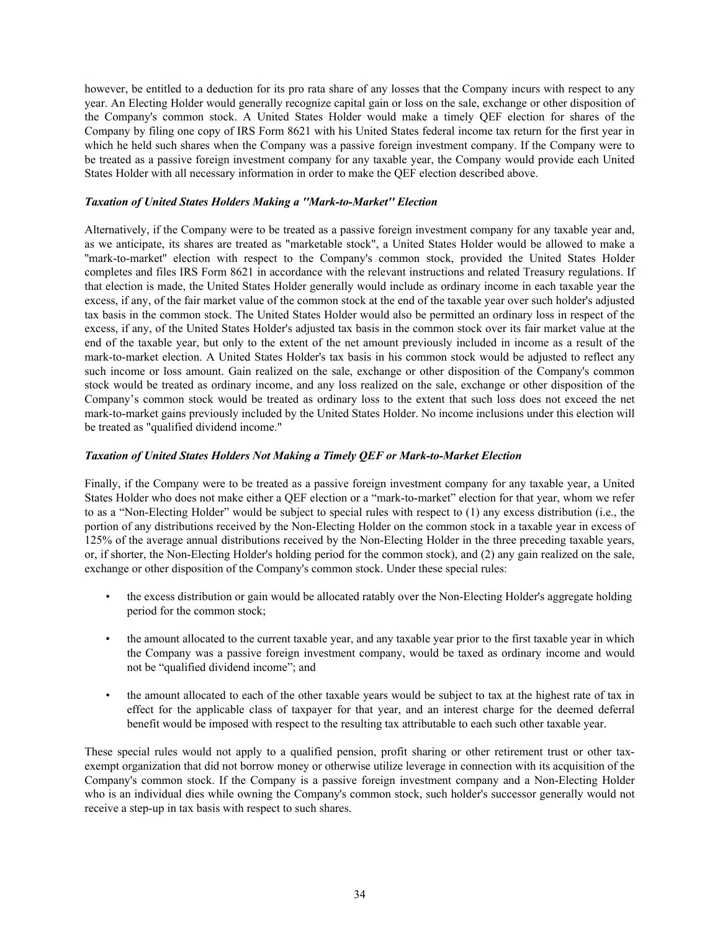however, be entitled to a deduction for its pro rata share of any losses that the Company incurs with respect to any year. An Electing Holder would generally recognize capital gain or loss on the sale, exchange or other disposition of the Company's common stock. A United States Holder would make a timely QEF election for shares of the Company by filing one copy of IRS Form 8621 with his United States federal income tax return for the first year in which he held such shares when the Company was a passive foreign investment company. If the Company were to be treated as a passive foreign investment company for any taxable year, the Company would provide each United States Holder with all necessary information in order to make the QEF election described above.

#### *Taxation of United States Holders Making a ''Mark-to-Market'' Election*

Alternatively, if the Company were to be treated as a passive foreign investment company for any taxable year and, as we anticipate, its shares are treated as "marketable stock", a United States Holder would be allowed to make a ''mark-to-market'' election with respect to the Company's common stock, provided the United States Holder completes and files IRS Form 8621 in accordance with the relevant instructions and related Treasury regulations. If that election is made, the United States Holder generally would include as ordinary income in each taxable year the excess, if any, of the fair market value of the common stock at the end of the taxable year over such holder's adjusted tax basis in the common stock. The United States Holder would also be permitted an ordinary loss in respect of the excess, if any, of the United States Holder's adjusted tax basis in the common stock over its fair market value at the end of the taxable year, but only to the extent of the net amount previously included in income as a result of the mark-to-market election. A United States Holder's tax basis in his common stock would be adjusted to reflect any such income or loss amount. Gain realized on the sale, exchange or other disposition of the Company's common stock would be treated as ordinary income, and any loss realized on the sale, exchange or other disposition of the Company's common stock would be treated as ordinary loss to the extent that such loss does not exceed the net mark-to-market gains previously included by the United States Holder. No income inclusions under this election will be treated as "qualified dividend income."

### *Taxation of United States Holders Not Making a Timely QEF or Mark-to-Market Election*

Finally, if the Company were to be treated as a passive foreign investment company for any taxable year, a United States Holder who does not make either a QEF election or a "mark-to-market" election for that year, whom we refer to as a "Non-Electing Holder" would be subject to special rules with respect to (1) any excess distribution (i.e., the portion of any distributions received by the Non-Electing Holder on the common stock in a taxable year in excess of 125% of the average annual distributions received by the Non-Electing Holder in the three preceding taxable years, or, if shorter, the Non-Electing Holder's holding period for the common stock), and (2) any gain realized on the sale, exchange or other disposition of the Company's common stock. Under these special rules:

- the excess distribution or gain would be allocated ratably over the Non-Electing Holder's aggregate holding period for the common stock;
- the amount allocated to the current taxable year, and any taxable year prior to the first taxable year in which the Company was a passive foreign investment company, would be taxed as ordinary income and would not be "qualified dividend income"; and
- the amount allocated to each of the other taxable years would be subject to tax at the highest rate of tax in effect for the applicable class of taxpayer for that year, and an interest charge for the deemed deferral benefit would be imposed with respect to the resulting tax attributable to each such other taxable year.

These special rules would not apply to a qualified pension, profit sharing or other retirement trust or other taxexempt organization that did not borrow money or otherwise utilize leverage in connection with its acquisition of the Company's common stock. If the Company is a passive foreign investment company and a Non-Electing Holder who is an individual dies while owning the Company's common stock, such holder's successor generally would not receive a step-up in tax basis with respect to such shares.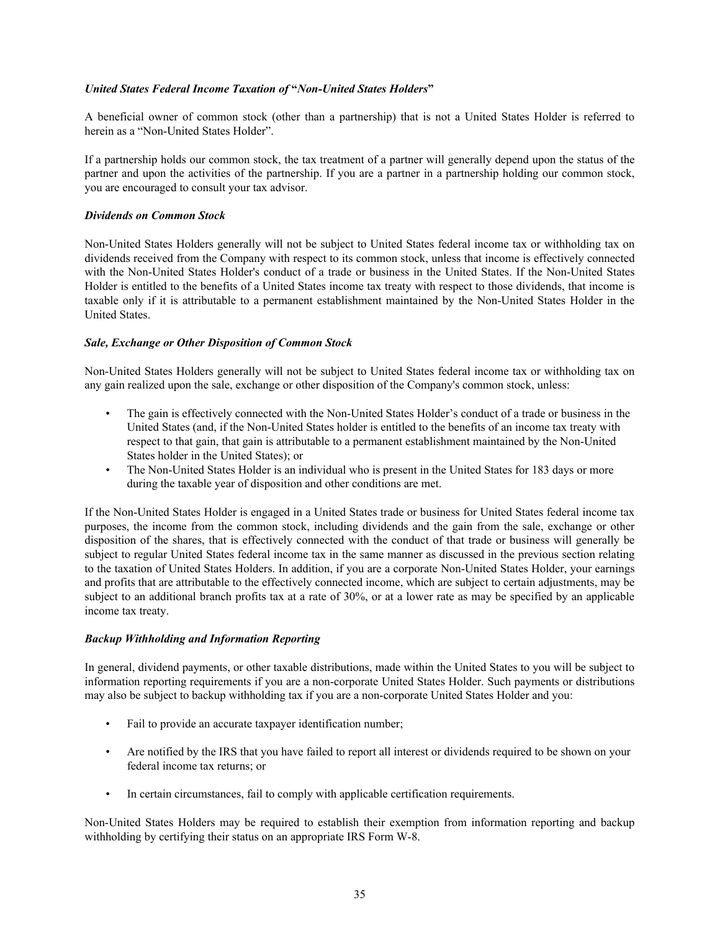# *United States Federal Income Taxation of* **"***Non-United States Holders***"**

A beneficial owner of common stock (other than a partnership) that is not a United States Holder is referred to herein as a "Non-United States Holder".

If a partnership holds our common stock, the tax treatment of a partner will generally depend upon the status of the partner and upon the activities of the partnership. If you are a partner in a partnership holding our common stock, you are encouraged to consult your tax advisor.

# *Dividends on Common Stock*

Non-United States Holders generally will not be subject to United States federal income tax or withholding tax on dividends received from the Company with respect to its common stock, unless that income is effectively connected with the Non-United States Holder's conduct of a trade or business in the United States. If the Non-United States Holder is entitled to the benefits of a United States income tax treaty with respect to those dividends, that income is taxable only if it is attributable to a permanent establishment maintained by the Non-United States Holder in the United States.

# *Sale, Exchange or Other Disposition of Common Stock*

Non-United States Holders generally will not be subject to United States federal income tax or withholding tax on any gain realized upon the sale, exchange or other disposition of the Company's common stock, unless:

- The gain is effectively connected with the Non-United States Holder's conduct of a trade or business in the United States (and, if the Non-United States holder is entitled to the benefits of an income tax treaty with respect to that gain, that gain is attributable to a permanent establishment maintained by the Non-United States holder in the United States); or
- The Non-United States Holder is an individual who is present in the United States for 183 days or more during the taxable year of disposition and other conditions are met.

If the Non-United States Holder is engaged in a United States trade or business for United States federal income tax purposes, the income from the common stock, including dividends and the gain from the sale, exchange or other disposition of the shares, that is effectively connected with the conduct of that trade or business will generally be subject to regular United States federal income tax in the same manner as discussed in the previous section relating to the taxation of United States Holders. In addition, if you are a corporate Non-United States Holder, your earnings and profits that are attributable to the effectively connected income, which are subject to certain adjustments, may be subject to an additional branch profits tax at a rate of 30%, or at a lower rate as may be specified by an applicable income tax treaty.

## *Backup Withholding and Information Reporting*

In general, dividend payments, or other taxable distributions, made within the United States to you will be subject to information reporting requirements if you are a non-corporate United States Holder. Such payments or distributions may also be subject to backup withholding tax if you are a non-corporate United States Holder and you:

- Fail to provide an accurate taxpayer identification number;
- Are notified by the IRS that you have failed to report all interest or dividends required to be shown on your federal income tax returns; or
- In certain circumstances, fail to comply with applicable certification requirements.

Non-United States Holders may be required to establish their exemption from information reporting and backup withholding by certifying their status on an appropriate IRS Form W-8.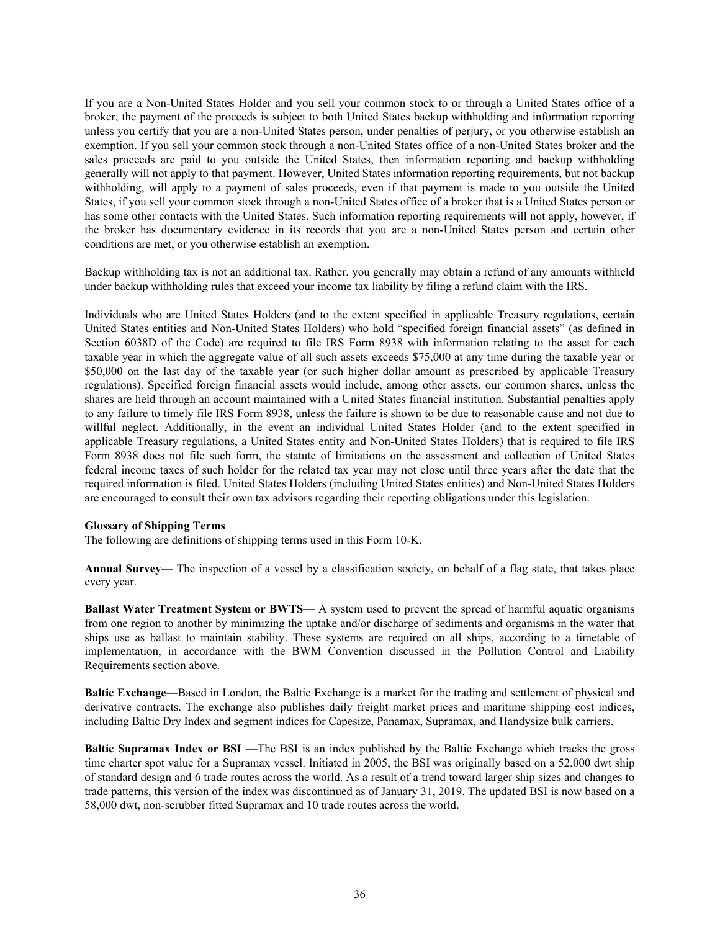If you are a Non-United States Holder and you sell your common stock to or through a United States office of a broker, the payment of the proceeds is subject to both United States backup withholding and information reporting unless you certify that you are a non-United States person, under penalties of perjury, or you otherwise establish an exemption. If you sell your common stock through a non-United States office of a non-United States broker and the sales proceeds are paid to you outside the United States, then information reporting and backup withholding generally will not apply to that payment. However, United States information reporting requirements, but not backup withholding, will apply to a payment of sales proceeds, even if that payment is made to you outside the United States, if you sell your common stock through a non-United States office of a broker that is a United States person or has some other contacts with the United States. Such information reporting requirements will not apply, however, if the broker has documentary evidence in its records that you are a non-United States person and certain other conditions are met, or you otherwise establish an exemption.

Backup withholding tax is not an additional tax. Rather, you generally may obtain a refund of any amounts withheld under backup withholding rules that exceed your income tax liability by filing a refund claim with the IRS.

Individuals who are United States Holders (and to the extent specified in applicable Treasury regulations, certain United States entities and Non-United States Holders) who hold "specified foreign financial assets" (as defined in Section 6038D of the Code) are required to file IRS Form 8938 with information relating to the asset for each taxable year in which the aggregate value of all such assets exceeds \$75,000 at any time during the taxable year or \$50,000 on the last day of the taxable year (or such higher dollar amount as prescribed by applicable Treasury regulations). Specified foreign financial assets would include, among other assets, our common shares, unless the shares are held through an account maintained with a United States financial institution. Substantial penalties apply to any failure to timely file IRS Form 8938, unless the failure is shown to be due to reasonable cause and not due to willful neglect. Additionally, in the event an individual United States Holder (and to the extent specified in applicable Treasury regulations, a United States entity and Non-United States Holders) that is required to file IRS Form 8938 does not file such form, the statute of limitations on the assessment and collection of United States federal income taxes of such holder for the related tax year may not close until three years after the date that the required information is filed. United States Holders (including United States entities) and Non-United States Holders are encouraged to consult their own tax advisors regarding their reporting obligations under this legislation.

#### **Glossary of Shipping Terms**

The following are definitions of shipping terms used in this Form 10-K.

**Annual Survey**— The inspection of a vessel by a classification society, on behalf of a flag state, that takes place every year.

**Ballast Water Treatment System or BWTS**— A system used to prevent the spread of harmful aquatic organisms from one region to another by minimizing the uptake and/or discharge of sediments and organisms in the water that ships use as ballast to maintain stability. These systems are required on all ships, according to a timetable of implementation, in accordance with the BWM Convention discussed in the Pollution Control and Liability Requirements section above.

**Baltic Exchange**—Based in London, the Baltic Exchange is a market for the trading and settlement of physical and derivative contracts. The exchange also publishes daily freight market prices and maritime shipping cost indices, including Baltic Dry Index and segment indices for Capesize, Panamax, Supramax, and Handysize bulk carriers.

**Baltic Supramax Index or BSI** —The BSI is an index published by the Baltic Exchange which tracks the gross time charter spot value for a Supramax vessel. Initiated in 2005, the BSI was originally based on a 52,000 dwt ship of standard design and 6 trade routes across the world. As a result of a trend toward larger ship sizes and changes to trade patterns, this version of the index was discontinued as of January 31, 2019. The updated BSI is now based on a 58,000 dwt, non-scrubber fitted Supramax and 10 trade routes across the world.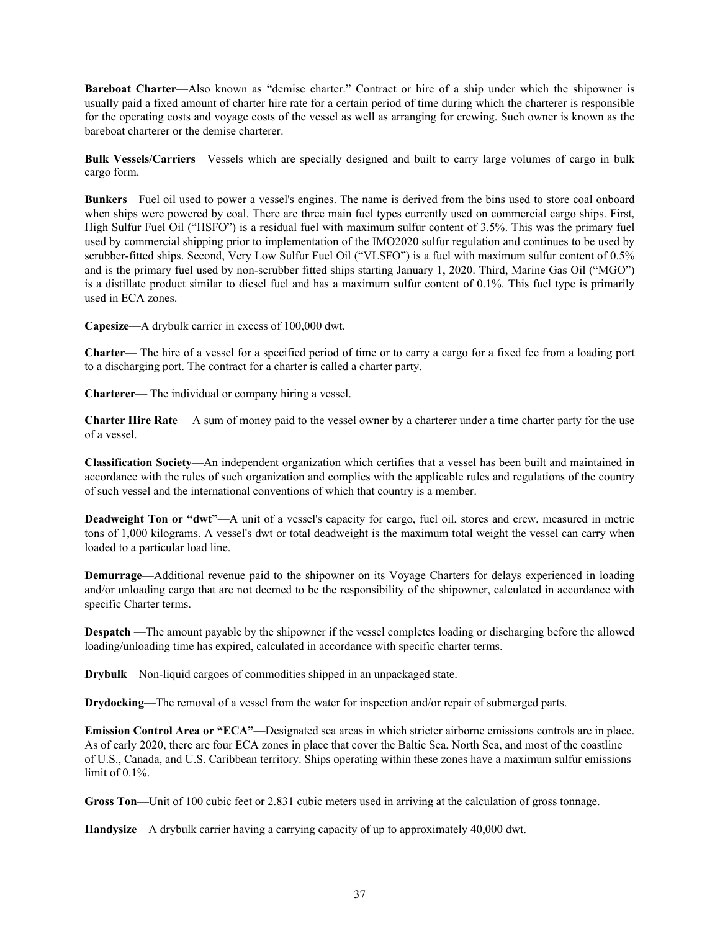**Bareboat Charter**—Also known as "demise charter." Contract or hire of a ship under which the shipowner is usually paid a fixed amount of charter hire rate for a certain period of time during which the charterer is responsible for the operating costs and voyage costs of the vessel as well as arranging for crewing. Such owner is known as the bareboat charterer or the demise charterer.

**Bulk Vessels/Carriers**—Vessels which are specially designed and built to carry large volumes of cargo in bulk cargo form.

**Bunkers**—Fuel oil used to power a vessel's engines. The name is derived from the bins used to store coal onboard when ships were powered by coal. There are three main fuel types currently used on commercial cargo ships. First, High Sulfur Fuel Oil ("HSFO") is a residual fuel with maximum sulfur content of 3.5%. This was the primary fuel used by commercial shipping prior to implementation of the IMO2020 sulfur regulation and continues to be used by scrubber-fitted ships. Second, Very Low Sulfur Fuel Oil ("VLSFO") is a fuel with maximum sulfur content of 0.5% and is the primary fuel used by non-scrubber fitted ships starting January 1, 2020. Third, Marine Gas Oil ("MGO") is a distillate product similar to diesel fuel and has a maximum sulfur content of 0.1%. This fuel type is primarily used in ECA zones.

**Capesize**—A drybulk carrier in excess of 100,000 dwt.

**Charter**— The hire of a vessel for a specified period of time or to carry a cargo for a fixed fee from a loading port to a discharging port. The contract for a charter is called a charter party.

**Charterer**— The individual or company hiring a vessel.

**Charter Hire Rate**— A sum of money paid to the vessel owner by a charterer under a time charter party for the use of a vessel.

**Classification Society**—An independent organization which certifies that a vessel has been built and maintained in accordance with the rules of such organization and complies with the applicable rules and regulations of the country of such vessel and the international conventions of which that country is a member.

**Deadweight Ton or "dwt"**—A unit of a vessel's capacity for cargo, fuel oil, stores and crew, measured in metric tons of 1,000 kilograms. A vessel's dwt or total deadweight is the maximum total weight the vessel can carry when loaded to a particular load line.

**Demurrage**—Additional revenue paid to the shipowner on its Voyage Charters for delays experienced in loading and/or unloading cargo that are not deemed to be the responsibility of the shipowner, calculated in accordance with specific Charter terms.

**Despatch** —The amount payable by the shipowner if the vessel completes loading or discharging before the allowed loading/unloading time has expired, calculated in accordance with specific charter terms.

**Drybulk**—Non-liquid cargoes of commodities shipped in an unpackaged state.

**Drydocking**—The removal of a vessel from the water for inspection and/or repair of submerged parts.

**Emission Control Area or "ECA"**—Designated sea areas in which stricter airborne emissions controls are in place. As of early 2020, there are four ECA zones in place that cover the Baltic Sea, North Sea, and most of the coastline of U.S., Canada, and U.S. Caribbean territory. Ships operating within these zones have a maximum sulfur emissions limit of 0.1%.

**Gross Ton**—Unit of 100 cubic feet or 2.831 cubic meters used in arriving at the calculation of gross tonnage.

**Handysize**—A drybulk carrier having a carrying capacity of up to approximately 40,000 dwt.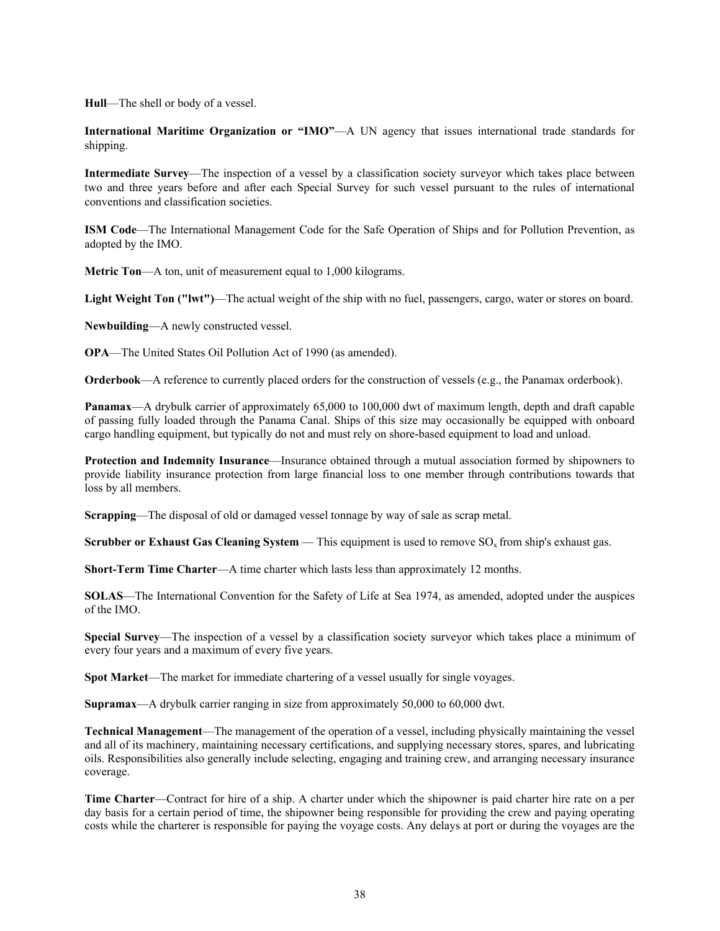**Hull**—The shell or body of a vessel.

**International Maritime Organization or "IMO"—A UN agency that issues international trade standards for** shipping.

**Intermediate Survey**—The inspection of a vessel by a classification society surveyor which takes place between two and three years before and after each Special Survey for such vessel pursuant to the rules of international conventions and classification societies.

**ISM Code**—The International Management Code for the Safe Operation of Ships and for Pollution Prevention, as adopted by the IMO.

**Metric Ton**—A ton, unit of measurement equal to 1,000 kilograms.

**Light Weight Ton ("lwt")**—The actual weight of the ship with no fuel, passengers, cargo, water or stores on board.

**Newbuilding**—A newly constructed vessel.

**OPA**—The United States Oil Pollution Act of 1990 (as amended).

**Orderbook**—A reference to currently placed orders for the construction of vessels (e.g., the Panamax orderbook).

**Panamax**—A drybulk carrier of approximately 65,000 to 100,000 dwt of maximum length, depth and draft capable of passing fully loaded through the Panama Canal. Ships of this size may occasionally be equipped with onboard cargo handling equipment, but typically do not and must rely on shore-based equipment to load and unload.

**Protection and Indemnity Insurance**—Insurance obtained through a mutual association formed by shipowners to provide liability insurance protection from large financial loss to one member through contributions towards that loss by all members.

**Scrapping**—The disposal of old or damaged vessel tonnage by way of sale as scrap metal.

**Scrubber or Exhaust Gas Cleaning System — This equipment is used to remove**  $SO<sub>x</sub>$  **from ship's exhaust gas.** 

**Short-Term Time Charter**—A time charter which lasts less than approximately 12 months.

**SOLAS**—The International Convention for the Safety of Life at Sea 1974, as amended, adopted under the auspices of the IMO.

**Special Survey**—The inspection of a vessel by a classification society surveyor which takes place a minimum of every four years and a maximum of every five years.

**Spot Market**—The market for immediate chartering of a vessel usually for single voyages.

**Supramax**—A drybulk carrier ranging in size from approximately 50,000 to 60,000 dwt.

**Technical Management**—The management of the operation of a vessel, including physically maintaining the vessel and all of its machinery, maintaining necessary certifications, and supplying necessary stores, spares, and lubricating oils. Responsibilities also generally include selecting, engaging and training crew, and arranging necessary insurance coverage.

**Time Charter**—Contract for hire of a ship. A charter under which the shipowner is paid charter hire rate on a per day basis for a certain period of time, the shipowner being responsible for providing the crew and paying operating costs while the charterer is responsible for paying the voyage costs. Any delays at port or during the voyages are the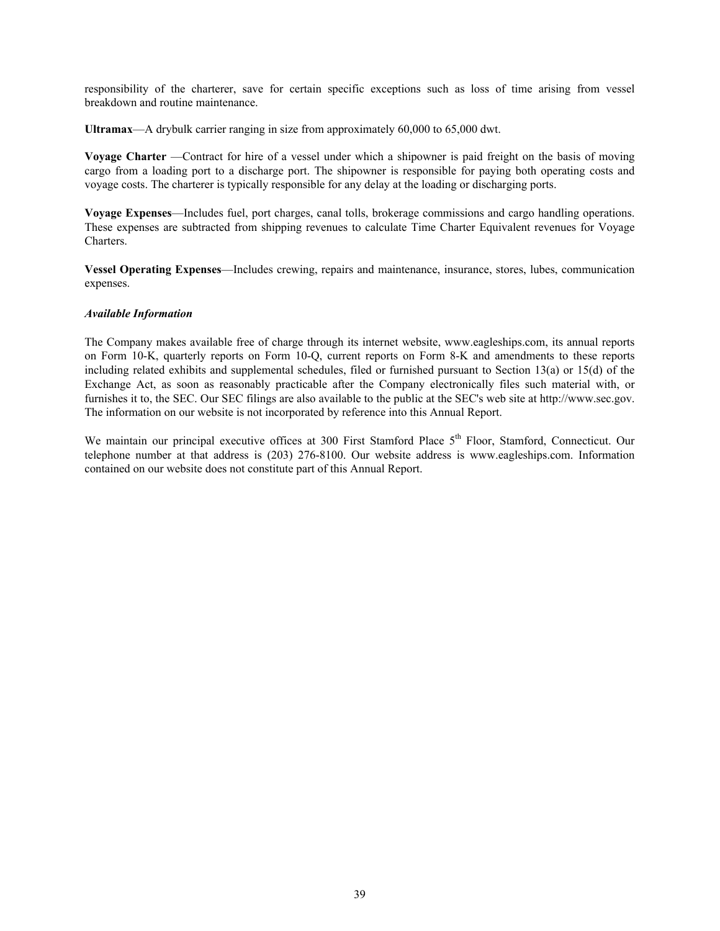responsibility of the charterer, save for certain specific exceptions such as loss of time arising from vessel breakdown and routine maintenance.

**Ultramax**—A drybulk carrier ranging in size from approximately 60,000 to 65,000 dwt.

**Voyage Charter** —Contract for hire of a vessel under which a shipowner is paid freight on the basis of moving cargo from a loading port to a discharge port. The shipowner is responsible for paying both operating costs and voyage costs. The charterer is typically responsible for any delay at the loading or discharging ports.

**Voyage Expenses**—Includes fuel, port charges, canal tolls, brokerage commissions and cargo handling operations. These expenses are subtracted from shipping revenues to calculate Time Charter Equivalent revenues for Voyage Charters.

**Vessel Operating Expenses**—Includes crewing, repairs and maintenance, insurance, stores, lubes, communication expenses.

#### *Available Information*

The Company makes available free of charge through its internet website, www.eagleships.com, its annual reports on Form 10-K, quarterly reports on Form 10-Q, current reports on Form 8-K and amendments to these reports including related exhibits and supplemental schedules, filed or furnished pursuant to Section 13(a) or 15(d) of the Exchange Act, as soon as reasonably practicable after the Company electronically files such material with, or furnishes it to, the SEC. Our SEC filings are also available to the public at the SEC's web site at http://www.sec.gov. The information on our website is not incorporated by reference into this Annual Report.

We maintain our principal executive offices at 300 First Stamford Place 5<sup>th</sup> Floor, Stamford, Connecticut. Our telephone number at that address is (203) 276-8100. Our website address is www.eagleships.com. Information contained on our website does not constitute part of this Annual Report.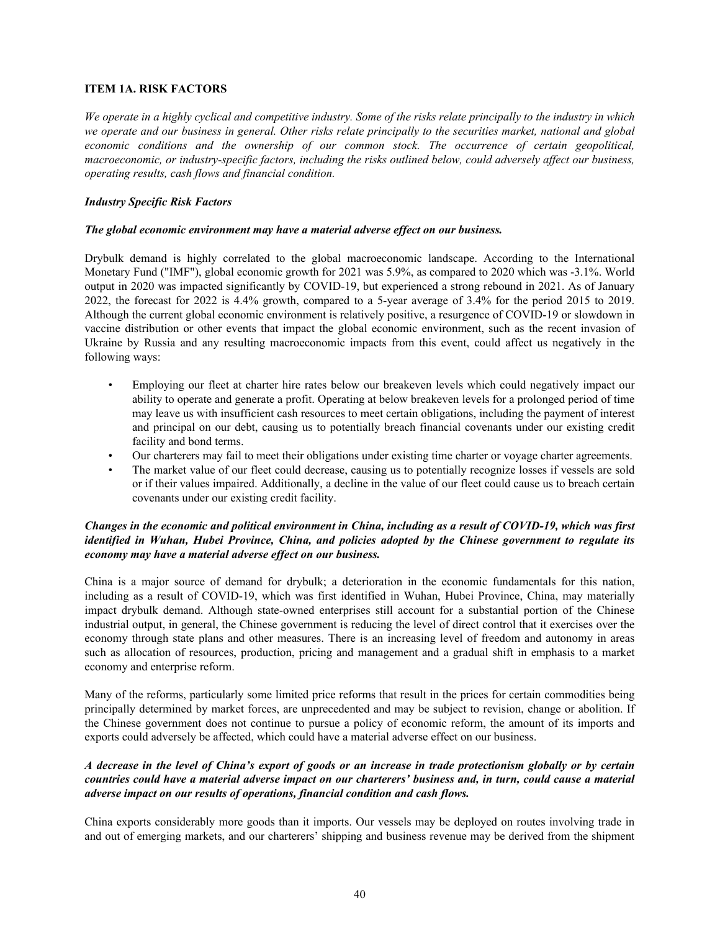# **ITEM 1A. RISK FACTORS**

*We operate in a highly cyclical and competitive industry. Some of the risks relate principally to the industry in which we operate and our business in general. Other risks relate principally to the securities market, national and global economic conditions and the ownership of our common stock. The occurrence of certain geopolitical, macroeconomic, or industry-specific factors, including the risks outlined below, could adversely affect our business, operating results, cash flows and financial condition.*

# *Industry Specific Risk Factors*

## *The global economic environment may have a material adverse effect on our business.*

Drybulk demand is highly correlated to the global macroeconomic landscape. According to the International Monetary Fund ("IMF"), global economic growth for 2021 was 5.9%, as compared to 2020 which was -3.1%. World output in 2020 was impacted significantly by COVID-19, but experienced a strong rebound in 2021. As of January 2022, the forecast for 2022 is 4.4% growth, compared to a 5-year average of 3.4% for the period 2015 to 2019. Although the current global economic environment is relatively positive, a resurgence of COVID-19 or slowdown in vaccine distribution or other events that impact the global economic environment, such as the recent invasion of Ukraine by Russia and any resulting macroeconomic impacts from this event, could affect us negatively in the following ways:

- Employing our fleet at charter hire rates below our breakeven levels which could negatively impact our ability to operate and generate a profit. Operating at below breakeven levels for a prolonged period of time may leave us with insufficient cash resources to meet certain obligations, including the payment of interest and principal on our debt, causing us to potentially breach financial covenants under our existing credit facility and bond terms.
- Our charterers may fail to meet their obligations under existing time charter or voyage charter agreements.
- The market value of our fleet could decrease, causing us to potentially recognize losses if vessels are sold or if their values impaired. Additionally, a decline in the value of our fleet could cause us to breach certain covenants under our existing credit facility.

# *Changes in the economic and political environment in China, including as a result of COVID-19, which was first identified in Wuhan, Hubei Province, China, and policies adopted by the Chinese government to regulate its economy may have a material adverse effect on our business.*

China is a major source of demand for drybulk; a deterioration in the economic fundamentals for this nation, including as a result of COVID-19, which was first identified in Wuhan, Hubei Province, China, may materially impact drybulk demand. Although state-owned enterprises still account for a substantial portion of the Chinese industrial output, in general, the Chinese government is reducing the level of direct control that it exercises over the economy through state plans and other measures. There is an increasing level of freedom and autonomy in areas such as allocation of resources, production, pricing and management and a gradual shift in emphasis to a market economy and enterprise reform.

Many of the reforms, particularly some limited price reforms that result in the prices for certain commodities being principally determined by market forces, are unprecedented and may be subject to revision, change or abolition. If the Chinese government does not continue to pursue a policy of economic reform, the amount of its imports and exports could adversely be affected, which could have a material adverse effect on our business.

# *A decrease in the level of China's export of goods or an increase in trade protectionism globally or by certain countries could have a material adverse impact on our charterers' business and, in turn, could cause a material adverse impact on our results of operations, financial condition and cash flows.*

China exports considerably more goods than it imports. Our vessels may be deployed on routes involving trade in and out of emerging markets, and our charterers' shipping and business revenue may be derived from the shipment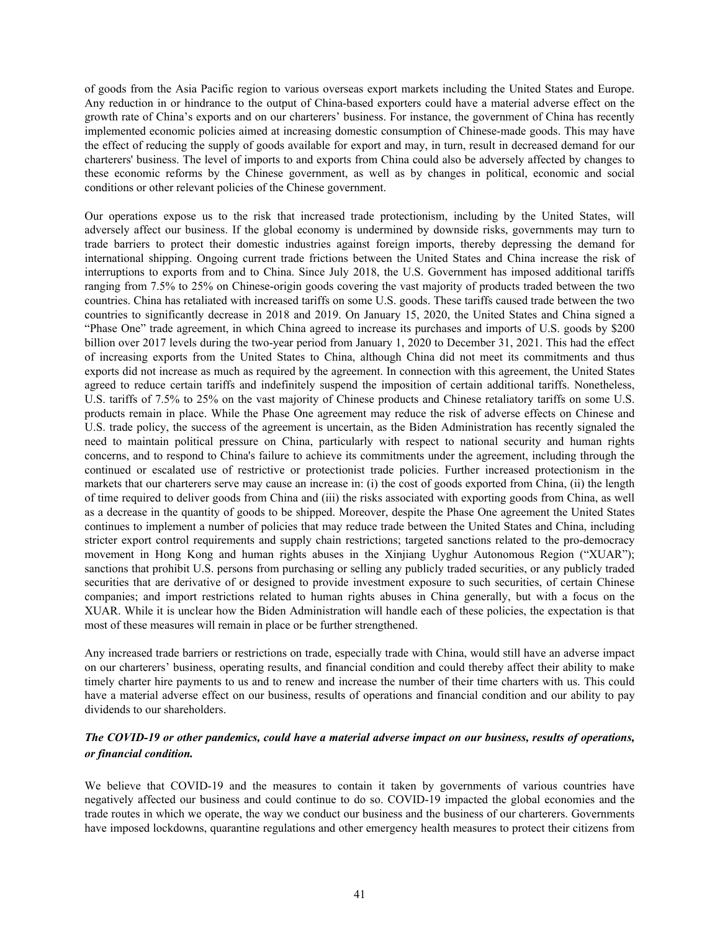of goods from the Asia Pacific region to various overseas export markets including the United States and Europe. Any reduction in or hindrance to the output of China-based exporters could have a material adverse effect on the growth rate of China's exports and on our charterers' business. For instance, the government of China has recently implemented economic policies aimed at increasing domestic consumption of Chinese-made goods. This may have the effect of reducing the supply of goods available for export and may, in turn, result in decreased demand for our charterers' business. The level of imports to and exports from China could also be adversely affected by changes to these economic reforms by the Chinese government, as well as by changes in political, economic and social conditions or other relevant policies of the Chinese government.

Our operations expose us to the risk that increased trade protectionism, including by the United States, will adversely affect our business. If the global economy is undermined by downside risks, governments may turn to trade barriers to protect their domestic industries against foreign imports, thereby depressing the demand for international shipping. Ongoing current trade frictions between the United States and China increase the risk of interruptions to exports from and to China. Since July 2018, the U.S. Government has imposed additional tariffs ranging from 7.5% to 25% on Chinese-origin goods covering the vast majority of products traded between the two countries. China has retaliated with increased tariffs on some U.S. goods. These tariffs caused trade between the two countries to significantly decrease in 2018 and 2019. On January 15, 2020, the United States and China signed a "Phase One" trade agreement, in which China agreed to increase its purchases and imports of U.S. goods by \$200 billion over 2017 levels during the two-year period from January 1, 2020 to December 31, 2021. This had the effect of increasing exports from the United States to China, although China did not meet its commitments and thus exports did not increase as much as required by the agreement. In connection with this agreement, the United States agreed to reduce certain tariffs and indefinitely suspend the imposition of certain additional tariffs. Nonetheless, U.S. tariffs of 7.5% to 25% on the vast majority of Chinese products and Chinese retaliatory tariffs on some U.S. products remain in place. While the Phase One agreement may reduce the risk of adverse effects on Chinese and U.S. trade policy, the success of the agreement is uncertain, as the Biden Administration has recently signaled the need to maintain political pressure on China, particularly with respect to national security and human rights concerns, and to respond to China's failure to achieve its commitments under the agreement, including through the continued or escalated use of restrictive or protectionist trade policies. Further increased protectionism in the markets that our charterers serve may cause an increase in: (i) the cost of goods exported from China, (ii) the length of time required to deliver goods from China and (iii) the risks associated with exporting goods from China, as well as a decrease in the quantity of goods to be shipped. Moreover, despite the Phase One agreement the United States continues to implement a number of policies that may reduce trade between the United States and China, including stricter export control requirements and supply chain restrictions; targeted sanctions related to the pro-democracy movement in Hong Kong and human rights abuses in the Xinjiang Uyghur Autonomous Region ("XUAR"); sanctions that prohibit U.S. persons from purchasing or selling any publicly traded securities, or any publicly traded securities that are derivative of or designed to provide investment exposure to such securities, of certain Chinese companies; and import restrictions related to human rights abuses in China generally, but with a focus on the XUAR. While it is unclear how the Biden Administration will handle each of these policies, the expectation is that most of these measures will remain in place or be further strengthened.

Any increased trade barriers or restrictions on trade, especially trade with China, would still have an adverse impact on our charterers' business, operating results, and financial condition and could thereby affect their ability to make timely charter hire payments to us and to renew and increase the number of their time charters with us. This could have a material adverse effect on our business, results of operations and financial condition and our ability to pay dividends to our shareholders.

# *The COVID-19 or other pandemics, could have a material adverse impact on our business, results of operations, or financial condition.*

We believe that COVID-19 and the measures to contain it taken by governments of various countries have negatively affected our business and could continue to do so. COVID-19 impacted the global economies and the trade routes in which we operate, the way we conduct our business and the business of our charterers. Governments have imposed lockdowns, quarantine regulations and other emergency health measures to protect their citizens from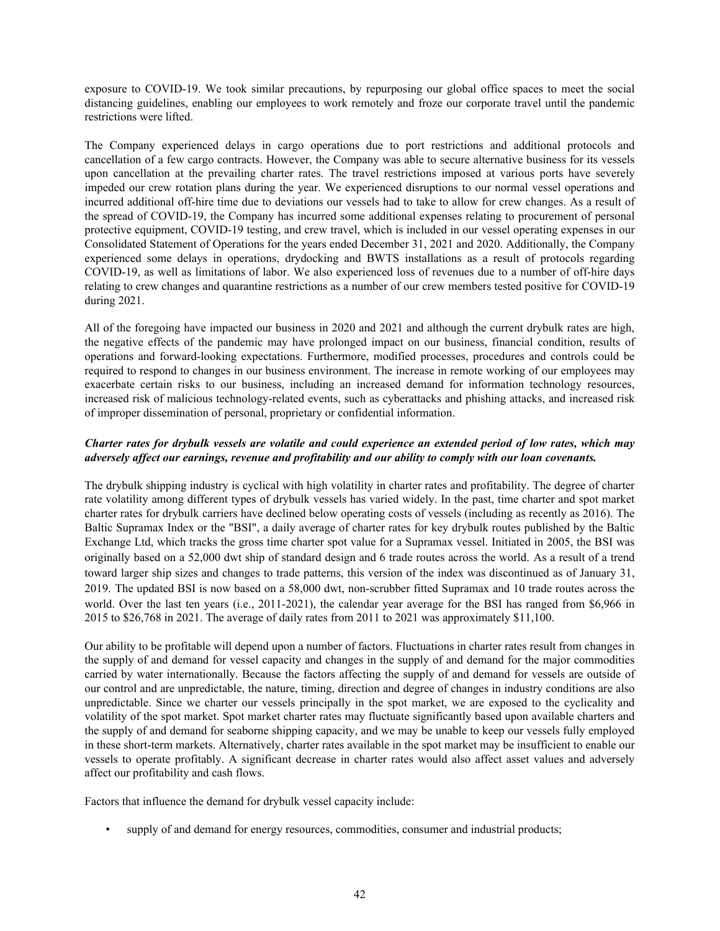exposure to COVID-19. We took similar precautions, by repurposing our global office spaces to meet the social distancing guidelines, enabling our employees to work remotely and froze our corporate travel until the pandemic restrictions were lifted.

The Company experienced delays in cargo operations due to port restrictions and additional protocols and cancellation of a few cargo contracts. However, the Company was able to secure alternative business for its vessels upon cancellation at the prevailing charter rates. The travel restrictions imposed at various ports have severely impeded our crew rotation plans during the year. We experienced disruptions to our normal vessel operations and incurred additional off-hire time due to deviations our vessels had to take to allow for crew changes. As a result of the spread of COVID-19, the Company has incurred some additional expenses relating to procurement of personal protective equipment, COVID-19 testing, and crew travel, which is included in our vessel operating expenses in our Consolidated Statement of Operations for the years ended December 31, 2021 and 2020. Additionally, the Company experienced some delays in operations, drydocking and BWTS installations as a result of protocols regarding COVID-19, as well as limitations of labor. We also experienced loss of revenues due to a number of off-hire days relating to crew changes and quarantine restrictions as a number of our crew members tested positive for COVID-19 during 2021.

All of the foregoing have impacted our business in 2020 and 2021 and although the current drybulk rates are high, the negative effects of the pandemic may have prolonged impact on our business, financial condition, results of operations and forward-looking expectations. Furthermore, modified processes, procedures and controls could be required to respond to changes in our business environment. The increase in remote working of our employees may exacerbate certain risks to our business, including an increased demand for information technology resources, increased risk of malicious technology-related events, such as cyberattacks and phishing attacks, and increased risk of improper dissemination of personal, proprietary or confidential information.

# *Charter rates for drybulk vessels are volatile and could experience an extended period of low rates, which may adversely affect our earnings, revenue and profitability and our ability to comply with our loan covenants.*

The drybulk shipping industry is cyclical with high volatility in charter rates and profitability. The degree of charter rate volatility among different types of drybulk vessels has varied widely. In the past, time charter and spot market charter rates for drybulk carriers have declined below operating costs of vessels (including as recently as 2016). The Baltic Supramax Index or the "BSI", a daily average of charter rates for key drybulk routes published by the Baltic Exchange Ltd, which tracks the gross time charter spot value for a Supramax vessel. Initiated in 2005, the BSI was originally based on a 52,000 dwt ship of standard design and 6 trade routes across the world. As a result of a trend toward larger ship sizes and changes to trade patterns, this version of the index was discontinued as of January 31, 2019. The updated BSI is now based on a 58,000 dwt, non-scrubber fitted Supramax and 10 trade routes across the world. Over the last ten years (i.e., 2011-2021), the calendar year average for the BSI has ranged from \$6,966 in 2015 to \$26,768 in 2021. The average of daily rates from 2011 to 2021 was approximately \$11,100.

Our ability to be profitable will depend upon a number of factors. Fluctuations in charter rates result from changes in the supply of and demand for vessel capacity and changes in the supply of and demand for the major commodities carried by water internationally. Because the factors affecting the supply of and demand for vessels are outside of our control and are unpredictable, the nature, timing, direction and degree of changes in industry conditions are also unpredictable. Since we charter our vessels principally in the spot market, we are exposed to the cyclicality and volatility of the spot market. Spot market charter rates may fluctuate significantly based upon available charters and the supply of and demand for seaborne shipping capacity, and we may be unable to keep our vessels fully employed in these short-term markets. Alternatively, charter rates available in the spot market may be insufficient to enable our vessels to operate profitably. A significant decrease in charter rates would also affect asset values and adversely affect our profitability and cash flows.

Factors that influence the demand for drybulk vessel capacity include:

• supply of and demand for energy resources, commodities, consumer and industrial products;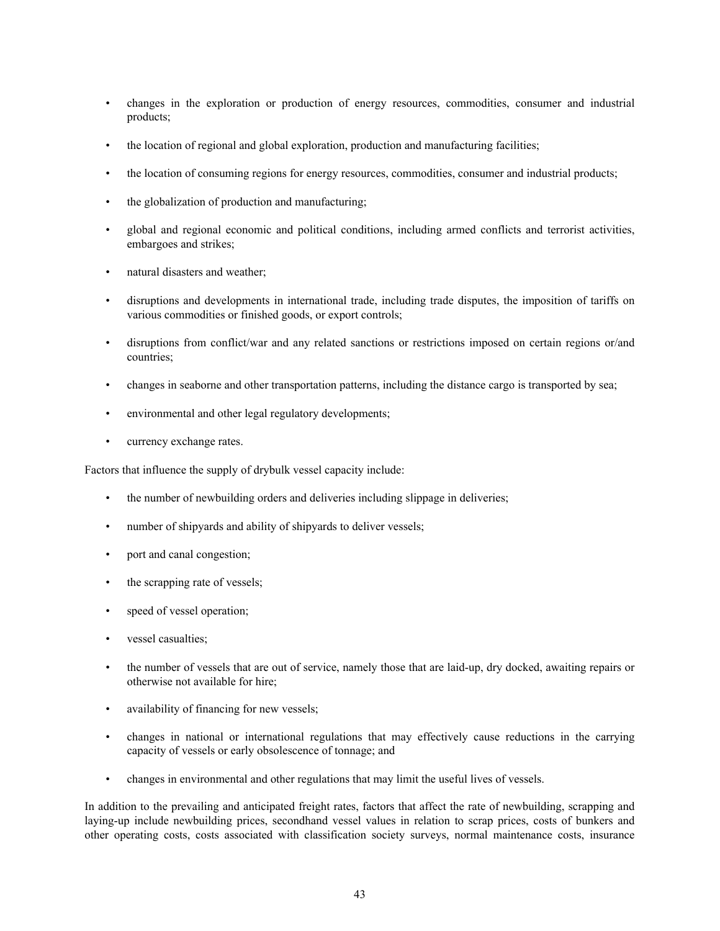- changes in the exploration or production of energy resources, commodities, consumer and industrial products;
- the location of regional and global exploration, production and manufacturing facilities;
- the location of consuming regions for energy resources, commodities, consumer and industrial products;
- the globalization of production and manufacturing;
- global and regional economic and political conditions, including armed conflicts and terrorist activities, embargoes and strikes;
- natural disasters and weather;
- disruptions and developments in international trade, including trade disputes, the imposition of tariffs on various commodities or finished goods, or export controls;
- disruptions from conflict/war and any related sanctions or restrictions imposed on certain regions or/and countries;
- changes in seaborne and other transportation patterns, including the distance cargo is transported by sea;
- environmental and other legal regulatory developments;
- currency exchange rates.

Factors that influence the supply of drybulk vessel capacity include:

- the number of newbuilding orders and deliveries including slippage in deliveries;
- number of shipyards and ability of shipyards to deliver vessels;
- port and canal congestion;
- the scrapping rate of vessels;
- speed of vessel operation;
- vessel casualties;
- the number of vessels that are out of service, namely those that are laid-up, dry docked, awaiting repairs or otherwise not available for hire;
- availability of financing for new vessels;
- changes in national or international regulations that may effectively cause reductions in the carrying capacity of vessels or early obsolescence of tonnage; and
- changes in environmental and other regulations that may limit the useful lives of vessels.

In addition to the prevailing and anticipated freight rates, factors that affect the rate of newbuilding, scrapping and laying-up include newbuilding prices, secondhand vessel values in relation to scrap prices, costs of bunkers and other operating costs, costs associated with classification society surveys, normal maintenance costs, insurance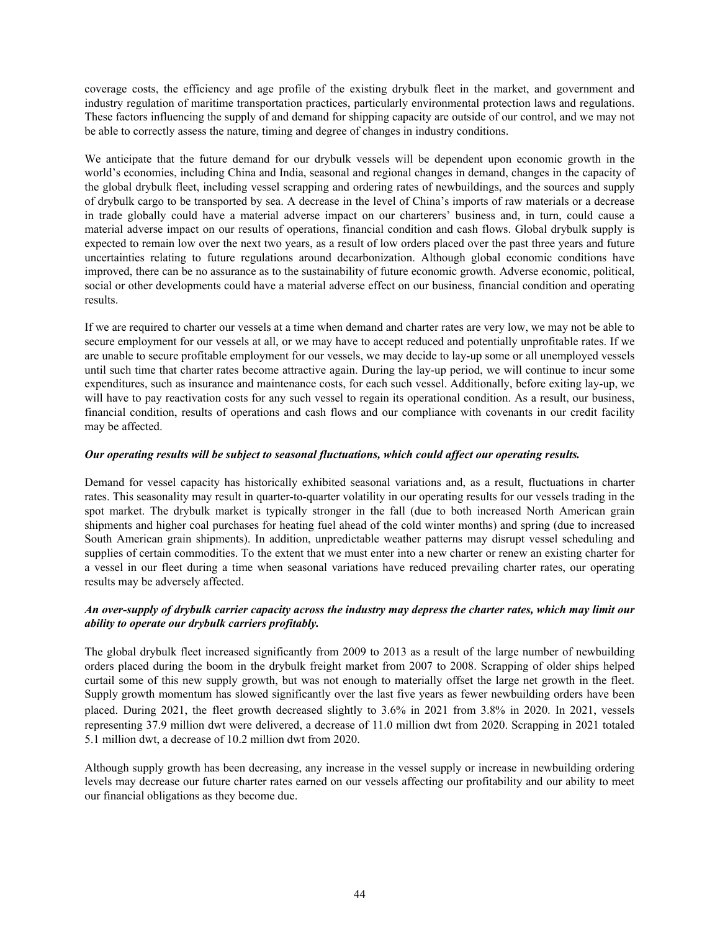coverage costs, the efficiency and age profile of the existing drybulk fleet in the market, and government and industry regulation of maritime transportation practices, particularly environmental protection laws and regulations. These factors influencing the supply of and demand for shipping capacity are outside of our control, and we may not be able to correctly assess the nature, timing and degree of changes in industry conditions.

We anticipate that the future demand for our drybulk vessels will be dependent upon economic growth in the world's economies, including China and India, seasonal and regional changes in demand, changes in the capacity of the global drybulk fleet, including vessel scrapping and ordering rates of newbuildings, and the sources and supply of drybulk cargo to be transported by sea. A decrease in the level of China's imports of raw materials or a decrease in trade globally could have a material adverse impact on our charterers' business and, in turn, could cause a material adverse impact on our results of operations, financial condition and cash flows. Global drybulk supply is expected to remain low over the next two years, as a result of low orders placed over the past three years and future uncertainties relating to future regulations around decarbonization. Although global economic conditions have improved, there can be no assurance as to the sustainability of future economic growth. Adverse economic, political, social or other developments could have a material adverse effect on our business, financial condition and operating results.

If we are required to charter our vessels at a time when demand and charter rates are very low, we may not be able to secure employment for our vessels at all, or we may have to accept reduced and potentially unprofitable rates. If we are unable to secure profitable employment for our vessels, we may decide to lay-up some or all unemployed vessels until such time that charter rates become attractive again. During the lay-up period, we will continue to incur some expenditures, such as insurance and maintenance costs, for each such vessel. Additionally, before exiting lay-up, we will have to pay reactivation costs for any such vessel to regain its operational condition. As a result, our business, financial condition, results of operations and cash flows and our compliance with covenants in our credit facility may be affected.

#### *Our operating results will be subject to seasonal fluctuations, which could affect our operating results.*

Demand for vessel capacity has historically exhibited seasonal variations and, as a result, fluctuations in charter rates. This seasonality may result in quarter-to-quarter volatility in our operating results for our vessels trading in the spot market. The drybulk market is typically stronger in the fall (due to both increased North American grain shipments and higher coal purchases for heating fuel ahead of the cold winter months) and spring (due to increased South American grain shipments). In addition, unpredictable weather patterns may disrupt vessel scheduling and supplies of certain commodities. To the extent that we must enter into a new charter or renew an existing charter for a vessel in our fleet during a time when seasonal variations have reduced prevailing charter rates, our operating results may be adversely affected.

# *An over-supply of drybulk carrier capacity across the industry may depress the charter rates, which may limit our ability to operate our drybulk carriers profitably.*

The global drybulk fleet increased significantly from 2009 to 2013 as a result of the large number of newbuilding orders placed during the boom in the drybulk freight market from 2007 to 2008. Scrapping of older ships helped curtail some of this new supply growth, but was not enough to materially offset the large net growth in the fleet. Supply growth momentum has slowed significantly over the last five years as fewer newbuilding orders have been placed. During 2021, the fleet growth decreased slightly to 3.6% in 2021 from 3.8% in 2020. In 2021, vessels representing 37.9 million dwt were delivered, a decrease of 11.0 million dwt from 2020. Scrapping in 2021 totaled 5.1 million dwt, a decrease of 10.2 million dwt from 2020.

Although supply growth has been decreasing, any increase in the vessel supply or increase in newbuilding ordering levels may decrease our future charter rates earned on our vessels affecting our profitability and our ability to meet our financial obligations as they become due.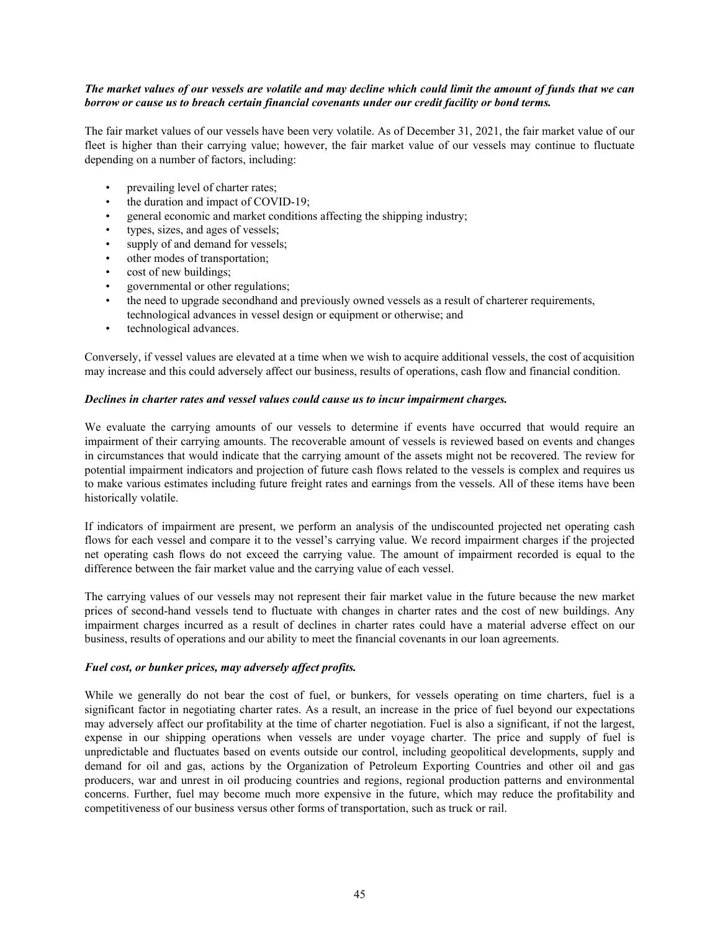## *The market values of our vessels are volatile and may decline which could limit the amount of funds that we can borrow or cause us to breach certain financial covenants under our credit facility or bond terms.*

The fair market values of our vessels have been very volatile. As of December 31, 2021, the fair market value of our fleet is higher than their carrying value; however, the fair market value of our vessels may continue to fluctuate depending on a number of factors, including:

- prevailing level of charter rates;
- the duration and impact of COVID-19;
- general economic and market conditions affecting the shipping industry;
- types, sizes, and ages of vessels;
- supply of and demand for vessels;
- other modes of transportation;
- cost of new buildings;
- governmental or other regulations;
- the need to upgrade secondhand and previously owned vessels as a result of charterer requirements, technological advances in vessel design or equipment or otherwise; and
- technological advances.

Conversely, if vessel values are elevated at a time when we wish to acquire additional vessels, the cost of acquisition may increase and this could adversely affect our business, results of operations, cash flow and financial condition.

#### *Declines in charter rates and vessel values could cause us to incur impairment charges.*

We evaluate the carrying amounts of our vessels to determine if events have occurred that would require an impairment of their carrying amounts. The recoverable amount of vessels is reviewed based on events and changes in circumstances that would indicate that the carrying amount of the assets might not be recovered. The review for potential impairment indicators and projection of future cash flows related to the vessels is complex and requires us to make various estimates including future freight rates and earnings from the vessels. All of these items have been historically volatile.

If indicators of impairment are present, we perform an analysis of the undiscounted projected net operating cash flows for each vessel and compare it to the vessel's carrying value. We record impairment charges if the projected net operating cash flows do not exceed the carrying value. The amount of impairment recorded is equal to the difference between the fair market value and the carrying value of each vessel.

The carrying values of our vessels may not represent their fair market value in the future because the new market prices of second-hand vessels tend to fluctuate with changes in charter rates and the cost of new buildings. Any impairment charges incurred as a result of declines in charter rates could have a material adverse effect on our business, results of operations and our ability to meet the financial covenants in our loan agreements.

#### *Fuel cost, or bunker prices, may adversely affect profits.*

While we generally do not bear the cost of fuel, or bunkers, for vessels operating on time charters, fuel is a significant factor in negotiating charter rates. As a result, an increase in the price of fuel beyond our expectations may adversely affect our profitability at the time of charter negotiation. Fuel is also a significant, if not the largest, expense in our shipping operations when vessels are under voyage charter. The price and supply of fuel is unpredictable and fluctuates based on events outside our control, including geopolitical developments, supply and demand for oil and gas, actions by the Organization of Petroleum Exporting Countries and other oil and gas producers, war and unrest in oil producing countries and regions, regional production patterns and environmental concerns. Further, fuel may become much more expensive in the future, which may reduce the profitability and competitiveness of our business versus other forms of transportation, such as truck or rail.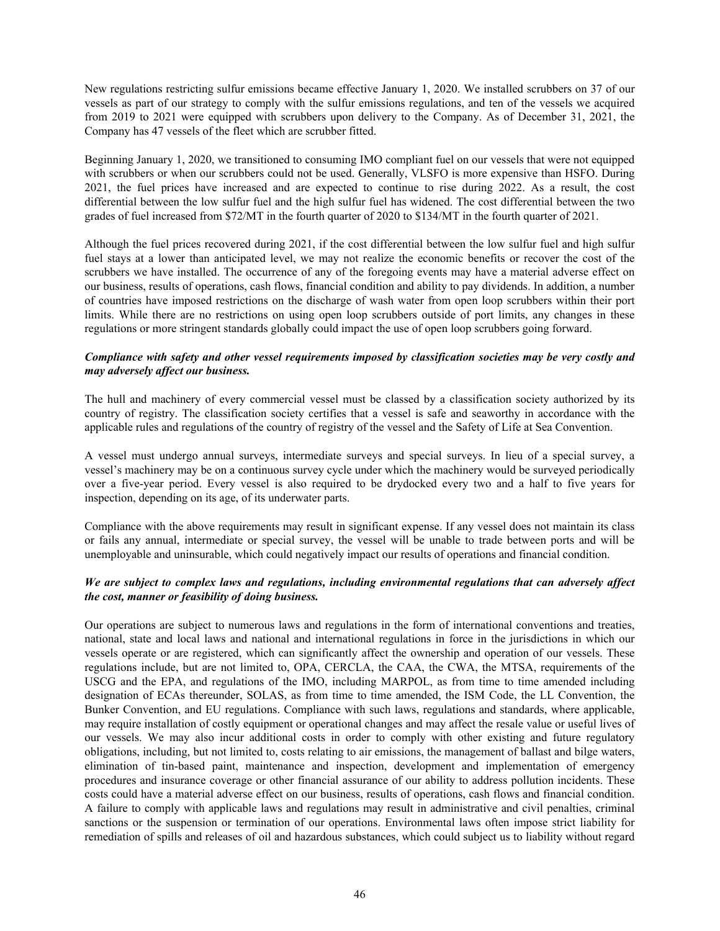New regulations restricting sulfur emissions became effective January 1, 2020. We installed scrubbers on 37 of our vessels as part of our strategy to comply with the sulfur emissions regulations, and ten of the vessels we acquired from 2019 to 2021 were equipped with scrubbers upon delivery to the Company. As of December 31, 2021, the Company has 47 vessels of the fleet which are scrubber fitted.

Beginning January 1, 2020, we transitioned to consuming IMO compliant fuel on our vessels that were not equipped with scrubbers or when our scrubbers could not be used. Generally, VLSFO is more expensive than HSFO. During 2021, the fuel prices have increased and are expected to continue to rise during 2022. As a result, the cost differential between the low sulfur fuel and the high sulfur fuel has widened. The cost differential between the two grades of fuel increased from \$72/MT in the fourth quarter of 2020 to \$134/MT in the fourth quarter of 2021.

Although the fuel prices recovered during 2021, if the cost differential between the low sulfur fuel and high sulfur fuel stays at a lower than anticipated level, we may not realize the economic benefits or recover the cost of the scrubbers we have installed. The occurrence of any of the foregoing events may have a material adverse effect on our business, results of operations, cash flows, financial condition and ability to pay dividends. In addition, a number of countries have imposed restrictions on the discharge of wash water from open loop scrubbers within their port limits. While there are no restrictions on using open loop scrubbers outside of port limits, any changes in these regulations or more stringent standards globally could impact the use of open loop scrubbers going forward.

## *Compliance with safety and other vessel requirements imposed by classification societies may be very costly and may adversely affect our business.*

The hull and machinery of every commercial vessel must be classed by a classification society authorized by its country of registry. The classification society certifies that a vessel is safe and seaworthy in accordance with the applicable rules and regulations of the country of registry of the vessel and the Safety of Life at Sea Convention.

A vessel must undergo annual surveys, intermediate surveys and special surveys. In lieu of a special survey, a vessel's machinery may be on a continuous survey cycle under which the machinery would be surveyed periodically over a five-year period. Every vessel is also required to be drydocked every two and a half to five years for inspection, depending on its age, of its underwater parts.

Compliance with the above requirements may result in significant expense. If any vessel does not maintain its class or fails any annual, intermediate or special survey, the vessel will be unable to trade between ports and will be unemployable and uninsurable, which could negatively impact our results of operations and financial condition.

# *We are subject to complex laws and regulations, including environmental regulations that can adversely affect the cost, manner or feasibility of doing business.*

Our operations are subject to numerous laws and regulations in the form of international conventions and treaties, national, state and local laws and national and international regulations in force in the jurisdictions in which our vessels operate or are registered, which can significantly affect the ownership and operation of our vessels. These regulations include, but are not limited to, OPA, CERCLA, the CAA, the CWA, the MTSA, requirements of the USCG and the EPA, and regulations of the IMO, including MARPOL, as from time to time amended including designation of ECAs thereunder, SOLAS, as from time to time amended, the ISM Code, the LL Convention, the Bunker Convention, and EU regulations. Compliance with such laws, regulations and standards, where applicable, may require installation of costly equipment or operational changes and may affect the resale value or useful lives of our vessels. We may also incur additional costs in order to comply with other existing and future regulatory obligations, including, but not limited to, costs relating to air emissions, the management of ballast and bilge waters, elimination of tin-based paint, maintenance and inspection, development and implementation of emergency procedures and insurance coverage or other financial assurance of our ability to address pollution incidents. These costs could have a material adverse effect on our business, results of operations, cash flows and financial condition. A failure to comply with applicable laws and regulations may result in administrative and civil penalties, criminal sanctions or the suspension or termination of our operations. Environmental laws often impose strict liability for remediation of spills and releases of oil and hazardous substances, which could subject us to liability without regard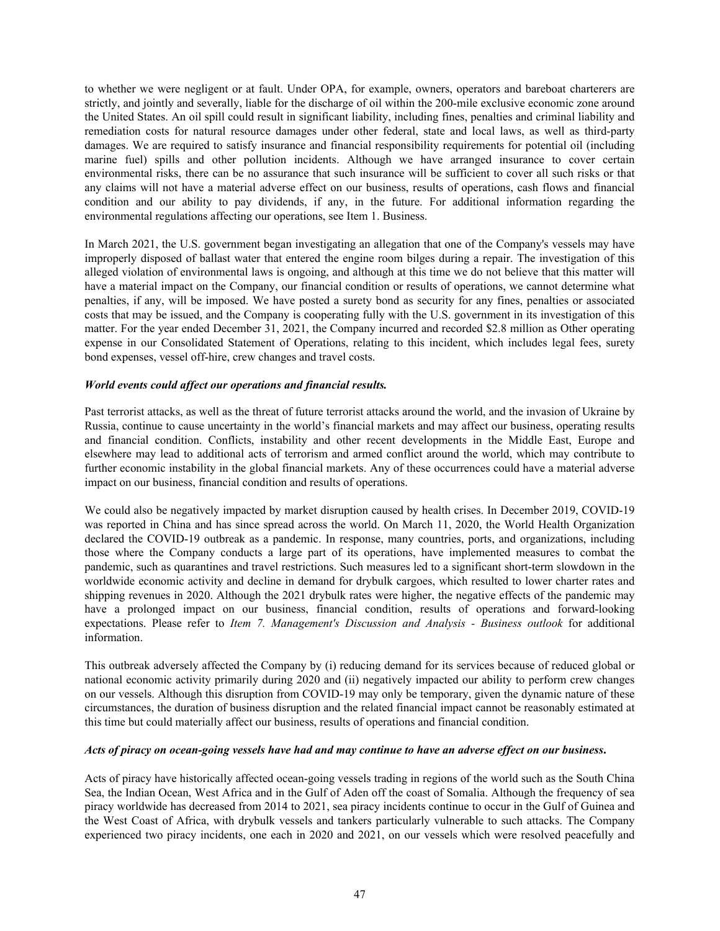to whether we were negligent or at fault. Under OPA, for example, owners, operators and bareboat charterers are strictly, and jointly and severally, liable for the discharge of oil within the 200-mile exclusive economic zone around the United States. An oil spill could result in significant liability, including fines, penalties and criminal liability and remediation costs for natural resource damages under other federal, state and local laws, as well as third-party damages. We are required to satisfy insurance and financial responsibility requirements for potential oil (including marine fuel) spills and other pollution incidents. Although we have arranged insurance to cover certain environmental risks, there can be no assurance that such insurance will be sufficient to cover all such risks or that any claims will not have a material adverse effect on our business, results of operations, cash flows and financial condition and our ability to pay dividends, if any, in the future. For additional information regarding the environmental regulations affecting our operations, see Item 1. Business.

In March 2021, the U.S. government began investigating an allegation that one of the Company's vessels may have improperly disposed of ballast water that entered the engine room bilges during a repair. The investigation of this alleged violation of environmental laws is ongoing, and although at this time we do not believe that this matter will have a material impact on the Company, our financial condition or results of operations, we cannot determine what penalties, if any, will be imposed. We have posted a surety bond as security for any fines, penalties or associated costs that may be issued, and the Company is cooperating fully with the U.S. government in its investigation of this matter. For the year ended December 31, 2021, the Company incurred and recorded \$2.8 million as Other operating expense in our Consolidated Statement of Operations, relating to this incident, which includes legal fees, surety bond expenses, vessel off-hire, crew changes and travel costs.

## *World events could affect our operations and financial results.*

Past terrorist attacks, as well as the threat of future terrorist attacks around the world, and the invasion of Ukraine by Russia, continue to cause uncertainty in the world's financial markets and may affect our business, operating results and financial condition. Conflicts, instability and other recent developments in the Middle East, Europe and elsewhere may lead to additional acts of terrorism and armed conflict around the world, which may contribute to further economic instability in the global financial markets. Any of these occurrences could have a material adverse impact on our business, financial condition and results of operations.

We could also be negatively impacted by market disruption caused by health crises. In December 2019, COVID-19 was reported in China and has since spread across the world. On March 11, 2020, the World Health Organization declared the COVID-19 outbreak as a pandemic. In response, many countries, ports, and organizations, including those where the Company conducts a large part of its operations, have implemented measures to combat the pandemic, such as quarantines and travel restrictions. Such measures led to a significant short-term slowdown in the worldwide economic activity and decline in demand for drybulk cargoes, which resulted to lower charter rates and shipping revenues in 2020. Although the 2021 drybulk rates were higher, the negative effects of the pandemic may have a prolonged impact on our business, financial condition, results of operations and forward-looking expectations. Please refer to *Item 7. Management's Discussion and Analysis - Business outlook* for additional information.

This outbreak adversely affected the Company by (i) reducing demand for its services because of reduced global or national economic activity primarily during 2020 and (ii) negatively impacted our ability to perform crew changes on our vessels. Although this disruption from COVID-19 may only be temporary, given the dynamic nature of these circumstances, the duration of business disruption and the related financial impact cannot be reasonably estimated at this time but could materially affect our business, results of operations and financial condition.

#### *Acts of piracy on ocean-going vessels have had and may continue to have an adverse effect on our business***.**

Acts of piracy have historically affected ocean-going vessels trading in regions of the world such as the South China Sea, the Indian Ocean, West Africa and in the Gulf of Aden off the coast of Somalia. Although the frequency of sea piracy worldwide has decreased from 2014 to 2021, sea piracy incidents continue to occur in the Gulf of Guinea and the West Coast of Africa, with drybulk vessels and tankers particularly vulnerable to such attacks. The Company experienced two piracy incidents, one each in 2020 and 2021, on our vessels which were resolved peacefully and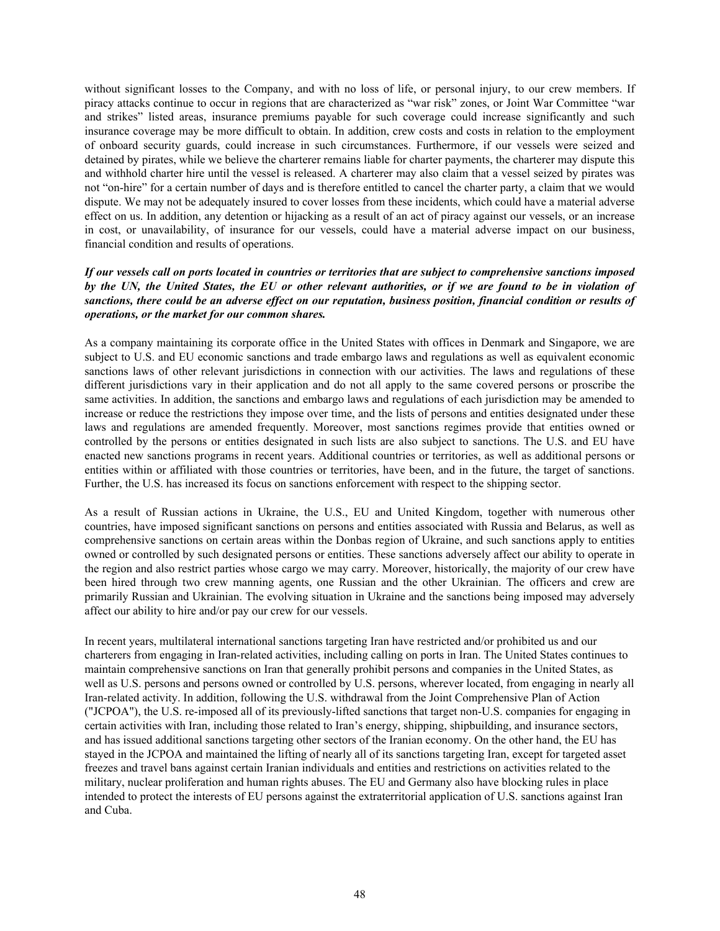without significant losses to the Company, and with no loss of life, or personal injury, to our crew members. If piracy attacks continue to occur in regions that are characterized as "war risk" zones, or Joint War Committee "war and strikes" listed areas, insurance premiums payable for such coverage could increase significantly and such insurance coverage may be more difficult to obtain. In addition, crew costs and costs in relation to the employment of onboard security guards, could increase in such circumstances. Furthermore, if our vessels were seized and detained by pirates, while we believe the charterer remains liable for charter payments, the charterer may dispute this and withhold charter hire until the vessel is released. A charterer may also claim that a vessel seized by pirates was not "on-hire" for a certain number of days and is therefore entitled to cancel the charter party, a claim that we would dispute. We may not be adequately insured to cover losses from these incidents, which could have a material adverse effect on us. In addition, any detention or hijacking as a result of an act of piracy against our vessels, or an increase in cost, or unavailability, of insurance for our vessels, could have a material adverse impact on our business, financial condition and results of operations.

# *If our vessels call on ports located in countries or territories that are subject to comprehensive sanctions imposed by the UN, the United States, the EU or other relevant authorities, or if we are found to be in violation of sanctions, there could be an adverse effect on our reputation, business position, financial condition or results of operations, or the market for our common shares.*

As a company maintaining its corporate office in the United States with offices in Denmark and Singapore, we are subject to U.S. and EU economic sanctions and trade embargo laws and regulations as well as equivalent economic sanctions laws of other relevant jurisdictions in connection with our activities. The laws and regulations of these different jurisdictions vary in their application and do not all apply to the same covered persons or proscribe the same activities. In addition, the sanctions and embargo laws and regulations of each jurisdiction may be amended to increase or reduce the restrictions they impose over time, and the lists of persons and entities designated under these laws and regulations are amended frequently. Moreover, most sanctions regimes provide that entities owned or controlled by the persons or entities designated in such lists are also subject to sanctions. The U.S. and EU have enacted new sanctions programs in recent years. Additional countries or territories, as well as additional persons or entities within or affiliated with those countries or territories, have been, and in the future, the target of sanctions. Further, the U.S. has increased its focus on sanctions enforcement with respect to the shipping sector.

As a result of Russian actions in Ukraine, the U.S., EU and United Kingdom, together with numerous other countries, have imposed significant sanctions on persons and entities associated with Russia and Belarus, as well as comprehensive sanctions on certain areas within the Donbas region of Ukraine, and such sanctions apply to entities owned or controlled by such designated persons or entities. These sanctions adversely affect our ability to operate in the region and also restrict parties whose cargo we may carry. Moreover, historically, the majority of our crew have been hired through two crew manning agents, one Russian and the other Ukrainian. The officers and crew are primarily Russian and Ukrainian. The evolving situation in Ukraine and the sanctions being imposed may adversely affect our ability to hire and/or pay our crew for our vessels.

In recent years, multilateral international sanctions targeting Iran have restricted and/or prohibited us and our charterers from engaging in Iran-related activities, including calling on ports in Iran. The United States continues to maintain comprehensive sanctions on Iran that generally prohibit persons and companies in the United States, as well as U.S. persons and persons owned or controlled by U.S. persons, wherever located, from engaging in nearly all Iran-related activity. In addition, following the U.S. withdrawal from the Joint Comprehensive Plan of Action ("JCPOA"), the U.S. re-imposed all of its previously-lifted sanctions that target non-U.S. companies for engaging in certain activities with Iran, including those related to Iran's energy, shipping, shipbuilding, and insurance sectors, and has issued additional sanctions targeting other sectors of the Iranian economy. On the other hand, the EU has stayed in the JCPOA and maintained the lifting of nearly all of its sanctions targeting Iran, except for targeted asset freezes and travel bans against certain Iranian individuals and entities and restrictions on activities related to the military, nuclear proliferation and human rights abuses. The EU and Germany also have blocking rules in place intended to protect the interests of EU persons against the extraterritorial application of U.S. sanctions against Iran and Cuba.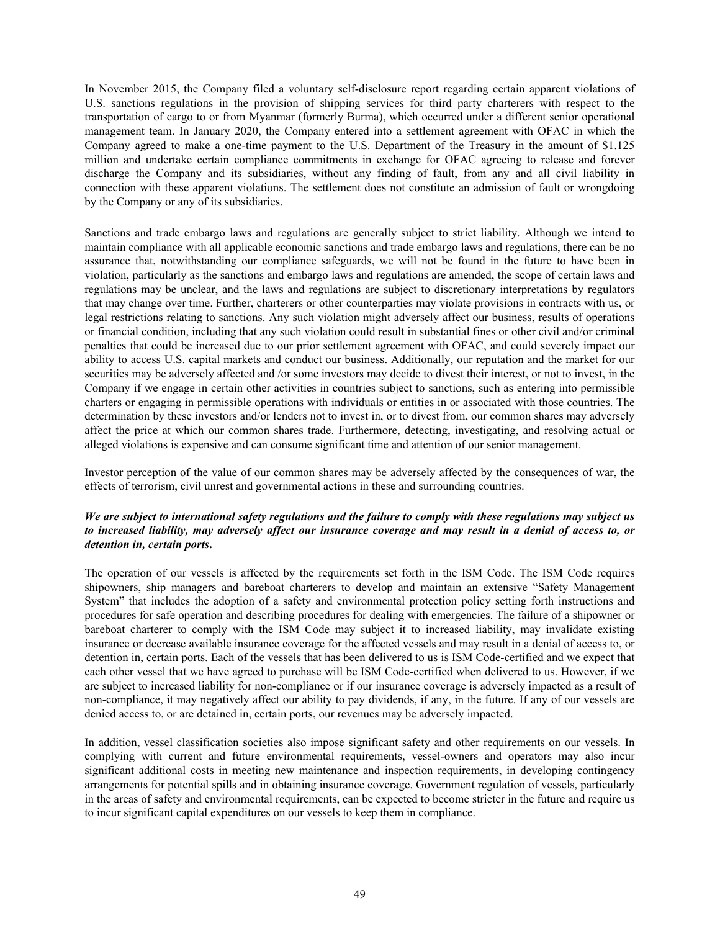In November 2015, the Company filed a voluntary self-disclosure report regarding certain apparent violations of U.S. sanctions regulations in the provision of shipping services for third party charterers with respect to the transportation of cargo to or from Myanmar (formerly Burma), which occurred under a different senior operational management team. In January 2020, the Company entered into a settlement agreement with OFAC in which the Company agreed to make a one-time payment to the U.S. Department of the Treasury in the amount of \$1.125 million and undertake certain compliance commitments in exchange for OFAC agreeing to release and forever discharge the Company and its subsidiaries, without any finding of fault, from any and all civil liability in connection with these apparent violations. The settlement does not constitute an admission of fault or wrongdoing by the Company or any of its subsidiaries.

Sanctions and trade embargo laws and regulations are generally subject to strict liability. Although we intend to maintain compliance with all applicable economic sanctions and trade embargo laws and regulations, there can be no assurance that, notwithstanding our compliance safeguards, we will not be found in the future to have been in violation, particularly as the sanctions and embargo laws and regulations are amended, the scope of certain laws and regulations may be unclear, and the laws and regulations are subject to discretionary interpretations by regulators that may change over time. Further, charterers or other counterparties may violate provisions in contracts with us, or legal restrictions relating to sanctions. Any such violation might adversely affect our business, results of operations or financial condition, including that any such violation could result in substantial fines or other civil and/or criminal penalties that could be increased due to our prior settlement agreement with OFAC, and could severely impact our ability to access U.S. capital markets and conduct our business. Additionally, our reputation and the market for our securities may be adversely affected and /or some investors may decide to divest their interest, or not to invest, in the Company if we engage in certain other activities in countries subject to sanctions, such as entering into permissible charters or engaging in permissible operations with individuals or entities in or associated with those countries. The determination by these investors and/or lenders not to invest in, or to divest from, our common shares may adversely affect the price at which our common shares trade. Furthermore, detecting, investigating, and resolving actual or alleged violations is expensive and can consume significant time and attention of our senior management.

Investor perception of the value of our common shares may be adversely affected by the consequences of war, the effects of terrorism, civil unrest and governmental actions in these and surrounding countries.

# *We are subject to international safety regulations and the failure to comply with these regulations may subject us to increased liability, may adversely affect our insurance coverage and may result in a denial of access to, or detention in, certain ports***.**

The operation of our vessels is affected by the requirements set forth in the ISM Code. The ISM Code requires shipowners, ship managers and bareboat charterers to develop and maintain an extensive "Safety Management System" that includes the adoption of a safety and environmental protection policy setting forth instructions and procedures for safe operation and describing procedures for dealing with emergencies. The failure of a shipowner or bareboat charterer to comply with the ISM Code may subject it to increased liability, may invalidate existing insurance or decrease available insurance coverage for the affected vessels and may result in a denial of access to, or detention in, certain ports. Each of the vessels that has been delivered to us is ISM Code-certified and we expect that each other vessel that we have agreed to purchase will be ISM Code-certified when delivered to us. However, if we are subject to increased liability for non-compliance or if our insurance coverage is adversely impacted as a result of non-compliance, it may negatively affect our ability to pay dividends, if any, in the future. If any of our vessels are denied access to, or are detained in, certain ports, our revenues may be adversely impacted.

In addition, vessel classification societies also impose significant safety and other requirements on our vessels. In complying with current and future environmental requirements, vessel-owners and operators may also incur significant additional costs in meeting new maintenance and inspection requirements, in developing contingency arrangements for potential spills and in obtaining insurance coverage. Government regulation of vessels, particularly in the areas of safety and environmental requirements, can be expected to become stricter in the future and require us to incur significant capital expenditures on our vessels to keep them in compliance.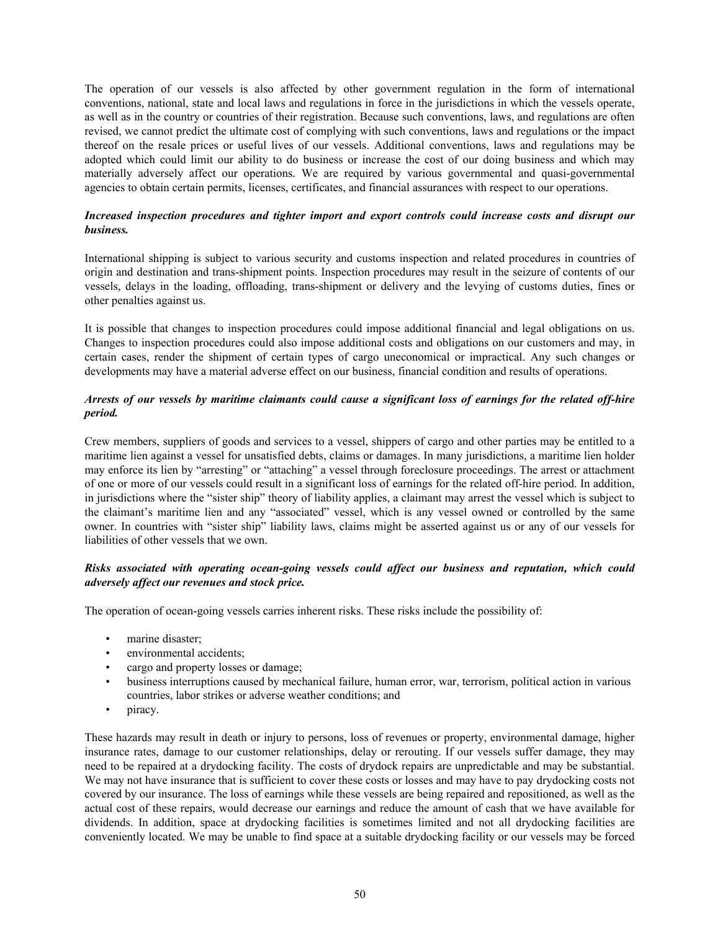The operation of our vessels is also affected by other government regulation in the form of international conventions, national, state and local laws and regulations in force in the jurisdictions in which the vessels operate, as well as in the country or countries of their registration. Because such conventions, laws, and regulations are often revised, we cannot predict the ultimate cost of complying with such conventions, laws and regulations or the impact thereof on the resale prices or useful lives of our vessels. Additional conventions, laws and regulations may be adopted which could limit our ability to do business or increase the cost of our doing business and which may materially adversely affect our operations. We are required by various governmental and quasi-governmental agencies to obtain certain permits, licenses, certificates, and financial assurances with respect to our operations.

# *Increased inspection procedures and tighter import and export controls could increase costs and disrupt our business.*

International shipping is subject to various security and customs inspection and related procedures in countries of origin and destination and trans-shipment points. Inspection procedures may result in the seizure of contents of our vessels, delays in the loading, offloading, trans-shipment or delivery and the levying of customs duties, fines or other penalties against us.

It is possible that changes to inspection procedures could impose additional financial and legal obligations on us. Changes to inspection procedures could also impose additional costs and obligations on our customers and may, in certain cases, render the shipment of certain types of cargo uneconomical or impractical. Any such changes or developments may have a material adverse effect on our business, financial condition and results of operations.

## *Arrests of our vessels by maritime claimants could cause a significant loss of earnings for the related off-hire period.*

Crew members, suppliers of goods and services to a vessel, shippers of cargo and other parties may be entitled to a maritime lien against a vessel for unsatisfied debts, claims or damages. In many jurisdictions, a maritime lien holder may enforce its lien by "arresting" or "attaching" a vessel through foreclosure proceedings. The arrest or attachment of one or more of our vessels could result in a significant loss of earnings for the related off-hire period. In addition, in jurisdictions where the "sister ship" theory of liability applies, a claimant may arrest the vessel which is subject to the claimant's maritime lien and any "associated" vessel, which is any vessel owned or controlled by the same owner. In countries with "sister ship" liability laws, claims might be asserted against us or any of our vessels for liabilities of other vessels that we own.

# *Risks associated with operating ocean-going vessels could affect our business and reputation, which could adversely affect our revenues and stock price.*

The operation of ocean-going vessels carries inherent risks. These risks include the possibility of:

- marine disaster;
- environmental accidents;
- cargo and property losses or damage;
- business interruptions caused by mechanical failure, human error, war, terrorism, political action in various countries, labor strikes or adverse weather conditions; and
- piracy.

These hazards may result in death or injury to persons, loss of revenues or property, environmental damage, higher insurance rates, damage to our customer relationships, delay or rerouting. If our vessels suffer damage, they may need to be repaired at a drydocking facility. The costs of drydock repairs are unpredictable and may be substantial. We may not have insurance that is sufficient to cover these costs or losses and may have to pay drydocking costs not covered by our insurance. The loss of earnings while these vessels are being repaired and repositioned, as well as the actual cost of these repairs, would decrease our earnings and reduce the amount of cash that we have available for dividends. In addition, space at drydocking facilities is sometimes limited and not all drydocking facilities are conveniently located. We may be unable to find space at a suitable drydocking facility or our vessels may be forced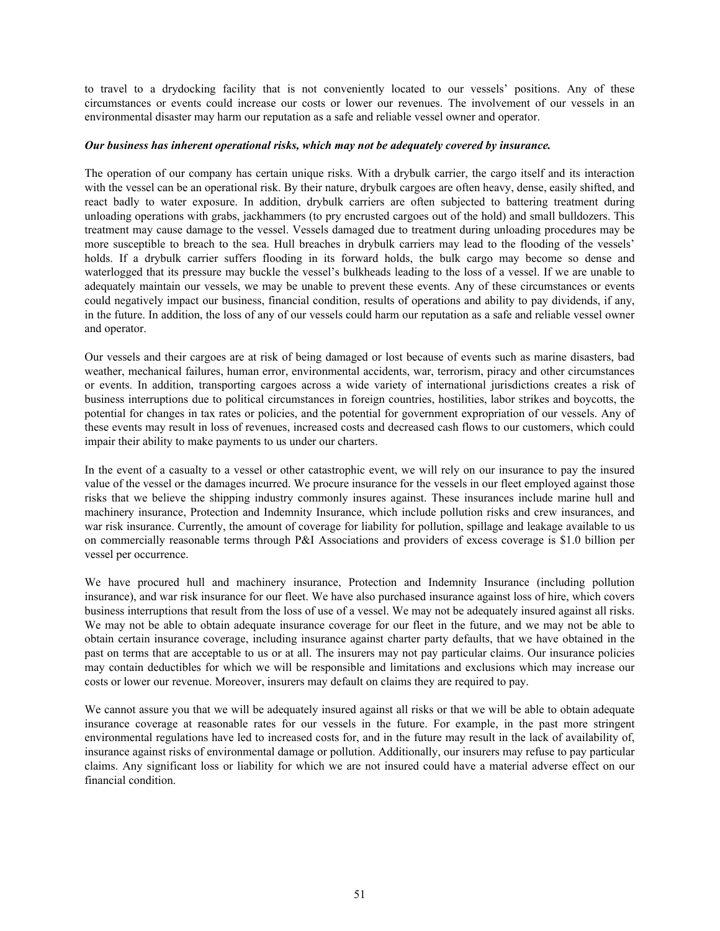to travel to a drydocking facility that is not conveniently located to our vessels' positions. Any of these circumstances or events could increase our costs or lower our revenues. The involvement of our vessels in an environmental disaster may harm our reputation as a safe and reliable vessel owner and operator.

#### *Our business has inherent operational risks, which may not be adequately covered by insurance.*

The operation of our company has certain unique risks. With a drybulk carrier, the cargo itself and its interaction with the vessel can be an operational risk. By their nature, drybulk cargoes are often heavy, dense, easily shifted, and react badly to water exposure. In addition, drybulk carriers are often subjected to battering treatment during unloading operations with grabs, jackhammers (to pry encrusted cargoes out of the hold) and small bulldozers. This treatment may cause damage to the vessel. Vessels damaged due to treatment during unloading procedures may be more susceptible to breach to the sea. Hull breaches in drybulk carriers may lead to the flooding of the vessels' holds. If a drybulk carrier suffers flooding in its forward holds, the bulk cargo may become so dense and waterlogged that its pressure may buckle the vessel's bulkheads leading to the loss of a vessel. If we are unable to adequately maintain our vessels, we may be unable to prevent these events. Any of these circumstances or events could negatively impact our business, financial condition, results of operations and ability to pay dividends, if any, in the future. In addition, the loss of any of our vessels could harm our reputation as a safe and reliable vessel owner and operator.

Our vessels and their cargoes are at risk of being damaged or lost because of events such as marine disasters, bad weather, mechanical failures, human error, environmental accidents, war, terrorism, piracy and other circumstances or events. In addition, transporting cargoes across a wide variety of international jurisdictions creates a risk of business interruptions due to political circumstances in foreign countries, hostilities, labor strikes and boycotts, the potential for changes in tax rates or policies, and the potential for government expropriation of our vessels. Any of these events may result in loss of revenues, increased costs and decreased cash flows to our customers, which could impair their ability to make payments to us under our charters.

In the event of a casualty to a vessel or other catastrophic event, we will rely on our insurance to pay the insured value of the vessel or the damages incurred. We procure insurance for the vessels in our fleet employed against those risks that we believe the shipping industry commonly insures against. These insurances include marine hull and machinery insurance, Protection and Indemnity Insurance, which include pollution risks and crew insurances, and war risk insurance. Currently, the amount of coverage for liability for pollution, spillage and leakage available to us on commercially reasonable terms through P&I Associations and providers of excess coverage is \$1.0 billion per vessel per occurrence.

We have procured hull and machinery insurance, Protection and Indemnity Insurance (including pollution insurance), and war risk insurance for our fleet. We have also purchased insurance against loss of hire, which covers business interruptions that result from the loss of use of a vessel. We may not be adequately insured against all risks. We may not be able to obtain adequate insurance coverage for our fleet in the future, and we may not be able to obtain certain insurance coverage, including insurance against charter party defaults, that we have obtained in the past on terms that are acceptable to us or at all. The insurers may not pay particular claims. Our insurance policies may contain deductibles for which we will be responsible and limitations and exclusions which may increase our costs or lower our revenue. Moreover, insurers may default on claims they are required to pay.

We cannot assure you that we will be adequately insured against all risks or that we will be able to obtain adequate insurance coverage at reasonable rates for our vessels in the future. For example, in the past more stringent environmental regulations have led to increased costs for, and in the future may result in the lack of availability of, insurance against risks of environmental damage or pollution. Additionally, our insurers may refuse to pay particular claims. Any significant loss or liability for which we are not insured could have a material adverse effect on our financial condition.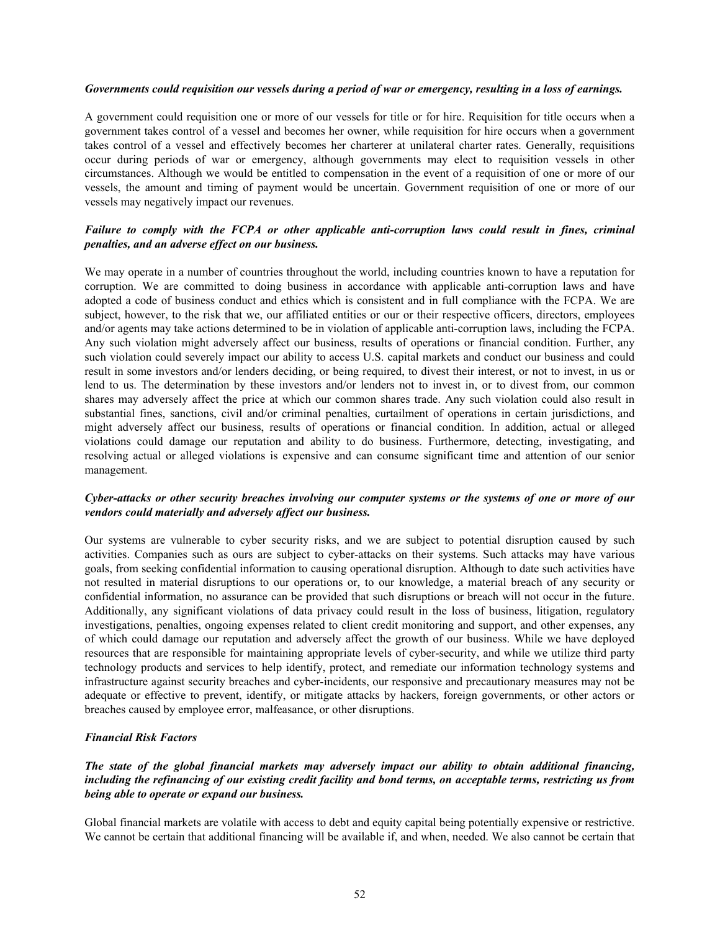#### *Governments could requisition our vessels during a period of war or emergency, resulting in a loss of earnings.*

A government could requisition one or more of our vessels for title or for hire. Requisition for title occurs when a government takes control of a vessel and becomes her owner, while requisition for hire occurs when a government takes control of a vessel and effectively becomes her charterer at unilateral charter rates. Generally, requisitions occur during periods of war or emergency, although governments may elect to requisition vessels in other circumstances. Although we would be entitled to compensation in the event of a requisition of one or more of our vessels, the amount and timing of payment would be uncertain. Government requisition of one or more of our vessels may negatively impact our revenues.

# *Failure to comply with the FCPA or other applicable anti-corruption laws could result in fines, criminal penalties, and an adverse effect on our business.*

We may operate in a number of countries throughout the world, including countries known to have a reputation for corruption. We are committed to doing business in accordance with applicable anti-corruption laws and have adopted a code of business conduct and ethics which is consistent and in full compliance with the FCPA. We are subject, however, to the risk that we, our affiliated entities or our or their respective officers, directors, employees and/or agents may take actions determined to be in violation of applicable anti-corruption laws, including the FCPA. Any such violation might adversely affect our business, results of operations or financial condition. Further, any such violation could severely impact our ability to access U.S. capital markets and conduct our business and could result in some investors and/or lenders deciding, or being required, to divest their interest, or not to invest, in us or lend to us. The determination by these investors and/or lenders not to invest in, or to divest from, our common shares may adversely affect the price at which our common shares trade. Any such violation could also result in substantial fines, sanctions, civil and/or criminal penalties, curtailment of operations in certain jurisdictions, and might adversely affect our business, results of operations or financial condition. In addition, actual or alleged violations could damage our reputation and ability to do business. Furthermore, detecting, investigating, and resolving actual or alleged violations is expensive and can consume significant time and attention of our senior management.

## *Cyber-attacks or other security breaches involving our computer systems or the systems of one or more of our vendors could materially and adversely affect our business.*

Our systems are vulnerable to cyber security risks, and we are subject to potential disruption caused by such activities. Companies such as ours are subject to cyber-attacks on their systems. Such attacks may have various goals, from seeking confidential information to causing operational disruption. Although to date such activities have not resulted in material disruptions to our operations or, to our knowledge, a material breach of any security or confidential information, no assurance can be provided that such disruptions or breach will not occur in the future. Additionally, any significant violations of data privacy could result in the loss of business, litigation, regulatory investigations, penalties, ongoing expenses related to client credit monitoring and support, and other expenses, any of which could damage our reputation and adversely affect the growth of our business. While we have deployed resources that are responsible for maintaining appropriate levels of cyber-security, and while we utilize third party technology products and services to help identify, protect, and remediate our information technology systems and infrastructure against security breaches and cyber-incidents, our responsive and precautionary measures may not be adequate or effective to prevent, identify, or mitigate attacks by hackers, foreign governments, or other actors or breaches caused by employee error, malfeasance, or other disruptions.

## *Financial Risk Factors*

# *The state of the global financial markets may adversely impact our ability to obtain additional financing, including the refinancing of our existing credit facility and bond terms, on acceptable terms, restricting us from being able to operate or expand our business.*

Global financial markets are volatile with access to debt and equity capital being potentially expensive or restrictive. We cannot be certain that additional financing will be available if, and when, needed. We also cannot be certain that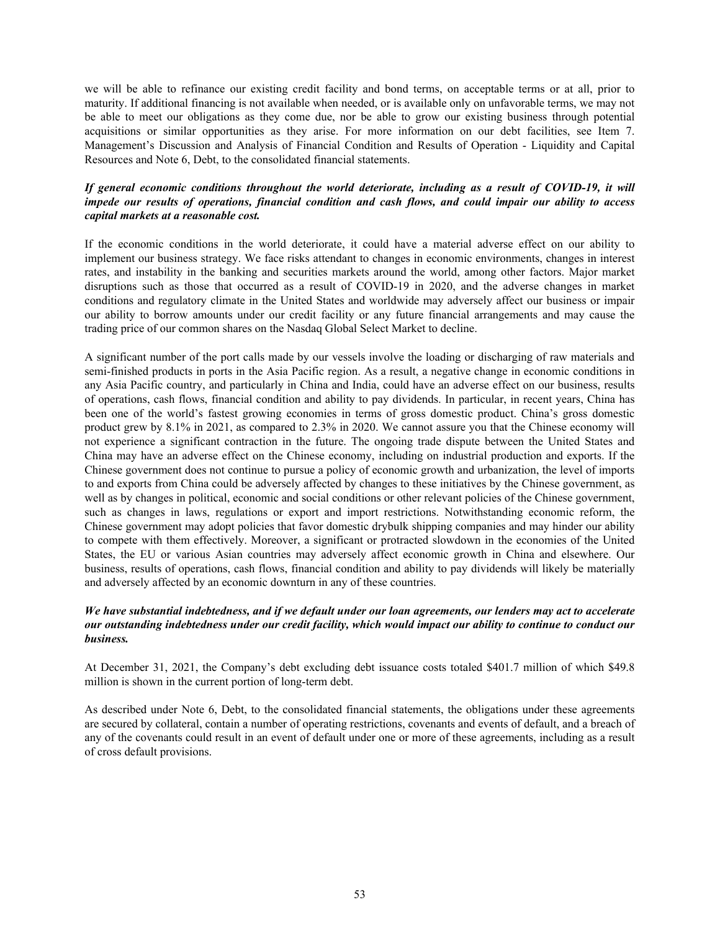we will be able to refinance our existing credit facility and bond terms, on acceptable terms or at all, prior to maturity. If additional financing is not available when needed, or is available only on unfavorable terms, we may not be able to meet our obligations as they come due, nor be able to grow our existing business through potential acquisitions or similar opportunities as they arise. For more information on our debt facilities, see Item 7. Management's Discussion and Analysis of Financial Condition and Results of Operation - Liquidity and Capital Resources and Note 6, Debt, to the consolidated financial statements.

# *If general economic conditions throughout the world deteriorate, including as a result of COVID-19, it will impede our results of operations, financial condition and cash flows, and could impair our ability to access capital markets at a reasonable cost.*

If the economic conditions in the world deteriorate, it could have a material adverse effect on our ability to implement our business strategy. We face risks attendant to changes in economic environments, changes in interest rates, and instability in the banking and securities markets around the world, among other factors. Major market disruptions such as those that occurred as a result of COVID-19 in 2020, and the adverse changes in market conditions and regulatory climate in the United States and worldwide may adversely affect our business or impair our ability to borrow amounts under our credit facility or any future financial arrangements and may cause the trading price of our common shares on the Nasdaq Global Select Market to decline.

A significant number of the port calls made by our vessels involve the loading or discharging of raw materials and semi-finished products in ports in the Asia Pacific region. As a result, a negative change in economic conditions in any Asia Pacific country, and particularly in China and India, could have an adverse effect on our business, results of operations, cash flows, financial condition and ability to pay dividends. In particular, in recent years, China has been one of the world's fastest growing economies in terms of gross domestic product. China's gross domestic product grew by 8.1% in 2021, as compared to 2.3% in 2020. We cannot assure you that the Chinese economy will not experience a significant contraction in the future. The ongoing trade dispute between the United States and China may have an adverse effect on the Chinese economy, including on industrial production and exports. If the Chinese government does not continue to pursue a policy of economic growth and urbanization, the level of imports to and exports from China could be adversely affected by changes to these initiatives by the Chinese government, as well as by changes in political, economic and social conditions or other relevant policies of the Chinese government, such as changes in laws, regulations or export and import restrictions. Notwithstanding economic reform, the Chinese government may adopt policies that favor domestic drybulk shipping companies and may hinder our ability to compete with them effectively. Moreover, a significant or protracted slowdown in the economies of the United States, the EU or various Asian countries may adversely affect economic growth in China and elsewhere. Our business, results of operations, cash flows, financial condition and ability to pay dividends will likely be materially and adversely affected by an economic downturn in any of these countries.

## *We have substantial indebtedness, and if we default under our loan agreements, our lenders may act to accelerate our outstanding indebtedness under our credit facility, which would impact our ability to continue to conduct our business.*

At December 31, 2021, the Company's debt excluding debt issuance costs totaled \$401.7 million of which \$49.8 million is shown in the current portion of long-term debt.

As described under Note 6, Debt, to the consolidated financial statements, the obligations under these agreements are secured by collateral, contain a number of operating restrictions, covenants and events of default, and a breach of any of the covenants could result in an event of default under one or more of these agreements, including as a result of cross default provisions.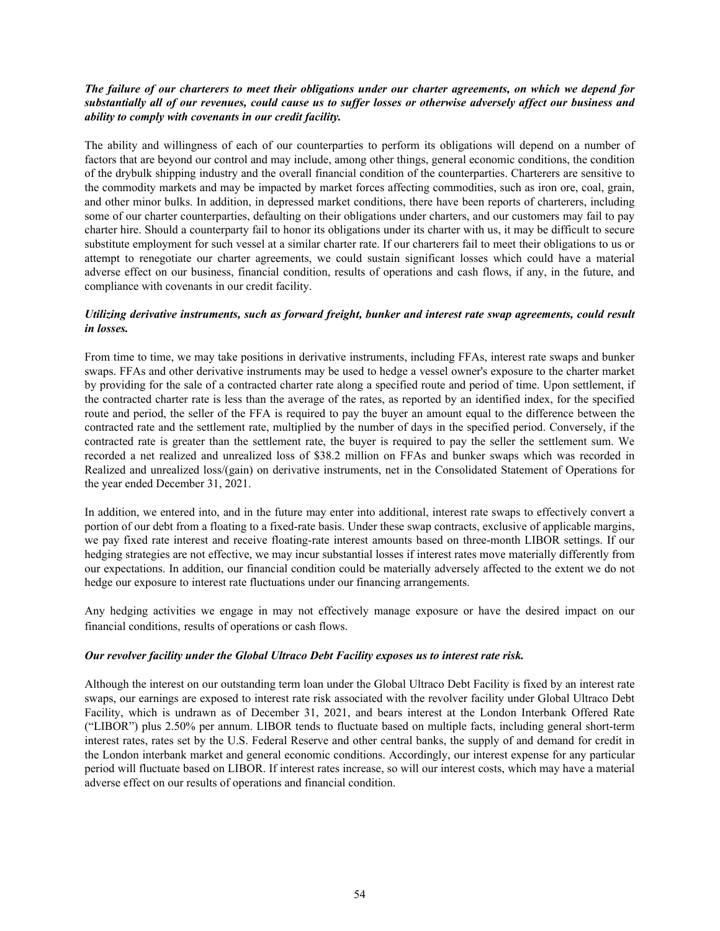# *The failure of our charterers to meet their obligations under our charter agreements, on which we depend for substantially all of our revenues, could cause us to suffer losses or otherwise adversely affect our business and ability to comply with covenants in our credit facility.*

The ability and willingness of each of our counterparties to perform its obligations will depend on a number of factors that are beyond our control and may include, among other things, general economic conditions, the condition of the drybulk shipping industry and the overall financial condition of the counterparties. Charterers are sensitive to the commodity markets and may be impacted by market forces affecting commodities, such as iron ore, coal, grain, and other minor bulks. In addition, in depressed market conditions, there have been reports of charterers, including some of our charter counterparties, defaulting on their obligations under charters, and our customers may fail to pay charter hire. Should a counterparty fail to honor its obligations under its charter with us, it may be difficult to secure substitute employment for such vessel at a similar charter rate. If our charterers fail to meet their obligations to us or attempt to renegotiate our charter agreements, we could sustain significant losses which could have a material adverse effect on our business, financial condition, results of operations and cash flows, if any, in the future, and compliance with covenants in our credit facility.

## *Utilizing derivative instruments, such as forward freight, bunker and interest rate swap agreements, could result in losses.*

From time to time, we may take positions in derivative instruments, including FFAs, interest rate swaps and bunker swaps. FFAs and other derivative instruments may be used to hedge a vessel owner's exposure to the charter market by providing for the sale of a contracted charter rate along a specified route and period of time. Upon settlement, if the contracted charter rate is less than the average of the rates, as reported by an identified index, for the specified route and period, the seller of the FFA is required to pay the buyer an amount equal to the difference between the contracted rate and the settlement rate, multiplied by the number of days in the specified period. Conversely, if the contracted rate is greater than the settlement rate, the buyer is required to pay the seller the settlement sum. We recorded a net realized and unrealized loss of \$38.2 million on FFAs and bunker swaps which was recorded in Realized and unrealized loss/(gain) on derivative instruments, net in the Consolidated Statement of Operations for the year ended December 31, 2021.

In addition, we entered into, and in the future may enter into additional, interest rate swaps to effectively convert a portion of our debt from a floating to a fixed-rate basis. Under these swap contracts, exclusive of applicable margins, we pay fixed rate interest and receive floating-rate interest amounts based on three-month LIBOR settings. If our hedging strategies are not effective, we may incur substantial losses if interest rates move materially differently from our expectations. In addition, our financial condition could be materially adversely affected to the extent we do not hedge our exposure to interest rate fluctuations under our financing arrangements.

Any hedging activities we engage in may not effectively manage exposure or have the desired impact on our financial conditions, results of operations or cash flows.

## *Our revolver facility under the Global Ultraco Debt Facility exposes us to interest rate risk.*

Although the interest on our outstanding term loan under the Global Ultraco Debt Facility is fixed by an interest rate swaps, our earnings are exposed to interest rate risk associated with the revolver facility under Global Ultraco Debt Facility, which is undrawn as of December 31, 2021, and bears interest at the London Interbank Offered Rate ("LIBOR") plus 2.50% per annum. LIBOR tends to fluctuate based on multiple facts, including general short-term interest rates, rates set by the U.S. Federal Reserve and other central banks, the supply of and demand for credit in the London interbank market and general economic conditions. Accordingly, our interest expense for any particular period will fluctuate based on LIBOR. If interest rates increase, so will our interest costs, which may have a material adverse effect on our results of operations and financial condition.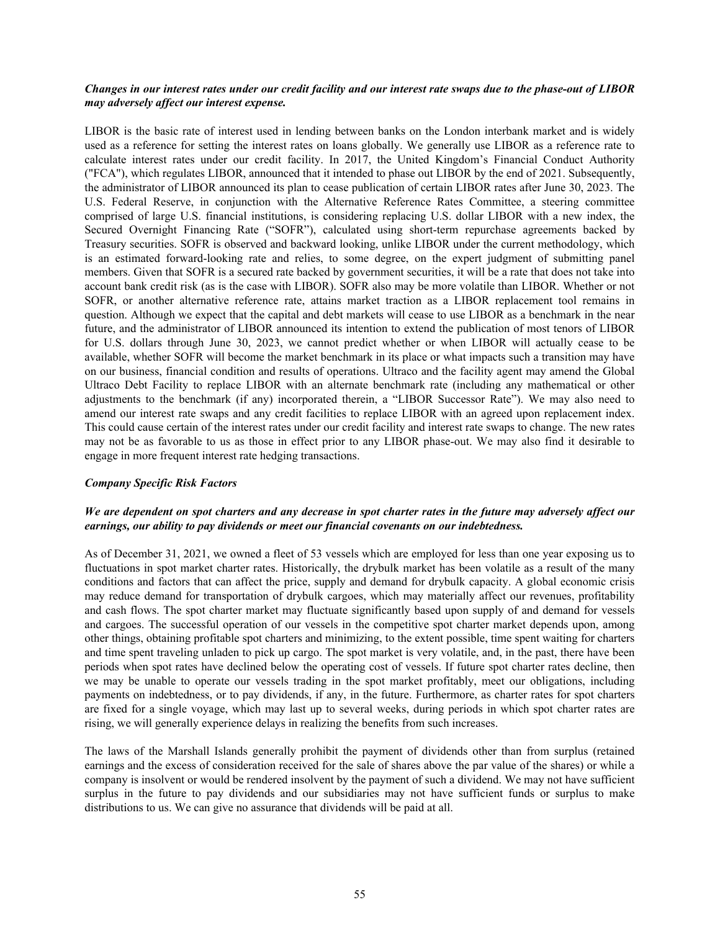## *Changes in our interest rates under our credit facility and our interest rate swaps due to the phase-out of LIBOR may adversely affect our interest expense.*

LIBOR is the basic rate of interest used in lending between banks on the London interbank market and is widely used as a reference for setting the interest rates on loans globally. We generally use LIBOR as a reference rate to calculate interest rates under our credit facility. In 2017, the United Kingdom's Financial Conduct Authority ("FCA"), which regulates LIBOR, announced that it intended to phase out LIBOR by the end of 2021. Subsequently, the administrator of LIBOR announced its plan to cease publication of certain LIBOR rates after June 30, 2023. The U.S. Federal Reserve, in conjunction with the Alternative Reference Rates Committee, a steering committee comprised of large U.S. financial institutions, is considering replacing U.S. dollar LIBOR with a new index, the Secured Overnight Financing Rate ("SOFR"), calculated using short-term repurchase agreements backed by Treasury securities. SOFR is observed and backward looking, unlike LIBOR under the current methodology, which is an estimated forward-looking rate and relies, to some degree, on the expert judgment of submitting panel members. Given that SOFR is a secured rate backed by government securities, it will be a rate that does not take into account bank credit risk (as is the case with LIBOR). SOFR also may be more volatile than LIBOR. Whether or not SOFR, or another alternative reference rate, attains market traction as a LIBOR replacement tool remains in question. Although we expect that the capital and debt markets will cease to use LIBOR as a benchmark in the near future, and the administrator of LIBOR announced its intention to extend the publication of most tenors of LIBOR for U.S. dollars through June 30, 2023, we cannot predict whether or when LIBOR will actually cease to be available, whether SOFR will become the market benchmark in its place or what impacts such a transition may have on our business, financial condition and results of operations. Ultraco and the facility agent may amend the Global Ultraco Debt Facility to replace LIBOR with an alternate benchmark rate (including any mathematical or other adjustments to the benchmark (if any) incorporated therein, a "LIBOR Successor Rate"). We may also need to amend our interest rate swaps and any credit facilities to replace LIBOR with an agreed upon replacement index. This could cause certain of the interest rates under our credit facility and interest rate swaps to change. The new rates may not be as favorable to us as those in effect prior to any LIBOR phase-out. We may also find it desirable to engage in more frequent interest rate hedging transactions.

#### *Company Specific Risk Factors*

# *We are dependent on spot charters and any decrease in spot charter rates in the future may adversely affect our earnings, our ability to pay dividends or meet our financial covenants on our indebtedness.*

As of December 31, 2021, we owned a fleet of 53 vessels which are employed for less than one year exposing us to fluctuations in spot market charter rates. Historically, the drybulk market has been volatile as a result of the many conditions and factors that can affect the price, supply and demand for drybulk capacity. A global economic crisis may reduce demand for transportation of drybulk cargoes, which may materially affect our revenues, profitability and cash flows. The spot charter market may fluctuate significantly based upon supply of and demand for vessels and cargoes. The successful operation of our vessels in the competitive spot charter market depends upon, among other things, obtaining profitable spot charters and minimizing, to the extent possible, time spent waiting for charters and time spent traveling unladen to pick up cargo. The spot market is very volatile, and, in the past, there have been periods when spot rates have declined below the operating cost of vessels. If future spot charter rates decline, then we may be unable to operate our vessels trading in the spot market profitably, meet our obligations, including payments on indebtedness, or to pay dividends, if any, in the future. Furthermore, as charter rates for spot charters are fixed for a single voyage, which may last up to several weeks, during periods in which spot charter rates are rising, we will generally experience delays in realizing the benefits from such increases.

The laws of the Marshall Islands generally prohibit the payment of dividends other than from surplus (retained earnings and the excess of consideration received for the sale of shares above the par value of the shares) or while a company is insolvent or would be rendered insolvent by the payment of such a dividend. We may not have sufficient surplus in the future to pay dividends and our subsidiaries may not have sufficient funds or surplus to make distributions to us. We can give no assurance that dividends will be paid at all.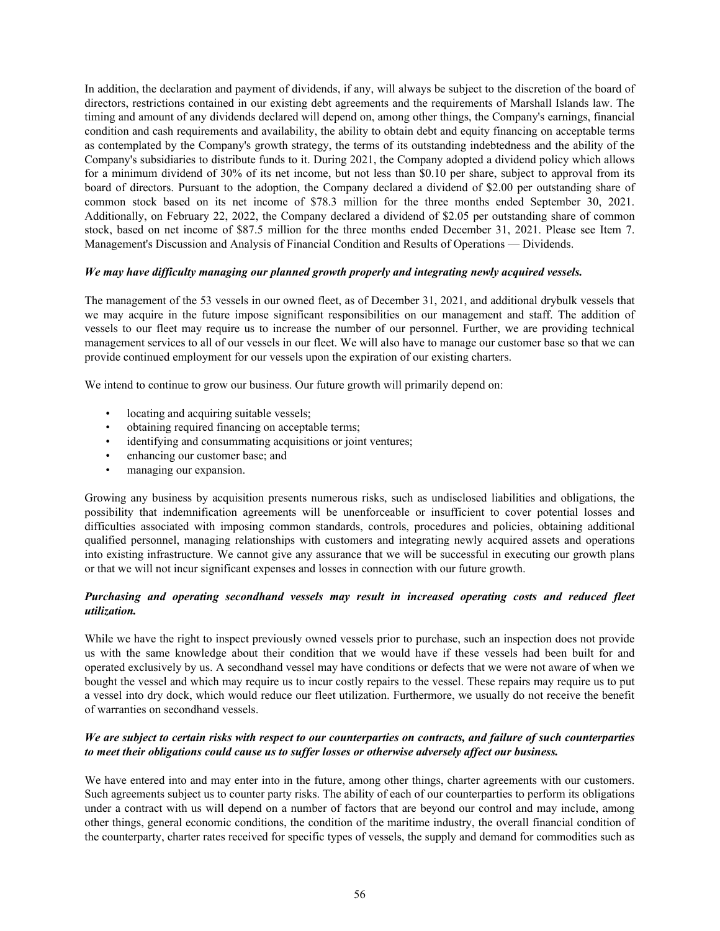In addition, the declaration and payment of dividends, if any, will always be subject to the discretion of the board of directors, restrictions contained in our existing debt agreements and the requirements of Marshall Islands law. The timing and amount of any dividends declared will depend on, among other things, the Company's earnings, financial condition and cash requirements and availability, the ability to obtain debt and equity financing on acceptable terms as contemplated by the Company's growth strategy, the terms of its outstanding indebtedness and the ability of the Company's subsidiaries to distribute funds to it. During 2021, the Company adopted a dividend policy which allows for a minimum dividend of 30% of its net income, but not less than \$0.10 per share, subject to approval from its board of directors. Pursuant to the adoption, the Company declared a dividend of \$2.00 per outstanding share of common stock based on its net income of \$78.3 million for the three months ended September 30, 2021. Additionally, on February 22, 2022, the Company declared a dividend of \$2.05 per outstanding share of common stock, based on net income of \$87.5 million for the three months ended December 31, 2021. Please see Item 7. Management's Discussion and Analysis of Financial Condition and Results of Operations — Dividends.

#### *We may have difficulty managing our planned growth properly and integrating newly acquired vessels.*

The management of the 53 vessels in our owned fleet, as of December 31, 2021, and additional drybulk vessels that we may acquire in the future impose significant responsibilities on our management and staff. The addition of vessels to our fleet may require us to increase the number of our personnel. Further, we are providing technical management services to all of our vessels in our fleet. We will also have to manage our customer base so that we can provide continued employment for our vessels upon the expiration of our existing charters.

We intend to continue to grow our business. Our future growth will primarily depend on:

- locating and acquiring suitable vessels;
- obtaining required financing on acceptable terms;
- identifying and consummating acquisitions or joint ventures;
- enhancing our customer base; and
- managing our expansion.

Growing any business by acquisition presents numerous risks, such as undisclosed liabilities and obligations, the possibility that indemnification agreements will be unenforceable or insufficient to cover potential losses and difficulties associated with imposing common standards, controls, procedures and policies, obtaining additional qualified personnel, managing relationships with customers and integrating newly acquired assets and operations into existing infrastructure. We cannot give any assurance that we will be successful in executing our growth plans or that we will not incur significant expenses and losses in connection with our future growth.

## *Purchasing and operating secondhand vessels may result in increased operating costs and reduced fleet utilization.*

While we have the right to inspect previously owned vessels prior to purchase, such an inspection does not provide us with the same knowledge about their condition that we would have if these vessels had been built for and operated exclusively by us. A secondhand vessel may have conditions or defects that we were not aware of when we bought the vessel and which may require us to incur costly repairs to the vessel. These repairs may require us to put a vessel into dry dock, which would reduce our fleet utilization. Furthermore, we usually do not receive the benefit of warranties on secondhand vessels.

## *We are subject to certain risks with respect to our counterparties on contracts, and failure of such counterparties to meet their obligations could cause us to suffer losses or otherwise adversely affect our business.*

We have entered into and may enter into in the future, among other things, charter agreements with our customers. Such agreements subject us to counter party risks. The ability of each of our counterparties to perform its obligations under a contract with us will depend on a number of factors that are beyond our control and may include, among other things, general economic conditions, the condition of the maritime industry, the overall financial condition of the counterparty, charter rates received for specific types of vessels, the supply and demand for commodities such as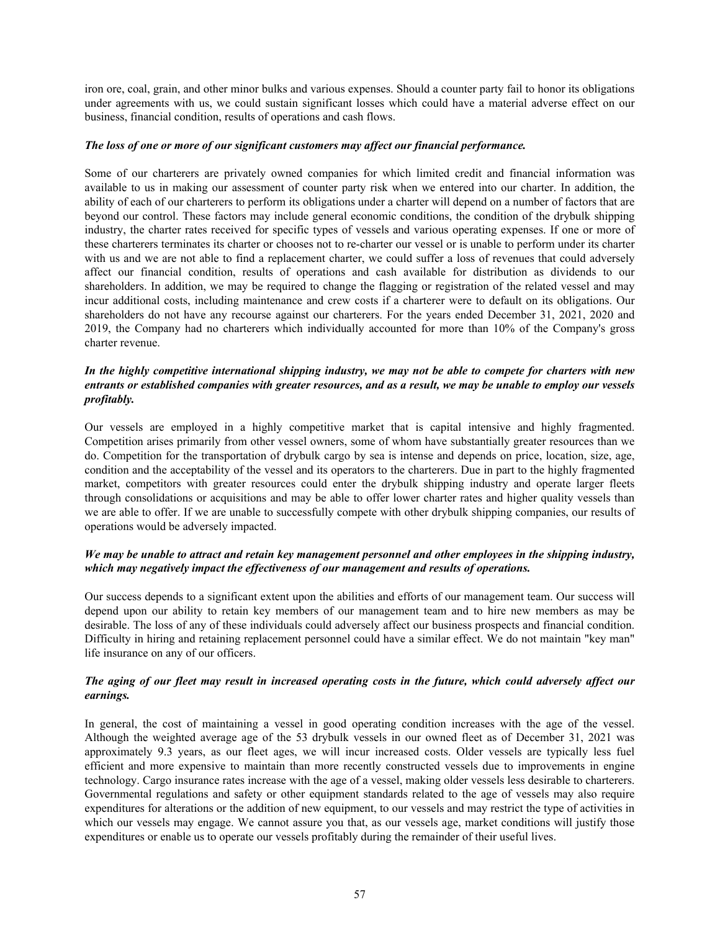iron ore, coal, grain, and other minor bulks and various expenses. Should a counter party fail to honor its obligations under agreements with us, we could sustain significant losses which could have a material adverse effect on our business, financial condition, results of operations and cash flows.

#### *The loss of one or more of our significant customers may affect our financial performance.*

Some of our charterers are privately owned companies for which limited credit and financial information was available to us in making our assessment of counter party risk when we entered into our charter. In addition, the ability of each of our charterers to perform its obligations under a charter will depend on a number of factors that are beyond our control. These factors may include general economic conditions, the condition of the drybulk shipping industry, the charter rates received for specific types of vessels and various operating expenses. If one or more of these charterers terminates its charter or chooses not to re-charter our vessel or is unable to perform under its charter with us and we are not able to find a replacement charter, we could suffer a loss of revenues that could adversely affect our financial condition, results of operations and cash available for distribution as dividends to our shareholders. In addition, we may be required to change the flagging or registration of the related vessel and may incur additional costs, including maintenance and crew costs if a charterer were to default on its obligations. Our shareholders do not have any recourse against our charterers. For the years ended December 31, 2021, 2020 and 2019, the Company had no charterers which individually accounted for more than 10% of the Company's gross charter revenue.

## *In the highly competitive international shipping industry, we may not be able to compete for charters with new entrants or established companies with greater resources, and as a result, we may be unable to employ our vessels profitably.*

Our vessels are employed in a highly competitive market that is capital intensive and highly fragmented. Competition arises primarily from other vessel owners, some of whom have substantially greater resources than we do. Competition for the transportation of drybulk cargo by sea is intense and depends on price, location, size, age, condition and the acceptability of the vessel and its operators to the charterers. Due in part to the highly fragmented market, competitors with greater resources could enter the drybulk shipping industry and operate larger fleets through consolidations or acquisitions and may be able to offer lower charter rates and higher quality vessels than we are able to offer. If we are unable to successfully compete with other drybulk shipping companies, our results of operations would be adversely impacted.

## *We may be unable to attract and retain key management personnel and other employees in the shipping industry, which may negatively impact the effectiveness of our management and results of operations.*

Our success depends to a significant extent upon the abilities and efforts of our management team. Our success will depend upon our ability to retain key members of our management team and to hire new members as may be desirable. The loss of any of these individuals could adversely affect our business prospects and financial condition. Difficulty in hiring and retaining replacement personnel could have a similar effect. We do not maintain "key man" life insurance on any of our officers.

## *The aging of our fleet may result in increased operating costs in the future, which could adversely affect our earnings.*

In general, the cost of maintaining a vessel in good operating condition increases with the age of the vessel. Although the weighted average age of the 53 drybulk vessels in our owned fleet as of December 31, 2021 was approximately 9.3 years, as our fleet ages, we will incur increased costs. Older vessels are typically less fuel efficient and more expensive to maintain than more recently constructed vessels due to improvements in engine technology. Cargo insurance rates increase with the age of a vessel, making older vessels less desirable to charterers. Governmental regulations and safety or other equipment standards related to the age of vessels may also require expenditures for alterations or the addition of new equipment, to our vessels and may restrict the type of activities in which our vessels may engage. We cannot assure you that, as our vessels age, market conditions will justify those expenditures or enable us to operate our vessels profitably during the remainder of their useful lives.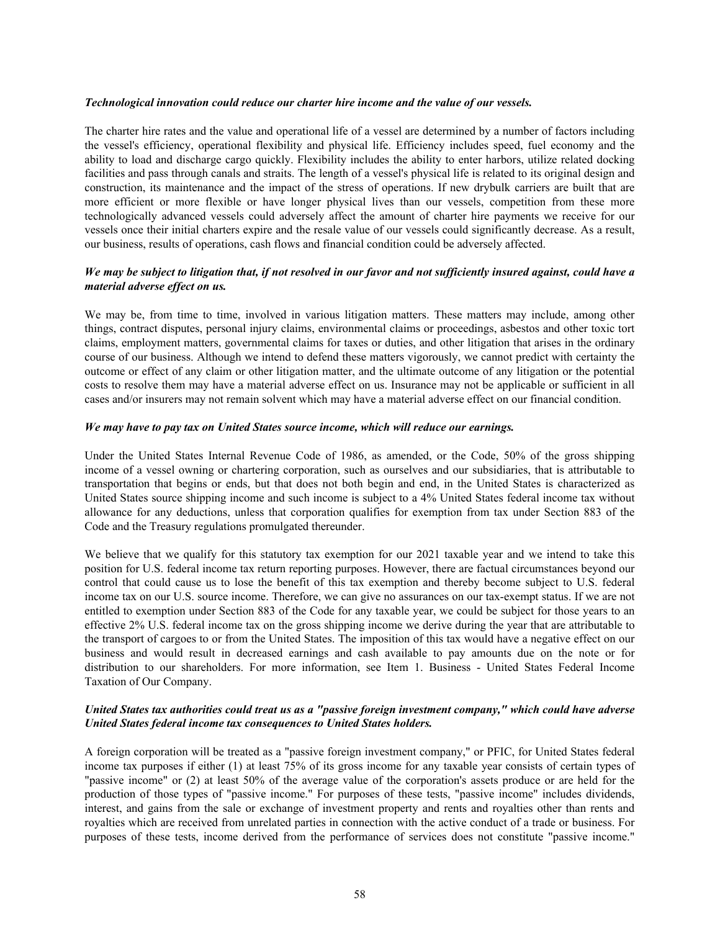#### *Technological innovation could reduce our charter hire income and the value of our vessels.*

The charter hire rates and the value and operational life of a vessel are determined by a number of factors including the vessel's efficiency, operational flexibility and physical life. Efficiency includes speed, fuel economy and the ability to load and discharge cargo quickly. Flexibility includes the ability to enter harbors, utilize related docking facilities and pass through canals and straits. The length of a vessel's physical life is related to its original design and construction, its maintenance and the impact of the stress of operations. If new drybulk carriers are built that are more efficient or more flexible or have longer physical lives than our vessels, competition from these more technologically advanced vessels could adversely affect the amount of charter hire payments we receive for our vessels once their initial charters expire and the resale value of our vessels could significantly decrease. As a result, our business, results of operations, cash flows and financial condition could be adversely affected.

# *We may be subject to litigation that, if not resolved in our favor and not sufficiently insured against, could have a material adverse effect on us.*

We may be, from time to time, involved in various litigation matters. These matters may include, among other things, contract disputes, personal injury claims, environmental claims or proceedings, asbestos and other toxic tort claims, employment matters, governmental claims for taxes or duties, and other litigation that arises in the ordinary course of our business. Although we intend to defend these matters vigorously, we cannot predict with certainty the outcome or effect of any claim or other litigation matter, and the ultimate outcome of any litigation or the potential costs to resolve them may have a material adverse effect on us. Insurance may not be applicable or sufficient in all cases and/or insurers may not remain solvent which may have a material adverse effect on our financial condition.

#### *We may have to pay tax on United States source income, which will reduce our earnings.*

Under the United States Internal Revenue Code of 1986, as amended, or the Code, 50% of the gross shipping income of a vessel owning or chartering corporation, such as ourselves and our subsidiaries, that is attributable to transportation that begins or ends, but that does not both begin and end, in the United States is characterized as United States source shipping income and such income is subject to a 4% United States federal income tax without allowance for any deductions, unless that corporation qualifies for exemption from tax under Section 883 of the Code and the Treasury regulations promulgated thereunder.

We believe that we qualify for this statutory tax exemption for our 2021 taxable year and we intend to take this position for U.S. federal income tax return reporting purposes. However, there are factual circumstances beyond our control that could cause us to lose the benefit of this tax exemption and thereby become subject to U.S. federal income tax on our U.S. source income. Therefore, we can give no assurances on our tax-exempt status. If we are not entitled to exemption under Section 883 of the Code for any taxable year, we could be subject for those years to an effective 2% U.S. federal income tax on the gross shipping income we derive during the year that are attributable to the transport of cargoes to or from the United States. The imposition of this tax would have a negative effect on our business and would result in decreased earnings and cash available to pay amounts due on the note or for distribution to our shareholders. For more information, see Item 1. Business - United States Federal Income Taxation of Our Company.

## *United States tax authorities could treat us as a "passive foreign investment company," which could have adverse United States federal income tax consequences to United States holders.*

A foreign corporation will be treated as a "passive foreign investment company," or PFIC, for United States federal income tax purposes if either (1) at least 75% of its gross income for any taxable year consists of certain types of "passive income" or (2) at least 50% of the average value of the corporation's assets produce or are held for the production of those types of "passive income." For purposes of these tests, "passive income" includes dividends, interest, and gains from the sale or exchange of investment property and rents and royalties other than rents and royalties which are received from unrelated parties in connection with the active conduct of a trade or business. For purposes of these tests, income derived from the performance of services does not constitute "passive income."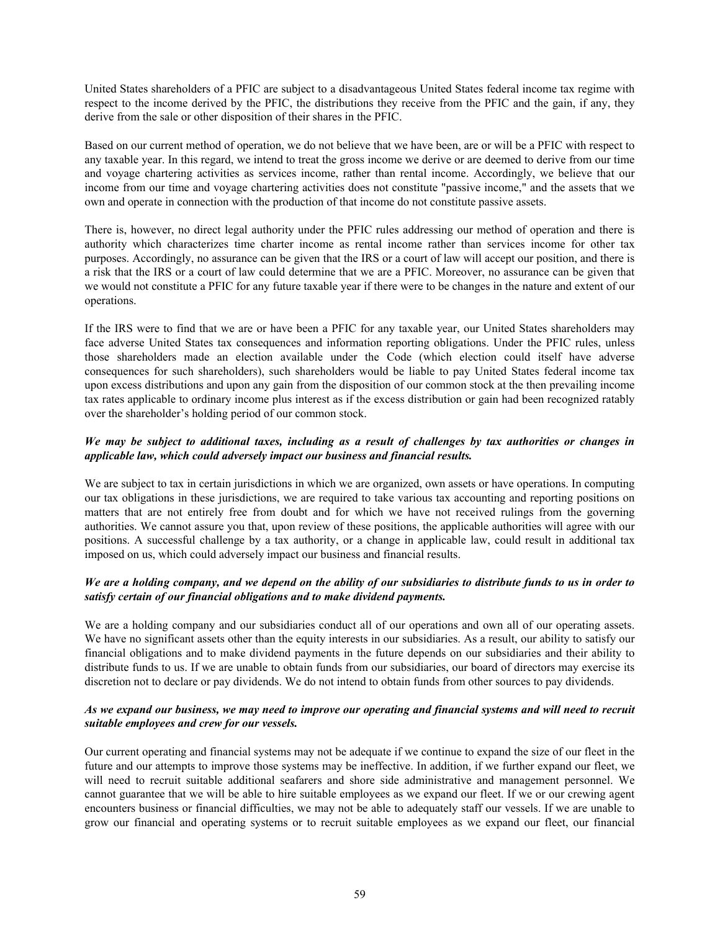United States shareholders of a PFIC are subject to a disadvantageous United States federal income tax regime with respect to the income derived by the PFIC, the distributions they receive from the PFIC and the gain, if any, they derive from the sale or other disposition of their shares in the PFIC.

Based on our current method of operation, we do not believe that we have been, are or will be a PFIC with respect to any taxable year. In this regard, we intend to treat the gross income we derive or are deemed to derive from our time and voyage chartering activities as services income, rather than rental income. Accordingly, we believe that our income from our time and voyage chartering activities does not constitute "passive income," and the assets that we own and operate in connection with the production of that income do not constitute passive assets.

There is, however, no direct legal authority under the PFIC rules addressing our method of operation and there is authority which characterizes time charter income as rental income rather than services income for other tax purposes. Accordingly, no assurance can be given that the IRS or a court of law will accept our position, and there is a risk that the IRS or a court of law could determine that we are a PFIC. Moreover, no assurance can be given that we would not constitute a PFIC for any future taxable year if there were to be changes in the nature and extent of our operations.

If the IRS were to find that we are or have been a PFIC for any taxable year, our United States shareholders may face adverse United States tax consequences and information reporting obligations. Under the PFIC rules, unless those shareholders made an election available under the Code (which election could itself have adverse consequences for such shareholders), such shareholders would be liable to pay United States federal income tax upon excess distributions and upon any gain from the disposition of our common stock at the then prevailing income tax rates applicable to ordinary income plus interest as if the excess distribution or gain had been recognized ratably over the shareholder's holding period of our common stock.

## *We may be subject to additional taxes, including as a result of challenges by tax authorities or changes in applicable law, which could adversely impact our business and financial results.*

We are subject to tax in certain jurisdictions in which we are organized, own assets or have operations. In computing our tax obligations in these jurisdictions, we are required to take various tax accounting and reporting positions on matters that are not entirely free from doubt and for which we have not received rulings from the governing authorities. We cannot assure you that, upon review of these positions, the applicable authorities will agree with our positions. A successful challenge by a tax authority, or a change in applicable law, could result in additional tax imposed on us, which could adversely impact our business and financial results.

## *We are a holding company, and we depend on the ability of our subsidiaries to distribute funds to us in order to satisfy certain of our financial obligations and to make dividend payments.*

We are a holding company and our subsidiaries conduct all of our operations and own all of our operating assets. We have no significant assets other than the equity interests in our subsidiaries. As a result, our ability to satisfy our financial obligations and to make dividend payments in the future depends on our subsidiaries and their ability to distribute funds to us. If we are unable to obtain funds from our subsidiaries, our board of directors may exercise its discretion not to declare or pay dividends. We do not intend to obtain funds from other sources to pay dividends.

## *As we expand our business, we may need to improve our operating and financial systems and will need to recruit suitable employees and crew for our vessels.*

Our current operating and financial systems may not be adequate if we continue to expand the size of our fleet in the future and our attempts to improve those systems may be ineffective. In addition, if we further expand our fleet, we will need to recruit suitable additional seafarers and shore side administrative and management personnel. We cannot guarantee that we will be able to hire suitable employees as we expand our fleet. If we or our crewing agent encounters business or financial difficulties, we may not be able to adequately staff our vessels. If we are unable to grow our financial and operating systems or to recruit suitable employees as we expand our fleet, our financial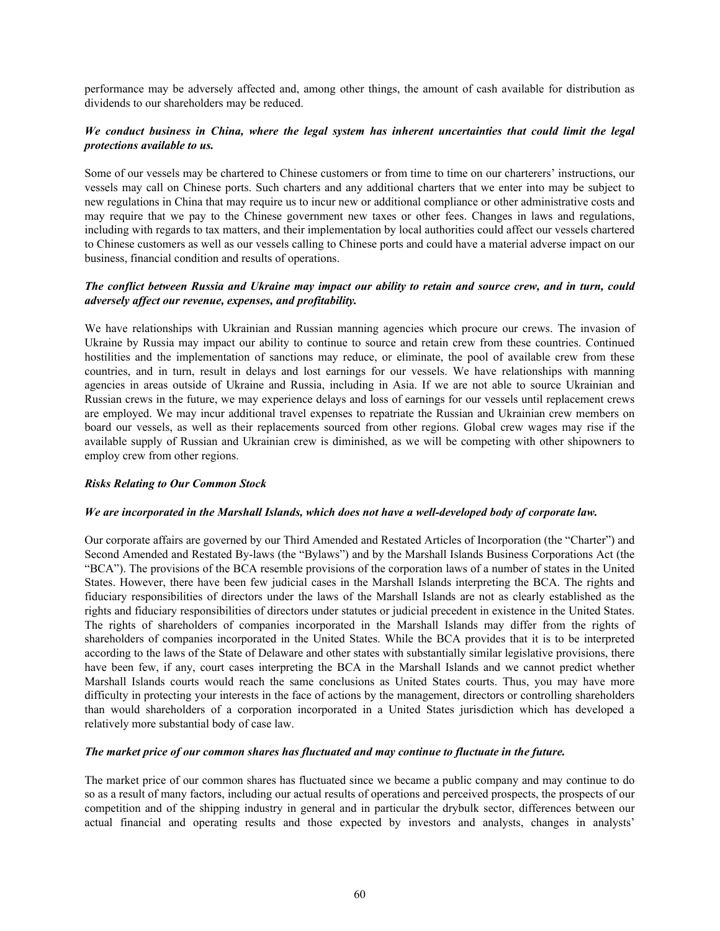performance may be adversely affected and, among other things, the amount of cash available for distribution as dividends to our shareholders may be reduced.

## *We conduct business in China, where the legal system has inherent uncertainties that could limit the legal protections available to us.*

Some of our vessels may be chartered to Chinese customers or from time to time on our charterers' instructions, our vessels may call on Chinese ports. Such charters and any additional charters that we enter into may be subject to new regulations in China that may require us to incur new or additional compliance or other administrative costs and may require that we pay to the Chinese government new taxes or other fees. Changes in laws and regulations, including with regards to tax matters, and their implementation by local authorities could affect our vessels chartered to Chinese customers as well as our vessels calling to Chinese ports and could have a material adverse impact on our business, financial condition and results of operations.

# *The conflict between Russia and Ukraine may impact our ability to retain and source crew, and in turn, could adversely affect our revenue, expenses, and profitability.*

We have relationships with Ukrainian and Russian manning agencies which procure our crews. The invasion of Ukraine by Russia may impact our ability to continue to source and retain crew from these countries. Continued hostilities and the implementation of sanctions may reduce, or eliminate, the pool of available crew from these countries, and in turn, result in delays and lost earnings for our vessels. We have relationships with manning agencies in areas outside of Ukraine and Russia, including in Asia. If we are not able to source Ukrainian and Russian crews in the future, we may experience delays and loss of earnings for our vessels until replacement crews are employed. We may incur additional travel expenses to repatriate the Russian and Ukrainian crew members on board our vessels, as well as their replacements sourced from other regions. Global crew wages may rise if the available supply of Russian and Ukrainian crew is diminished, as we will be competing with other shipowners to employ crew from other regions.

#### *Risks Relating to Our Common Stock*

#### *We are incorporated in the Marshall Islands, which does not have a well-developed body of corporate law.*

Our corporate affairs are governed by our Third Amended and Restated Articles of Incorporation (the "Charter") and Second Amended and Restated By-laws (the "Bylaws") and by the Marshall Islands Business Corporations Act (the "BCA"). The provisions of the BCA resemble provisions of the corporation laws of a number of states in the United States. However, there have been few judicial cases in the Marshall Islands interpreting the BCA. The rights and fiduciary responsibilities of directors under the laws of the Marshall Islands are not as clearly established as the rights and fiduciary responsibilities of directors under statutes or judicial precedent in existence in the United States. The rights of shareholders of companies incorporated in the Marshall Islands may differ from the rights of shareholders of companies incorporated in the United States. While the BCA provides that it is to be interpreted according to the laws of the State of Delaware and other states with substantially similar legislative provisions, there have been few, if any, court cases interpreting the BCA in the Marshall Islands and we cannot predict whether Marshall Islands courts would reach the same conclusions as United States courts. Thus, you may have more difficulty in protecting your interests in the face of actions by the management, directors or controlling shareholders than would shareholders of a corporation incorporated in a United States jurisdiction which has developed a relatively more substantial body of case law.

#### *The market price of our common shares has fluctuated and may continue to fluctuate in the future.*

The market price of our common shares has fluctuated since we became a public company and may continue to do so as a result of many factors, including our actual results of operations and perceived prospects, the prospects of our competition and of the shipping industry in general and in particular the drybulk sector, differences between our actual financial and operating results and those expected by investors and analysts, changes in analysts'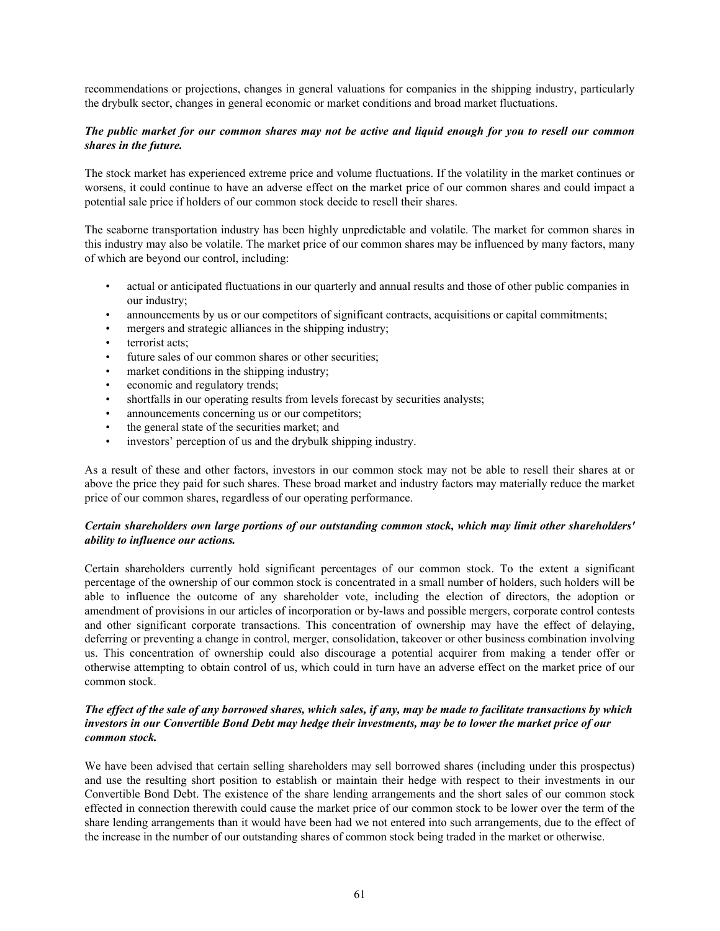recommendations or projections, changes in general valuations for companies in the shipping industry, particularly the drybulk sector, changes in general economic or market conditions and broad market fluctuations.

## *The public market for our common shares may not be active and liquid enough for you to resell our common shares in the future.*

The stock market has experienced extreme price and volume fluctuations. If the volatility in the market continues or worsens, it could continue to have an adverse effect on the market price of our common shares and could impact a potential sale price if holders of our common stock decide to resell their shares.

The seaborne transportation industry has been highly unpredictable and volatile. The market for common shares in this industry may also be volatile. The market price of our common shares may be influenced by many factors, many of which are beyond our control, including:

- actual or anticipated fluctuations in our quarterly and annual results and those of other public companies in our industry;
- announcements by us or our competitors of significant contracts, acquisitions or capital commitments;
- mergers and strategic alliances in the shipping industry;
- terrorist acts:
- future sales of our common shares or other securities;
- market conditions in the shipping industry;
- economic and regulatory trends;
- shortfalls in our operating results from levels forecast by securities analysts;
- announcements concerning us or our competitors;
- the general state of the securities market; and
- investors' perception of us and the drybulk shipping industry.

As a result of these and other factors, investors in our common stock may not be able to resell their shares at or above the price they paid for such shares. These broad market and industry factors may materially reduce the market price of our common shares, regardless of our operating performance.

## *Certain shareholders own large portions of our outstanding common stock, which may limit other shareholders' ability to influence our actions.*

Certain shareholders currently hold significant percentages of our common stock. To the extent a significant percentage of the ownership of our common stock is concentrated in a small number of holders, such holders will be able to influence the outcome of any shareholder vote, including the election of directors, the adoption or amendment of provisions in our articles of incorporation or by-laws and possible mergers, corporate control contests and other significant corporate transactions. This concentration of ownership may have the effect of delaying, deferring or preventing a change in control, merger, consolidation, takeover or other business combination involving us. This concentration of ownership could also discourage a potential acquirer from making a tender offer or otherwise attempting to obtain control of us, which could in turn have an adverse effect on the market price of our common stock.

## *The effect of the sale of any borrowed shares, which sales, if any, may be made to facilitate transactions by which investors in our Convertible Bond Debt may hedge their investments, may be to lower the market price of our common stock.*

We have been advised that certain selling shareholders may sell borrowed shares (including under this prospectus) and use the resulting short position to establish or maintain their hedge with respect to their investments in our Convertible Bond Debt. The existence of the share lending arrangements and the short sales of our common stock effected in connection therewith could cause the market price of our common stock to be lower over the term of the share lending arrangements than it would have been had we not entered into such arrangements, due to the effect of the increase in the number of our outstanding shares of common stock being traded in the market or otherwise.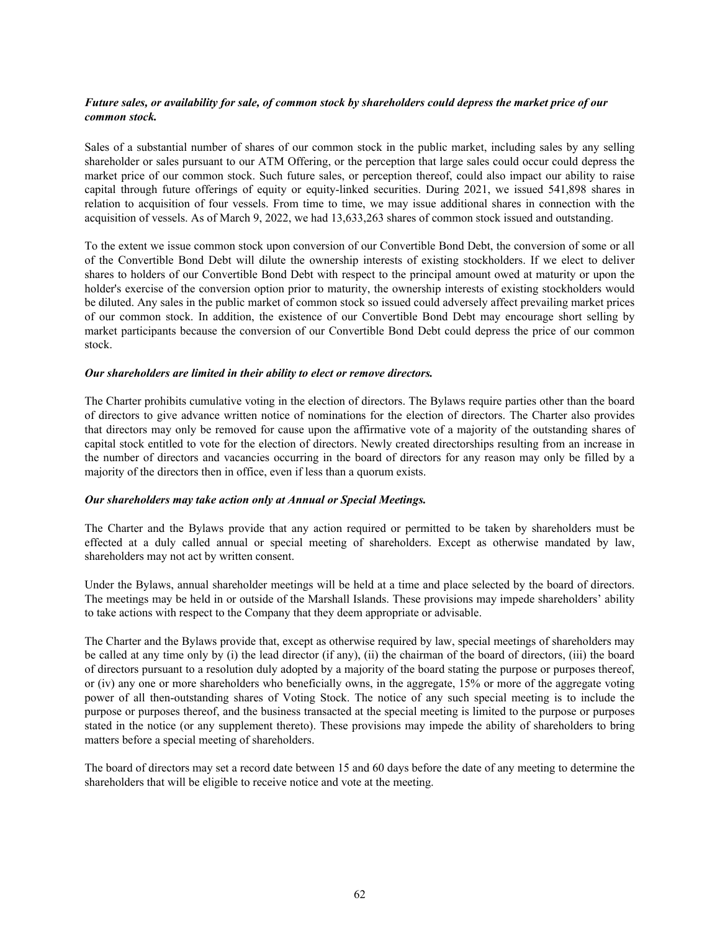# *Future sales, or availability for sale, of common stock by shareholders could depress the market price of our common stock.*

Sales of a substantial number of shares of our common stock in the public market, including sales by any selling shareholder or sales pursuant to our ATM Offering, or the perception that large sales could occur could depress the market price of our common stock. Such future sales, or perception thereof, could also impact our ability to raise capital through future offerings of equity or equity-linked securities. During 2021, we issued 541,898 shares in relation to acquisition of four vessels. From time to time, we may issue additional shares in connection with the acquisition of vessels. As of March 9, 2022, we had 13,633,263 shares of common stock issued and outstanding.

To the extent we issue common stock upon conversion of our Convertible Bond Debt, the conversion of some or all of the Convertible Bond Debt will dilute the ownership interests of existing stockholders. If we elect to deliver shares to holders of our Convertible Bond Debt with respect to the principal amount owed at maturity or upon the holder's exercise of the conversion option prior to maturity, the ownership interests of existing stockholders would be diluted. Any sales in the public market of common stock so issued could adversely affect prevailing market prices of our common stock. In addition, the existence of our Convertible Bond Debt may encourage short selling by market participants because the conversion of our Convertible Bond Debt could depress the price of our common stock.

#### *Our shareholders are limited in their ability to elect or remove directors.*

The Charter prohibits cumulative voting in the election of directors. The Bylaws require parties other than the board of directors to give advance written notice of nominations for the election of directors. The Charter also provides that directors may only be removed for cause upon the affirmative vote of a majority of the outstanding shares of capital stock entitled to vote for the election of directors. Newly created directorships resulting from an increase in the number of directors and vacancies occurring in the board of directors for any reason may only be filled by a majority of the directors then in office, even if less than a quorum exists.

#### *Our shareholders may take action only at Annual or Special Meetings.*

The Charter and the Bylaws provide that any action required or permitted to be taken by shareholders must be effected at a duly called annual or special meeting of shareholders. Except as otherwise mandated by law, shareholders may not act by written consent.

Under the Bylaws, annual shareholder meetings will be held at a time and place selected by the board of directors. The meetings may be held in or outside of the Marshall Islands. These provisions may impede shareholders' ability to take actions with respect to the Company that they deem appropriate or advisable.

The Charter and the Bylaws provide that, except as otherwise required by law, special meetings of shareholders may be called at any time only by (i) the lead director (if any), (ii) the chairman of the board of directors, (iii) the board of directors pursuant to a resolution duly adopted by a majority of the board stating the purpose or purposes thereof, or (iv) any one or more shareholders who beneficially owns, in the aggregate, 15% or more of the aggregate voting power of all then-outstanding shares of Voting Stock. The notice of any such special meeting is to include the purpose or purposes thereof, and the business transacted at the special meeting is limited to the purpose or purposes stated in the notice (or any supplement thereto). These provisions may impede the ability of shareholders to bring matters before a special meeting of shareholders.

The board of directors may set a record date between 15 and 60 days before the date of any meeting to determine the shareholders that will be eligible to receive notice and vote at the meeting.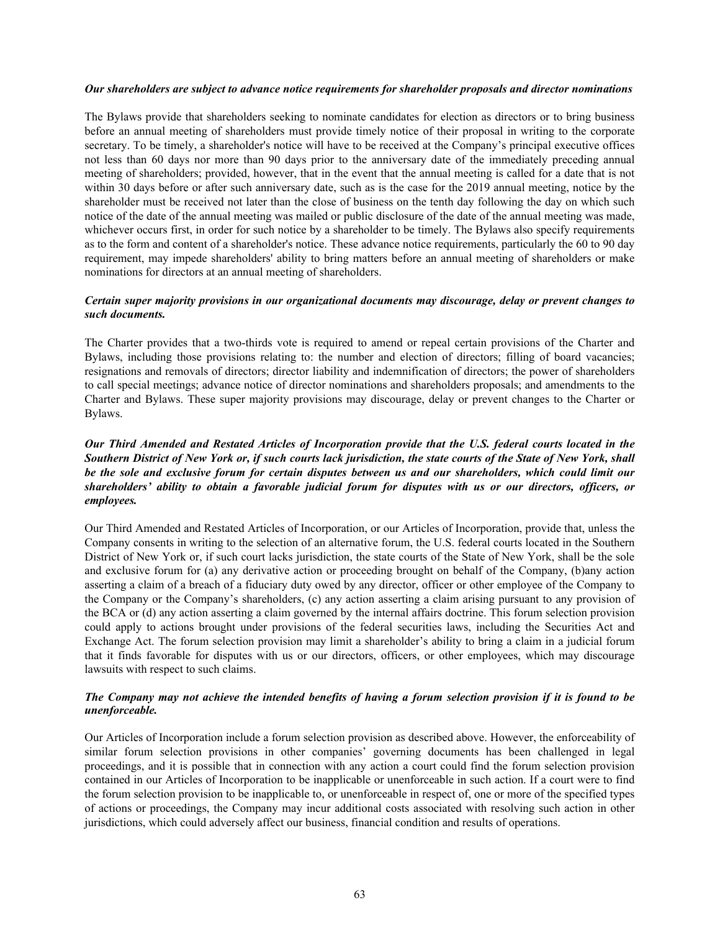#### *Our shareholders are subject to advance notice requirements for shareholder proposals and director nominations*

The Bylaws provide that shareholders seeking to nominate candidates for election as directors or to bring business before an annual meeting of shareholders must provide timely notice of their proposal in writing to the corporate secretary. To be timely, a shareholder's notice will have to be received at the Company's principal executive offices not less than 60 days nor more than 90 days prior to the anniversary date of the immediately preceding annual meeting of shareholders; provided, however, that in the event that the annual meeting is called for a date that is not within 30 days before or after such anniversary date, such as is the case for the 2019 annual meeting, notice by the shareholder must be received not later than the close of business on the tenth day following the day on which such notice of the date of the annual meeting was mailed or public disclosure of the date of the annual meeting was made, whichever occurs first, in order for such notice by a shareholder to be timely. The Bylaws also specify requirements as to the form and content of a shareholder's notice. These advance notice requirements, particularly the 60 to 90 day requirement, may impede shareholders' ability to bring matters before an annual meeting of shareholders or make nominations for directors at an annual meeting of shareholders.

### *Certain super majority provisions in our organizational documents may discourage, delay or prevent changes to such documents.*

The Charter provides that a two-thirds vote is required to amend or repeal certain provisions of the Charter and Bylaws, including those provisions relating to: the number and election of directors; filling of board vacancies; resignations and removals of directors; director liability and indemnification of directors; the power of shareholders to call special meetings; advance notice of director nominations and shareholders proposals; and amendments to the Charter and Bylaws. These super majority provisions may discourage, delay or prevent changes to the Charter or Bylaws.

# *Our Third Amended and Restated Articles of Incorporation provide that the U.S. federal courts located in the Southern District of New York or, if such courts lack jurisdiction, the state courts of the State of New York, shall be the sole and exclusive forum for certain disputes between us and our shareholders, which could limit our shareholders' ability to obtain a favorable judicial forum for disputes with us or our directors, officers, or employees.*

Our Third Amended and Restated Articles of Incorporation, or our Articles of Incorporation, provide that, unless the Company consents in writing to the selection of an alternative forum, the U.S. federal courts located in the Southern District of New York or, if such court lacks jurisdiction, the state courts of the State of New York, shall be the sole and exclusive forum for (a) any derivative action or proceeding brought on behalf of the Company, (b)any action asserting a claim of a breach of a fiduciary duty owed by any director, officer or other employee of the Company to the Company or the Company's shareholders, (c) any action asserting a claim arising pursuant to any provision of the BCA or (d) any action asserting a claim governed by the internal affairs doctrine. This forum selection provision could apply to actions brought under provisions of the federal securities laws, including the Securities Act and Exchange Act. The forum selection provision may limit a shareholder's ability to bring a claim in a judicial forum that it finds favorable for disputes with us or our directors, officers, or other employees, which may discourage lawsuits with respect to such claims.

# *The Company may not achieve the intended benefits of having a forum selection provision if it is found to be unenforceable.*

Our Articles of Incorporation include a forum selection provision as described above. However, the enforceability of similar forum selection provisions in other companies' governing documents has been challenged in legal proceedings, and it is possible that in connection with any action a court could find the forum selection provision contained in our Articles of Incorporation to be inapplicable or unenforceable in such action. If a court were to find the forum selection provision to be inapplicable to, or unenforceable in respect of, one or more of the specified types of actions or proceedings, the Company may incur additional costs associated with resolving such action in other jurisdictions, which could adversely affect our business, financial condition and results of operations.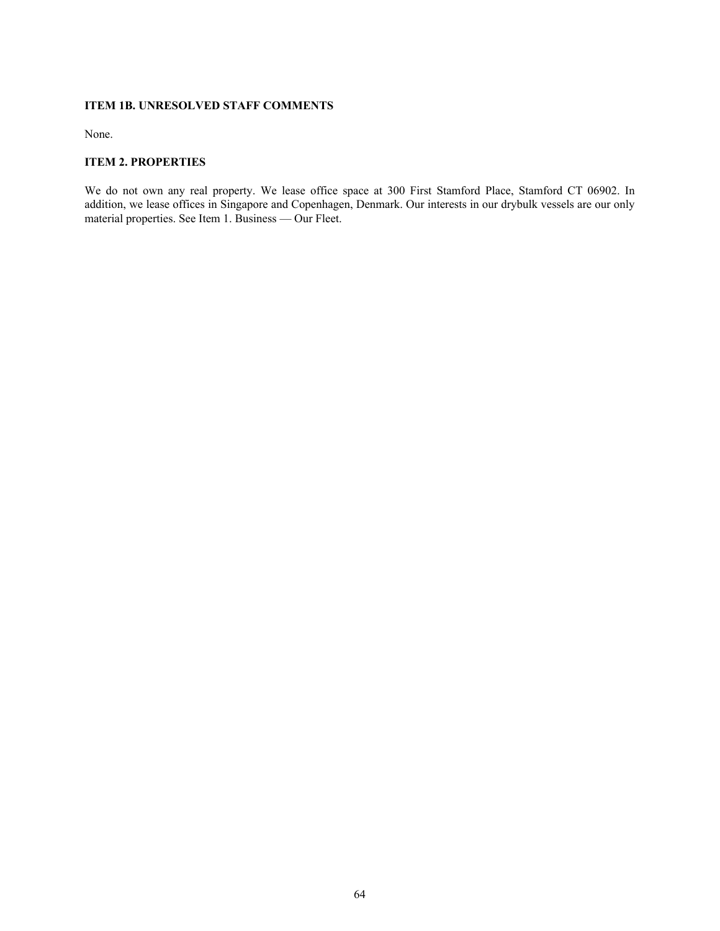#### **ITEM 1B. UNRESOLVED STAFF COMMENTS**

None.

## **ITEM 2. PROPERTIES**

We do not own any real property. We lease office space at 300 First Stamford Place, Stamford CT 06902. In addition, we lease offices in Singapore and Copenhagen, Denmark. Our interests in our drybulk vessels are our only material properties. See Item 1. Business — Our Fleet.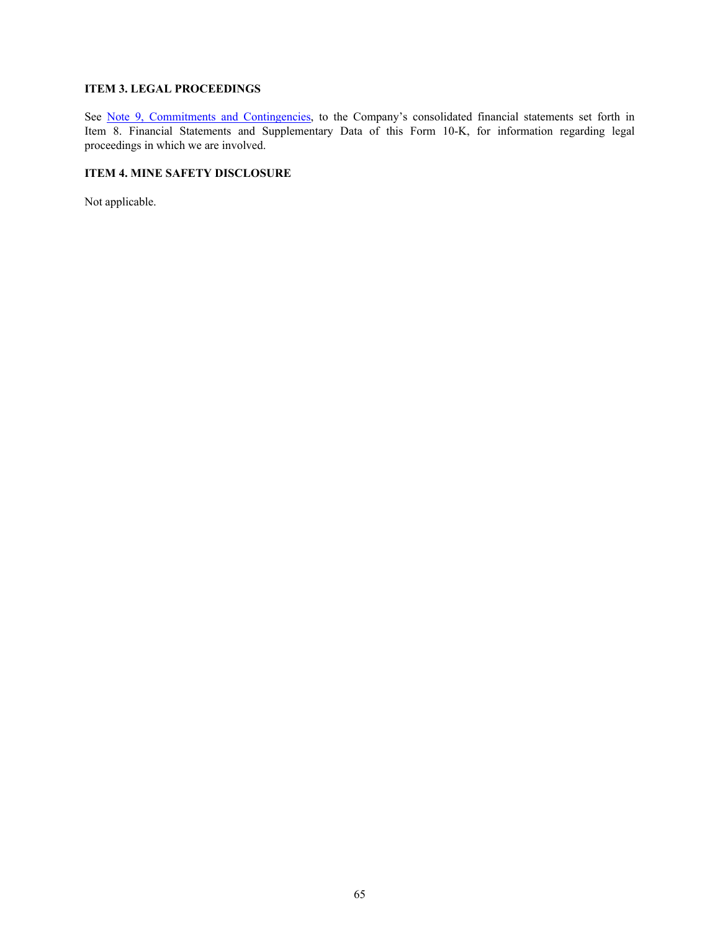# **ITEM 3. LEGAL PROCEEDINGS**

See Note 9, Commitments and Contingencies, to the Company's consolidated financial statements set forth in Item 8. Financial Statements and Supplementary Data of this Form 10-K, for information regarding legal proceedings in which we are involved.

#### **ITEM 4. MINE SAFETY DISCLOSURE**

Not applicable.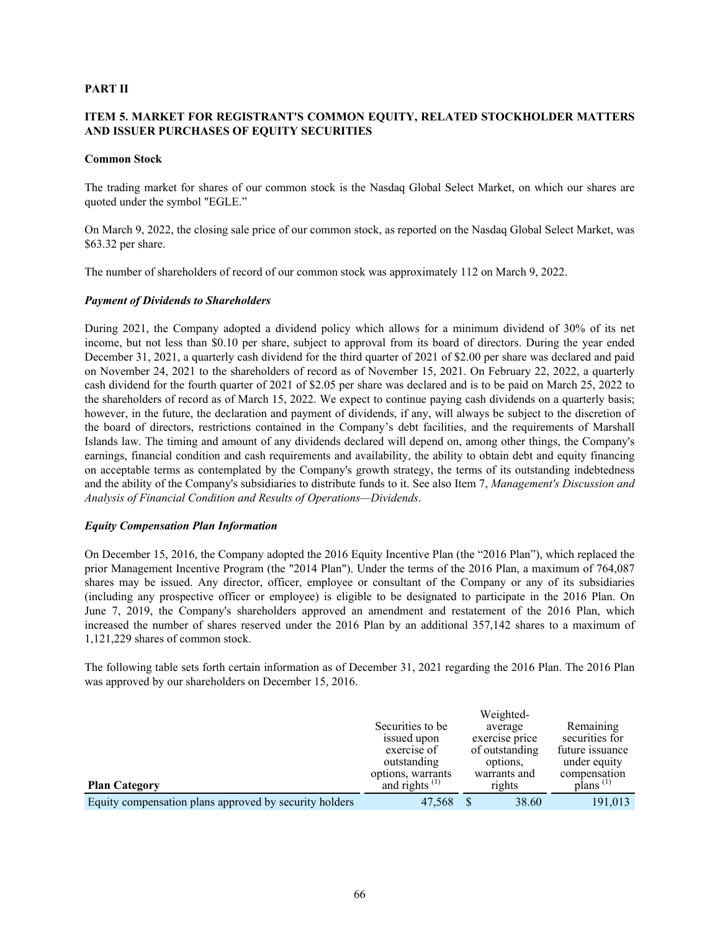#### **PART II**

# **ITEM 5. MARKET FOR REGISTRANT'S COMMON EQUITY, RELATED STOCKHOLDER MATTERS AND ISSUER PURCHASES OF EQUITY SECURITIES**

#### **Common Stock**

The trading market for shares of our common stock is the Nasdaq Global Select Market, on which our shares are quoted under the symbol "EGLE."

On March 9, 2022, the closing sale price of our common stock, as reported on the Nasdaq Global Select Market, was \$63.32 per share.

The number of shareholders of record of our common stock was approximately 112 on March 9, 2022.

#### *Payment of Dividends to Shareholders*

During 2021, the Company adopted a dividend policy which allows for a minimum dividend of 30% of its net income, but not less than \$0.10 per share, subject to approval from its board of directors. During the year ended December 31, 2021, a quarterly cash dividend for the third quarter of 2021 of \$2.00 per share was declared and paid on November 24, 2021 to the shareholders of record as of November 15, 2021. On February 22, 2022, a quarterly cash dividend for the fourth quarter of 2021 of \$2.05 per share was declared and is to be paid on March 25, 2022 to the shareholders of record as of March 15, 2022. We expect to continue paying cash dividends on a quarterly basis; however, in the future, the declaration and payment of dividends, if any, will always be subject to the discretion of the board of directors, restrictions contained in the Company's debt facilities, and the requirements of Marshall Islands law. The timing and amount of any dividends declared will depend on, among other things, the Company's earnings, financial condition and cash requirements and availability, the ability to obtain debt and equity financing on acceptable terms as contemplated by the Company's growth strategy, the terms of its outstanding indebtedness and the ability of the Company's subsidiaries to distribute funds to it. See also Item 7, *Management's Discussion and Analysis of Financial Condition and Results of Operations—Dividends*.

#### *Equity Compensation Plan Information*

On December 15, 2016, the Company adopted the 2016 Equity Incentive Plan (the "2016 Plan"), which replaced the prior Management Incentive Program (the "2014 Plan"). Under the terms of the 2016 Plan, a maximum of 764,087 shares may be issued. Any director, officer, employee or consultant of the Company or any of its subsidiaries (including any prospective officer or employee) is eligible to be designated to participate in the 2016 Plan. On June 7, 2019, the Company's shareholders approved an amendment and restatement of the 2016 Plan, which increased the number of shares reserved under the 2016 Plan by an additional 357,142 shares to a maximum of 1,121,229 shares of common stock.

The following table sets forth certain information as of December 31, 2021 regarding the 2016 Plan. The 2016 Plan was approved by our shareholders on December 15, 2016.

| <b>Plan Category</b>                                   | Securities to be.<br>issued upon<br>exercise of<br>outstanding<br>options, warrants<br>and rights $(1)$ | Weighted-<br>average<br>exercise price<br>of outstanding<br>options.<br>warrants and<br>rights | Remaining<br>securities for<br>future issuance<br>under equity<br>compensation<br>$\mathbf{plans}$ <sup>(1)</sup> |
|--------------------------------------------------------|---------------------------------------------------------------------------------------------------------|------------------------------------------------------------------------------------------------|-------------------------------------------------------------------------------------------------------------------|
|                                                        |                                                                                                         |                                                                                                |                                                                                                                   |
| Equity compensation plans approved by security holders | 47.568                                                                                                  | 38.60                                                                                          | 191.013                                                                                                           |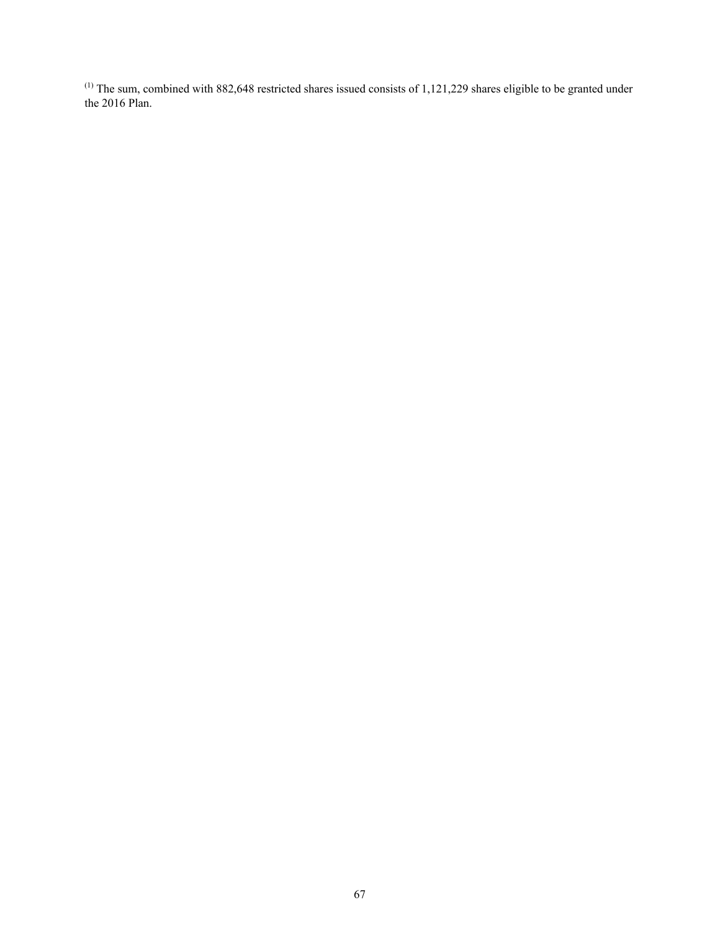$<sup>(1)</sup>$  The sum, combined with 882,648 restricted shares issued consists of 1,121,229 shares eligible to be granted under</sup> the 2016 Plan.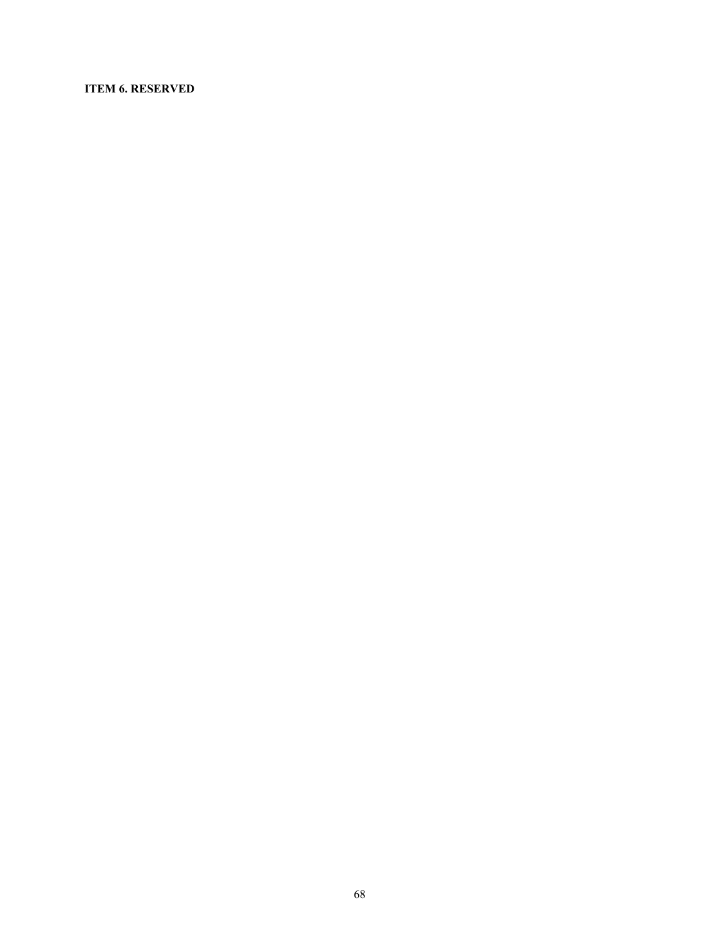#### **ITEM 6. RESERVED**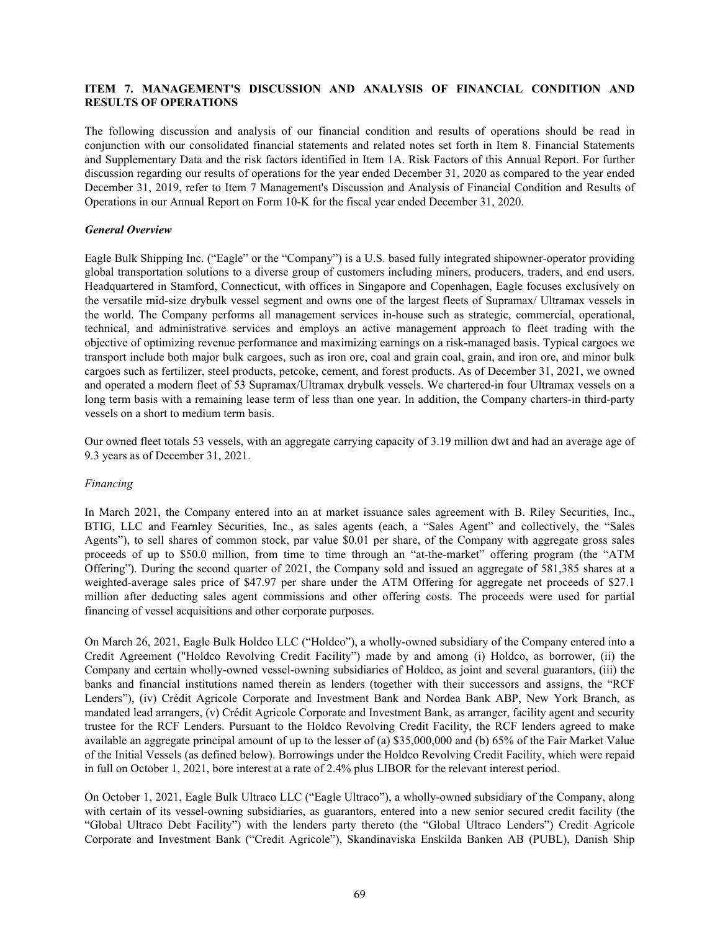#### **ITEM 7. MANAGEMENT'S DISCUSSION AND ANALYSIS OF FINANCIAL CONDITION AND RESULTS OF OPERATIONS**

The following discussion and analysis of our financial condition and results of operations should be read in conjunction with our consolidated financial statements and related notes set forth in Item 8. Financial Statements and Supplementary Data and the risk factors identified in Item 1A. Risk Factors of this Annual Report. For further discussion regarding our results of operations for the year ended December 31, 2020 as compared to the year ended December 31, 2019, refer to Item 7 Management's Discussion and Analysis of Financial Condition and Results of Operations in our Annual Report on Form 10-K for the fiscal year ended December 31, 2020.

### *General Overview*

Eagle Bulk Shipping Inc. ("Eagle" or the "Company") is a U.S. based fully integrated shipowner-operator providing global transportation solutions to a diverse group of customers including miners, producers, traders, and end users. Headquartered in Stamford, Connecticut, with offices in Singapore and Copenhagen, Eagle focuses exclusively on the versatile mid-size drybulk vessel segment and owns one of the largest fleets of Supramax/ Ultramax vessels in the world. The Company performs all management services in-house such as strategic, commercial, operational, technical, and administrative services and employs an active management approach to fleet trading with the objective of optimizing revenue performance and maximizing earnings on a risk-managed basis. Typical cargoes we transport include both major bulk cargoes, such as iron ore, coal and grain coal, grain, and iron ore, and minor bulk cargoes such as fertilizer, steel products, petcoke, cement, and forest products. As of December 31, 2021, we owned and operated a modern fleet of 53 Supramax/Ultramax drybulk vessels. We chartered-in four Ultramax vessels on a long term basis with a remaining lease term of less than one year. In addition, the Company charters-in third-party vessels on a short to medium term basis.

Our owned fleet totals 53 vessels, with an aggregate carrying capacity of 3.19 million dwt and had an average age of 9.3 years as of December 31, 2021.

#### *Financing*

In March 2021, the Company entered into an at market issuance sales agreement with B. Riley Securities, Inc., BTIG, LLC and Fearnley Securities, Inc., as sales agents (each, a "Sales Agent" and collectively, the "Sales Agents"), to sell shares of common stock, par value \$0.01 per share, of the Company with aggregate gross sales proceeds of up to \$50.0 million, from time to time through an "at-the-market" offering program (the "ATM Offering"). During the second quarter of 2021, the Company sold and issued an aggregate of 581,385 shares at a weighted-average sales price of \$47.97 per share under the ATM Offering for aggregate net proceeds of \$27.1 million after deducting sales agent commissions and other offering costs. The proceeds were used for partial financing of vessel acquisitions and other corporate purposes.

On March 26, 2021, Eagle Bulk Holdco LLC ("Holdco"), a wholly-owned subsidiary of the Company entered into a Credit Agreement ("Holdco Revolving Credit Facility") made by and among (i) Holdco, as borrower, (ii) the Company and certain wholly-owned vessel-owning subsidiaries of Holdco, as joint and several guarantors, (iii) the banks and financial institutions named therein as lenders (together with their successors and assigns, the "RCF Lenders"), (iv) Crédit Agricole Corporate and Investment Bank and Nordea Bank ABP, New York Branch, as mandated lead arrangers, (v) Crédit Agricole Corporate and Investment Bank, as arranger, facility agent and security trustee for the RCF Lenders. Pursuant to the Holdco Revolving Credit Facility, the RCF lenders agreed to make available an aggregate principal amount of up to the lesser of (a) \$35,000,000 and (b) 65% of the Fair Market Value of the Initial Vessels (as defined below). Borrowings under the Holdco Revolving Credit Facility, which were repaid in full on October 1, 2021, bore interest at a rate of 2.4% plus LIBOR for the relevant interest period.

On October 1, 2021, Eagle Bulk Ultraco LLC ("Eagle Ultraco"), a wholly-owned subsidiary of the Company, along with certain of its vessel-owning subsidiaries, as guarantors, entered into a new senior secured credit facility (the "Global Ultraco Debt Facility") with the lenders party thereto (the "Global Ultraco Lenders") Credit Agricole Corporate and Investment Bank ("Credit Agricole"), Skandinaviska Enskilda Banken AB (PUBL), Danish Ship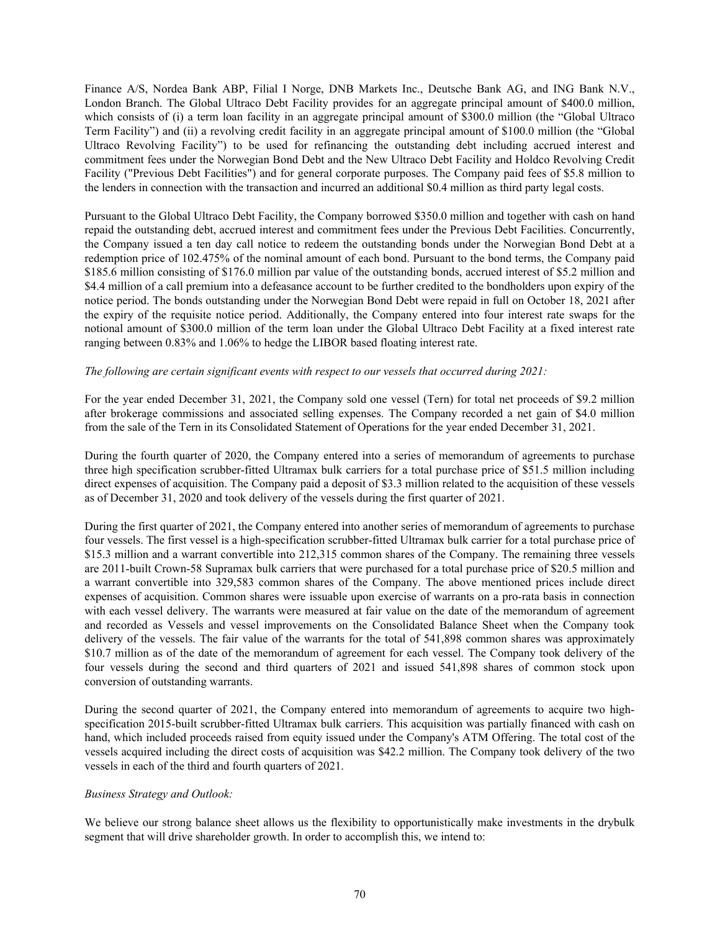Finance A/S, Nordea Bank ABP, Filial I Norge, DNB Markets Inc., Deutsche Bank AG, and ING Bank N.V., London Branch. The Global Ultraco Debt Facility provides for an aggregate principal amount of \$400.0 million, which consists of (i) a term loan facility in an aggregate principal amount of \$300.0 million (the "Global Ultraco" Term Facility") and (ii) a revolving credit facility in an aggregate principal amount of \$100.0 million (the "Global Ultraco Revolving Facility") to be used for refinancing the outstanding debt including accrued interest and commitment fees under the Norwegian Bond Debt and the New Ultraco Debt Facility and Holdco Revolving Credit Facility ("Previous Debt Facilities") and for general corporate purposes. The Company paid fees of \$5.8 million to the lenders in connection with the transaction and incurred an additional \$0.4 million as third party legal costs.

Pursuant to the Global Ultraco Debt Facility, the Company borrowed \$350.0 million and together with cash on hand repaid the outstanding debt, accrued interest and commitment fees under the Previous Debt Facilities. Concurrently, the Company issued a ten day call notice to redeem the outstanding bonds under the Norwegian Bond Debt at a redemption price of 102.475% of the nominal amount of each bond. Pursuant to the bond terms, the Company paid \$185.6 million consisting of \$176.0 million par value of the outstanding bonds, accrued interest of \$5.2 million and \$4.4 million of a call premium into a defeasance account to be further credited to the bondholders upon expiry of the notice period. The bonds outstanding under the Norwegian Bond Debt were repaid in full on October 18, 2021 after the expiry of the requisite notice period. Additionally, the Company entered into four interest rate swaps for the notional amount of \$300.0 million of the term loan under the Global Ultraco Debt Facility at a fixed interest rate ranging between 0.83% and 1.06% to hedge the LIBOR based floating interest rate.

#### *The following are certain significant events with respect to our vessels that occurred during 2021:*

For the year ended December 31, 2021, the Company sold one vessel (Tern) for total net proceeds of \$9.2 million after brokerage commissions and associated selling expenses. The Company recorded a net gain of \$4.0 million from the sale of the Tern in its Consolidated Statement of Operations for the year ended December 31, 2021.

During the fourth quarter of 2020, the Company entered into a series of memorandum of agreements to purchase three high specification scrubber-fitted Ultramax bulk carriers for a total purchase price of \$51.5 million including direct expenses of acquisition. The Company paid a deposit of \$3.3 million related to the acquisition of these vessels as of December 31, 2020 and took delivery of the vessels during the first quarter of 2021.

During the first quarter of 2021, the Company entered into another series of memorandum of agreements to purchase four vessels. The first vessel is a high-specification scrubber-fitted Ultramax bulk carrier for a total purchase price of \$15.3 million and a warrant convertible into 212,315 common shares of the Company. The remaining three vessels are 2011-built Crown-58 Supramax bulk carriers that were purchased for a total purchase price of \$20.5 million and a warrant convertible into 329,583 common shares of the Company. The above mentioned prices include direct expenses of acquisition. Common shares were issuable upon exercise of warrants on a pro-rata basis in connection with each vessel delivery. The warrants were measured at fair value on the date of the memorandum of agreement and recorded as Vessels and vessel improvements on the Consolidated Balance Sheet when the Company took delivery of the vessels. The fair value of the warrants for the total of 541,898 common shares was approximately \$10.7 million as of the date of the memorandum of agreement for each vessel. The Company took delivery of the four vessels during the second and third quarters of 2021 and issued 541,898 shares of common stock upon conversion of outstanding warrants.

During the second quarter of 2021, the Company entered into memorandum of agreements to acquire two highspecification 2015-built scrubber-fitted Ultramax bulk carriers. This acquisition was partially financed with cash on hand, which included proceeds raised from equity issued under the Company's ATM Offering. The total cost of the vessels acquired including the direct costs of acquisition was \$42.2 million. The Company took delivery of the two vessels in each of the third and fourth quarters of 2021.

#### *Business Strategy and Outlook:*

We believe our strong balance sheet allows us the flexibility to opportunistically make investments in the drybulk segment that will drive shareholder growth. In order to accomplish this, we intend to: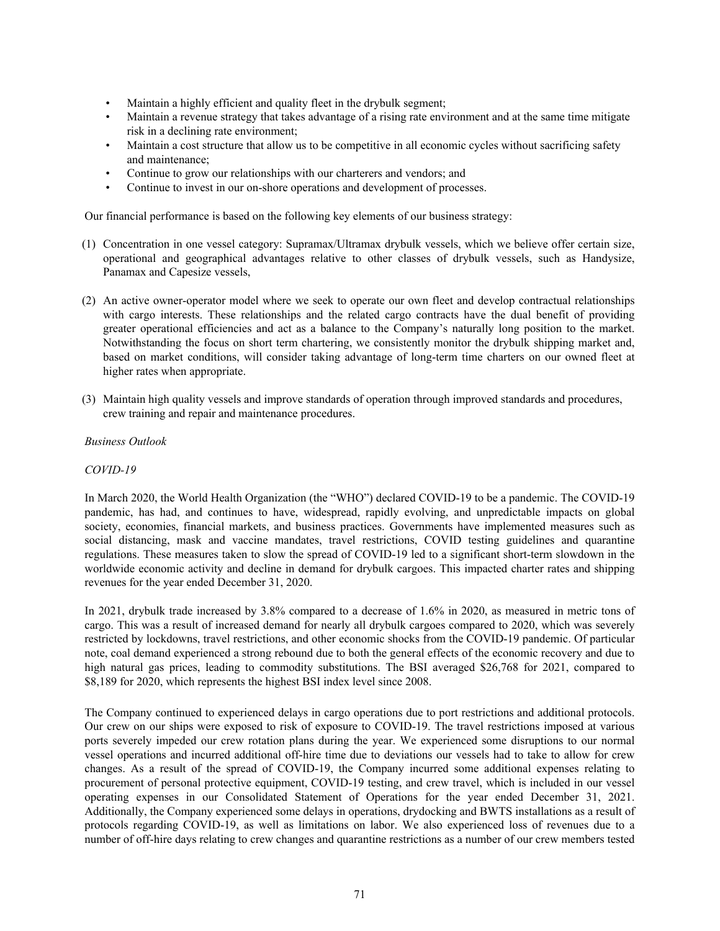- Maintain a highly efficient and quality fleet in the drybulk segment;
- Maintain a revenue strategy that takes advantage of a rising rate environment and at the same time mitigate risk in a declining rate environment;
- Maintain a cost structure that allow us to be competitive in all economic cycles without sacrificing safety and maintenance;
- Continue to grow our relationships with our charterers and vendors; and
- Continue to invest in our on-shore operations and development of processes.

Our financial performance is based on the following key elements of our business strategy:

- (1) Concentration in one vessel category: Supramax/Ultramax drybulk vessels, which we believe offer certain size, operational and geographical advantages relative to other classes of drybulk vessels, such as Handysize, Panamax and Capesize vessels,
- (2) An active owner-operator model where we seek to operate our own fleet and develop contractual relationships with cargo interests. These relationships and the related cargo contracts have the dual benefit of providing greater operational efficiencies and act as a balance to the Company's naturally long position to the market. Notwithstanding the focus on short term chartering, we consistently monitor the drybulk shipping market and, based on market conditions, will consider taking advantage of long-term time charters on our owned fleet at higher rates when appropriate.
- (3) Maintain high quality vessels and improve standards of operation through improved standards and procedures, crew training and repair and maintenance procedures.

#### *Business Outlook*

#### *COVID-19*

In March 2020, the World Health Organization (the "WHO") declared COVID-19 to be a pandemic. The COVID-19 pandemic, has had, and continues to have, widespread, rapidly evolving, and unpredictable impacts on global society, economies, financial markets, and business practices. Governments have implemented measures such as social distancing, mask and vaccine mandates, travel restrictions, COVID testing guidelines and quarantine regulations. These measures taken to slow the spread of COVID-19 led to a significant short-term slowdown in the worldwide economic activity and decline in demand for drybulk cargoes. This impacted charter rates and shipping revenues for the year ended December 31, 2020.

In 2021, drybulk trade increased by 3.8% compared to a decrease of 1.6% in 2020, as measured in metric tons of cargo. This was a result of increased demand for nearly all drybulk cargoes compared to 2020, which was severely restricted by lockdowns, travel restrictions, and other economic shocks from the COVID-19 pandemic. Of particular note, coal demand experienced a strong rebound due to both the general effects of the economic recovery and due to high natural gas prices, leading to commodity substitutions. The BSI averaged \$26,768 for 2021, compared to \$8,189 for 2020, which represents the highest BSI index level since 2008.

The Company continued to experienced delays in cargo operations due to port restrictions and additional protocols. Our crew on our ships were exposed to risk of exposure to COVID-19. The travel restrictions imposed at various ports severely impeded our crew rotation plans during the year. We experienced some disruptions to our normal vessel operations and incurred additional off-hire time due to deviations our vessels had to take to allow for crew changes. As a result of the spread of COVID-19, the Company incurred some additional expenses relating to procurement of personal protective equipment, COVID-19 testing, and crew travel, which is included in our vessel operating expenses in our Consolidated Statement of Operations for the year ended December 31, 2021. Additionally, the Company experienced some delays in operations, drydocking and BWTS installations as a result of protocols regarding COVID-19, as well as limitations on labor. We also experienced loss of revenues due to a number of off-hire days relating to crew changes and quarantine restrictions as a number of our crew members tested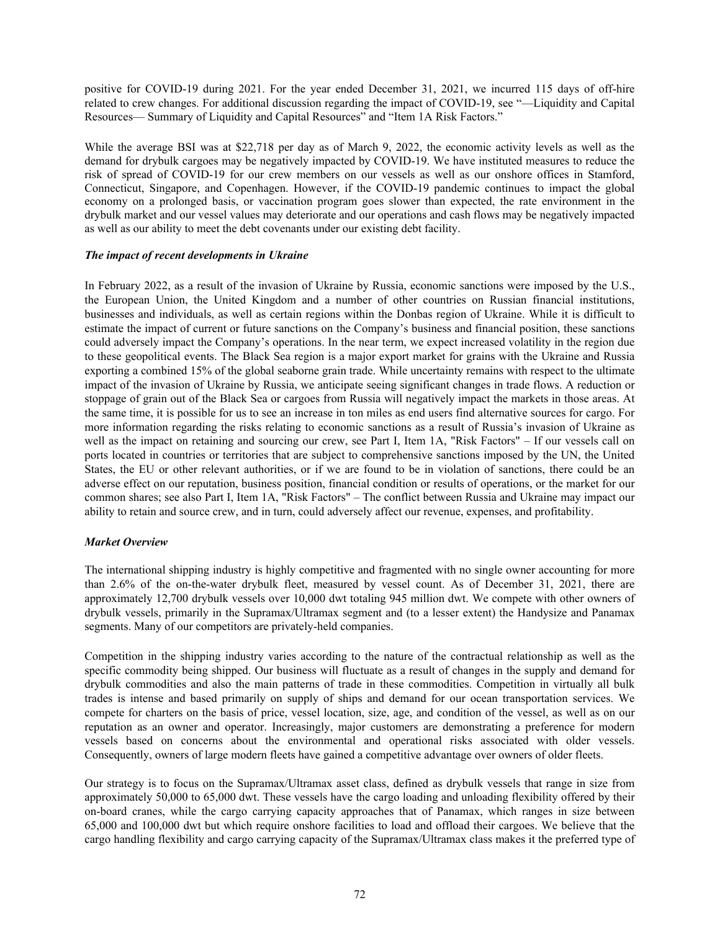positive for COVID-19 during 2021. For the year ended December 31, 2021, we incurred 115 days of off-hire related to crew changes. For additional discussion regarding the impact of COVID-19, see "—Liquidity and Capital Resources— Summary of Liquidity and Capital Resources" and "Item 1A Risk Factors."

While the average BSI was at \$22,718 per day as of March 9, 2022, the economic activity levels as well as the demand for drybulk cargoes may be negatively impacted by COVID-19. We have instituted measures to reduce the risk of spread of COVID-19 for our crew members on our vessels as well as our onshore offices in Stamford, Connecticut, Singapore, and Copenhagen. However, if the COVID-19 pandemic continues to impact the global economy on a prolonged basis, or vaccination program goes slower than expected, the rate environment in the drybulk market and our vessel values may deteriorate and our operations and cash flows may be negatively impacted as well as our ability to meet the debt covenants under our existing debt facility.

#### *The impact of recent developments in Ukraine*

In February 2022, as a result of the invasion of Ukraine by Russia, economic sanctions were imposed by the U.S., the European Union, the United Kingdom and a number of other countries on Russian financial institutions, businesses and individuals, as well as certain regions within the Donbas region of Ukraine. While it is difficult to estimate the impact of current or future sanctions on the Company's business and financial position, these sanctions could adversely impact the Company's operations. In the near term, we expect increased volatility in the region due to these geopolitical events. The Black Sea region is a major export market for grains with the Ukraine and Russia exporting a combined 15% of the global seaborne grain trade. While uncertainty remains with respect to the ultimate impact of the invasion of Ukraine by Russia, we anticipate seeing significant changes in trade flows. A reduction or stoppage of grain out of the Black Sea or cargoes from Russia will negatively impact the markets in those areas. At the same time, it is possible for us to see an increase in ton miles as end users find alternative sources for cargo. For more information regarding the risks relating to economic sanctions as a result of Russia's invasion of Ukraine as well as the impact on retaining and sourcing our crew, see Part I, Item 1A, "Risk Factors" – If our vessels call on ports located in countries or territories that are subject to comprehensive sanctions imposed by the UN, the United States, the EU or other relevant authorities, or if we are found to be in violation of sanctions, there could be an adverse effect on our reputation, business position, financial condition or results of operations, or the market for our common shares; see also Part I, Item 1A, "Risk Factors" – The conflict between Russia and Ukraine may impact our ability to retain and source crew, and in turn, could adversely affect our revenue, expenses, and profitability.

## *Market Overview*

The international shipping industry is highly competitive and fragmented with no single owner accounting for more than 2.6% of the on-the-water drybulk fleet, measured by vessel count. As of December 31, 2021, there are approximately 12,700 drybulk vessels over 10,000 dwt totaling 945 million dwt. We compete with other owners of drybulk vessels, primarily in the Supramax/Ultramax segment and (to a lesser extent) the Handysize and Panamax segments. Many of our competitors are privately-held companies.

Competition in the shipping industry varies according to the nature of the contractual relationship as well as the specific commodity being shipped. Our business will fluctuate as a result of changes in the supply and demand for drybulk commodities and also the main patterns of trade in these commodities. Competition in virtually all bulk trades is intense and based primarily on supply of ships and demand for our ocean transportation services. We compete for charters on the basis of price, vessel location, size, age, and condition of the vessel, as well as on our reputation as an owner and operator. Increasingly, major customers are demonstrating a preference for modern vessels based on concerns about the environmental and operational risks associated with older vessels. Consequently, owners of large modern fleets have gained a competitive advantage over owners of older fleets.

Our strategy is to focus on the Supramax/Ultramax asset class, defined as drybulk vessels that range in size from approximately 50,000 to 65,000 dwt. These vessels have the cargo loading and unloading flexibility offered by their on-board cranes, while the cargo carrying capacity approaches that of Panamax, which ranges in size between 65,000 and 100,000 dwt but which require onshore facilities to load and offload their cargoes. We believe that the cargo handling flexibility and cargo carrying capacity of the Supramax/Ultramax class makes it the preferred type of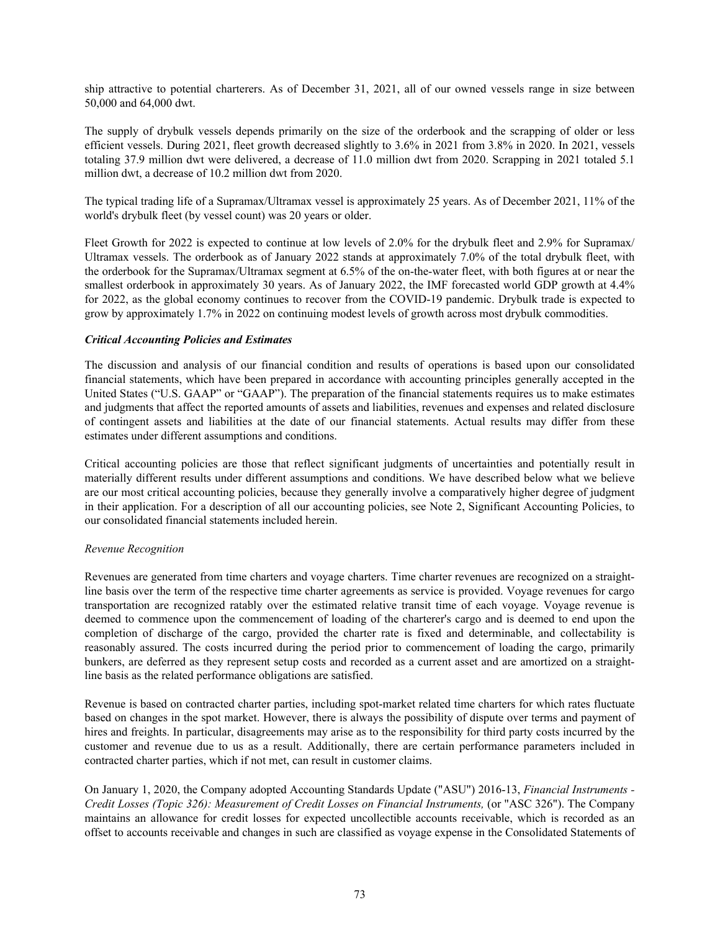ship attractive to potential charterers. As of December 31, 2021, all of our owned vessels range in size between 50,000 and 64,000 dwt.

The supply of drybulk vessels depends primarily on the size of the orderbook and the scrapping of older or less efficient vessels. During 2021, fleet growth decreased slightly to 3.6% in 2021 from 3.8% in 2020. In 2021, vessels totaling 37.9 million dwt were delivered, a decrease of 11.0 million dwt from 2020. Scrapping in 2021 totaled 5.1 million dwt, a decrease of 10.2 million dwt from 2020.

The typical trading life of a Supramax/Ultramax vessel is approximately 25 years. As of December 2021, 11% of the world's drybulk fleet (by vessel count) was 20 years or older.

Fleet Growth for 2022 is expected to continue at low levels of 2.0% for the drybulk fleet and 2.9% for Supramax/ Ultramax vessels. The orderbook as of January 2022 stands at approximately 7.0% of the total drybulk fleet, with the orderbook for the Supramax/Ultramax segment at 6.5% of the on-the-water fleet, with both figures at or near the smallest orderbook in approximately 30 years. As of January 2022, the IMF forecasted world GDP growth at 4.4% for 2022, as the global economy continues to recover from the COVID-19 pandemic. Drybulk trade is expected to grow by approximately 1.7% in 2022 on continuing modest levels of growth across most drybulk commodities.

## *Critical Accounting Policies and Estimates*

The discussion and analysis of our financial condition and results of operations is based upon our consolidated financial statements, which have been prepared in accordance with accounting principles generally accepted in the United States ("U.S. GAAP" or "GAAP"). The preparation of the financial statements requires us to make estimates and judgments that affect the reported amounts of assets and liabilities, revenues and expenses and related disclosure of contingent assets and liabilities at the date of our financial statements. Actual results may differ from these estimates under different assumptions and conditions.

Critical accounting policies are those that reflect significant judgments of uncertainties and potentially result in materially different results under different assumptions and conditions. We have described below what we believe are our most critical accounting policies, because they generally involve a comparatively higher degree of judgment in their application. For a description of all our accounting policies, see Note 2, Significant Accounting Policies, to our consolidated financial statements included herein.

#### *Revenue Recognition*

Revenues are generated from time charters and voyage charters. Time charter revenues are recognized on a straightline basis over the term of the respective time charter agreements as service is provided. Voyage revenues for cargo transportation are recognized ratably over the estimated relative transit time of each voyage. Voyage revenue is deemed to commence upon the commencement of loading of the charterer's cargo and is deemed to end upon the completion of discharge of the cargo, provided the charter rate is fixed and determinable, and collectability is reasonably assured. The costs incurred during the period prior to commencement of loading the cargo, primarily bunkers, are deferred as they represent setup costs and recorded as a current asset and are amortized on a straightline basis as the related performance obligations are satisfied.

Revenue is based on contracted charter parties, including spot-market related time charters for which rates fluctuate based on changes in the spot market. However, there is always the possibility of dispute over terms and payment of hires and freights. In particular, disagreements may arise as to the responsibility for third party costs incurred by the customer and revenue due to us as a result. Additionally, there are certain performance parameters included in contracted charter parties, which if not met, can result in customer claims.

On January 1, 2020, the Company adopted Accounting Standards Update ("ASU") 2016-13, *Financial Instruments - Credit Losses (Topic 326): Measurement of Credit Losses on Financial Instruments,* (or "ASC 326"). The Company maintains an allowance for credit losses for expected uncollectible accounts receivable, which is recorded as an offset to accounts receivable and changes in such are classified as voyage expense in the Consolidated Statements of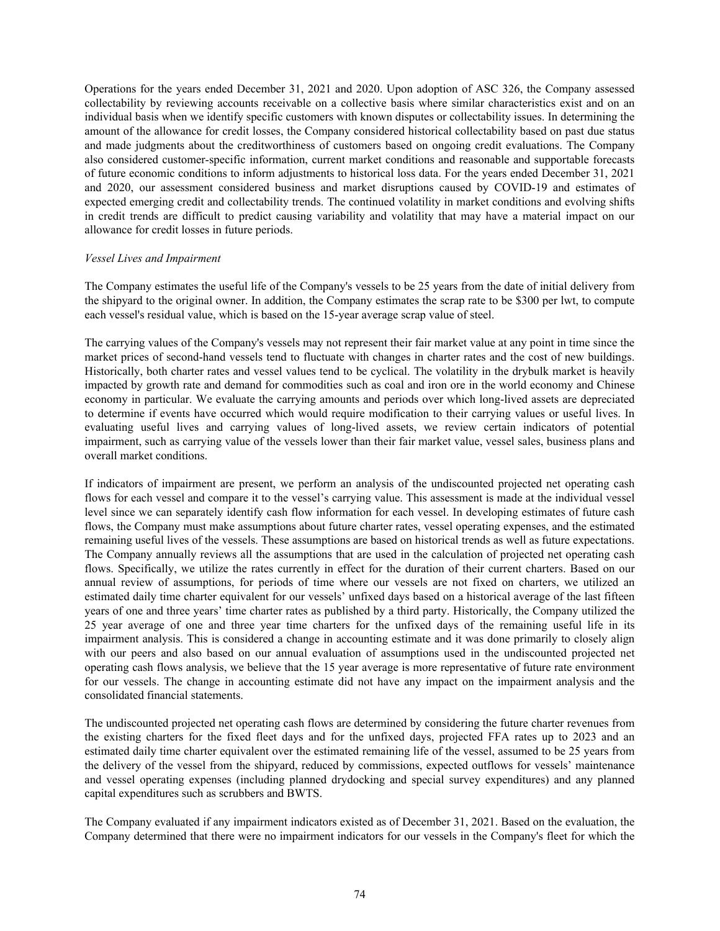Operations for the years ended December 31, 2021 and 2020. Upon adoption of ASC 326, the Company assessed collectability by reviewing accounts receivable on a collective basis where similar characteristics exist and on an individual basis when we identify specific customers with known disputes or collectability issues. In determining the amount of the allowance for credit losses, the Company considered historical collectability based on past due status and made judgments about the creditworthiness of customers based on ongoing credit evaluations. The Company also considered customer-specific information, current market conditions and reasonable and supportable forecasts of future economic conditions to inform adjustments to historical loss data. For the years ended December 31, 2021 and 2020, our assessment considered business and market disruptions caused by COVID-19 and estimates of expected emerging credit and collectability trends. The continued volatility in market conditions and evolving shifts in credit trends are difficult to predict causing variability and volatility that may have a material impact on our allowance for credit losses in future periods.

#### *Vessel Lives and Impairment*

The Company estimates the useful life of the Company's vessels to be 25 years from the date of initial delivery from the shipyard to the original owner. In addition, the Company estimates the scrap rate to be \$300 per lwt, to compute each vessel's residual value, which is based on the 15-year average scrap value of steel.

The carrying values of the Company's vessels may not represent their fair market value at any point in time since the market prices of second-hand vessels tend to fluctuate with changes in charter rates and the cost of new buildings. Historically, both charter rates and vessel values tend to be cyclical. The volatility in the drybulk market is heavily impacted by growth rate and demand for commodities such as coal and iron ore in the world economy and Chinese economy in particular. We evaluate the carrying amounts and periods over which long-lived assets are depreciated to determine if events have occurred which would require modification to their carrying values or useful lives. In evaluating useful lives and carrying values of long-lived assets, we review certain indicators of potential impairment, such as carrying value of the vessels lower than their fair market value, vessel sales, business plans and overall market conditions.

If indicators of impairment are present, we perform an analysis of the undiscounted projected net operating cash flows for each vessel and compare it to the vessel's carrying value. This assessment is made at the individual vessel level since we can separately identify cash flow information for each vessel. In developing estimates of future cash flows, the Company must make assumptions about future charter rates, vessel operating expenses, and the estimated remaining useful lives of the vessels. These assumptions are based on historical trends as well as future expectations. The Company annually reviews all the assumptions that are used in the calculation of projected net operating cash flows. Specifically, we utilize the rates currently in effect for the duration of their current charters. Based on our annual review of assumptions, for periods of time where our vessels are not fixed on charters, we utilized an estimated daily time charter equivalent for our vessels' unfixed days based on a historical average of the last fifteen years of one and three years' time charter rates as published by a third party. Historically, the Company utilized the 25 year average of one and three year time charters for the unfixed days of the remaining useful life in its impairment analysis. This is considered a change in accounting estimate and it was done primarily to closely align with our peers and also based on our annual evaluation of assumptions used in the undiscounted projected net operating cash flows analysis, we believe that the 15 year average is more representative of future rate environment for our vessels. The change in accounting estimate did not have any impact on the impairment analysis and the consolidated financial statements.

The undiscounted projected net operating cash flows are determined by considering the future charter revenues from the existing charters for the fixed fleet days and for the unfixed days, projected FFA rates up to 2023 and an estimated daily time charter equivalent over the estimated remaining life of the vessel, assumed to be 25 years from the delivery of the vessel from the shipyard, reduced by commissions, expected outflows for vessels' maintenance and vessel operating expenses (including planned drydocking and special survey expenditures) and any planned capital expenditures such as scrubbers and BWTS.

The Company evaluated if any impairment indicators existed as of December 31, 2021. Based on the evaluation, the Company determined that there were no impairment indicators for our vessels in the Company's fleet for which the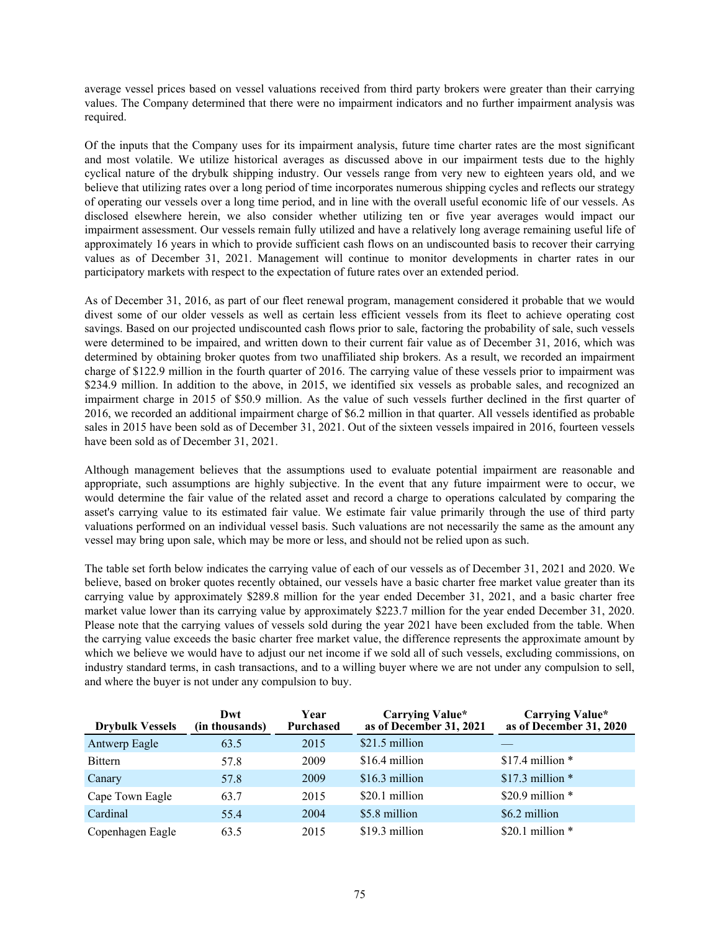average vessel prices based on vessel valuations received from third party brokers were greater than their carrying values. The Company determined that there were no impairment indicators and no further impairment analysis was required.

Of the inputs that the Company uses for its impairment analysis, future time charter rates are the most significant and most volatile. We utilize historical averages as discussed above in our impairment tests due to the highly cyclical nature of the drybulk shipping industry. Our vessels range from very new to eighteen years old, and we believe that utilizing rates over a long period of time incorporates numerous shipping cycles and reflects our strategy of operating our vessels over a long time period, and in line with the overall useful economic life of our vessels. As disclosed elsewhere herein, we also consider whether utilizing ten or five year averages would impact our impairment assessment. Our vessels remain fully utilized and have a relatively long average remaining useful life of approximately 16 years in which to provide sufficient cash flows on an undiscounted basis to recover their carrying values as of December 31, 2021. Management will continue to monitor developments in charter rates in our participatory markets with respect to the expectation of future rates over an extended period.

As of December 31, 2016, as part of our fleet renewal program, management considered it probable that we would divest some of our older vessels as well as certain less efficient vessels from its fleet to achieve operating cost savings. Based on our projected undiscounted cash flows prior to sale, factoring the probability of sale, such vessels were determined to be impaired, and written down to their current fair value as of December 31, 2016, which was determined by obtaining broker quotes from two unaffiliated ship brokers. As a result, we recorded an impairment charge of \$122.9 million in the fourth quarter of 2016. The carrying value of these vessels prior to impairment was \$234.9 million. In addition to the above, in 2015, we identified six vessels as probable sales, and recognized an impairment charge in 2015 of \$50.9 million. As the value of such vessels further declined in the first quarter of 2016, we recorded an additional impairment charge of \$6.2 million in that quarter. All vessels identified as probable sales in 2015 have been sold as of December 31, 2021. Out of the sixteen vessels impaired in 2016, fourteen vessels have been sold as of December 31, 2021.

Although management believes that the assumptions used to evaluate potential impairment are reasonable and appropriate, such assumptions are highly subjective. In the event that any future impairment were to occur, we would determine the fair value of the related asset and record a charge to operations calculated by comparing the asset's carrying value to its estimated fair value. We estimate fair value primarily through the use of third party valuations performed on an individual vessel basis. Such valuations are not necessarily the same as the amount any vessel may bring upon sale, which may be more or less, and should not be relied upon as such.

The table set forth below indicates the carrying value of each of our vessels as of December 31, 2021 and 2020. We believe, based on broker quotes recently obtained, our vessels have a basic charter free market value greater than its carrying value by approximately \$289.8 million for the year ended December 31, 2021, and a basic charter free market value lower than its carrying value by approximately \$223.7 million for the year ended December 31, 2020. Please note that the carrying values of vessels sold during the year 2021 have been excluded from the table. When the carrying value exceeds the basic charter free market value, the difference represents the approximate amount by which we believe we would have to adjust our net income if we sold all of such vessels, excluding commissions, on industry standard terms, in cash transactions, and to a willing buyer where we are not under any compulsion to sell, and where the buyer is not under any compulsion to buy.

| <b>Drybulk Vessels</b> | Dwt<br>(in thousands) | Year<br><b>Purchased</b> | <b>Carrying Value*</b><br>as of December 31, 2021 | <b>Carrying Value*</b><br>as of December 31, 2020 |
|------------------------|-----------------------|--------------------------|---------------------------------------------------|---------------------------------------------------|
| Antwerp Eagle          | 63.5                  | 2015                     | \$21.5 million                                    |                                                   |
| <b>Bittern</b>         | 57.8                  | 2009                     | \$16.4 million                                    | \$17.4 million $*$                                |
| Canary                 | 57.8                  | 2009                     | \$16.3 million                                    | \$17.3 million $*$                                |
| Cape Town Eagle        | 63.7                  | 2015                     | \$20.1 million                                    | \$20.9 million $*$                                |
| Cardinal               | 55.4                  | 2004                     | \$5.8 million                                     | \$6.2 million                                     |
| Copenhagen Eagle       | 63.5                  | 2015                     | \$19.3 million                                    | \$20.1 million $*$                                |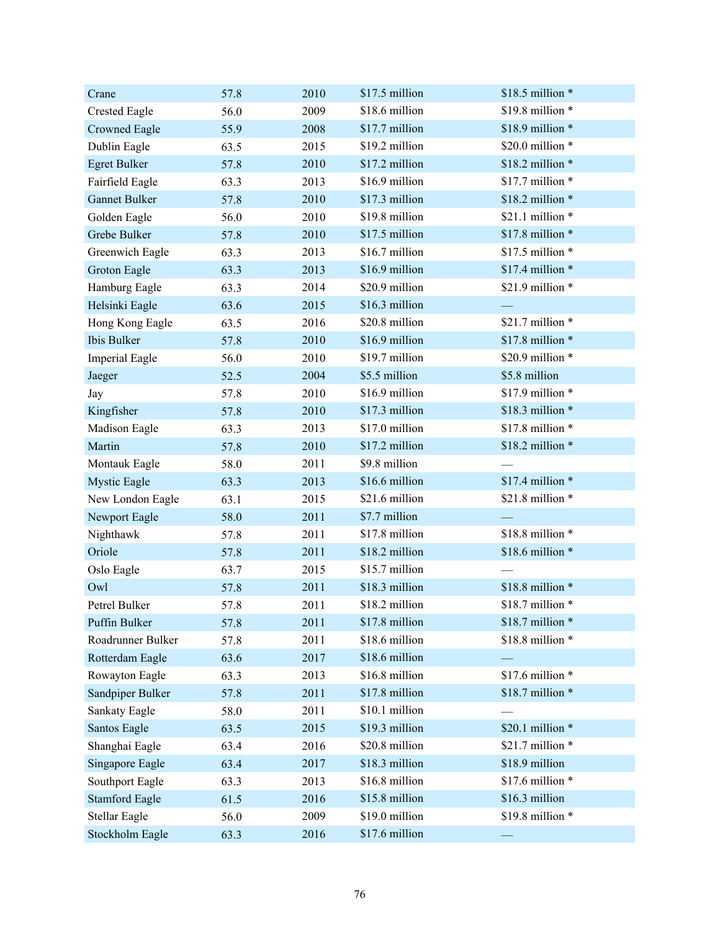| Crane                 | 57.8 | 2010 | \$17.5 million | \$18.5 million *  |
|-----------------------|------|------|----------------|-------------------|
| <b>Crested Eagle</b>  | 56.0 | 2009 | \$18.6 million | \$19.8 million *  |
| Crowned Eagle         | 55.9 | 2008 | \$17.7 million | \$18.9 million *  |
| Dublin Eagle          | 63.5 | 2015 | \$19.2 million | \$20.0 million *  |
| <b>Egret Bulker</b>   | 57.8 | 2010 | \$17.2 million | \$18.2 million *  |
| Fairfield Eagle       | 63.3 | 2013 | \$16.9 million | \$17.7 million *  |
| <b>Gannet Bulker</b>  | 57.8 | 2010 | \$17.3 million | \$18.2 million *  |
| Golden Eagle          | 56.0 | 2010 | \$19.8 million | \$21.1 million *  |
| Grebe Bulker          | 57.8 | 2010 | \$17.5 million | \$17.8 million *  |
| Greenwich Eagle       | 63.3 | 2013 | \$16.7 million | \$17.5 million *  |
| Groton Eagle          | 63.3 | 2013 | \$16.9 million | \$17.4 million *  |
| Hamburg Eagle         | 63.3 | 2014 | \$20.9 million | \$21.9 million *  |
| Helsinki Eagle        | 63.6 | 2015 | \$16.3 million |                   |
| Hong Kong Eagle       | 63.5 | 2016 | \$20.8 million | \$21.7 million *  |
| Ibis Bulker           | 57.8 | 2010 | \$16.9 million | \$17.8 million *  |
| <b>Imperial Eagle</b> | 56.0 | 2010 | \$19.7 million | \$20.9 million *  |
| Jaeger                | 52.5 | 2004 | \$5.5 million  | \$5.8 million     |
| Jay                   | 57.8 | 2010 | \$16.9 million | \$17.9 million *  |
| Kingfisher            | 57.8 | 2010 | \$17.3 million | \$18.3 million *  |
| Madison Eagle         | 63.3 | 2013 | \$17.0 million | \$17.8 million *  |
| Martin                | 57.8 | 2010 | \$17.2 million | \$18.2 million *  |
| Montauk Eagle         | 58.0 | 2011 | \$9.8 million  |                   |
| <b>Mystic Eagle</b>   | 63.3 | 2013 | \$16.6 million | $$17.4$ million * |
| New London Eagle      | 63.1 | 2015 | \$21.6 million | \$21.8 million *  |
| Newport Eagle         | 58.0 | 2011 | \$7.7 million  |                   |
| Nighthawk             | 57.8 | 2011 | \$17.8 million | \$18.8 million *  |
| Oriole                | 57.8 | 2011 | \$18.2 million | \$18.6 million *  |
| Oslo Eagle            | 63.7 | 2015 | \$15.7 million |                   |
| Owl                   | 57.8 | 2011 | \$18.3 million | \$18.8 million *  |
| Petrel Bulker         | 57.8 | 2011 | \$18.2 million | \$18.7 million *  |
| Puffin Bulker         | 57.8 | 2011 | \$17.8 million | \$18.7 million *  |
| Roadrunner Bulker     | 57.8 | 2011 | \$18.6 million | \$18.8 million *  |
| Rotterdam Eagle       | 63.6 | 2017 | \$18.6 million |                   |
| Rowayton Eagle        | 63.3 | 2013 | \$16.8 million | \$17.6 million *  |
| Sandpiper Bulker      | 57.8 | 2011 | \$17.8 million | \$18.7 million *  |
| Sankaty Eagle         | 58.0 | 2011 | \$10.1 million |                   |
| Santos Eagle          | 63.5 | 2015 | \$19.3 million | \$20.1 million *  |
| Shanghai Eagle        | 63.4 | 2016 | \$20.8 million | \$21.7 million *  |
| Singapore Eagle       | 63.4 | 2017 | \$18.3 million | \$18.9 million    |
| Southport Eagle       | 63.3 | 2013 | \$16.8 million | \$17.6 million *  |
| <b>Stamford Eagle</b> | 61.5 | 2016 | \$15.8 million | \$16.3 million    |
| <b>Stellar Eagle</b>  | 56.0 | 2009 | \$19.0 million | \$19.8 million *  |
| Stockholm Eagle       | 63.3 | 2016 | \$17.6 million |                   |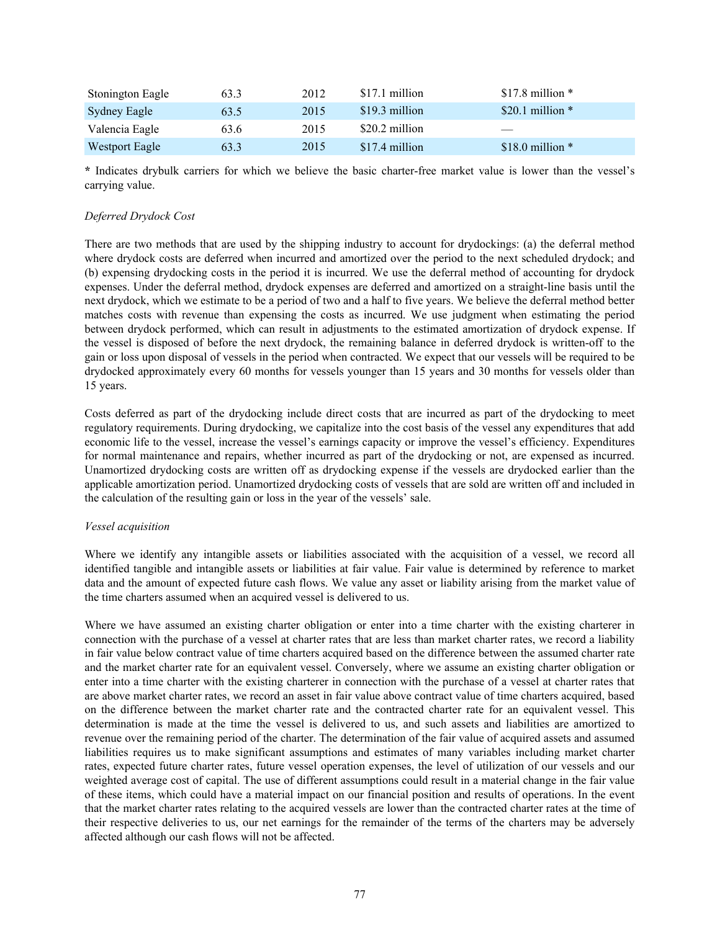| Stonington Eagle | 63.3 | 2012 | \$17.1 million  | \$17.8 million $*$             |
|------------------|------|------|-----------------|--------------------------------|
| Sydney Eagle     | 63.5 | 2015 | \$19.3 million  | \$20.1 million $*$             |
| Valencia Eagle   | 63.6 | 2015 | $$20.2$ million | $\overbrace{\hspace{27mm}}^{}$ |
| Westport Eagle   | 63.3 | 2015 | \$17.4 million  | \$18.0 million $*$             |

**\*** Indicates drybulk carriers for which we believe the basic charter-free market value is lower than the vessel's carrying value.

# *Deferred Drydock Cost*

There are two methods that are used by the shipping industry to account for drydockings: (a) the deferral method where drydock costs are deferred when incurred and amortized over the period to the next scheduled drydock; and (b) expensing drydocking costs in the period it is incurred. We use the deferral method of accounting for drydock expenses. Under the deferral method, drydock expenses are deferred and amortized on a straight-line basis until the next drydock, which we estimate to be a period of two and a half to five years. We believe the deferral method better matches costs with revenue than expensing the costs as incurred. We use judgment when estimating the period between drydock performed, which can result in adjustments to the estimated amortization of drydock expense. If the vessel is disposed of before the next drydock, the remaining balance in deferred drydock is written-off to the gain or loss upon disposal of vessels in the period when contracted. We expect that our vessels will be required to be drydocked approximately every 60 months for vessels younger than 15 years and 30 months for vessels older than 15 years.

Costs deferred as part of the drydocking include direct costs that are incurred as part of the drydocking to meet regulatory requirements. During drydocking, we capitalize into the cost basis of the vessel any expenditures that add economic life to the vessel, increase the vessel's earnings capacity or improve the vessel's efficiency. Expenditures for normal maintenance and repairs, whether incurred as part of the drydocking or not, are expensed as incurred. Unamortized drydocking costs are written off as drydocking expense if the vessels are drydocked earlier than the applicable amortization period. Unamortized drydocking costs of vessels that are sold are written off and included in the calculation of the resulting gain or loss in the year of the vessels' sale.

## *Vessel acquisition*

Where we identify any intangible assets or liabilities associated with the acquisition of a vessel, we record all identified tangible and intangible assets or liabilities at fair value. Fair value is determined by reference to market data and the amount of expected future cash flows. We value any asset or liability arising from the market value of the time charters assumed when an acquired vessel is delivered to us.

Where we have assumed an existing charter obligation or enter into a time charter with the existing charterer in connection with the purchase of a vessel at charter rates that are less than market charter rates, we record a liability in fair value below contract value of time charters acquired based on the difference between the assumed charter rate and the market charter rate for an equivalent vessel. Conversely, where we assume an existing charter obligation or enter into a time charter with the existing charterer in connection with the purchase of a vessel at charter rates that are above market charter rates, we record an asset in fair value above contract value of time charters acquired, based on the difference between the market charter rate and the contracted charter rate for an equivalent vessel. This determination is made at the time the vessel is delivered to us, and such assets and liabilities are amortized to revenue over the remaining period of the charter. The determination of the fair value of acquired assets and assumed liabilities requires us to make significant assumptions and estimates of many variables including market charter rates, expected future charter rates, future vessel operation expenses, the level of utilization of our vessels and our weighted average cost of capital. The use of different assumptions could result in a material change in the fair value of these items, which could have a material impact on our financial position and results of operations. In the event that the market charter rates relating to the acquired vessels are lower than the contracted charter rates at the time of their respective deliveries to us, our net earnings for the remainder of the terms of the charters may be adversely affected although our cash flows will not be affected.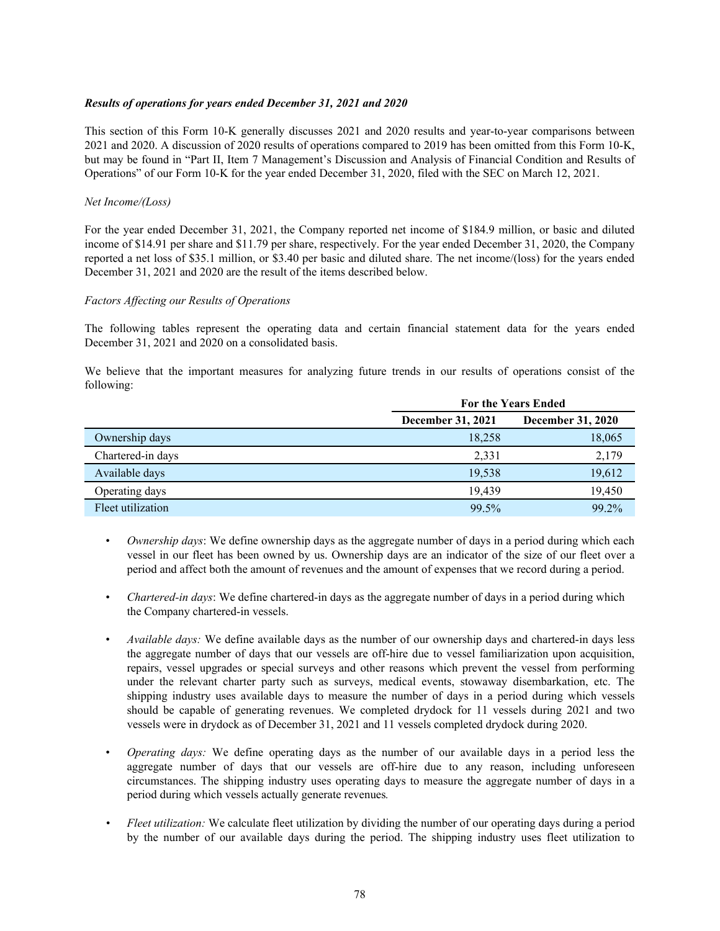## *Results of operations for years ended December 31, 2021 and 2020*

This section of this Form 10-K generally discusses 2021 and 2020 results and year-to-year comparisons between 2021 and 2020. A discussion of 2020 results of operations compared to 2019 has been omitted from this Form 10-K, but may be found in "Part II, Item 7 Management's Discussion and Analysis of Financial Condition and Results of Operations" of our Form 10-K for the year ended December 31, 2020, filed with the SEC on March 12, 2021.

#### *Net Income/(Loss)*

For the year ended December 31, 2021, the Company reported net income of \$184.9 million, or basic and diluted income of \$14.91 per share and \$11.79 per share, respectively. For the year ended December 31, 2020, the Company reported a net loss of \$35.1 million, or \$3.40 per basic and diluted share. The net income/(loss) for the years ended December 31, 2021 and 2020 are the result of the items described below.

## *Factors Affecting our Results of Operations*

The following tables represent the operating data and certain financial statement data for the years ended December 31, 2021 and 2020 on a consolidated basis.

We believe that the important measures for analyzing future trends in our results of operations consist of the following:

|                   | <b>For the Years Ended</b> |                          |  |
|-------------------|----------------------------|--------------------------|--|
|                   | <b>December 31, 2021</b>   | <b>December 31, 2020</b> |  |
| Ownership days    | 18,258                     | 18,065                   |  |
| Chartered-in days | 2,331                      | 2,179                    |  |
| Available days    | 19,538                     | 19,612                   |  |
| Operating days    | 19.439                     | 19,450                   |  |
| Fleet utilization | 99.5%                      | 99.2%                    |  |

- *Ownership days*: We define ownership days as the aggregate number of days in a period during which each vessel in our fleet has been owned by us. Ownership days are an indicator of the size of our fleet over a period and affect both the amount of revenues and the amount of expenses that we record during a period.
- *Chartered-in days*: We define chartered-in days as the aggregate number of days in a period during which the Company chartered-in vessels.
- *Available days:* We define available days as the number of our ownership days and chartered-in days less the aggregate number of days that our vessels are off-hire due to vessel familiarization upon acquisition, repairs, vessel upgrades or special surveys and other reasons which prevent the vessel from performing under the relevant charter party such as surveys, medical events, stowaway disembarkation, etc. The shipping industry uses available days to measure the number of days in a period during which vessels should be capable of generating revenues. We completed drydock for 11 vessels during 2021 and two vessels were in drydock as of December 31, 2021 and 11 vessels completed drydock during 2020.
- *Operating days:* We define operating days as the number of our available days in a period less the aggregate number of days that our vessels are off-hire due to any reason, including unforeseen circumstances. The shipping industry uses operating days to measure the aggregate number of days in a period during which vessels actually generate revenues*.*
- *• Fleet utilization:* We calculate fleet utilization by dividing the number of our operating days during a period by the number of our available days during the period. The shipping industry uses fleet utilization to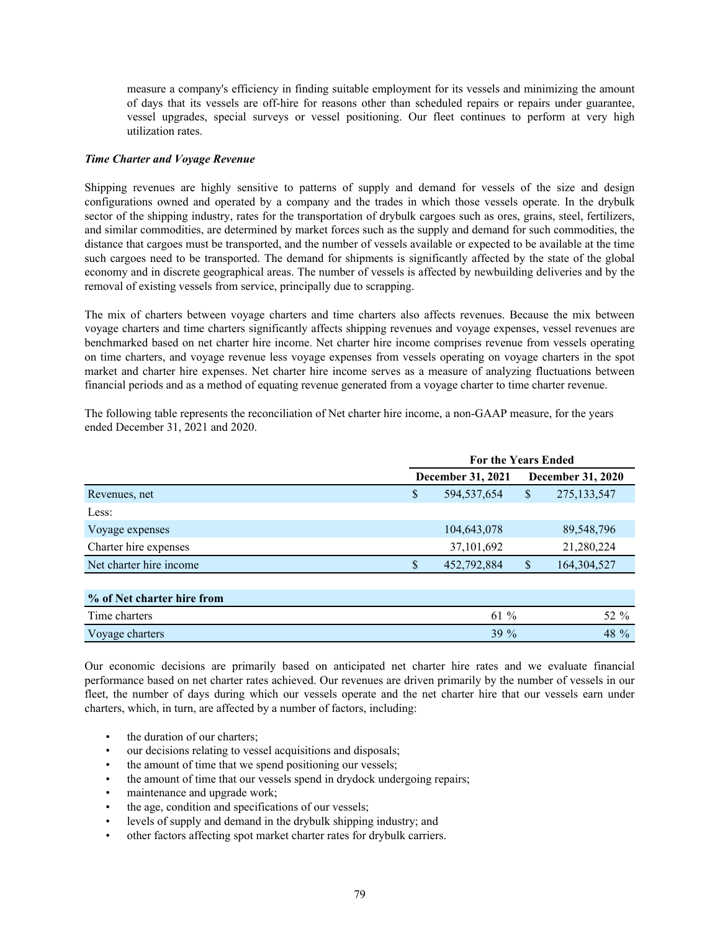measure a company's efficiency in finding suitable employment for its vessels and minimizing the amount of days that its vessels are off-hire for reasons other than scheduled repairs or repairs under guarantee, vessel upgrades, special surveys or vessel positioning. Our fleet continues to perform at very high utilization rates.

## *Time Charter and Voyage Revenue*

Shipping revenues are highly sensitive to patterns of supply and demand for vessels of the size and design configurations owned and operated by a company and the trades in which those vessels operate. In the drybulk sector of the shipping industry, rates for the transportation of drybulk cargoes such as ores, grains, steel, fertilizers, and similar commodities, are determined by market forces such as the supply and demand for such commodities, the distance that cargoes must be transported, and the number of vessels available or expected to be available at the time such cargoes need to be transported. The demand for shipments is significantly affected by the state of the global economy and in discrete geographical areas. The number of vessels is affected by newbuilding deliveries and by the removal of existing vessels from service, principally due to scrapping.

The mix of charters between voyage charters and time charters also affects revenues. Because the mix between voyage charters and time charters significantly affects shipping revenues and voyage expenses, vessel revenues are benchmarked based on net charter hire income. Net charter hire income comprises revenue from vessels operating on time charters, and voyage revenue less voyage expenses from vessels operating on voyage charters in the spot market and charter hire expenses. Net charter hire income serves as a measure of analyzing fluctuations between financial periods and as a method of equating revenue generated from a voyage charter to time charter revenue.

The following table represents the reconciliation of Net charter hire income, a non-GAAP measure, for the years ended December 31, 2021 and 2020.

|                            | <b>For the Years Ended</b> |             |              |                          |
|----------------------------|----------------------------|-------------|--------------|--------------------------|
|                            | <b>December 31, 2021</b>   |             |              | <b>December 31, 2020</b> |
| Revenues, net              | \$                         | 594,537,654 | $\mathbb{S}$ | 275, 133, 547            |
| Less:                      |                            |             |              |                          |
| Voyage expenses            |                            | 104,643,078 |              | 89,548,796               |
| Charter hire expenses      |                            | 37,101,692  |              | 21,280,224               |
| Net charter hire income    | \$                         | 452,792,884 | \$           | 164,304,527              |
|                            |                            |             |              |                          |
| % of Net charter hire from |                            |             |              |                          |
| Time charters              |                            | 61 %        |              | 52 %                     |
| Voyage charters            |                            | 39 %        |              | 48 %                     |

Our economic decisions are primarily based on anticipated net charter hire rates and we evaluate financial performance based on net charter rates achieved. Our revenues are driven primarily by the number of vessels in our fleet, the number of days during which our vessels operate and the net charter hire that our vessels earn under charters, which, in turn, are affected by a number of factors, including:

- the duration of our charters;
- our decisions relating to vessel acquisitions and disposals;
- the amount of time that we spend positioning our vessels;
- the amount of time that our vessels spend in drydock undergoing repairs;
- maintenance and upgrade work;
- the age, condition and specifications of our vessels;
- levels of supply and demand in the drybulk shipping industry; and
- other factors affecting spot market charter rates for drybulk carriers.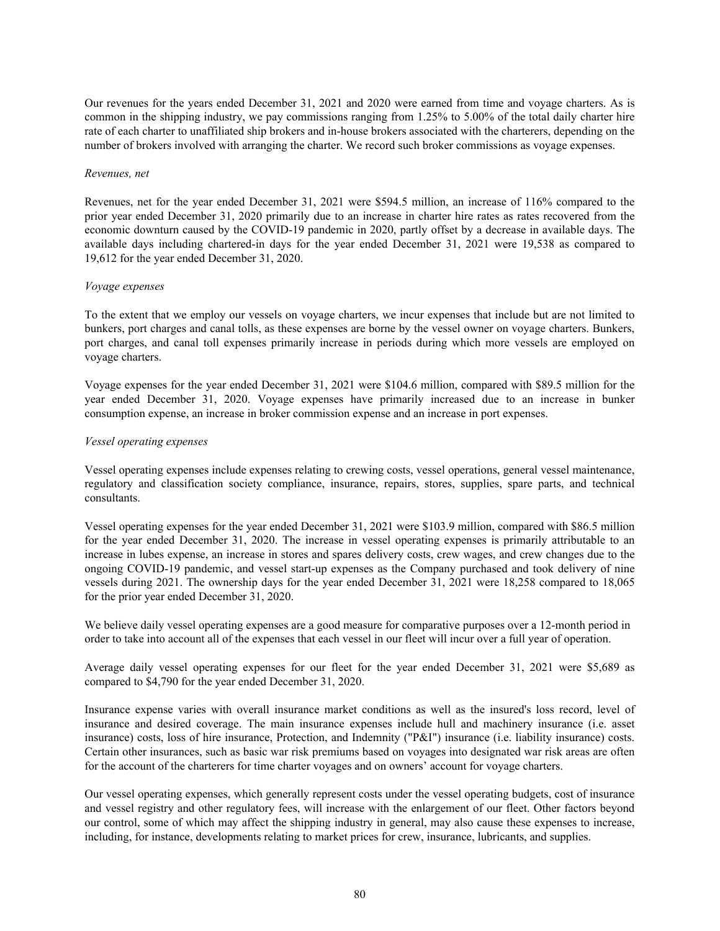Our revenues for the years ended December 31, 2021 and 2020 were earned from time and voyage charters. As is common in the shipping industry, we pay commissions ranging from 1.25% to 5.00% of the total daily charter hire rate of each charter to unaffiliated ship brokers and in-house brokers associated with the charterers, depending on the number of brokers involved with arranging the charter. We record such broker commissions as voyage expenses.

#### *Revenues, net*

Revenues, net for the year ended December 31, 2021 were \$594.5 million, an increase of 116% compared to the prior year ended December 31, 2020 primarily due to an increase in charter hire rates as rates recovered from the economic downturn caused by the COVID-19 pandemic in 2020, partly offset by a decrease in available days. The available days including chartered-in days for the year ended December 31, 2021 were 19,538 as compared to 19,612 for the year ended December 31, 2020.

## *Voyage expenses*

To the extent that we employ our vessels on voyage charters, we incur expenses that include but are not limited to bunkers, port charges and canal tolls, as these expenses are borne by the vessel owner on voyage charters. Bunkers, port charges, and canal toll expenses primarily increase in periods during which more vessels are employed on voyage charters.

Voyage expenses for the year ended December 31, 2021 were \$104.6 million, compared with \$89.5 million for the year ended December 31, 2020. Voyage expenses have primarily increased due to an increase in bunker consumption expense, an increase in broker commission expense and an increase in port expenses.

## *Vessel operating expenses*

Vessel operating expenses include expenses relating to crewing costs, vessel operations, general vessel maintenance, regulatory and classification society compliance, insurance, repairs, stores, supplies, spare parts, and technical consultants.

Vessel operating expenses for the year ended December 31, 2021 were \$103.9 million, compared with \$86.5 million for the year ended December 31, 2020. The increase in vessel operating expenses is primarily attributable to an increase in lubes expense, an increase in stores and spares delivery costs, crew wages, and crew changes due to the ongoing COVID-19 pandemic, and vessel start-up expenses as the Company purchased and took delivery of nine vessels during 2021. The ownership days for the year ended December 31, 2021 were 18,258 compared to 18,065 for the prior year ended December 31, 2020.

We believe daily vessel operating expenses are a good measure for comparative purposes over a 12-month period in order to take into account all of the expenses that each vessel in our fleet will incur over a full year of operation.

Average daily vessel operating expenses for our fleet for the year ended December 31, 2021 were \$5,689 as compared to \$4,790 for the year ended December 31, 2020.

Insurance expense varies with overall insurance market conditions as well as the insured's loss record, level of insurance and desired coverage. The main insurance expenses include hull and machinery insurance (i.e. asset insurance) costs, loss of hire insurance, Protection, and Indemnity ("P&I") insurance (i.e. liability insurance) costs. Certain other insurances, such as basic war risk premiums based on voyages into designated war risk areas are often for the account of the charterers for time charter voyages and on owners' account for voyage charters.

Our vessel operating expenses, which generally represent costs under the vessel operating budgets, cost of insurance and vessel registry and other regulatory fees, will increase with the enlargement of our fleet. Other factors beyond our control, some of which may affect the shipping industry in general, may also cause these expenses to increase, including, for instance, developments relating to market prices for crew, insurance, lubricants, and supplies.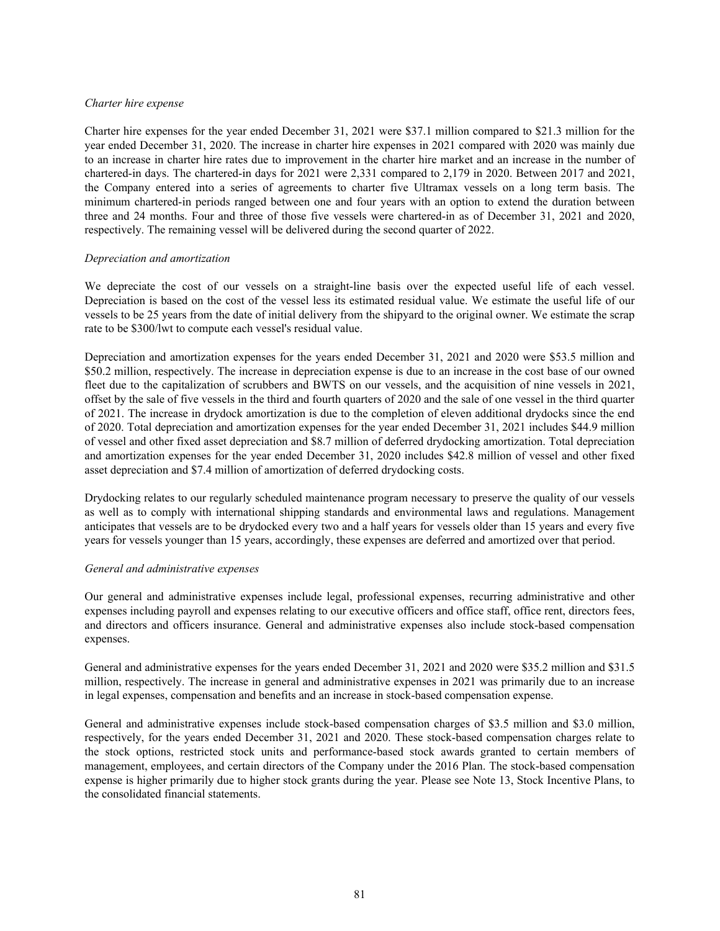#### *Charter hire expense*

Charter hire expenses for the year ended December 31, 2021 were \$37.1 million compared to \$21.3 million for the year ended December 31, 2020. The increase in charter hire expenses in 2021 compared with 2020 was mainly due to an increase in charter hire rates due to improvement in the charter hire market and an increase in the number of chartered-in days. The chartered-in days for 2021 were 2,331 compared to 2,179 in 2020. Between 2017 and 2021, the Company entered into a series of agreements to charter five Ultramax vessels on a long term basis. The minimum chartered-in periods ranged between one and four years with an option to extend the duration between three and 24 months. Four and three of those five vessels were chartered-in as of December 31, 2021 and 2020, respectively. The remaining vessel will be delivered during the second quarter of 2022.

#### *Depreciation and amortization*

We depreciate the cost of our vessels on a straight-line basis over the expected useful life of each vessel. Depreciation is based on the cost of the vessel less its estimated residual value. We estimate the useful life of our vessels to be 25 years from the date of initial delivery from the shipyard to the original owner. We estimate the scrap rate to be \$300/lwt to compute each vessel's residual value.

Depreciation and amortization expenses for the years ended December 31, 2021 and 2020 were \$53.5 million and \$50.2 million, respectively. The increase in depreciation expense is due to an increase in the cost base of our owned fleet due to the capitalization of scrubbers and BWTS on our vessels, and the acquisition of nine vessels in 2021, offset by the sale of five vessels in the third and fourth quarters of 2020 and the sale of one vessel in the third quarter of 2021. The increase in drydock amortization is due to the completion of eleven additional drydocks since the end of 2020. Total depreciation and amortization expenses for the year ended December 31, 2021 includes \$44.9 million of vessel and other fixed asset depreciation and \$8.7 million of deferred drydocking amortization. Total depreciation and amortization expenses for the year ended December 31, 2020 includes \$42.8 million of vessel and other fixed asset depreciation and \$7.4 million of amortization of deferred drydocking costs.

Drydocking relates to our regularly scheduled maintenance program necessary to preserve the quality of our vessels as well as to comply with international shipping standards and environmental laws and regulations. Management anticipates that vessels are to be drydocked every two and a half years for vessels older than 15 years and every five years for vessels younger than 15 years, accordingly, these expenses are deferred and amortized over that period.

#### *General and administrative expenses*

Our general and administrative expenses include legal, professional expenses, recurring administrative and other expenses including payroll and expenses relating to our executive officers and office staff, office rent, directors fees, and directors and officers insurance. General and administrative expenses also include stock-based compensation expenses.

General and administrative expenses for the years ended December 31, 2021 and 2020 were \$35.2 million and \$31.5 million, respectively. The increase in general and administrative expenses in 2021 was primarily due to an increase in legal expenses, compensation and benefits and an increase in stock-based compensation expense.

General and administrative expenses include stock-based compensation charges of \$3.5 million and \$3.0 million, respectively, for the years ended December 31, 2021 and 2020. These stock-based compensation charges relate to the stock options, restricted stock units and performance-based stock awards granted to certain members of management, employees, and certain directors of the Company under the 2016 Plan. The stock-based compensation expense is higher primarily due to higher stock grants during the year. Please see Note 13, Stock Incentive Plans, to the consolidated financial statements.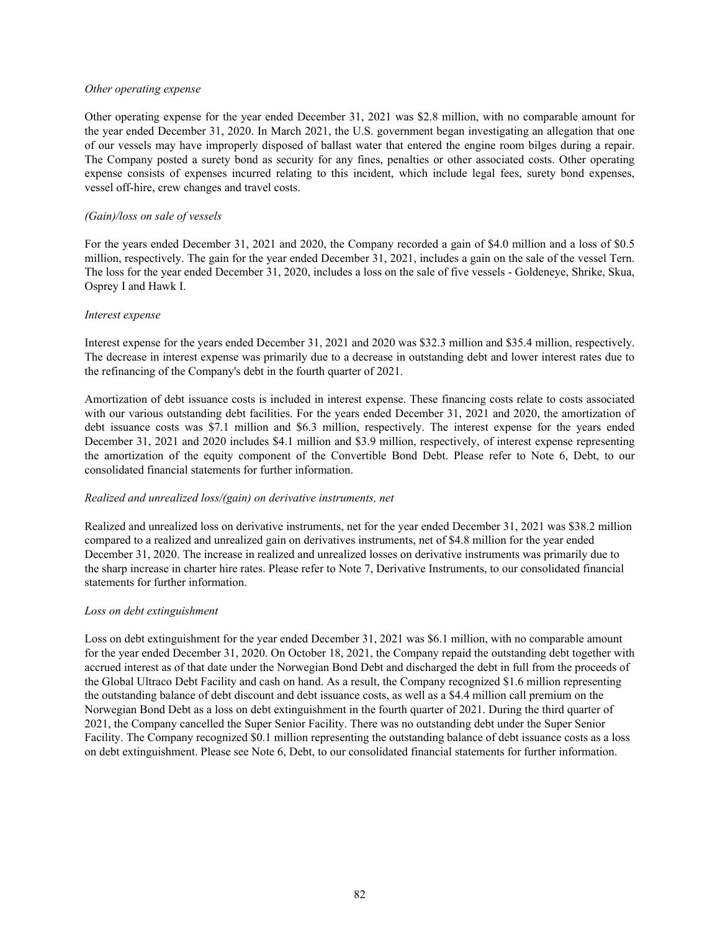#### *Other operating expense*

Other operating expense for the year ended December 31, 2021 was \$2.8 million, with no comparable amount for the year ended December 31, 2020. In March 2021, the U.S. government began investigating an allegation that one of our vessels may have improperly disposed of ballast water that entered the engine room bilges during a repair. The Company posted a surety bond as security for any fines, penalties or other associated costs. Other operating expense consists of expenses incurred relating to this incident, which include legal fees, surety bond expenses, vessel off-hire, crew changes and travel costs.

## *(Gain)/loss on sale of vessels*

For the years ended December 31, 2021 and 2020, the Company recorded a gain of \$4.0 million and a loss of \$0.5 million, respectively. The gain for the year ended December 31, 2021, includes a gain on the sale of the vessel Tern. The loss for the year ended December 31, 2020, includes a loss on the sale of five vessels - Goldeneye, Shrike, Skua, Osprey I and Hawk I.

#### *Interest expense*

Interest expense for the years ended December 31, 2021 and 2020 was \$32.3 million and \$35.4 million, respectively. The decrease in interest expense was primarily due to a decrease in outstanding debt and lower interest rates due to the refinancing of the Company's debt in the fourth quarter of 2021.

Amortization of debt issuance costs is included in interest expense. These financing costs relate to costs associated with our various outstanding debt facilities. For the years ended December 31, 2021 and 2020, the amortization of debt issuance costs was \$7.1 million and \$6.3 million, respectively. The interest expense for the years ended December 31, 2021 and 2020 includes \$4.1 million and \$3.9 million, respectively, of interest expense representing the amortization of the equity component of the Convertible Bond Debt. Please refer to Note 6, Debt, to our consolidated financial statements for further information.

## *Realized and unrealized loss/(gain) on derivative instruments, net*

Realized and unrealized loss on derivative instruments, net for the year ended December 31, 2021 was \$38.2 million compared to a realized and unrealized gain on derivatives instruments, net of \$4.8 million for the year ended December 31, 2020. The increase in realized and unrealized losses on derivative instruments was primarily due to the sharp increase in charter hire rates. Please refer to Note 7, Derivative Instruments, to our consolidated financial statements for further information.

#### *Loss on debt extinguishment*

Loss on debt extinguishment for the year ended December 31, 2021 was \$6.1 million, with no comparable amount for the year ended December 31, 2020. On October 18, 2021, the Company repaid the outstanding debt together with accrued interest as of that date under the Norwegian Bond Debt and discharged the debt in full from the proceeds of the Global Ultraco Debt Facility and cash on hand. As a result, the Company recognized \$1.6 million representing the outstanding balance of debt discount and debt issuance costs, as well as a \$4.4 million call premium on the Norwegian Bond Debt as a loss on debt extinguishment in the fourth quarter of 2021. During the third quarter of 2021, the Company cancelled the Super Senior Facility. There was no outstanding debt under the Super Senior Facility. The Company recognized \$0.1 million representing the outstanding balance of debt issuance costs as a loss on debt extinguishment. Please see Note 6, Debt, to our consolidated financial statements for further information.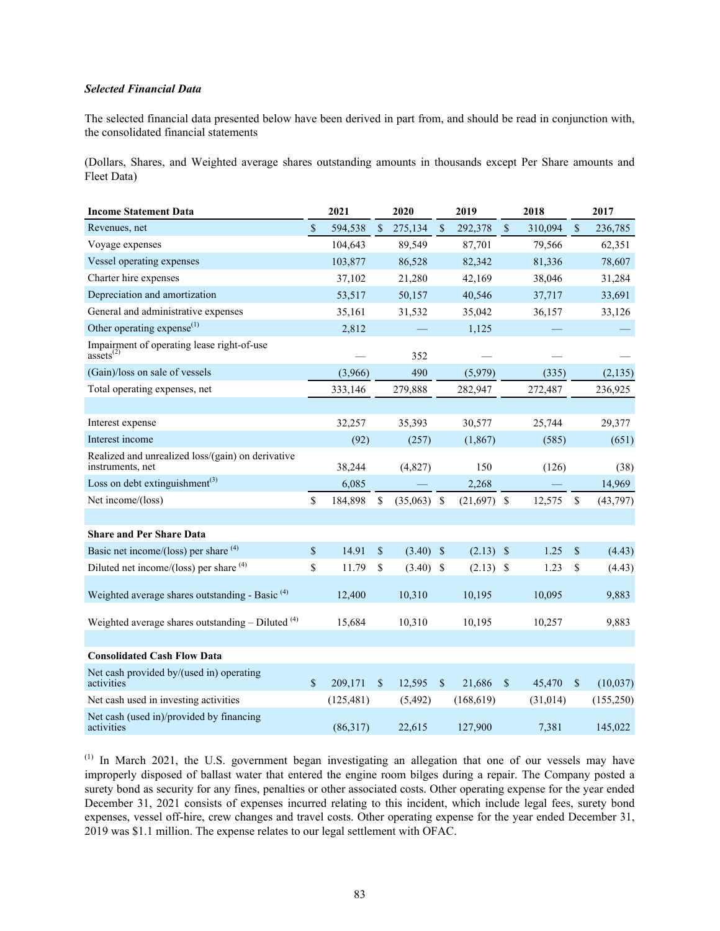## *Selected Financial Data*

The selected financial data presented below have been derived in part from, and should be read in conjunction with, the consolidated financial statements

(Dollars, Shares, and Weighted average shares outstanding amounts in thousands except Per Share amounts and Fleet Data)

| <b>Income Statement Data</b>                                          | 2021        |            | 2020                      |          |               | 2019       |                           | 2018      |               | 2017       |
|-----------------------------------------------------------------------|-------------|------------|---------------------------|----------|---------------|------------|---------------------------|-----------|---------------|------------|
| Revenues, net                                                         | \$          | 594,538    | $\boldsymbol{\mathsf{S}}$ | 275,134  | $\mathsf{\$}$ | 292,378    | $\sqrt{\ }$               | 310.094   | $\sqrt{\ }$   | 236,785    |
| Voyage expenses                                                       |             | 104,643    |                           | 89,549   |               | 87,701     |                           | 79,566    |               | 62,351     |
| Vessel operating expenses                                             |             | 103,877    |                           | 86,528   |               | 82,342     |                           | 81,336    |               | 78,607     |
| Charter hire expenses                                                 |             | 37,102     |                           | 21,280   |               | 42,169     |                           | 38,046    |               | 31,284     |
| Depreciation and amortization                                         |             | 53,517     |                           | 50,157   |               | 40,546     |                           | 37,717    |               | 33,691     |
| General and administrative expenses                                   |             | 35,161     |                           | 31,532   |               | 35,042     |                           | 36,157    |               | 33,126     |
| Other operating expense $^{(1)}$                                      |             | 2,812      |                           |          |               | 1,125      |                           |           |               |            |
| Impairment of operating lease right-of-use<br>$\arccos(2)$            |             |            |                           | 352      |               |            |                           |           |               |            |
| (Gain)/loss on sale of vessels                                        |             | (3,966)    |                           | 490      |               | (5,979)    |                           | (335)     |               | (2, 135)   |
| Total operating expenses, net                                         |             | 333,146    |                           | 279,888  |               | 282,947    |                           | 272,487   |               | 236,925    |
|                                                                       |             |            |                           |          |               |            |                           |           |               |            |
| Interest expense                                                      |             | 32,257     |                           | 35,393   |               | 30,577     |                           | 25,744    |               | 29,377     |
| Interest income                                                       |             | (92)       |                           | (257)    |               | (1, 867)   |                           | (585)     |               | (651)      |
| Realized and unrealized loss/(gain) on derivative<br>instruments, net |             | 38,244     |                           | (4, 827) |               | 150        |                           | (126)     |               | (38)       |
| Loss on debt extinguishment <sup>(3)</sup>                            |             | 6,085      |                           |          |               | 2,268      |                           |           |               | 14,969     |
| Net income/(loss)                                                     | \$          | 184,898    | \$                        | (35,063) | \$            | (21,697)   | \$                        | 12,575    | \$            | (43,797)   |
|                                                                       |             |            |                           |          |               |            |                           |           |               |            |
| <b>Share and Per Share Data</b>                                       |             |            |                           |          |               |            |                           |           |               |            |
| Basic net income/(loss) per share (4)                                 | $\$$        | 14.91      | \$                        | (3.40)   | $\sqrt{3}$    | (2.13)     | $\boldsymbol{\mathsf{S}}$ | 1.25      | \$            | (4.43)     |
| Diluted net income/(loss) per share $(4)$                             | \$          | 11.79      | \$                        | (3.40)   | \$            | (2.13)     | \$                        | 1.23      | \$            | (4.43)     |
| Weighted average shares outstanding - Basic <sup>(4)</sup>            |             | 12,400     |                           | 10,310   |               | 10,195     |                           | 10,095    |               | 9,883      |
| Weighted average shares outstanding $-$ Diluted $(4)$                 |             | 15,684     |                           | 10,310   |               | 10,195     |                           | 10,257    |               | 9,883      |
| <b>Consolidated Cash Flow Data</b>                                    |             |            |                           |          |               |            |                           |           |               |            |
| Net cash provided by/(used in) operating<br>activities                | $\mathbf S$ | 209,171    | $\mathbb{S}$              | 12,595   | $\sqrt{3}$    | 21,686     | $\boldsymbol{\mathsf{S}}$ | 45,470    | <sup>\$</sup> | (10,037)   |
| Net cash used in investing activities                                 |             | (125, 481) |                           | (5, 492) |               | (168, 619) |                           | (31, 014) |               | (155, 250) |
| Net cash (used in)/provided by financing<br>activities                |             | (86,317)   |                           | 22,615   |               | 127,900    |                           | 7,381     |               | 145,022    |

(1) In March 2021, the U.S. government began investigating an allegation that one of our vessels may have improperly disposed of ballast water that entered the engine room bilges during a repair. The Company posted a surety bond as security for any fines, penalties or other associated costs. Other operating expense for the year ended December 31, 2021 consists of expenses incurred relating to this incident, which include legal fees, surety bond expenses, vessel off-hire, crew changes and travel costs. Other operating expense for the year ended December 31, 2019 was \$1.1 million. The expense relates to our legal settlement with OFAC.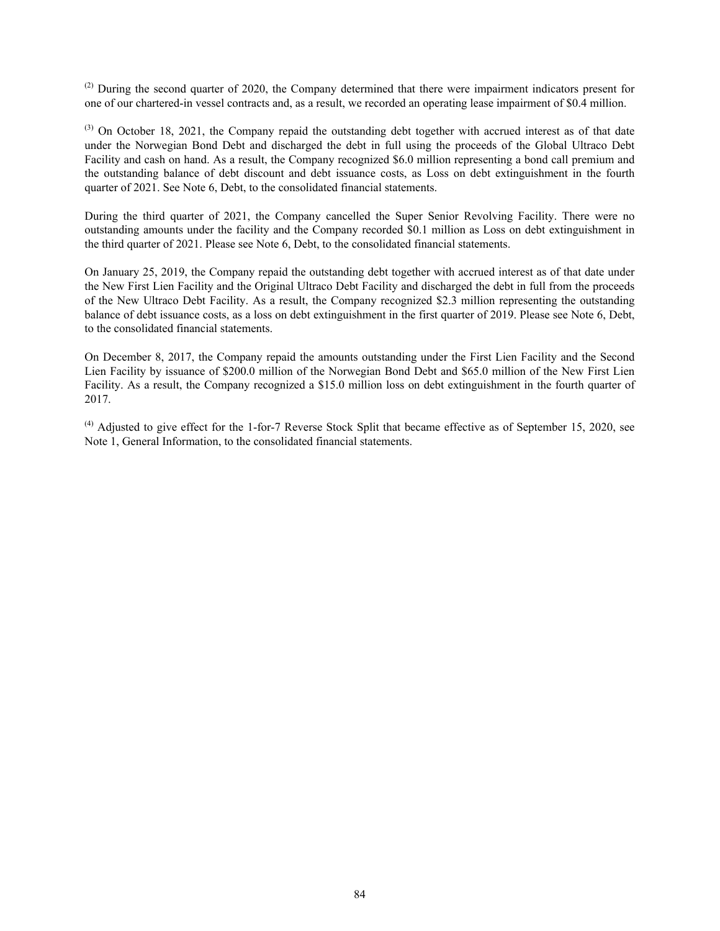(2) During the second quarter of 2020, the Company determined that there were impairment indicators present for one of our chartered-in vessel contracts and, as a result, we recorded an operating lease impairment of \$0.4 million.

(3) On October 18, 2021, the Company repaid the outstanding debt together with accrued interest as of that date under the Norwegian Bond Debt and discharged the debt in full using the proceeds of the Global Ultraco Debt Facility and cash on hand. As a result, the Company recognized \$6.0 million representing a bond call premium and the outstanding balance of debt discount and debt issuance costs, as Loss on debt extinguishment in the fourth quarter of 2021. See Note 6, Debt, to the consolidated financial statements.

During the third quarter of 2021, the Company cancelled the Super Senior Revolving Facility. There were no outstanding amounts under the facility and the Company recorded \$0.1 million as Loss on debt extinguishment in the third quarter of 2021. Please see Note 6, Debt, to the consolidated financial statements.

On January 25, 2019, the Company repaid the outstanding debt together with accrued interest as of that date under the New First Lien Facility and the Original Ultraco Debt Facility and discharged the debt in full from the proceeds of the New Ultraco Debt Facility. As a result, the Company recognized \$2.3 million representing the outstanding balance of debt issuance costs, as a loss on debt extinguishment in the first quarter of 2019. Please see Note 6, Debt, to the consolidated financial statements.

On December 8, 2017, the Company repaid the amounts outstanding under the First Lien Facility and the Second Lien Facility by issuance of \$200.0 million of the Norwegian Bond Debt and \$65.0 million of the New First Lien Facility. As a result, the Company recognized a \$15.0 million loss on debt extinguishment in the fourth quarter of 2017.

 $^{(4)}$  Adjusted to give effect for the 1-for-7 Reverse Stock Split that became effective as of September 15, 2020, see Note 1, General Information, to the consolidated financial statements.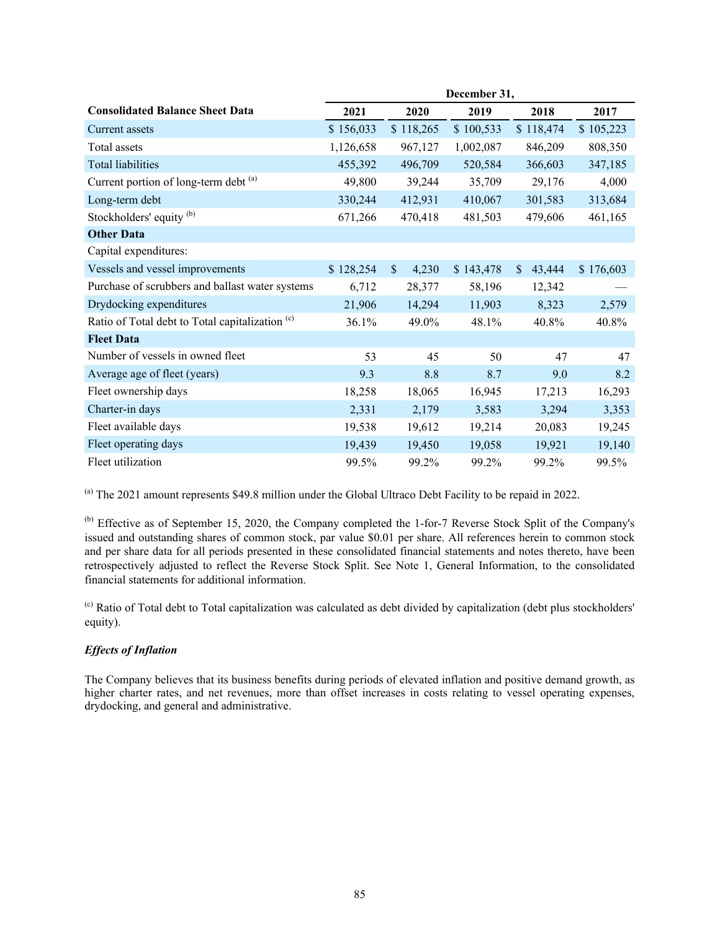|                                                            | December 31, |                        |           |                        |           |
|------------------------------------------------------------|--------------|------------------------|-----------|------------------------|-----------|
| <b>Consolidated Balance Sheet Data</b>                     | 2021         | 2020                   | 2019      | 2018                   | 2017      |
| Current assets                                             | \$156,033    | \$118,265              | \$100,533 | \$118,474              | \$105,223 |
| Total assets                                               | 1,126,658    | 967,127                | 1,002,087 | 846,209                | 808,350   |
| <b>Total liabilities</b>                                   | 455,392      | 496,709                | 520,584   | 366,603                | 347,185   |
| Current portion of long-term debt (a)                      | 49,800       | 39,244                 | 35,709    | 29,176                 | 4,000     |
| Long-term debt                                             | 330,244      | 412,931                | 410,067   | 301,583                | 313,684   |
| Stockholders' equity <sup>(b)</sup>                        | 671,266      | 470,418                | 481,503   | 479,606                | 461,165   |
| <b>Other Data</b>                                          |              |                        |           |                        |           |
| Capital expenditures:                                      |              |                        |           |                        |           |
| Vessels and vessel improvements                            | \$128,254    | $\mathsf{\$}$<br>4,230 | \$143,478 | 43,444<br>$\mathbb{S}$ | \$176,603 |
| Purchase of scrubbers and ballast water systems            | 6,712        | 28,377                 | 58,196    | 12,342                 |           |
| Drydocking expenditures                                    | 21,906       | 14,294                 | 11,903    | 8,323                  | 2,579     |
| Ratio of Total debt to Total capitalization <sup>(c)</sup> | 36.1%        | 49.0%                  | 48.1%     | 40.8%                  | 40.8%     |
| <b>Fleet Data</b>                                          |              |                        |           |                        |           |
| Number of vessels in owned fleet                           | 53           | 45                     | 50        | 47                     | 47        |
| Average age of fleet (years)                               | 9.3          | 8.8                    | 8.7       | 9.0                    | 8.2       |
| Fleet ownership days                                       | 18,258       | 18,065                 | 16,945    | 17,213                 | 16,293    |
| Charter-in days                                            | 2,331        | 2,179                  | 3,583     | 3,294                  | 3,353     |
| Fleet available days                                       | 19,538       | 19,612                 | 19,214    | 20,083                 | 19,245    |
| Fleet operating days                                       | 19,439       | 19,450                 | 19,058    | 19,921                 | 19,140    |
| Fleet utilization                                          | 99.5%        | 99.2%                  | 99.2%     | 99.2%                  | 99.5%     |

(a) The 2021 amount represents \$49.8 million under the Global Ultraco Debt Facility to be repaid in 2022.

(b) Effective as of September 15, 2020, the Company completed the 1-for-7 Reverse Stock Split of the Company's issued and outstanding shares of common stock, par value \$0.01 per share. All references herein to common stock and per share data for all periods presented in these consolidated financial statements and notes thereto, have been retrospectively adjusted to reflect the Reverse Stock Split. See Note 1, General Information, to the consolidated financial statements for additional information.

(c) Ratio of Total debt to Total capitalization was calculated as debt divided by capitalization (debt plus stockholders' equity).

# *Effects of Inflation*

The Company believes that its business benefits during periods of elevated inflation and positive demand growth, as higher charter rates, and net revenues, more than offset increases in costs relating to vessel operating expenses, drydocking, and general and administrative.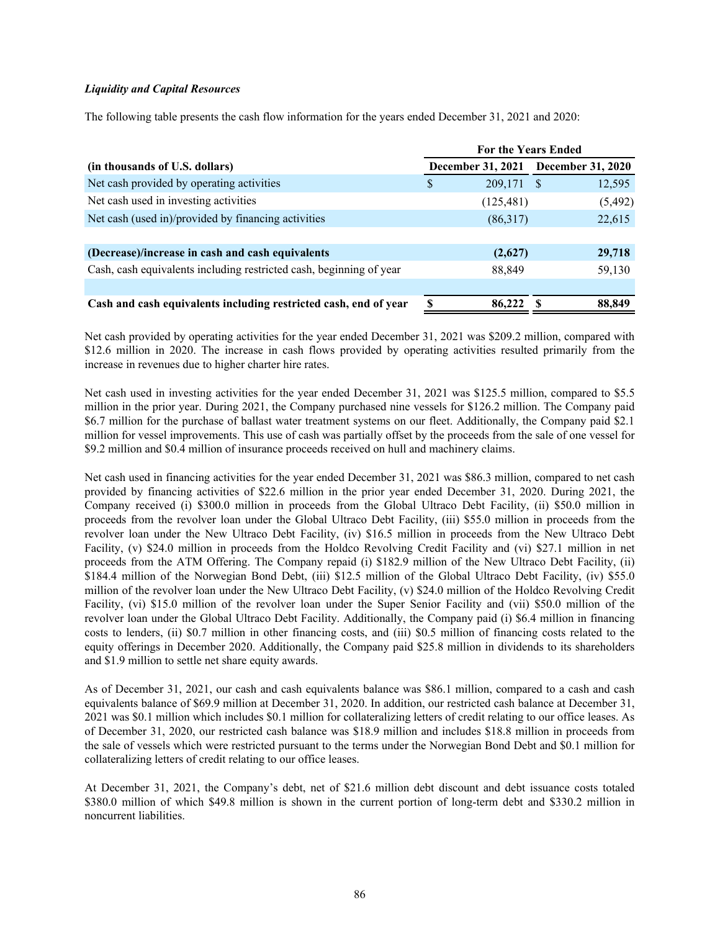## *Liquidity and Capital Resources*

The following table presents the cash flow information for the years ended December 31, 2021 and 2020:

|                                                                     | <b>For the Years Ended</b> |            |                                     |          |
|---------------------------------------------------------------------|----------------------------|------------|-------------------------------------|----------|
| (in thousands of U.S. dollars)                                      |                            |            | December 31, 2021 December 31, 2020 |          |
| Net cash provided by operating activities                           | S                          | 209,171    | -S                                  | 12,595   |
| Net cash used in investing activities                               |                            | (125, 481) |                                     | (5, 492) |
| Net cash (used in)/provided by financing activities                 |                            | (86,317)   |                                     | 22,615   |
|                                                                     |                            |            |                                     |          |
| (Decrease)/increase in cash and cash equivalents                    |                            | (2,627)    |                                     | 29,718   |
| Cash, cash equivalents including restricted cash, beginning of year |                            | 88,849     |                                     | 59,130   |
|                                                                     |                            |            |                                     |          |
| Cash and cash equivalents including restricted cash, end of year    |                            | 86,222     |                                     | 88,849   |

Net cash provided by operating activities for the year ended December 31, 2021 was \$209.2 million, compared with \$12.6 million in 2020. The increase in cash flows provided by operating activities resulted primarily from the increase in revenues due to higher charter hire rates.

Net cash used in investing activities for the year ended December 31, 2021 was \$125.5 million, compared to \$5.5 million in the prior year. During 2021, the Company purchased nine vessels for \$126.2 million. The Company paid \$6.7 million for the purchase of ballast water treatment systems on our fleet. Additionally, the Company paid \$2.1 million for vessel improvements. This use of cash was partially offset by the proceeds from the sale of one vessel for \$9.2 million and \$0.4 million of insurance proceeds received on hull and machinery claims.

Net cash used in financing activities for the year ended December 31, 2021 was \$86.3 million, compared to net cash provided by financing activities of \$22.6 million in the prior year ended December 31, 2020. During 2021, the Company received (i) \$300.0 million in proceeds from the Global Ultraco Debt Facility, (ii) \$50.0 million in proceeds from the revolver loan under the Global Ultraco Debt Facility, (iii) \$55.0 million in proceeds from the revolver loan under the New Ultraco Debt Facility, (iv) \$16.5 million in proceeds from the New Ultraco Debt Facility, (v) \$24.0 million in proceeds from the Holdco Revolving Credit Facility and (vi) \$27.1 million in net proceeds from the ATM Offering. The Company repaid (i) \$182.9 million of the New Ultraco Debt Facility, (ii) \$184.4 million of the Norwegian Bond Debt, (iii) \$12.5 million of the Global Ultraco Debt Facility, (iv) \$55.0 million of the revolver loan under the New Ultraco Debt Facility, (v) \$24.0 million of the Holdco Revolving Credit Facility, (vi) \$15.0 million of the revolver loan under the Super Senior Facility and (vii) \$50.0 million of the revolver loan under the Global Ultraco Debt Facility. Additionally, the Company paid (i) \$6.4 million in financing costs to lenders, (ii) \$0.7 million in other financing costs, and (iii) \$0.5 million of financing costs related to the equity offerings in December 2020. Additionally, the Company paid \$25.8 million in dividends to its shareholders and \$1.9 million to settle net share equity awards.

As of December 31, 2021, our cash and cash equivalents balance was \$86.1 million, compared to a cash and cash equivalents balance of \$69.9 million at December 31, 2020. In addition, our restricted cash balance at December 31, 2021 was \$0.1 million which includes \$0.1 million for collateralizing letters of credit relating to our office leases. As of December 31, 2020, our restricted cash balance was \$18.9 million and includes \$18.8 million in proceeds from the sale of vessels which were restricted pursuant to the terms under the Norwegian Bond Debt and \$0.1 million for collateralizing letters of credit relating to our office leases.

At December 31, 2021, the Company's debt, net of \$21.6 million debt discount and debt issuance costs totaled \$380.0 million of which \$49.8 million is shown in the current portion of long-term debt and \$330.2 million in noncurrent liabilities.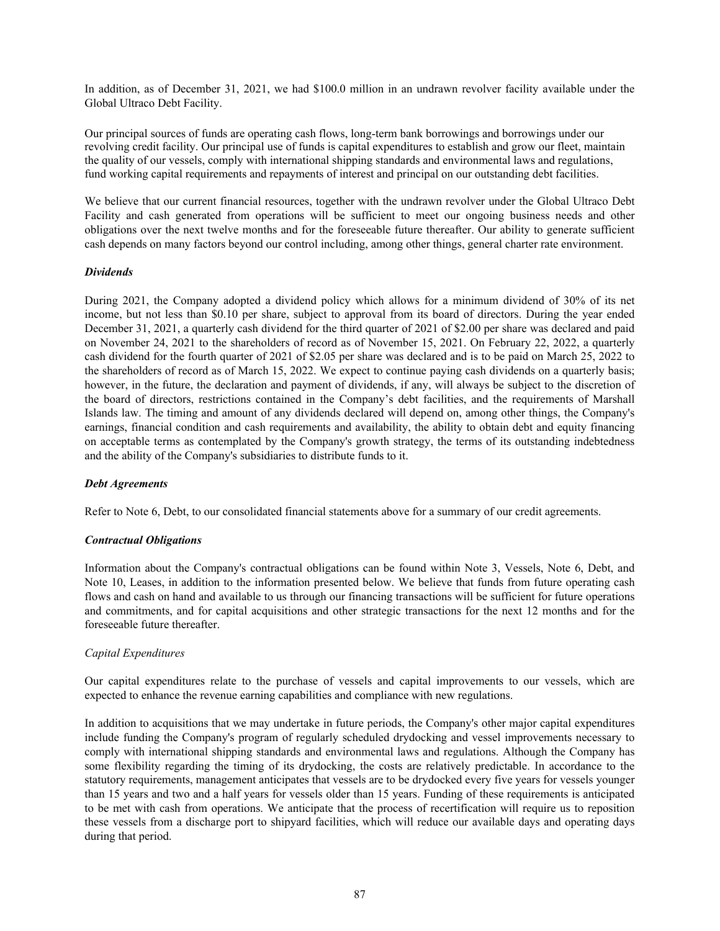In addition, as of December 31, 2021, we had \$100.0 million in an undrawn revolver facility available under the Global Ultraco Debt Facility.

Our principal sources of funds are operating cash flows, long-term bank borrowings and borrowings under our revolving credit facility. Our principal use of funds is capital expenditures to establish and grow our fleet, maintain the quality of our vessels, comply with international shipping standards and environmental laws and regulations, fund working capital requirements and repayments of interest and principal on our outstanding debt facilities.

We believe that our current financial resources, together with the undrawn revolver under the Global Ultraco Debt Facility and cash generated from operations will be sufficient to meet our ongoing business needs and other obligations over the next twelve months and for the foreseeable future thereafter. Our ability to generate sufficient cash depends on many factors beyond our control including, among other things, general charter rate environment.

## *Dividends*

During 2021, the Company adopted a dividend policy which allows for a minimum dividend of 30% of its net income, but not less than \$0.10 per share, subject to approval from its board of directors. During the year ended December 31, 2021, a quarterly cash dividend for the third quarter of 2021 of \$2.00 per share was declared and paid on November 24, 2021 to the shareholders of record as of November 15, 2021. On February 22, 2022, a quarterly cash dividend for the fourth quarter of 2021 of \$2.05 per share was declared and is to be paid on March 25, 2022 to the shareholders of record as of March 15, 2022. We expect to continue paying cash dividends on a quarterly basis; however, in the future, the declaration and payment of dividends, if any, will always be subject to the discretion of the board of directors, restrictions contained in the Company's debt facilities, and the requirements of Marshall Islands law. The timing and amount of any dividends declared will depend on, among other things, the Company's earnings, financial condition and cash requirements and availability, the ability to obtain debt and equity financing on acceptable terms as contemplated by the Company's growth strategy, the terms of its outstanding indebtedness and the ability of the Company's subsidiaries to distribute funds to it.

## *Debt Agreements*

Refer to Note 6, Debt, to our consolidated financial statements above for a summary of our credit agreements.

#### *Contractual Obligations*

Information about the Company's contractual obligations can be found within Note 3, Vessels, Note 6, Debt, and Note 10, Leases, in addition to the information presented below. We believe that funds from future operating cash flows and cash on hand and available to us through our financing transactions will be sufficient for future operations and commitments, and for capital acquisitions and other strategic transactions for the next 12 months and for the foreseeable future thereafter.

## *Capital Expenditures*

Our capital expenditures relate to the purchase of vessels and capital improvements to our vessels, which are expected to enhance the revenue earning capabilities and compliance with new regulations.

In addition to acquisitions that we may undertake in future periods, the Company's other major capital expenditures include funding the Company's program of regularly scheduled drydocking and vessel improvements necessary to comply with international shipping standards and environmental laws and regulations. Although the Company has some flexibility regarding the timing of its drydocking, the costs are relatively predictable. In accordance to the statutory requirements, management anticipates that vessels are to be drydocked every five years for vessels younger than 15 years and two and a half years for vessels older than 15 years. Funding of these requirements is anticipated to be met with cash from operations. We anticipate that the process of recertification will require us to reposition these vessels from a discharge port to shipyard facilities, which will reduce our available days and operating days during that period.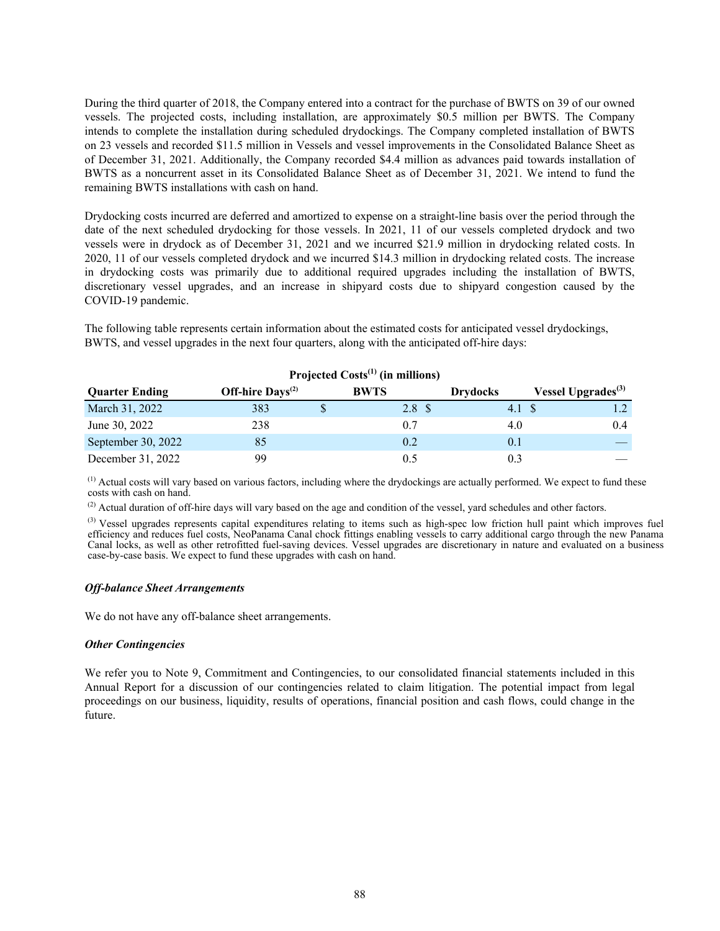During the third quarter of 2018, the Company entered into a contract for the purchase of BWTS on 39 of our owned vessels. The projected costs, including installation, are approximately \$0.5 million per BWTS. The Company intends to complete the installation during scheduled drydockings. The Company completed installation of BWTS on 23 vessels and recorded \$11.5 million in Vessels and vessel improvements in the Consolidated Balance Sheet as of December 31, 2021. Additionally, the Company recorded \$4.4 million as advances paid towards installation of BWTS as a noncurrent asset in its Consolidated Balance Sheet as of December 31, 2021. We intend to fund the remaining BWTS installations with cash on hand.

Drydocking costs incurred are deferred and amortized to expense on a straight-line basis over the period through the date of the next scheduled drydocking for those vessels. In 2021, 11 of our vessels completed drydock and two vessels were in drydock as of December 31, 2021 and we incurred \$21.9 million in drydocking related costs. In 2020, 11 of our vessels completed drydock and we incurred \$14.3 million in drydocking related costs. The increase in drydocking costs was primarily due to additional required upgrades including the installation of BWTS, discretionary vessel upgrades, and an increase in shipyard costs due to shipyard congestion caused by the COVID-19 pandemic.

The following table represents certain information about the estimated costs for anticipated vessel drydockings, BWTS, and vessel upgrades in the next four quarters, along with the anticipated off-hire days:

|                       |                              | Trolected Costs (III Infinitions) |                 |                                |
|-----------------------|------------------------------|-----------------------------------|-----------------|--------------------------------|
| <b>Quarter Ending</b> | Off-hire $\text{Days}^{(2)}$ | <b>BWTS</b>                       | <b>Drydocks</b> | Vessel Upgrades <sup>(3)</sup> |
| March 31, 2022        | 383                          | 2.8 <sup>°</sup>                  | 4.1             |                                |
| June 30, 2022         | 238                          | 0.7                               | 4.0             | 0.4                            |
| September 30, 2022    | 85                           | 0.2                               | 0.1             |                                |
| December 31, 2022     | 99                           | 0.5                               | 0.3             |                                |

# **Projected Costs(1) (in millions)**

 $<sup>(1)</sup>$  Actual costs will vary based on various factors, including where the drydockings are actually performed. We expect to fund these</sup> costs with cash on hand.

 $^{(2)}$  Actual duration of off-hire days will vary based on the age and condition of the vessel, yard schedules and other factors.

<sup>(3)</sup> Vessel upgrades represents capital expenditures relating to items such as high-spec low friction hull paint which improves fuel efficiency and reduces fuel costs, NeoPanama Canal chock fittings enabling vessels to carry additional cargo through the new Panama Canal locks, as well as other retrofitted fuel-saving devices. Vessel upgrades are discretionary in nature and evaluated on a business case-by-case basis. We expect to fund these upgrades with cash on hand.

## *Off-balance Sheet Arrangements*

We do not have any off-balance sheet arrangements.

#### *Other Contingencies*

We refer you to Note 9, Commitment and Contingencies, to our consolidated financial statements included in this Annual Report for a discussion of our contingencies related to claim litigation. The potential impact from legal proceedings on our business, liquidity, results of operations, financial position and cash flows, could change in the future.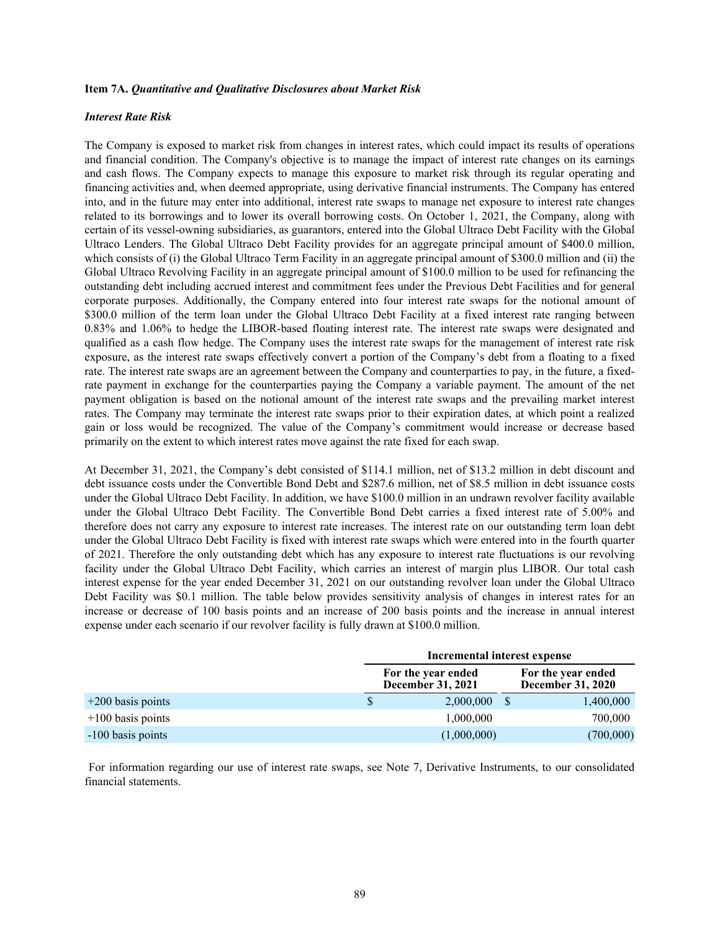## **Item 7A.** *Quantitative and Qualitative Disclosures about Market Risk*

## *Interest Rate Risk*

The Company is exposed to market risk from changes in interest rates, which could impact its results of operations and financial condition. The Company's objective is to manage the impact of interest rate changes on its earnings and cash flows. The Company expects to manage this exposure to market risk through its regular operating and financing activities and, when deemed appropriate, using derivative financial instruments. The Company has entered into, and in the future may enter into additional, interest rate swaps to manage net exposure to interest rate changes related to its borrowings and to lower its overall borrowing costs. On October 1, 2021, the Company, along with certain of its vessel-owning subsidiaries, as guarantors, entered into the Global Ultraco Debt Facility with the Global Ultraco Lenders. The Global Ultraco Debt Facility provides for an aggregate principal amount of \$400.0 million, which consists of (i) the Global Ultraco Term Facility in an aggregate principal amount of \$300.0 million and (ii) the Global Ultraco Revolving Facility in an aggregate principal amount of \$100.0 million to be used for refinancing the outstanding debt including accrued interest and commitment fees under the Previous Debt Facilities and for general corporate purposes. Additionally, the Company entered into four interest rate swaps for the notional amount of \$300.0 million of the term loan under the Global Ultraco Debt Facility at a fixed interest rate ranging between 0.83% and 1.06% to hedge the LIBOR-based floating interest rate. The interest rate swaps were designated and qualified as a cash flow hedge. The Company uses the interest rate swaps for the management of interest rate risk exposure, as the interest rate swaps effectively convert a portion of the Company's debt from a floating to a fixed rate. The interest rate swaps are an agreement between the Company and counterparties to pay, in the future, a fixedrate payment in exchange for the counterparties paying the Company a variable payment. The amount of the net payment obligation is based on the notional amount of the interest rate swaps and the prevailing market interest rates. The Company may terminate the interest rate swaps prior to their expiration dates, at which point a realized gain or loss would be recognized. The value of the Company's commitment would increase or decrease based primarily on the extent to which interest rates move against the rate fixed for each swap.

At December 31, 2021, the Company's debt consisted of \$114.1 million, net of \$13.2 million in debt discount and debt issuance costs under the Convertible Bond Debt and \$287.6 million, net of \$8.5 million in debt issuance costs under the Global Ultraco Debt Facility. In addition, we have \$100.0 million in an undrawn revolver facility available under the Global Ultraco Debt Facility. The Convertible Bond Debt carries a fixed interest rate of 5.00% and therefore does not carry any exposure to interest rate increases. The interest rate on our outstanding term loan debt under the Global Ultraco Debt Facility is fixed with interest rate swaps which were entered into in the fourth quarter of 2021. Therefore the only outstanding debt which has any exposure to interest rate fluctuations is our revolving facility under the Global Ultraco Debt Facility, which carries an interest of margin plus LIBOR. Our total cash interest expense for the year ended December 31, 2021 on our outstanding revolver loan under the Global Ultraco Debt Facility was \$0.1 million. The table below provides sensitivity analysis of changes in interest rates for an increase or decrease of 100 basis points and an increase of 200 basis points and the increase in annual interest expense under each scenario if our revolver facility is fully drawn at \$100.0 million.

|                     |    | Incremental interest expense                   |  |                                                |  |  |
|---------------------|----|------------------------------------------------|--|------------------------------------------------|--|--|
|                     |    | For the year ended<br><b>December 31, 2021</b> |  | For the year ended<br><b>December 31, 2020</b> |  |  |
| $+200$ basis points | \$ | 2,000,000                                      |  | 1,400,000                                      |  |  |
| $+100$ basis points |    | 1,000,000                                      |  | 700,000                                        |  |  |
| -100 basis points   |    | (1,000,000)                                    |  | (700,000)                                      |  |  |

 For information regarding our use of interest rate swaps, see Note 7, Derivative Instruments, to our consolidated financial statements.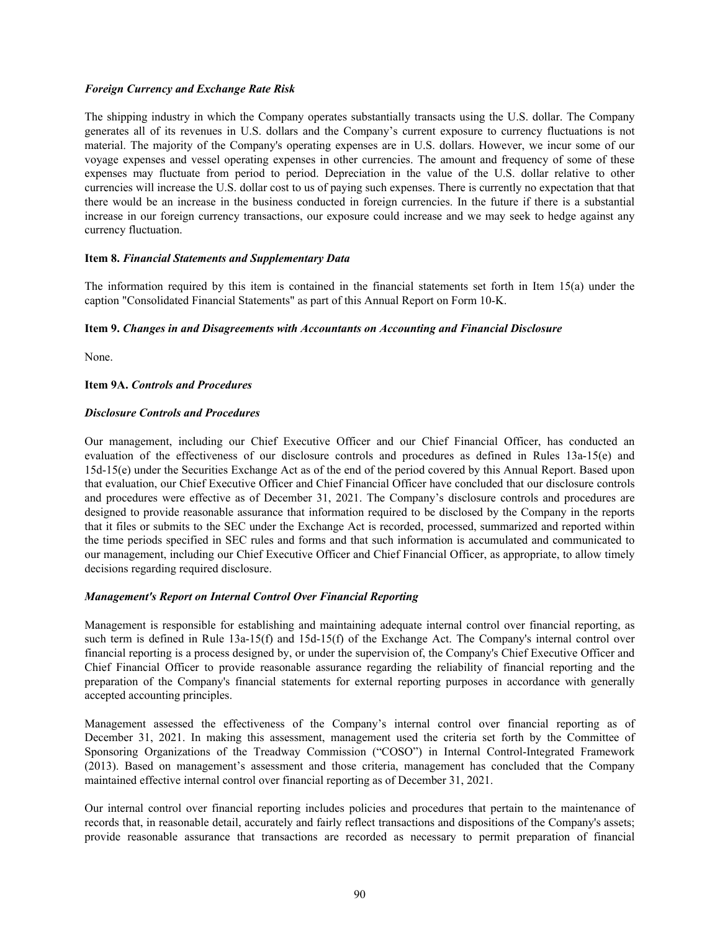## *Foreign Currency and Exchange Rate Risk*

The shipping industry in which the Company operates substantially transacts using the U.S. dollar. The Company generates all of its revenues in U.S. dollars and the Company's current exposure to currency fluctuations is not material. The majority of the Company's operating expenses are in U.S. dollars. However, we incur some of our voyage expenses and vessel operating expenses in other currencies. The amount and frequency of some of these expenses may fluctuate from period to period. Depreciation in the value of the U.S. dollar relative to other currencies will increase the U.S. dollar cost to us of paying such expenses. There is currently no expectation that that there would be an increase in the business conducted in foreign currencies. In the future if there is a substantial increase in our foreign currency transactions, our exposure could increase and we may seek to hedge against any currency fluctuation.

#### **Item 8.** *Financial Statements and Supplementary Data*

The information required by this item is contained in the financial statements set forth in Item 15(a) under the caption "Consolidated Financial Statements" as part of this Annual Report on Form 10-K.

## **Item 9.** *Changes in and Disagreements with Accountants on Accounting and Financial Disclosure*

None.

## **Item 9A.** *Controls and Procedures*

## *Disclosure Controls and Procedures*

Our management, including our Chief Executive Officer and our Chief Financial Officer, has conducted an evaluation of the effectiveness of our disclosure controls and procedures as defined in Rules 13a-15(e) and 15d-15(e) under the Securities Exchange Act as of the end of the period covered by this Annual Report. Based upon that evaluation, our Chief Executive Officer and Chief Financial Officer have concluded that our disclosure controls and procedures were effective as of December 31, 2021. The Company's disclosure controls and procedures are designed to provide reasonable assurance that information required to be disclosed by the Company in the reports that it files or submits to the SEC under the Exchange Act is recorded, processed, summarized and reported within the time periods specified in SEC rules and forms and that such information is accumulated and communicated to our management, including our Chief Executive Officer and Chief Financial Officer, as appropriate, to allow timely decisions regarding required disclosure.

#### *Management's Report on Internal Control Over Financial Reporting*

Management is responsible for establishing and maintaining adequate internal control over financial reporting, as such term is defined in Rule 13a-15(f) and 15d-15(f) of the Exchange Act. The Company's internal control over financial reporting is a process designed by, or under the supervision of, the Company's Chief Executive Officer and Chief Financial Officer to provide reasonable assurance regarding the reliability of financial reporting and the preparation of the Company's financial statements for external reporting purposes in accordance with generally accepted accounting principles.

Management assessed the effectiveness of the Company's internal control over financial reporting as of December 31, 2021. In making this assessment, management used the criteria set forth by the Committee of Sponsoring Organizations of the Treadway Commission ("COSO") in Internal Control-Integrated Framework (2013). Based on management's assessment and those criteria, management has concluded that the Company maintained effective internal control over financial reporting as of December 31, 2021.

Our internal control over financial reporting includes policies and procedures that pertain to the maintenance of records that, in reasonable detail, accurately and fairly reflect transactions and dispositions of the Company's assets; provide reasonable assurance that transactions are recorded as necessary to permit preparation of financial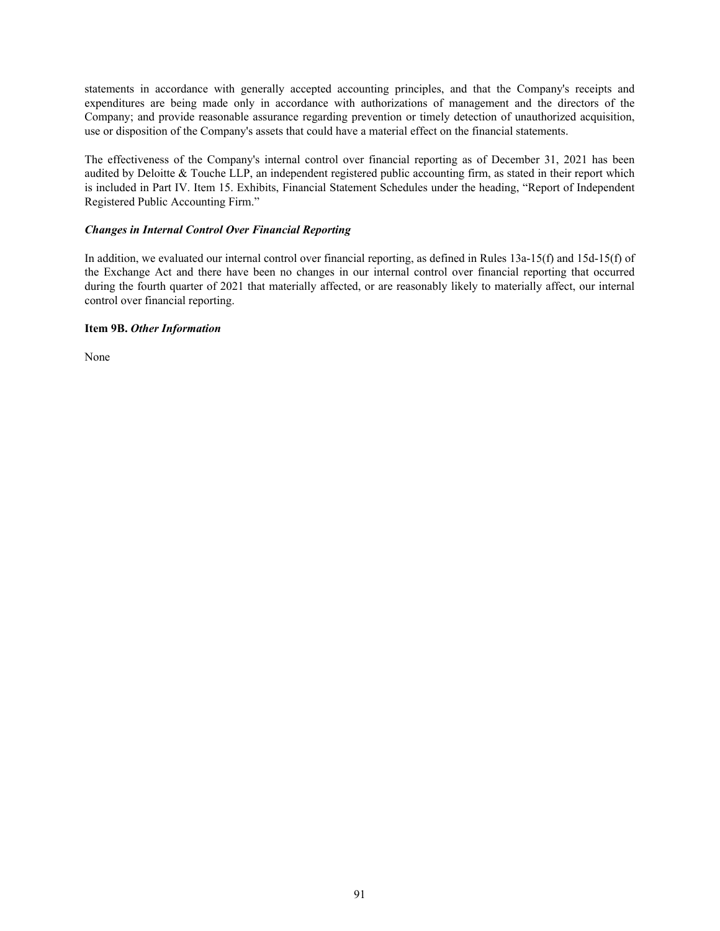statements in accordance with generally accepted accounting principles, and that the Company's receipts and expenditures are being made only in accordance with authorizations of management and the directors of the Company; and provide reasonable assurance regarding prevention or timely detection of unauthorized acquisition, use or disposition of the Company's assets that could have a material effect on the financial statements.

The effectiveness of the Company's internal control over financial reporting as of December 31, 2021 has been audited by Deloitte & Touche LLP, an independent registered public accounting firm, as stated in their report which is included in Part IV. Item 15. Exhibits, Financial Statement Schedules under the heading, "Report of Independent Registered Public Accounting Firm."

## *Changes in Internal Control Over Financial Reporting*

In addition, we evaluated our internal control over financial reporting, as defined in Rules 13a-15(f) and 15d-15(f) of the Exchange Act and there have been no changes in our internal control over financial reporting that occurred during the fourth quarter of 2021 that materially affected, or are reasonably likely to materially affect, our internal control over financial reporting.

## **Item 9B.** *Other Information*

None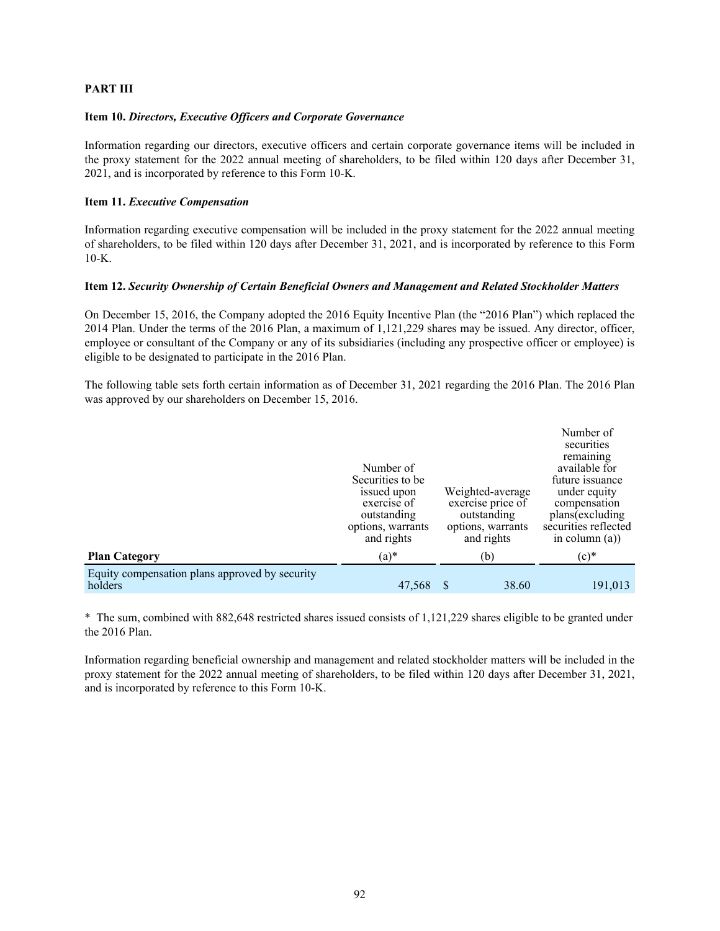## **PART III**

## **Item 10.** *Directors, Executive Officers and Corporate Governance*

Information regarding our directors, executive officers and certain corporate governance items will be included in the proxy statement for the 2022 annual meeting of shareholders, to be filed within 120 days after December 31, 2021, and is incorporated by reference to this Form 10-K.

## **Item 11.** *Executive Compensation*

Information regarding executive compensation will be included in the proxy statement for the 2022 annual meeting of shareholders, to be filed within 120 days after December 31, 2021, and is incorporated by reference to this Form 10-K.

## **Item 12.** *Security Ownership of Certain Beneficial Owners and Management and Related Stockholder Matters*

On December 15, 2016, the Company adopted the 2016 Equity Incentive Plan (the "2016 Plan") which replaced the 2014 Plan. Under the terms of the 2016 Plan, a maximum of 1,121,229 shares may be issued. Any director, officer, employee or consultant of the Company or any of its subsidiaries (including any prospective officer or employee) is eligible to be designated to participate in the 2016 Plan.

The following table sets forth certain information as of December 31, 2021 regarding the 2016 Plan. The 2016 Plan was approved by our shareholders on December 15, 2016.

|                                                           | Number of<br>Securities to be<br>issued upon<br>exercise of<br>outstanding<br>options, warrants<br>and rights | Weighted-average<br>exercise price of<br>outstanding<br>options, warrants<br>and rights | Number of<br>securities<br>remaining<br>available for<br>future issuance<br>under equity<br>compensation<br>plans(excluding<br>securities reflected<br>in column $(a)$ ) |
|-----------------------------------------------------------|---------------------------------------------------------------------------------------------------------------|-----------------------------------------------------------------------------------------|--------------------------------------------------------------------------------------------------------------------------------------------------------------------------|
| <b>Plan Category</b>                                      | $(a)*$                                                                                                        | (b)                                                                                     | $(c)$ *                                                                                                                                                                  |
| Equity compensation plans approved by security<br>holders | 47,568                                                                                                        | 38.60                                                                                   | 191,013                                                                                                                                                                  |

\* The sum, combined with 882,648 restricted shares issued consists of 1,121,229 shares eligible to be granted under the 2016 Plan.

Information regarding beneficial ownership and management and related stockholder matters will be included in the proxy statement for the 2022 annual meeting of shareholders, to be filed within 120 days after December 31, 2021, and is incorporated by reference to this Form 10-K.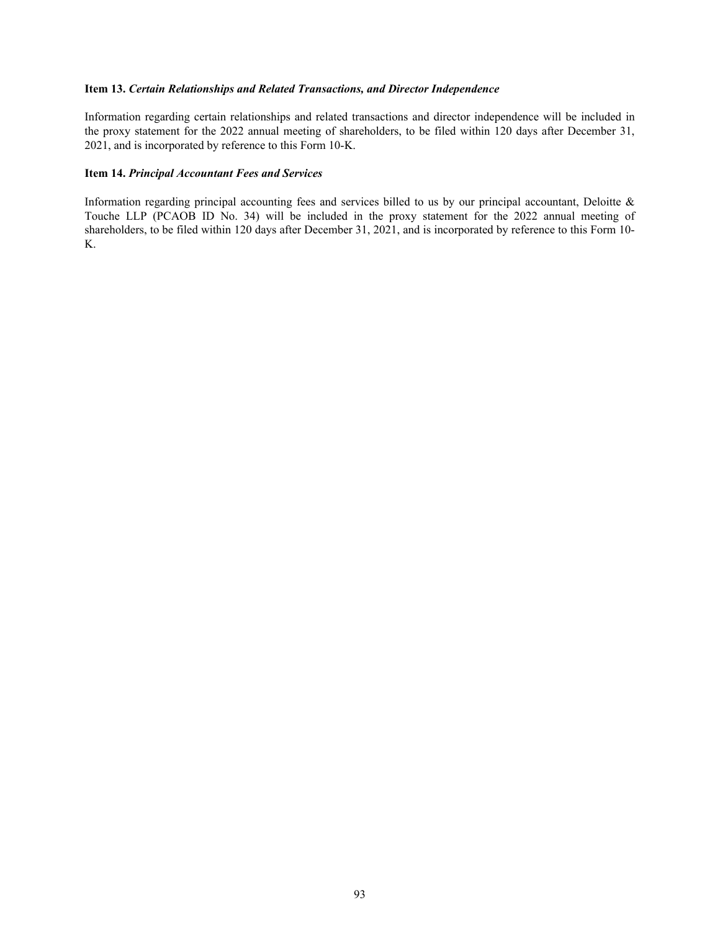## **Item 13.** *Certain Relationships and Related Transactions, and Director Independence*

Information regarding certain relationships and related transactions and director independence will be included in the proxy statement for the 2022 annual meeting of shareholders, to be filed within 120 days after December 31, 2021, and is incorporated by reference to this Form 10-K.

#### **Item 14.** *Principal Accountant Fees and Services*

Information regarding principal accounting fees and services billed to us by our principal accountant, Deloitte  $\&$ Touche LLP (PCAOB ID No. 34) will be included in the proxy statement for the 2022 annual meeting of shareholders, to be filed within 120 days after December 31, 2021, and is incorporated by reference to this Form 10- K.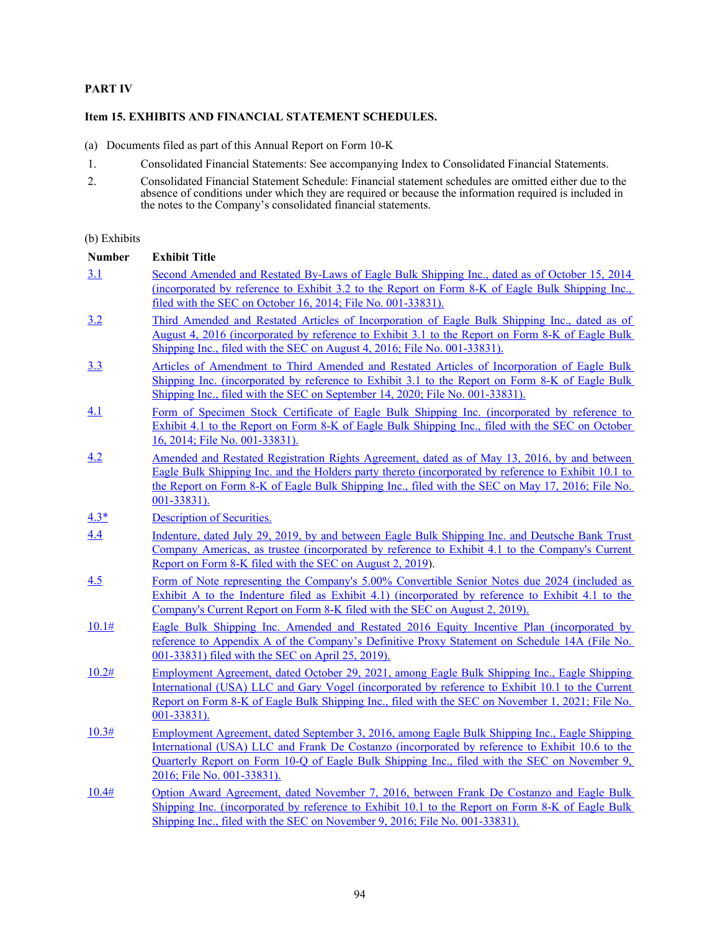## **PART IV**

## **Item 15. EXHIBITS AND FINANCIAL STATEMENT SCHEDULES.**

- (a) Documents filed as part of this Annual Report on Form 10-K
- 1. Consolidated Financial Statements: See accompanying Index to Consolidated Financial Statements.
- 2. Consolidated Financial Statement Schedule: Financial statement schedules are omitted either due to the absence of conditions under which they are required or because the information required is included in the notes to the Company's consolidated financial statements.

## (b) Exhibits

| <b>Number</b> | <b>Exhibit Title</b>                                                                                                                                                                             |
|---------------|--------------------------------------------------------------------------------------------------------------------------------------------------------------------------------------------------|
| 3.1           | Second Amended and Restated By-Laws of Eagle Bulk Shipping Inc., dated as of October 15, 2014                                                                                                    |
|               | (incorporated by reference to Exhibit 3.2 to the Report on Form 8-K of Eagle Bulk Shipping Inc.,                                                                                                 |
|               | filed with the SEC on October 16, 2014; File No. 001-33831).                                                                                                                                     |
| 3.2           | Third Amended and Restated Articles of Incorporation of Eagle Bulk Shipping Inc., dated as of                                                                                                    |
|               | August 4, 2016 (incorporated by reference to Exhibit 3.1 to the Report on Form 8-K of Eagle Bulk                                                                                                 |
|               | Shipping Inc., filed with the SEC on August 4, 2016; File No. 001-33831).                                                                                                                        |
| 3.3           | Articles of Amendment to Third Amended and Restated Articles of Incorporation of Eagle Bulk                                                                                                      |
|               | Shipping Inc. (incorporated by reference to Exhibit 3.1 to the Report on Form 8-K of Eagle Bulk<br>Shipping Inc., filed with the SEC on September 14, 2020; File No. 001-33831).                 |
|               |                                                                                                                                                                                                  |
| 4.1           | Form of Specimen Stock Certificate of Eagle Bulk Shipping Inc. (incorporated by reference to<br>Exhibit 4.1 to the Report on Form 8-K of Eagle Bulk Shipping Inc., filed with the SEC on October |
|               | 16, 2014; File No. 001-33831).                                                                                                                                                                   |
| 4.2           | Amended and Restated Registration Rights Agreement, dated as of May 13, 2016, by and between                                                                                                     |
|               | Eagle Bulk Shipping Inc. and the Holders party thereto (incorporated by reference to Exhibit 10.1 to                                                                                             |
|               | the Report on Form 8-K of Eagle Bulk Shipping Inc., filed with the SEC on May 17, 2016; File No.<br>$001 - 33831$ .                                                                              |
| $4.3*$        | <b>Description of Securities.</b>                                                                                                                                                                |
| 4.4           | Indenture, dated July 29, 2019, by and between Eagle Bulk Shipping Inc. and Deutsche Bank Trust                                                                                                  |
|               | Company Americas, as trustee (incorporated by reference to Exhibit 4.1 to the Company's Current                                                                                                  |
|               | Report on Form 8-K filed with the SEC on August 2, 2019).                                                                                                                                        |
| 4.5           | Form of Note representing the Company's 5,00% Convertible Senior Notes due 2024 (included as                                                                                                     |
|               | Exhibit A to the Indenture filed as Exhibit 4.1) (incorporated by reference to Exhibit 4.1 to the                                                                                                |
|               | Company's Current Report on Form 8-K filed with the SEC on August 2, 2019).                                                                                                                      |
| 10.1#         | Eagle Bulk Shipping Inc. Amended and Restated 2016 Equity Incentive Plan (incorporated by<br>reference to Appendix A of the Company's Definitive Proxy Statement on Schedule 14A (File No.       |
|               | 001-33831) filed with the SEC on April 25, 2019).                                                                                                                                                |
| 10.2#         | Employment Agreement, dated October 29, 2021, among Eagle Bulk Shipping Inc., Eagle Shipping                                                                                                     |
|               | International (USA) LLC and Gary Vogel (incorporated by reference to Exhibit 10.1 to the Current                                                                                                 |
|               | Report on Form 8-K of Eagle Bulk Shipping Inc., filed with the SEC on November 1, 2021; File No.                                                                                                 |
|               | $001 - 33831$ .                                                                                                                                                                                  |
| 10.3#         | <u>Employment Agreement, dated September 3, 2016, among Eagle Bulk Shipping Inc., Eagle Shipping</u>                                                                                             |
|               | International (USA) LLC and Frank De Costanzo (incorporated by reference to Exhibit 10.6 to the                                                                                                  |
|               | Quarterly Report on Form 10-Q of Eagle Bulk Shipping Inc., filed with the SEC on November 9,                                                                                                     |
|               | 2016; File No. 001-33831).                                                                                                                                                                       |
| 10.4#         | Option Award Agreement, dated November 7, 2016, between Frank De Costanzo and Eagle Bulk<br>Shipping Inc. (incorporated by reference to Exhibit 10.1 to the Report on Form 8-K of Eagle Bulk     |
|               | Shipping Inc., filed with the SEC on November 9, 2016; File No. 001-33831).                                                                                                                      |
|               |                                                                                                                                                                                                  |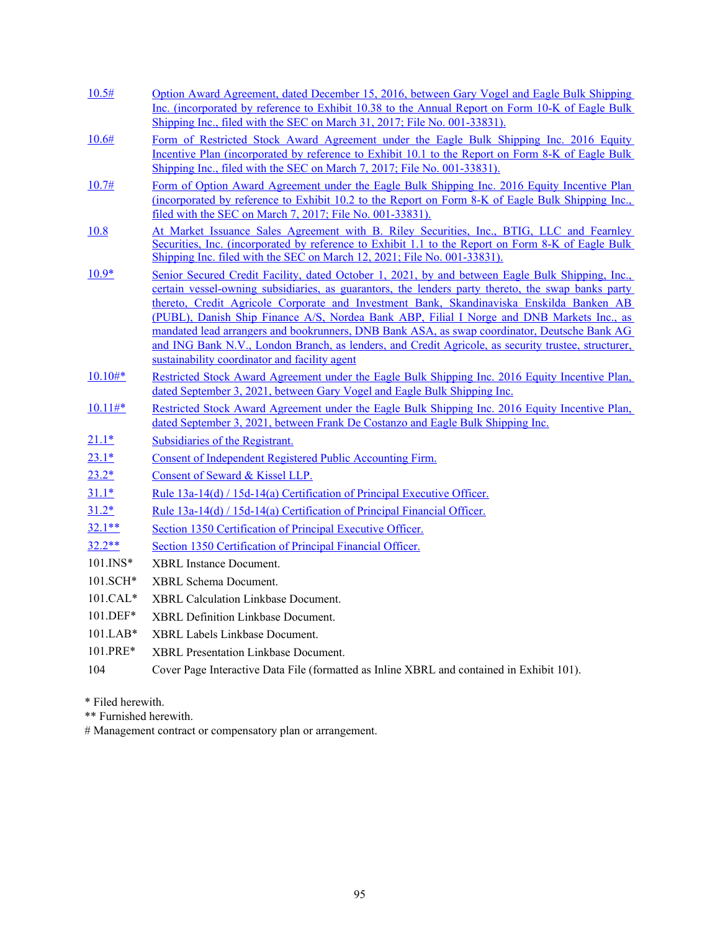| 10.5#        | Option Award Agreement, dated December 15, 2016, between Gary Vogel and Eagle Bulk Shipping<br>Inc. (incorporated by reference to Exhibit 10.38 to the Annual Report on Form 10-K of Eagle Bulk                                                                                                                                                                                                                                                                                                                                                                                                                                                         |
|--------------|---------------------------------------------------------------------------------------------------------------------------------------------------------------------------------------------------------------------------------------------------------------------------------------------------------------------------------------------------------------------------------------------------------------------------------------------------------------------------------------------------------------------------------------------------------------------------------------------------------------------------------------------------------|
|              | Shipping Inc., filed with the SEC on March 31, 2017; File No. 001-33831).                                                                                                                                                                                                                                                                                                                                                                                                                                                                                                                                                                               |
| 10.6#        | Form of Restricted Stock Award Agreement under the Eagle Bulk Shipping Inc. 2016 Equity<br>Incentive Plan (incorporated by reference to Exhibit 10.1 to the Report on Form 8-K of Eagle Bulk<br>Shipping Inc., filed with the SEC on March 7, 2017; File No. 001-33831).                                                                                                                                                                                                                                                                                                                                                                                |
| 10.7#        | Form of Option Award Agreement under the Eagle Bulk Shipping Inc. 2016 Equity Incentive Plan<br>(incorporated by reference to Exhibit 10.2 to the Report on Form 8-K of Eagle Bulk Shipping Inc.,<br><u>filed with the SEC on March 7, 2017; File No. 001-33831).</u>                                                                                                                                                                                                                                                                                                                                                                                   |
| 10.8         | At Market Issuance Sales Agreement with B. Riley Securities, Inc., BTIG, LLC and Fearnley<br>Securities, Inc. (incorporated by reference to Exhibit 1.1 to the Report on Form 8-K of Eagle Bulk<br>Shipping Inc. filed with the SEC on March 12, 2021; File No. 001-33831).                                                                                                                                                                                                                                                                                                                                                                             |
| $10.9*$      | Senior Secured Credit Facility, dated October 1, 2021, by and between Eagle Bulk Shipping, Inc.,<br>certain vessel-owning subsidiaries, as guarantors, the lenders party thereto, the swap banks party<br>thereto, Credit Agricole Corporate and Investment Bank, Skandinaviska Enskilda Banken AB<br>(PUBL), Danish Ship Finance A/S, Nordea Bank ABP, Filial I Norge and DNB Markets Inc., as<br>mandated lead arrangers and bookrunners, DNB Bank ASA, as swap coordinator, Deutsche Bank AG<br>and ING Bank N.V., London Branch, as lenders, and Credit Agricole, as security trustee, structurer,<br>sustainability coordinator and facility agent |
| $10.10#*$    | Restricted Stock Award Agreement under the Eagle Bulk Shipping Inc. 2016 Equity Incentive Plan,<br>dated September 3, 2021, between Gary Vogel and Eagle Bulk Shipping Inc.                                                                                                                                                                                                                                                                                                                                                                                                                                                                             |
| $10.11#*$    | Restricted Stock Award Agreement under the Eagle Bulk Shipping Inc. 2016 Equity Incentive Plan,<br>dated September 3, 2021, between Frank De Costanzo and Eagle Bulk Shipping Inc.                                                                                                                                                                                                                                                                                                                                                                                                                                                                      |
| $21.1*$      | Subsidiaries of the Registrant.                                                                                                                                                                                                                                                                                                                                                                                                                                                                                                                                                                                                                         |
| $23.1*$      | Consent of Independent Registered Public Accounting Firm.                                                                                                                                                                                                                                                                                                                                                                                                                                                                                                                                                                                               |
| $23.2*$      | Consent of Seward & Kissel LLP.                                                                                                                                                                                                                                                                                                                                                                                                                                                                                                                                                                                                                         |
| $31.1*$      | Rule 13a-14(d) / 15d-14(a) Certification of Principal Executive Officer.                                                                                                                                                                                                                                                                                                                                                                                                                                                                                                                                                                                |
| $31.2*$      | Rule 13a-14(d) / 15d-14(a) Certification of Principal Financial Officer.                                                                                                                                                                                                                                                                                                                                                                                                                                                                                                                                                                                |
| $32.1**$     | Section 1350 Certification of Principal Executive Officer.                                                                                                                                                                                                                                                                                                                                                                                                                                                                                                                                                                                              |
| $32.2**$     | Section 1350 Certification of Principal Financial Officer.                                                                                                                                                                                                                                                                                                                                                                                                                                                                                                                                                                                              |
| $101$ . INS* | <b>XBRL</b> Instance Document.                                                                                                                                                                                                                                                                                                                                                                                                                                                                                                                                                                                                                          |
| 101.SCH*     | <b>XBRL</b> Schema Document.                                                                                                                                                                                                                                                                                                                                                                                                                                                                                                                                                                                                                            |
| 101.CAL*     | <b>XBRL Calculation Linkbase Document.</b>                                                                                                                                                                                                                                                                                                                                                                                                                                                                                                                                                                                                              |
| $101.DEF*$   | XBRL Definition Linkbase Document.                                                                                                                                                                                                                                                                                                                                                                                                                                                                                                                                                                                                                      |
| 101.LAB*     | XBRL Labels Linkbase Document.                                                                                                                                                                                                                                                                                                                                                                                                                                                                                                                                                                                                                          |
| 101.PRE*     | XBRL Presentation Linkbase Document.                                                                                                                                                                                                                                                                                                                                                                                                                                                                                                                                                                                                                    |
| 104          | Cover Page Interactive Data File (formatted as Inline XBRL and contained in Exhibit 101).                                                                                                                                                                                                                                                                                                                                                                                                                                                                                                                                                               |

\* Filed herewith.

\*\* Furnished herewith.

# Management contract or compensatory plan or arrangement.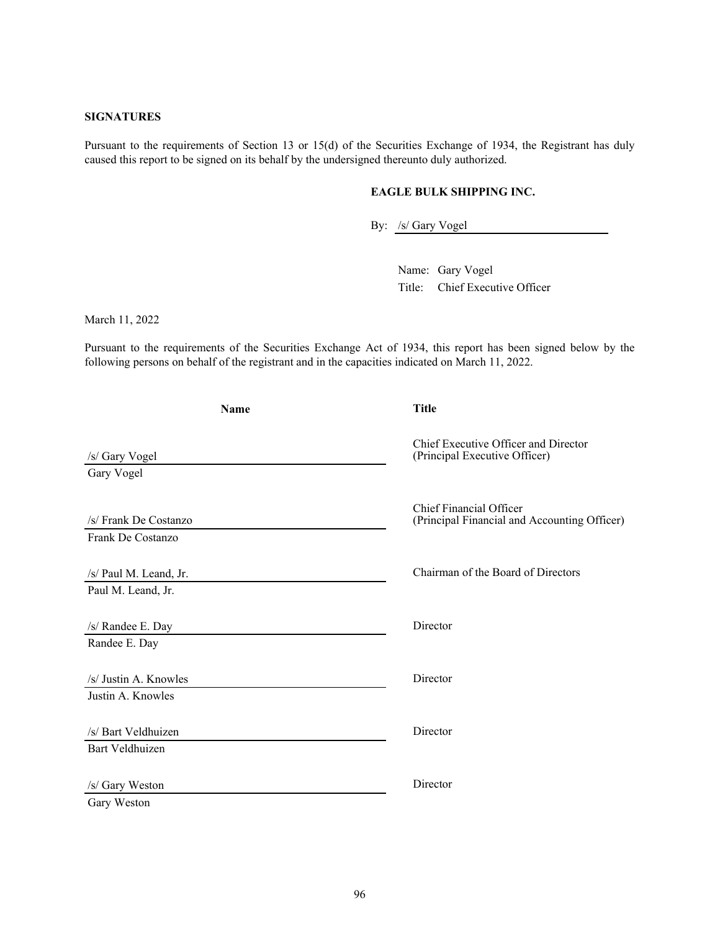## **SIGNATURES**

Pursuant to the requirements of Section 13 or 15(d) of the Securities Exchange of 1934, the Registrant has duly caused this report to be signed on its behalf by the undersigned thereunto duly authorized.

## **EAGLE BULK SHIPPING INC.**

By: /s/ Gary Vogel

Name: Gary Vogel Title: Chief Executive Officer

March 11, 2022

Pursuant to the requirements of the Securities Exchange Act of 1934, this report has been signed below by the following persons on behalf of the registrant and in the capacities indicated on March 11, 2022.

| <b>Name</b>                                   | <b>Title</b>                                                                   |  |  |  |
|-----------------------------------------------|--------------------------------------------------------------------------------|--|--|--|
| /s/ Gary Vogel<br>Gary Vogel                  | Chief Executive Officer and Director<br>(Principal Executive Officer)          |  |  |  |
| /s/ Frank De Costanzo<br>Frank De Costanzo    | <b>Chief Financial Officer</b><br>(Principal Financial and Accounting Officer) |  |  |  |
| /s/ Paul M. Leand, Jr.<br>Paul M. Leand, Jr.  | Chairman of the Board of Directors                                             |  |  |  |
| /s/ Randee E. Day<br>Randee E. Day            | Director                                                                       |  |  |  |
| /s/ Justin A. Knowles<br>Justin A. Knowles    | Director                                                                       |  |  |  |
| /s/ Bart Veldhuizen<br><b>Bart Veldhuizen</b> | Director                                                                       |  |  |  |
| /s/ Gary Weston<br>Gary Weston                | Director                                                                       |  |  |  |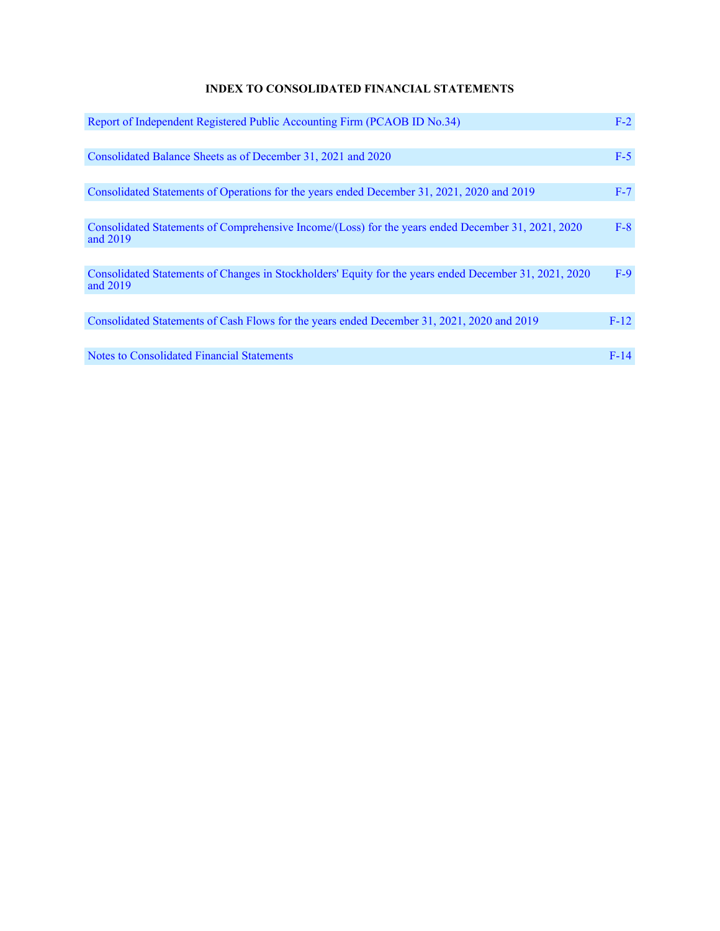# **INDEX TO CONSOLIDATED FINANCIAL STATEMENTS**

| Report of Independent Registered Public Accounting Firm (PCAOB ID No.34)                                           | $F-2$  |
|--------------------------------------------------------------------------------------------------------------------|--------|
|                                                                                                                    |        |
| Consolidated Balance Sheets as of December 31, 2021 and 2020                                                       | $F-5$  |
|                                                                                                                    |        |
| Consolidated Statements of Operations for the years ended December 31, 2021, 2020 and 2019                         | $F-7$  |
|                                                                                                                    |        |
| Consolidated Statements of Comprehensive Income/(Loss) for the years ended December 31, 2021, 2020<br>and 2019     | $F-8$  |
|                                                                                                                    |        |
| Consolidated Statements of Changes in Stockholders' Equity for the years ended December 31, 2021, 2020<br>and 2019 | $F-9$  |
|                                                                                                                    |        |
| Consolidated Statements of Cash Flows for the years ended December 31, 2021, 2020 and 2019                         | $F-12$ |
|                                                                                                                    |        |
| Notes to Consolidated Financial Statements                                                                         | $F-14$ |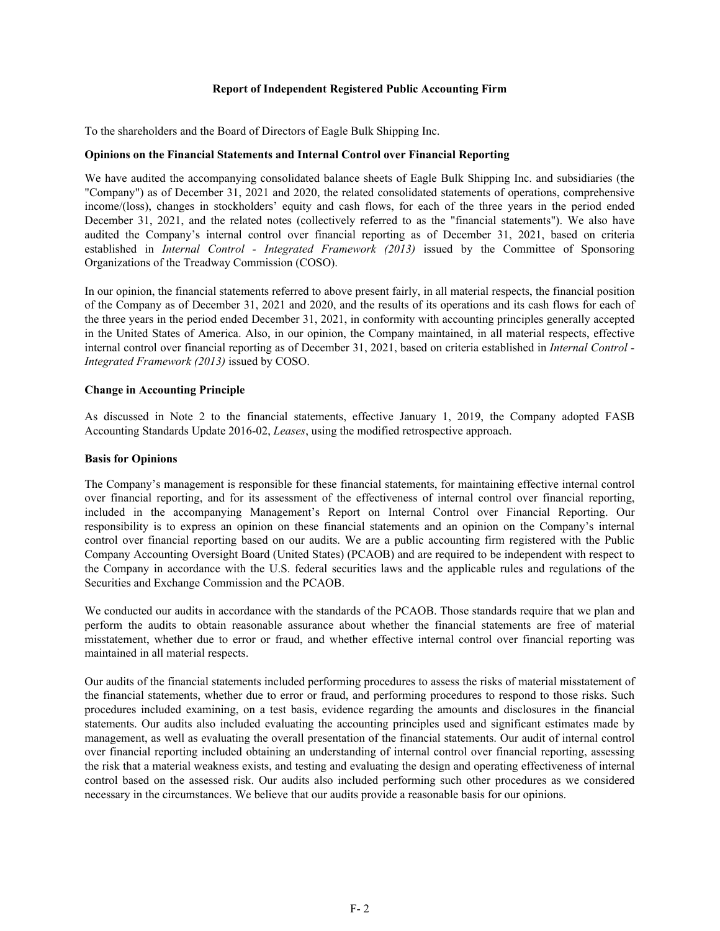#### **Report of Independent Registered Public Accounting Firm**

To the shareholders and the Board of Directors of Eagle Bulk Shipping Inc.

## **Opinions on the Financial Statements and Internal Control over Financial Reporting**

We have audited the accompanying consolidated balance sheets of Eagle Bulk Shipping Inc. and subsidiaries (the "Company") as of December 31, 2021 and 2020, the related consolidated statements of operations, comprehensive income/(loss), changes in stockholders' equity and cash flows, for each of the three years in the period ended December 31, 2021, and the related notes (collectively referred to as the "financial statements"). We also have audited the Company's internal control over financial reporting as of December 31, 2021, based on criteria established in *Internal Control - Integrated Framework (2013)* issued by the Committee of Sponsoring Organizations of the Treadway Commission (COSO).

In our opinion, the financial statements referred to above present fairly, in all material respects, the financial position of the Company as of December 31, 2021 and 2020, and the results of its operations and its cash flows for each of the three years in the period ended December 31, 2021, in conformity with accounting principles generally accepted in the United States of America. Also, in our opinion, the Company maintained, in all material respects, effective internal control over financial reporting as of December 31, 2021, based on criteria established in *Internal Control - Integrated Framework (2013)* issued by COSO.

## **Change in Accounting Principle**

As discussed in Note 2 to the financial statements, effective January 1, 2019, the Company adopted FASB Accounting Standards Update 2016-02, *Leases*, using the modified retrospective approach.

## **Basis for Opinions**

The Company's management is responsible for these financial statements, for maintaining effective internal control over financial reporting, and for its assessment of the effectiveness of internal control over financial reporting, included in the accompanying Management's Report on Internal Control over Financial Reporting. Our responsibility is to express an opinion on these financial statements and an opinion on the Company's internal control over financial reporting based on our audits. We are a public accounting firm registered with the Public Company Accounting Oversight Board (United States) (PCAOB) and are required to be independent with respect to the Company in accordance with the U.S. federal securities laws and the applicable rules and regulations of the Securities and Exchange Commission and the PCAOB.

We conducted our audits in accordance with the standards of the PCAOB. Those standards require that we plan and perform the audits to obtain reasonable assurance about whether the financial statements are free of material misstatement, whether due to error or fraud, and whether effective internal control over financial reporting was maintained in all material respects.

Our audits of the financial statements included performing procedures to assess the risks of material misstatement of the financial statements, whether due to error or fraud, and performing procedures to respond to those risks. Such procedures included examining, on a test basis, evidence regarding the amounts and disclosures in the financial statements. Our audits also included evaluating the accounting principles used and significant estimates made by management, as well as evaluating the overall presentation of the financial statements. Our audit of internal control over financial reporting included obtaining an understanding of internal control over financial reporting, assessing the risk that a material weakness exists, and testing and evaluating the design and operating effectiveness of internal control based on the assessed risk. Our audits also included performing such other procedures as we considered necessary in the circumstances. We believe that our audits provide a reasonable basis for our opinions.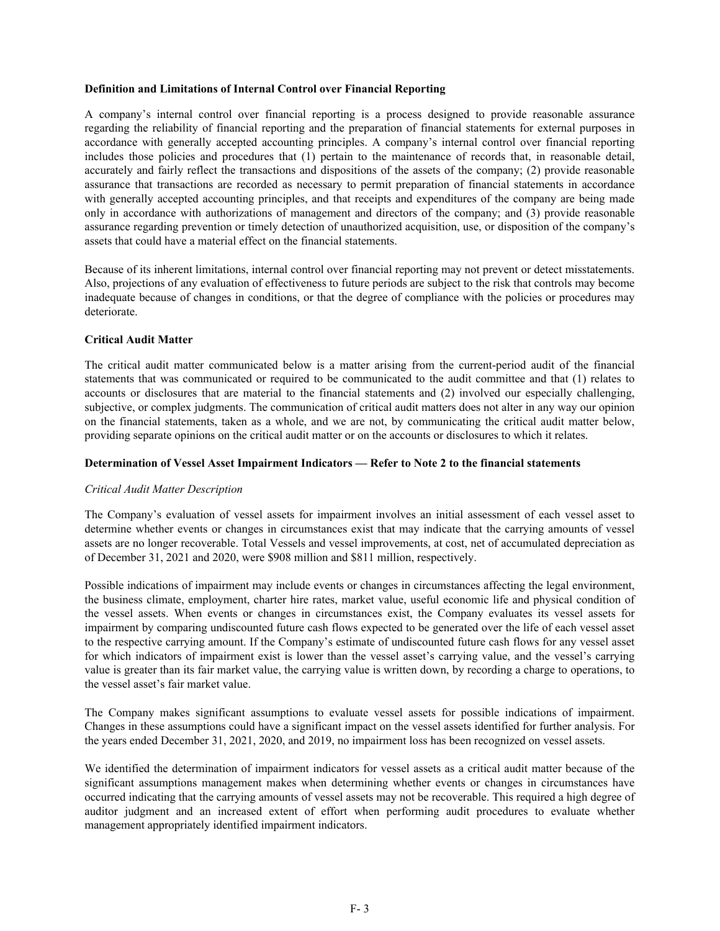#### **Definition and Limitations of Internal Control over Financial Reporting**

A company's internal control over financial reporting is a process designed to provide reasonable assurance regarding the reliability of financial reporting and the preparation of financial statements for external purposes in accordance with generally accepted accounting principles. A company's internal control over financial reporting includes those policies and procedures that (1) pertain to the maintenance of records that, in reasonable detail, accurately and fairly reflect the transactions and dispositions of the assets of the company; (2) provide reasonable assurance that transactions are recorded as necessary to permit preparation of financial statements in accordance with generally accepted accounting principles, and that receipts and expenditures of the company are being made only in accordance with authorizations of management and directors of the company; and (3) provide reasonable assurance regarding prevention or timely detection of unauthorized acquisition, use, or disposition of the company's assets that could have a material effect on the financial statements.

Because of its inherent limitations, internal control over financial reporting may not prevent or detect misstatements. Also, projections of any evaluation of effectiveness to future periods are subject to the risk that controls may become inadequate because of changes in conditions, or that the degree of compliance with the policies or procedures may deteriorate.

#### **Critical Audit Matter**

The critical audit matter communicated below is a matter arising from the current-period audit of the financial statements that was communicated or required to be communicated to the audit committee and that (1) relates to accounts or disclosures that are material to the financial statements and (2) involved our especially challenging, subjective, or complex judgments. The communication of critical audit matters does not alter in any way our opinion on the financial statements, taken as a whole, and we are not, by communicating the critical audit matter below, providing separate opinions on the critical audit matter or on the accounts or disclosures to which it relates.

#### **Determination of Vessel Asset Impairment Indicators — Refer to Note 2 to the financial statements**

#### *Critical Audit Matter Description*

The Company's evaluation of vessel assets for impairment involves an initial assessment of each vessel asset to determine whether events or changes in circumstances exist that may indicate that the carrying amounts of vessel assets are no longer recoverable. Total Vessels and vessel improvements, at cost, net of accumulated depreciation as of December 31, 2021 and 2020, were \$908 million and \$811 million, respectively.

Possible indications of impairment may include events or changes in circumstances affecting the legal environment, the business climate, employment, charter hire rates, market value, useful economic life and physical condition of the vessel assets. When events or changes in circumstances exist, the Company evaluates its vessel assets for impairment by comparing undiscounted future cash flows expected to be generated over the life of each vessel asset to the respective carrying amount. If the Company's estimate of undiscounted future cash flows for any vessel asset for which indicators of impairment exist is lower than the vessel asset's carrying value, and the vessel's carrying value is greater than its fair market value, the carrying value is written down, by recording a charge to operations, to the vessel asset's fair market value.

The Company makes significant assumptions to evaluate vessel assets for possible indications of impairment. Changes in these assumptions could have a significant impact on the vessel assets identified for further analysis. For the years ended December 31, 2021, 2020, and 2019, no impairment loss has been recognized on vessel assets.

We identified the determination of impairment indicators for vessel assets as a critical audit matter because of the significant assumptions management makes when determining whether events or changes in circumstances have occurred indicating that the carrying amounts of vessel assets may not be recoverable. This required a high degree of auditor judgment and an increased extent of effort when performing audit procedures to evaluate whether management appropriately identified impairment indicators.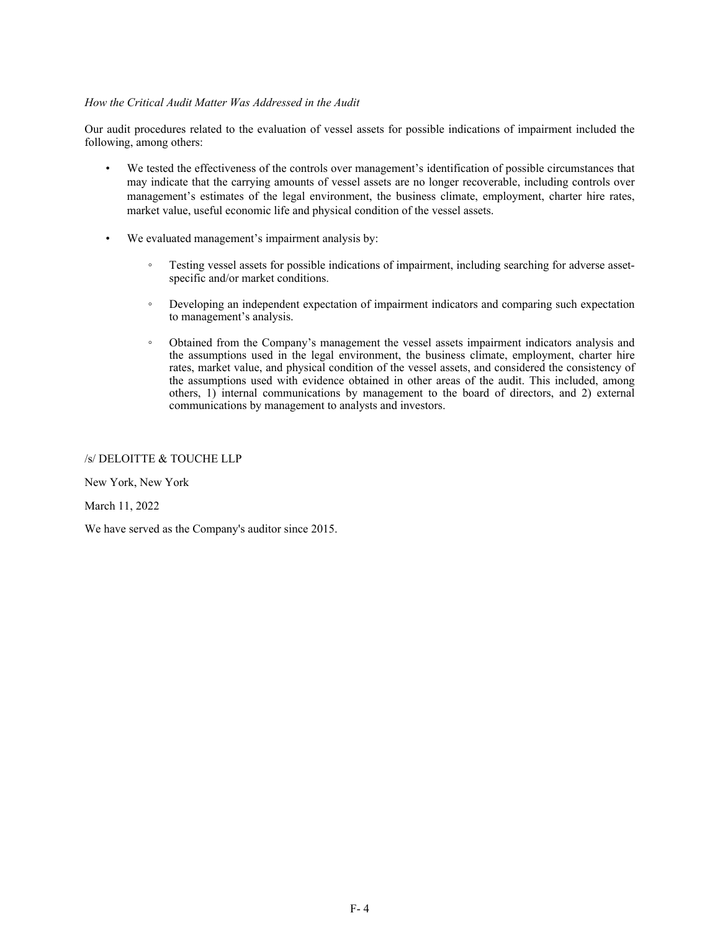#### *How the Critical Audit Matter Was Addressed in the Audit*

Our audit procedures related to the evaluation of vessel assets for possible indications of impairment included the following, among others:

- We tested the effectiveness of the controls over management's identification of possible circumstances that may indicate that the carrying amounts of vessel assets are no longer recoverable, including controls over management's estimates of the legal environment, the business climate, employment, charter hire rates, market value, useful economic life and physical condition of the vessel assets.
- We evaluated management's impairment analysis by:
	- Testing vessel assets for possible indications of impairment, including searching for adverse assetspecific and/or market conditions.
	- Developing an independent expectation of impairment indicators and comparing such expectation to management's analysis.
	- Obtained from the Company's management the vessel assets impairment indicators analysis and the assumptions used in the legal environment, the business climate, employment, charter hire rates, market value, and physical condition of the vessel assets, and considered the consistency of the assumptions used with evidence obtained in other areas of the audit. This included, among others, 1) internal communications by management to the board of directors, and 2) external communications by management to analysts and investors.

## /s/ DELOITTE & TOUCHE LLP

New York, New York

March 11, 2022

We have served as the Company's auditor since 2015.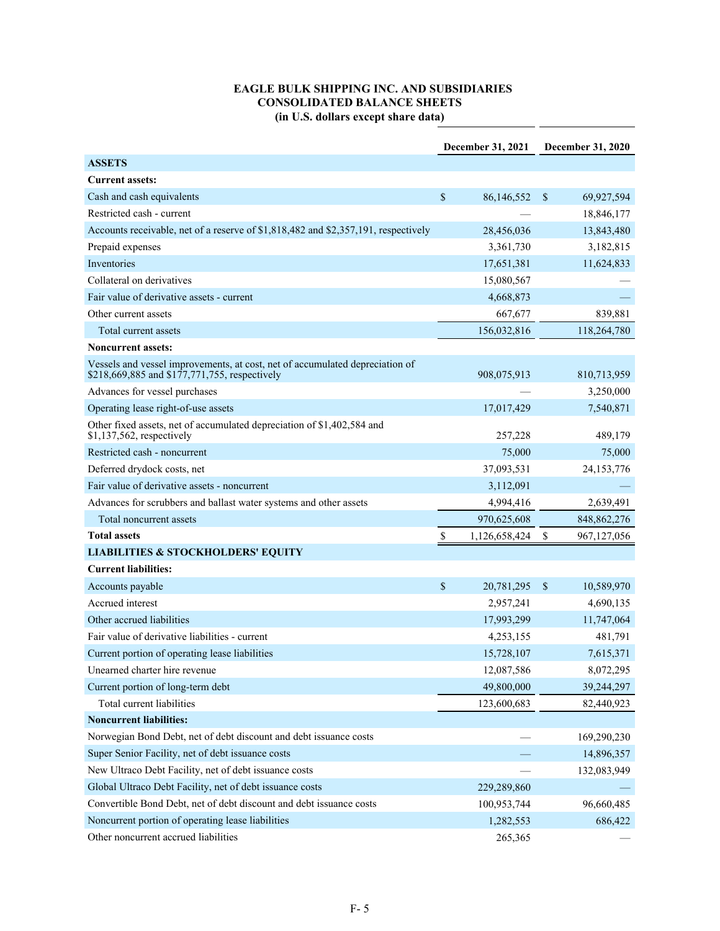# **EAGLE BULK SHIPPING INC. AND SUBSIDIARIES CONSOLIDATED BALANCE SHEETS (in U.S. dollars except share data)**

 $\overline{a}$ 

|                                                                                                                               | December 31, 2021 |               | <b>December 31, 2020</b> |               |
|-------------------------------------------------------------------------------------------------------------------------------|-------------------|---------------|--------------------------|---------------|
| <b>ASSETS</b>                                                                                                                 |                   |               |                          |               |
| <b>Current assets:</b>                                                                                                        |                   |               |                          |               |
| Cash and cash equivalents                                                                                                     | \$                | 86,146,552    | <sup>\$</sup>            | 69,927,594    |
| Restricted cash - current                                                                                                     |                   |               |                          | 18,846,177    |
| Accounts receivable, net of a reserve of \$1,818,482 and \$2,357,191, respectively                                            |                   | 28,456,036    |                          | 13,843,480    |
| Prepaid expenses                                                                                                              |                   | 3,361,730     |                          | 3,182,815     |
| Inventories                                                                                                                   |                   | 17,651,381    |                          | 11,624,833    |
| Collateral on derivatives                                                                                                     |                   | 15,080,567    |                          |               |
| Fair value of derivative assets - current                                                                                     |                   | 4,668,873     |                          |               |
| Other current assets                                                                                                          |                   | 667,677       |                          | 839,881       |
| Total current assets                                                                                                          |                   | 156,032,816   |                          | 118,264,780   |
| <b>Noncurrent assets:</b>                                                                                                     |                   |               |                          |               |
| Vessels and vessel improvements, at cost, net of accumulated depreciation of<br>\$218,669,885 and \$177,771,755, respectively |                   | 908,075,913   |                          | 810,713,959   |
| Advances for vessel purchases                                                                                                 |                   |               |                          | 3,250,000     |
| Operating lease right-of-use assets                                                                                           |                   | 17,017,429    |                          | 7,540,871     |
| Other fixed assets, net of accumulated depreciation of \$1,402,584 and<br>\$1,137,562, respectively                           |                   | 257,228       |                          | 489,179       |
| Restricted cash - noncurrent                                                                                                  |                   | 75,000        |                          | 75,000        |
| Deferred drydock costs, net                                                                                                   |                   | 37,093,531    |                          | 24, 153, 776  |
| Fair value of derivative assets - noncurrent                                                                                  |                   | 3,112,091     |                          |               |
| Advances for scrubbers and ballast water systems and other assets                                                             |                   | 4,994,416     |                          | 2,639,491     |
| Total noncurrent assets                                                                                                       |                   | 970,625,608   |                          | 848, 862, 276 |
| <b>Total assets</b>                                                                                                           | \$                | 1,126,658,424 | \$                       | 967,127,056   |
| <b>LIABILITIES &amp; STOCKHOLDERS' EQUITY</b>                                                                                 |                   |               |                          |               |
| <b>Current liabilities:</b>                                                                                                   |                   |               |                          |               |
| Accounts payable                                                                                                              | \$                | 20,781,295    | <sup>\$</sup>            | 10,589,970    |
| Accrued interest                                                                                                              |                   | 2,957,241     |                          | 4,690,135     |
| Other accrued liabilities                                                                                                     |                   | 17,993,299    |                          | 11,747,064    |
| Fair value of derivative liabilities - current                                                                                |                   | 4,253,155     |                          | 481,791       |
| Current portion of operating lease liabilities                                                                                |                   | 15,728,107    |                          | 7,615,371     |
| Unearned charter hire revenue                                                                                                 |                   | 12,087,586    |                          | 8,072,295     |
| Current portion of long-term debt                                                                                             |                   | 49,800,000    |                          | 39,244,297    |
| Total current liabilities                                                                                                     |                   | 123,600,683   |                          | 82,440,923    |
| <b>Noncurrent liabilities:</b>                                                                                                |                   |               |                          |               |
| Norwegian Bond Debt, net of debt discount and debt issuance costs                                                             |                   |               |                          | 169,290,230   |
| Super Senior Facility, net of debt issuance costs                                                                             |                   |               |                          | 14,896,357    |
| New Ultraco Debt Facility, net of debt issuance costs                                                                         |                   |               |                          | 132,083,949   |
| Global Ultraco Debt Facility, net of debt issuance costs                                                                      |                   | 229,289,860   |                          |               |
| Convertible Bond Debt, net of debt discount and debt issuance costs                                                           |                   | 100,953,744   |                          | 96,660,485    |
| Noncurrent portion of operating lease liabilities                                                                             |                   | 1,282,553     |                          | 686,422       |
| Other noncurrent accrued liabilities                                                                                          |                   | 265,365       |                          |               |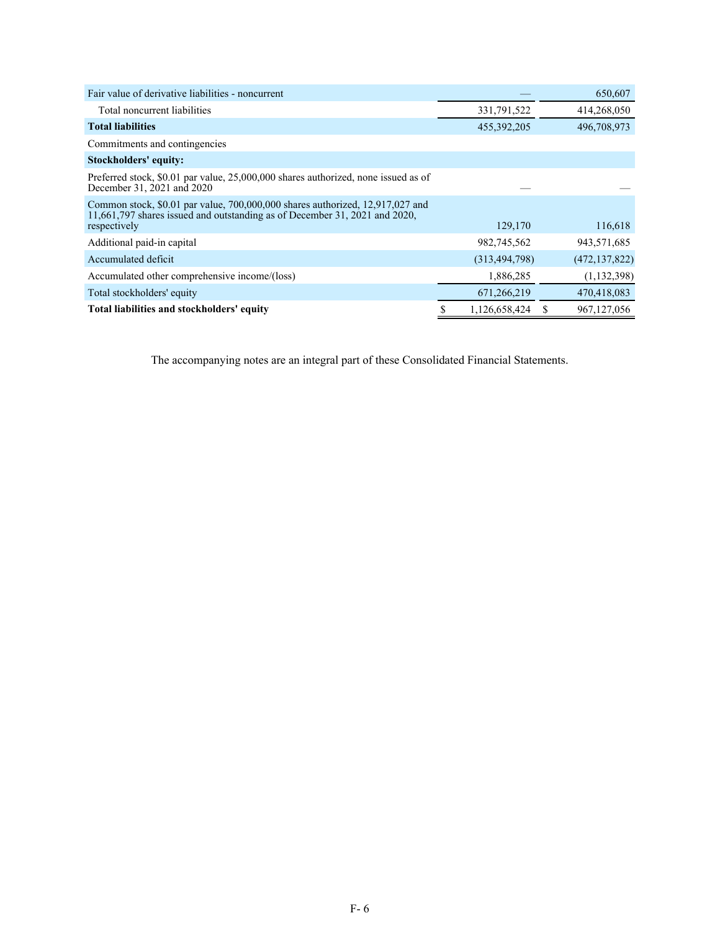| Fair value of derivative liabilities - noncurrent                                                                                                                           |   |                 |   | 650,607         |
|-----------------------------------------------------------------------------------------------------------------------------------------------------------------------------|---|-----------------|---|-----------------|
| Total noncurrent liabilities                                                                                                                                                |   | 331,791,522     |   | 414,268,050     |
| <b>Total liabilities</b>                                                                                                                                                    |   | 455, 392, 205   |   | 496,708,973     |
| Commitments and contingencies                                                                                                                                               |   |                 |   |                 |
| Stockholders' equity:                                                                                                                                                       |   |                 |   |                 |
| Preferred stock, \$0.01 par value, 25,000,000 shares authorized, none issued as of<br>December 31, 2021 and 2020                                                            |   |                 |   |                 |
| Common stock, \$0.01 par value, 700,000,000 shares authorized, 12,917,027 and<br>11,661,797 shares issued and outstanding as of December 31, 2021 and 2020,<br>respectively |   | 129,170         |   | 116,618         |
| Additional paid-in capital                                                                                                                                                  |   | 982,745,562     |   | 943,571,685     |
| Accumulated deficit                                                                                                                                                         |   | (313, 494, 798) |   | (472, 137, 822) |
| Accumulated other comprehensive income/(loss)                                                                                                                               |   | 1,886,285       |   | (1, 132, 398)   |
| Total stockholders' equity                                                                                                                                                  |   | 671,266,219     |   | 470,418,083     |
| Total liabilities and stockholders' equity                                                                                                                                  | S | 1,126,658,424   | S | 967, 127, 056   |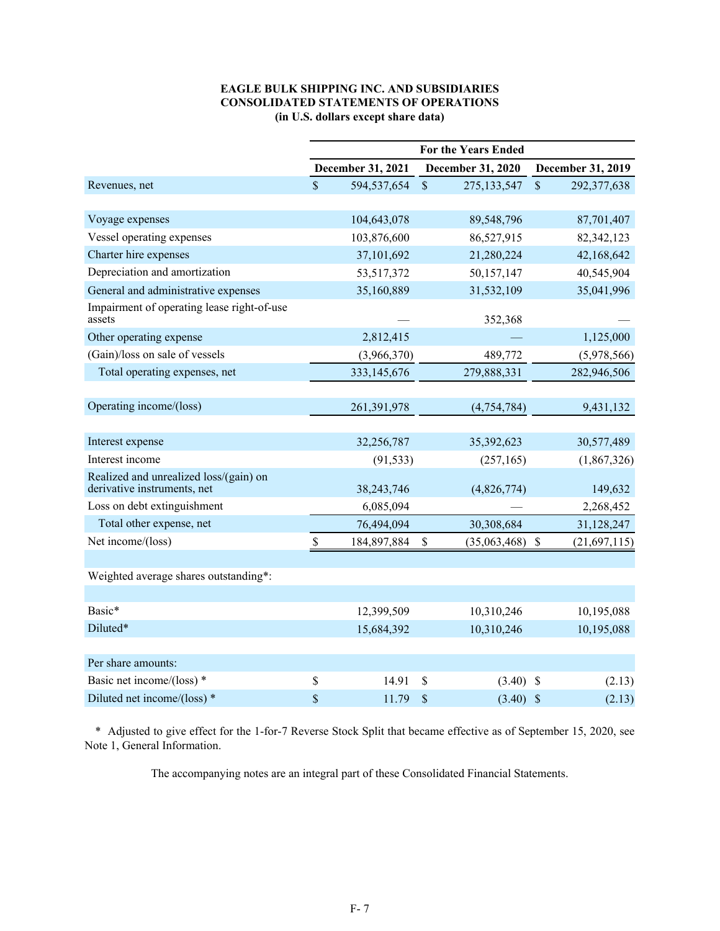## **EAGLE BULK SHIPPING INC. AND SUBSIDIARIES CONSOLIDATED STATEMENTS OF OPERATIONS (in U.S. dollars except share data)**

|                                                                       | <b>For the Years Ended</b> |                   |                              |                              |
|-----------------------------------------------------------------------|----------------------------|-------------------|------------------------------|------------------------------|
|                                                                       |                            | December 31, 2021 | December 31, 2020            | December 31, 2019            |
| Revenues, net                                                         | $\mathsf{\$}$              | 594,537,654       | $\mathsf{\$}$<br>275,133,547 | $\mathsf{\$}$<br>292,377,638 |
|                                                                       |                            |                   |                              |                              |
| Voyage expenses                                                       |                            | 104,643,078       | 89,548,796                   | 87,701,407                   |
| Vessel operating expenses                                             |                            | 103,876,600       | 86,527,915                   | 82,342,123                   |
| Charter hire expenses                                                 |                            | 37,101,692        | 21,280,224                   | 42,168,642                   |
| Depreciation and amortization                                         |                            | 53,517,372        | 50,157,147                   | 40,545,904                   |
| General and administrative expenses                                   |                            | 35,160,889        | 31,532,109                   | 35,041,996                   |
| Impairment of operating lease right-of-use<br>assets                  |                            |                   | 352,368                      |                              |
| Other operating expense                                               |                            | 2,812,415         |                              | 1,125,000                    |
| (Gain)/loss on sale of vessels                                        |                            | (3,966,370)       | 489,772                      | (5,978,566)                  |
| Total operating expenses, net                                         |                            | 333,145,676       | 279,888,331                  | 282,946,506                  |
|                                                                       |                            |                   |                              |                              |
| Operating income/(loss)                                               |                            | 261,391,978       | (4, 754, 784)                | 9,431,132                    |
|                                                                       |                            |                   |                              |                              |
| Interest expense                                                      |                            | 32,256,787        | 35,392,623                   | 30,577,489                   |
| Interest income                                                       |                            | (91, 533)         | (257, 165)                   | (1,867,326)                  |
| Realized and unrealized loss/(gain) on<br>derivative instruments, net |                            | 38,243,746        | (4,826,774)                  | 149,632                      |
| Loss on debt extinguishment                                           |                            | 6,085,094         |                              | 2,268,452                    |
| Total other expense, net                                              |                            | 76,494,094        | 30,308,684                   | 31,128,247                   |
| Net income/(loss)                                                     | \$                         | 184,897,884       | \$<br>(35,063,468)           | \$<br>(21,697,115)           |
|                                                                       |                            |                   |                              |                              |
| Weighted average shares outstanding*:                                 |                            |                   |                              |                              |
|                                                                       |                            |                   |                              |                              |
| Basic*                                                                |                            | 12,399,509        | 10,310,246                   | 10,195,088                   |
| Diluted*                                                              |                            | 15,684,392        | 10,310,246                   | 10,195,088                   |
|                                                                       |                            |                   |                              |                              |
| Per share amounts:                                                    |                            |                   |                              |                              |
| Basic net income/(loss) *                                             | \$                         | 14.91             | \$<br>(3.40)                 | $\mathbb{S}$<br>(2.13)       |
| Diluted net income/(loss) *                                           | \$                         | 11.79             | \$<br>$(3.40)$ \$            | (2.13)                       |

\* Adjusted to give effect for the 1-for-7 Reverse Stock Split that became effective as of September 15, 2020, see Note 1, General Information.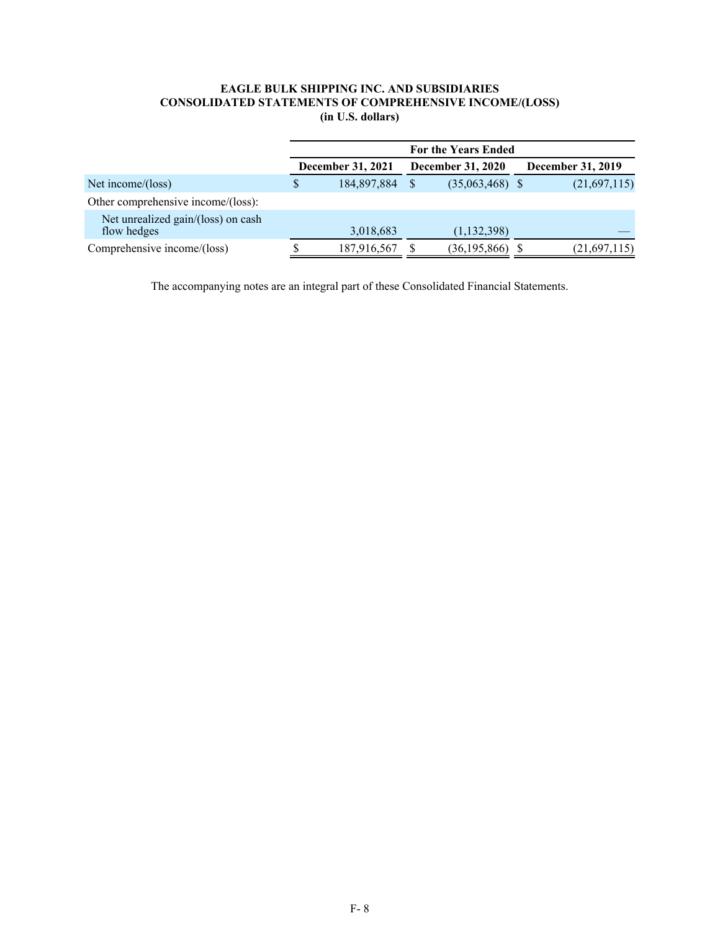# **EAGLE BULK SHIPPING INC. AND SUBSIDIARIES CONSOLIDATED STATEMENTS OF COMPREHENSIVE INCOME/(LOSS) (in U.S. dollars)**

|                                                   | <b>For the Years Ended</b> |                                                      |              |                          |  |              |  |  |
|---------------------------------------------------|----------------------------|------------------------------------------------------|--------------|--------------------------|--|--------------|--|--|
|                                                   |                            | <b>December 31, 2021</b><br><b>December 31, 2020</b> |              | <b>December 31, 2019</b> |  |              |  |  |
| Net income/ $(\text{loss})$                       | S                          | 184,897,884                                          | <sup>S</sup> | $(35,063,468)$ \$        |  | (21,697,115) |  |  |
| Other comprehensive income/(loss):                |                            |                                                      |              |                          |  |              |  |  |
| Net unrealized gain/(loss) on cash<br>flow hedges |                            | 3,018,683                                            |              | (1, 132, 398)            |  |              |  |  |
| Comprehensive income/(loss)                       |                            | 187,916,567                                          |              | (36, 195, 866)           |  | (21,697,115) |  |  |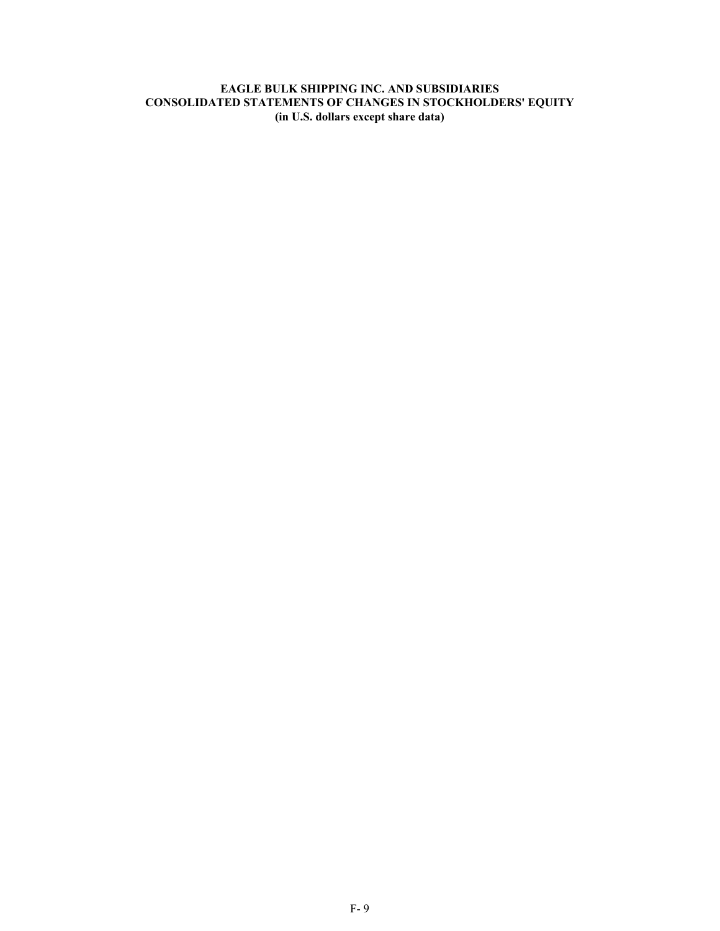# **EAGLE BULK SHIPPING INC. AND SUBSIDIARIES CONSOLIDATED STATEMENTS OF CHANGES IN STOCKHOLDERS' EQUITY (in U.S. dollars except share data)**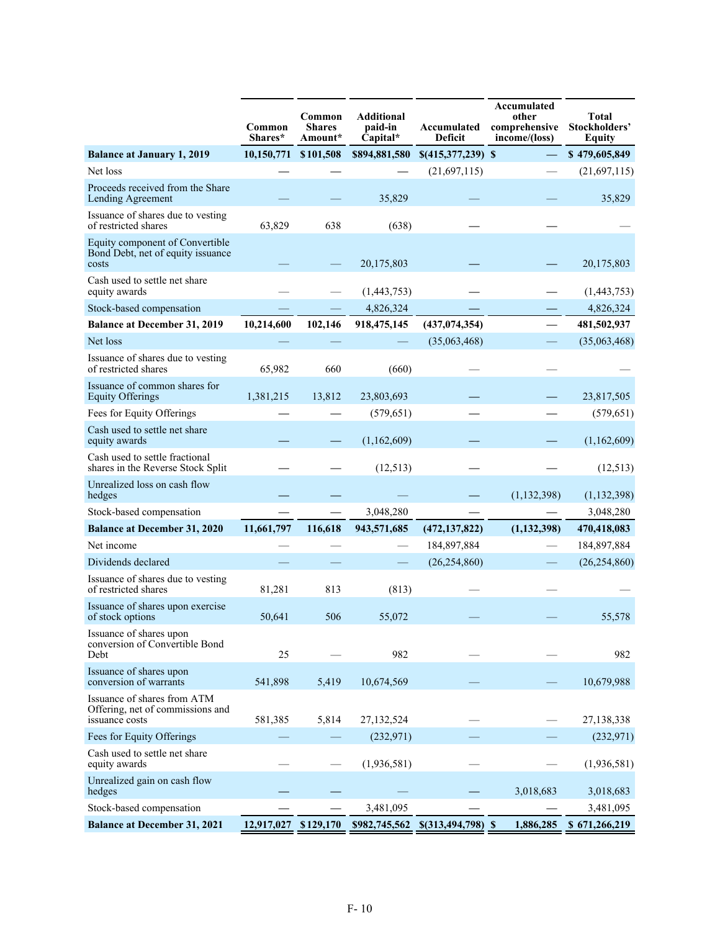|                                                                                   | Common<br>Shares* | Common<br><b>Shares</b><br>Amount* | <b>Additional</b><br>paid-in<br>Capital* | Accumulated<br>Deficit | Accumulated<br>other<br>comprehensive<br>income/(loss) | <b>Total</b><br>Stockholders'<br><b>Equity</b> |
|-----------------------------------------------------------------------------------|-------------------|------------------------------------|------------------------------------------|------------------------|--------------------------------------------------------|------------------------------------------------|
| <b>Balance at January 1, 2019</b>                                                 | 10,150,771        | \$101,508                          | \$894,881,580                            | $$(415,377,239)$ \$    |                                                        | \$479,605,849                                  |
| Net loss                                                                          |                   |                                    |                                          | (21,697,115)           |                                                        | (21,697,115)                                   |
| Proceeds received from the Share<br>Lending Agreement                             |                   |                                    | 35,829                                   |                        |                                                        | 35,829                                         |
| Issuance of shares due to vesting<br>of restricted shares                         | 63,829            | 638                                | (638)                                    |                        |                                                        |                                                |
| Equity component of Convertible<br>Bond Debt, net of equity issuance<br>costs     |                   |                                    | 20,175,803                               |                        |                                                        | 20,175,803                                     |
| Cash used to settle net share<br>equity awards                                    |                   |                                    | (1,443,753)                              |                        |                                                        | (1,443,753)                                    |
| Stock-based compensation                                                          |                   |                                    | 4,826,324                                |                        |                                                        | 4,826,324                                      |
| <b>Balance at December 31, 2019</b>                                               | 10,214,600        | 102,146                            | 918,475,145                              | (437, 074, 354)        | $\overline{\phantom{0}}$                               | 481,502,937                                    |
| Net loss                                                                          |                   |                                    |                                          | (35,063,468)           |                                                        | (35,063,468)                                   |
| Issuance of shares due to vesting<br>of restricted shares                         | 65,982            | 660                                | (660)                                    |                        |                                                        |                                                |
| Issuance of common shares for<br><b>Equity Offerings</b>                          | 1,381,215         | 13,812                             | 23,803,693                               |                        |                                                        | 23,817,505                                     |
| Fees for Equity Offerings                                                         |                   |                                    | (579, 651)                               |                        |                                                        | (579, 651)                                     |
| Cash used to settle net share<br>equity awards                                    |                   |                                    | (1,162,609)                              |                        |                                                        | (1,162,609)                                    |
| Cash used to settle fractional<br>shares in the Reverse Stock Split               |                   |                                    | (12, 513)                                |                        |                                                        | (12, 513)                                      |
| Unrealized loss on cash flow<br>hedges                                            |                   |                                    |                                          |                        | (1, 132, 398)                                          | (1, 132, 398)                                  |
| Stock-based compensation                                                          |                   |                                    | 3,048,280                                |                        |                                                        | 3,048,280                                      |
| <b>Balance at December 31, 2020</b>                                               | 11,661,797        | 116,618                            | 943,571,685                              | (472, 137, 822)        | (1, 132, 398)                                          | 470,418,083                                    |
| Net income                                                                        |                   |                                    |                                          | 184,897,884            |                                                        | 184,897,884                                    |
| Dividends declared                                                                |                   |                                    |                                          | (26, 254, 860)         |                                                        | (26, 254, 860)                                 |
| Issuance of shares due to vesting<br>of restricted shares                         | 81,281            | 813                                | (813)                                    |                        |                                                        |                                                |
| Issuance of shares upon exercise<br>of stock options                              | 50,641            | 506                                | 55,072                                   |                        |                                                        | 55,578                                         |
| Issuance of shares upon<br>conversion of Convertible Bond<br>Debt                 | 25                |                                    | 982                                      |                        |                                                        | 982                                            |
| Issuance of shares upon<br>conversion of warrants                                 | 541,898           | 5,419                              | 10,674,569                               |                        |                                                        | 10,679,988                                     |
| Issuance of shares from ATM<br>Offering, net of commissions and<br>issuance costs | 581,385           | 5,814                              | 27,132,524                               |                        |                                                        | 27,138,338                                     |
| Fees for Equity Offerings                                                         |                   |                                    | (232, 971)                               |                        |                                                        | (232, 971)                                     |
| Cash used to settle net share<br>equity awards                                    |                   |                                    | (1,936,581)                              |                        |                                                        | (1,936,581)                                    |
| Unrealized gain on cash flow<br>hedges                                            |                   |                                    |                                          |                        | 3,018,683                                              | 3,018,683                                      |
| Stock-based compensation                                                          |                   |                                    | 3,481,095                                |                        |                                                        | 3,481,095                                      |
| <b>Balance at December 31, 2021</b>                                               | 12,917,027        | \$129,170                          | \$982,745,562                            | $$$ (313,494,798) \,\  | 1,886,285                                              | \$671,266,219                                  |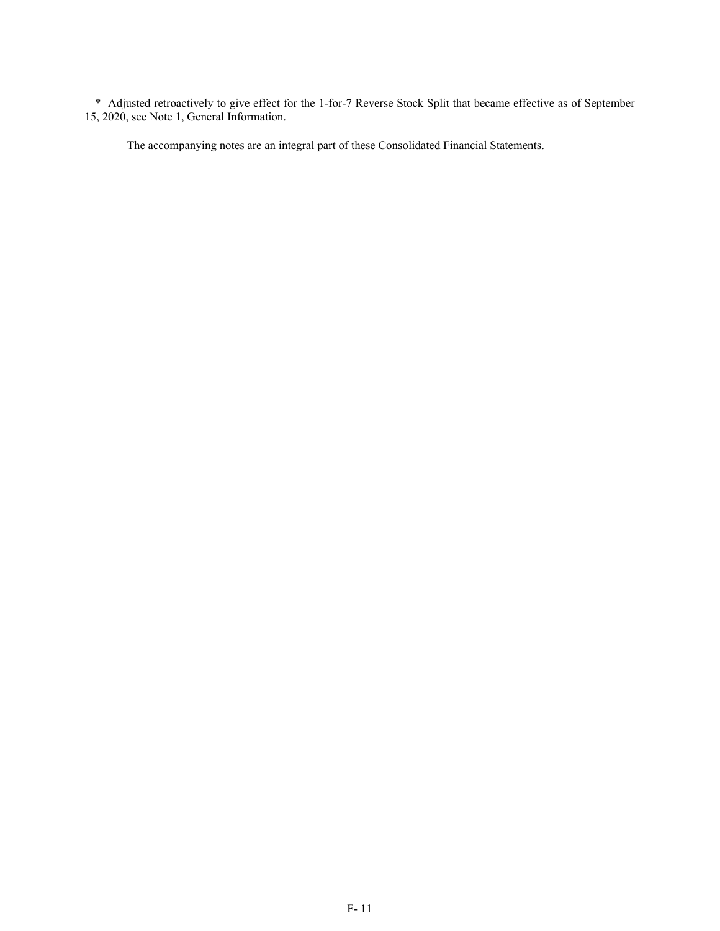\* Adjusted retroactively to give effect for the 1-for-7 Reverse Stock Split that became effective as of September 15, 2020, see Note 1, General Information.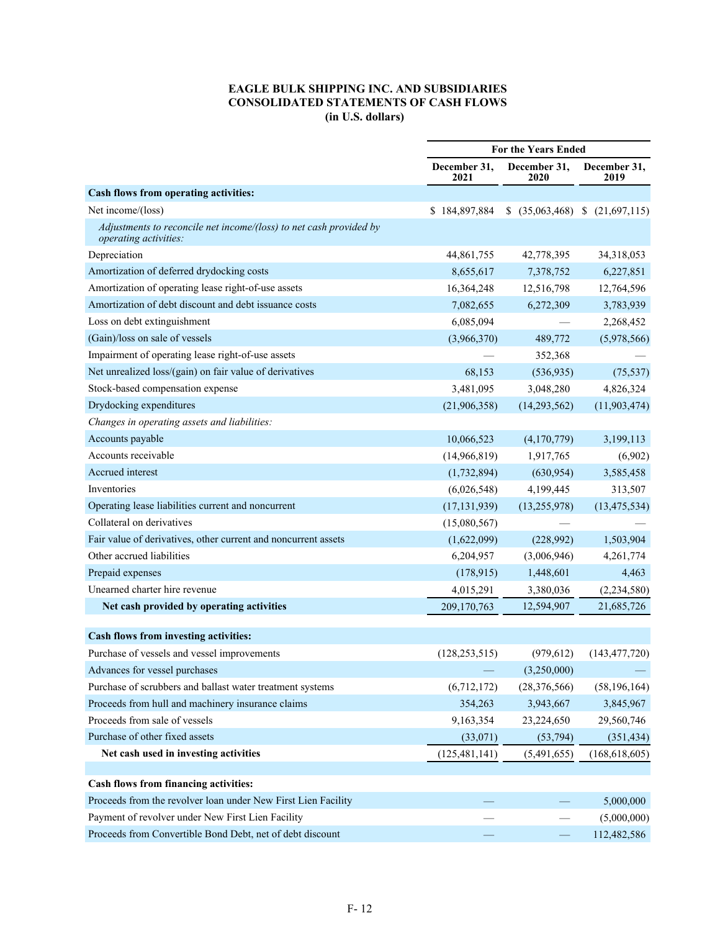# **EAGLE BULK SHIPPING INC. AND SUBSIDIARIES CONSOLIDATED STATEMENTS OF CASH FLOWS (in U.S. dollars)**

|                                                                                             | <b>For the Years Ended</b> |                         |                      |
|---------------------------------------------------------------------------------------------|----------------------------|-------------------------|----------------------|
|                                                                                             | December 31,<br>2021       | December 31,<br>2020    | December 31,<br>2019 |
| Cash flows from operating activities:                                                       |                            |                         |                      |
| Net income/(loss)                                                                           | \$184,897,884              | $(35,063,468)$ \$<br>S. | (21,697,115)         |
| Adjustments to reconcile net income/(loss) to net cash provided by<br>operating activities: |                            |                         |                      |
| Depreciation                                                                                | 44,861,755                 | 42,778,395              | 34,318,053           |
| Amortization of deferred drydocking costs                                                   | 8,655,617                  | 7,378,752               | 6,227,851            |
| Amortization of operating lease right-of-use assets                                         | 16, 364, 248               | 12,516,798              | 12,764,596           |
| Amortization of debt discount and debt issuance costs                                       | 7,082,655                  | 6,272,309               | 3,783,939            |
| Loss on debt extinguishment                                                                 | 6,085,094                  |                         | 2,268,452            |
| (Gain)/loss on sale of vessels                                                              | (3,966,370)                | 489,772                 | (5,978,566)          |
| Impairment of operating lease right-of-use assets                                           |                            | 352,368                 |                      |
| Net unrealized loss/(gain) on fair value of derivatives                                     | 68,153                     | (536, 935)              | (75, 537)            |
| Stock-based compensation expense                                                            | 3,481,095                  | 3,048,280               | 4,826,324            |
| Drydocking expenditures                                                                     | (21,906,358)               | (14, 293, 562)          | (11, 903, 474)       |
| Changes in operating assets and liabilities:                                                |                            |                         |                      |
| Accounts payable                                                                            | 10,066,523                 | (4,170,779)             | 3,199,113            |
| Accounts receivable                                                                         | (14,966,819)               | 1,917,765               | (6,902)              |
| Accrued interest                                                                            | (1,732,894)                | (630, 954)              | 3,585,458            |
| Inventories                                                                                 | (6,026,548)                | 4,199,445               | 313,507              |
| Operating lease liabilities current and noncurrent                                          | (17, 131, 939)             | (13,255,978)            | (13, 475, 534)       |
| Collateral on derivatives                                                                   | (15,080,567)               |                         |                      |
| Fair value of derivatives, other current and noncurrent assets                              | (1,622,099)                | (228,992)               | 1,503,904            |
| Other accrued liabilities                                                                   | 6,204,957                  | (3,006,946)             | 4,261,774            |
| Prepaid expenses                                                                            | (178,915)                  | 1,448,601               | 4,463                |
| Unearned charter hire revenue                                                               | 4,015,291                  | 3,380,036               | (2, 234, 580)        |
| Net cash provided by operating activities                                                   | 209, 170, 763              | 12,594,907              | 21,685,726           |
| Cash flows from investing activities:                                                       |                            |                         |                      |
| Purchase of vessels and vessel improvements                                                 | (128, 253, 515)            | (979, 612)              | (143, 477, 720)      |
| Advances for vessel purchases                                                               |                            | (3,250,000)             |                      |
| Purchase of scrubbers and ballast water treatment systems                                   | (6,712,172)                | (28, 376, 566)          | (58, 196, 164)       |
| Proceeds from hull and machinery insurance claims                                           | 354,263                    | 3,943,667               | 3,845,967            |
| Proceeds from sale of vessels                                                               | 9,163,354                  | 23,224,650              | 29,560,746           |
| Purchase of other fixed assets                                                              | (33,071)                   | (53, 794)               | (351, 434)           |
| Net cash used in investing activities                                                       | (125, 481, 141)            | (5,491,655)             | (168, 618, 605)      |
|                                                                                             |                            |                         |                      |
| Cash flows from financing activities:                                                       |                            |                         |                      |
| Proceeds from the revolver loan under New First Lien Facility                               |                            |                         | 5,000,000            |
| Payment of revolver under New First Lien Facility                                           |                            |                         | (5,000,000)          |
| Proceeds from Convertible Bond Debt, net of debt discount                                   |                            |                         | 112,482,586          |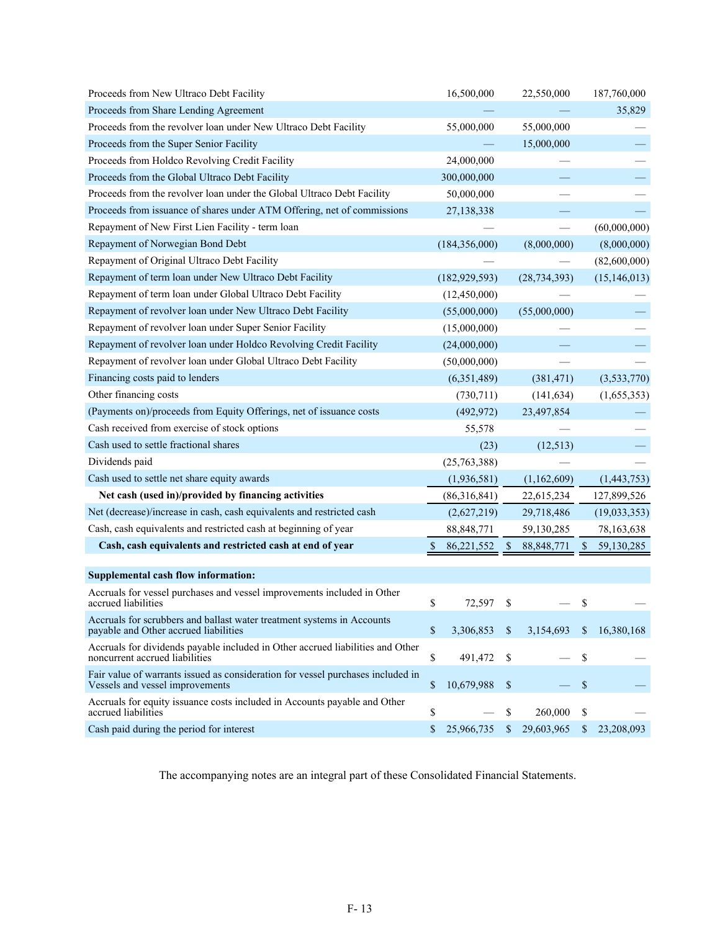| Proceeds from New Ultraco Debt Facility                                                                            | 16,500,000       |                           | 22,550,000               |                           | 187,760,000    |
|--------------------------------------------------------------------------------------------------------------------|------------------|---------------------------|--------------------------|---------------------------|----------------|
| Proceeds from Share Lending Agreement                                                                              |                  |                           |                          |                           | 35,829         |
| Proceeds from the revolver loan under New Ultraco Debt Facility                                                    | 55,000,000       |                           | 55,000,000               |                           |                |
| Proceeds from the Super Senior Facility                                                                            |                  |                           | 15,000,000               |                           |                |
| Proceeds from Holdco Revolving Credit Facility                                                                     | 24,000,000       |                           |                          |                           |                |
| Proceeds from the Global Ultraco Debt Facility                                                                     | 300,000,000      |                           |                          |                           |                |
| Proceeds from the revolver loan under the Global Ultraco Debt Facility                                             | 50,000,000       |                           |                          |                           |                |
| Proceeds from issuance of shares under ATM Offering, net of commissions                                            | 27,138,338       |                           |                          |                           |                |
| Repayment of New First Lien Facility - term loan                                                                   |                  |                           | $\overline{\phantom{0}}$ |                           | (60,000,000)   |
| Repayment of Norwegian Bond Debt                                                                                   | (184, 356, 000)  |                           | (8,000,000)              |                           | (8,000,000)    |
| Repayment of Original Ultraco Debt Facility                                                                        |                  |                           |                          |                           | (82,600,000)   |
| Repayment of term loan under New Ultraco Debt Facility                                                             | (182, 929, 593)  |                           | (28, 734, 393)           |                           | (15, 146, 013) |
| Repayment of term loan under Global Ultraco Debt Facility                                                          | (12,450,000)     |                           |                          |                           |                |
| Repayment of revolver loan under New Ultraco Debt Facility                                                         | (55,000,000)     |                           | (55,000,000)             |                           |                |
| Repayment of revolver loan under Super Senior Facility                                                             | (15,000,000)     |                           |                          |                           |                |
| Repayment of revolver loan under Holdco Revolving Credit Facility                                                  | (24,000,000)     |                           |                          |                           |                |
| Repayment of revolver loan under Global Ultraco Debt Facility                                                      | (50,000,000)     |                           |                          |                           |                |
| Financing costs paid to lenders                                                                                    | (6,351,489)      |                           | (381, 471)               |                           | (3,533,770)    |
| Other financing costs                                                                                              | (730, 711)       |                           | (141, 634)               |                           | (1,655,353)    |
| (Payments on)/proceeds from Equity Offerings, net of issuance costs                                                | (492, 972)       |                           | 23,497,854               |                           |                |
| Cash received from exercise of stock options                                                                       | 55,578           |                           |                          |                           |                |
| Cash used to settle fractional shares                                                                              | (23)             |                           | (12, 513)                |                           |                |
| Dividends paid                                                                                                     | (25,763,388)     |                           |                          |                           |                |
| Cash used to settle net share equity awards                                                                        | (1,936,581)      |                           | (1,162,609)              |                           | (1,443,753)    |
| Net cash (used in)/provided by financing activities                                                                | (86,316,841)     |                           | 22,615,234               |                           | 127,899,526    |
| Net (decrease)/increase in cash, cash equivalents and restricted cash                                              | (2,627,219)      |                           | 29,718,486               |                           | (19,033,353)   |
| Cash, cash equivalents and restricted cash at beginning of year                                                    | 88, 848, 771     |                           | 59,130,285               |                           | 78,163,638     |
| Cash, cash equivalents and restricted cash at end of year                                                          | 86,221,552       |                           | 88, 848, 771             |                           | 59,130,285     |
|                                                                                                                    |                  |                           |                          |                           |                |
| Supplemental cash flow information:                                                                                |                  |                           |                          |                           |                |
| Accruals for vessel purchases and vessel improvements included in Other<br>accrued liabilities                     | \$<br>72,597     | \$                        |                          | \$                        |                |
| Accruals for scrubbers and ballast water treatment systems in Accounts<br>payable and Other accrued liabilities    | \$<br>3,306,853  | $\mathbb{S}$              | 3,154,693                | \$                        | 16,380,168     |
| Accruals for dividends payable included in Other accrued liabilities and Other<br>noncurrent accrued liabilities   | \$<br>491,472    | \$                        |                          | \$                        |                |
| Fair value of warrants issued as consideration for vessel purchases included in<br>Vessels and vessel improvements | \$<br>10,679,988 | $\boldsymbol{\mathsf{S}}$ |                          | $\boldsymbol{\mathsf{S}}$ |                |
| Accruals for equity issuance costs included in Accounts payable and Other<br>accrued liabilities                   | \$               | \$                        | 260,000                  | \$                        |                |
| Cash paid during the period for interest                                                                           | \$<br>25,966,735 | $\mathbb S$               | 29,603,965               | $\mathbb S$               | 23,208,093     |

The accompanying notes are an integral part of these Consolidated Financial Statements.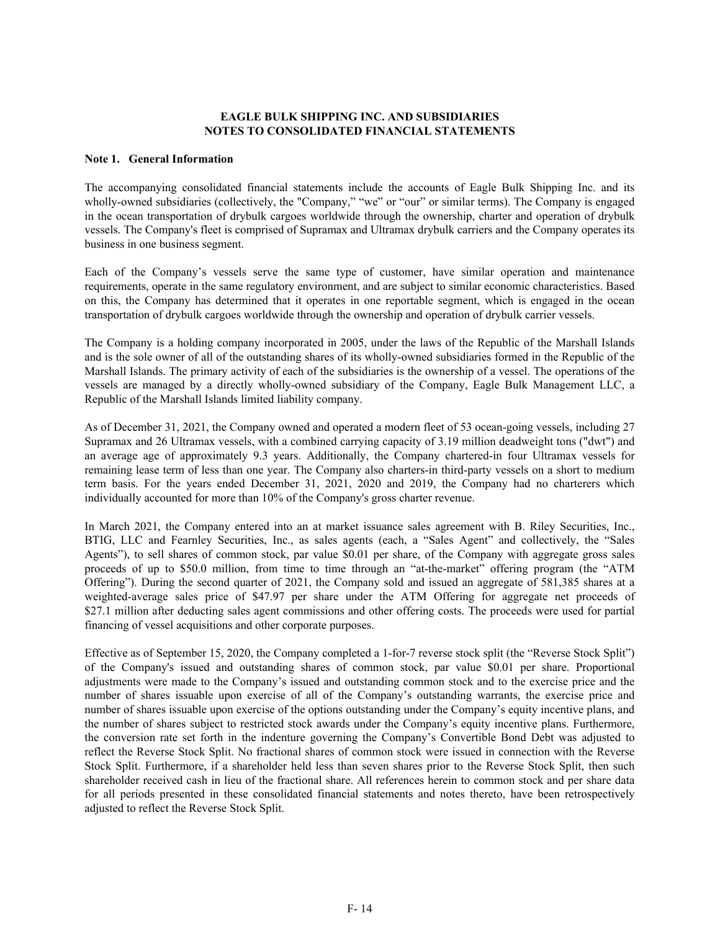## **EAGLE BULK SHIPPING INC. AND SUBSIDIARIES NOTES TO CONSOLIDATED FINANCIAL STATEMENTS**

## **Note 1. General Information**

The accompanying consolidated financial statements include the accounts of Eagle Bulk Shipping Inc. and its wholly-owned subsidiaries (collectively, the "Company," "we" or "our" or similar terms). The Company is engaged in the ocean transportation of drybulk cargoes worldwide through the ownership, charter and operation of drybulk vessels. The Company's fleet is comprised of Supramax and Ultramax drybulk carriers and the Company operates its business in one business segment.

Each of the Company's vessels serve the same type of customer, have similar operation and maintenance requirements, operate in the same regulatory environment, and are subject to similar economic characteristics. Based on this, the Company has determined that it operates in one reportable segment, which is engaged in the ocean transportation of drybulk cargoes worldwide through the ownership and operation of drybulk carrier vessels.

The Company is a holding company incorporated in 2005, under the laws of the Republic of the Marshall Islands and is the sole owner of all of the outstanding shares of its wholly-owned subsidiaries formed in the Republic of the Marshall Islands. The primary activity of each of the subsidiaries is the ownership of a vessel. The operations of the vessels are managed by a directly wholly-owned subsidiary of the Company, Eagle Bulk Management LLC, a Republic of the Marshall Islands limited liability company.

As of December 31, 2021, the Company owned and operated a modern fleet of 53 ocean-going vessels, including 27 Supramax and 26 Ultramax vessels, with a combined carrying capacity of 3.19 million deadweight tons ("dwt") and an average age of approximately 9.3 years. Additionally, the Company chartered-in four Ultramax vessels for remaining lease term of less than one year. The Company also charters-in third-party vessels on a short to medium term basis. For the years ended December 31, 2021, 2020 and 2019, the Company had no charterers which individually accounted for more than 10% of the Company's gross charter revenue.

In March 2021, the Company entered into an at market issuance sales agreement with B. Riley Securities, Inc., BTIG, LLC and Fearnley Securities, Inc., as sales agents (each, a "Sales Agent" and collectively, the "Sales Agents"), to sell shares of common stock, par value \$0.01 per share, of the Company with aggregate gross sales proceeds of up to \$50.0 million, from time to time through an "at-the-market" offering program (the "ATM Offering"). During the second quarter of 2021, the Company sold and issued an aggregate of 581,385 shares at a weighted-average sales price of \$47.97 per share under the ATM Offering for aggregate net proceeds of \$27.1 million after deducting sales agent commissions and other offering costs. The proceeds were used for partial financing of vessel acquisitions and other corporate purposes.

Effective as of September 15, 2020, the Company completed a 1-for-7 reverse stock split (the "Reverse Stock Split") of the Company's issued and outstanding shares of common stock, par value \$0.01 per share. Proportional adjustments were made to the Company's issued and outstanding common stock and to the exercise price and the number of shares issuable upon exercise of all of the Company's outstanding warrants, the exercise price and number of shares issuable upon exercise of the options outstanding under the Company's equity incentive plans, and the number of shares subject to restricted stock awards under the Company's equity incentive plans. Furthermore, the conversion rate set forth in the indenture governing the Company's Convertible Bond Debt was adjusted to reflect the Reverse Stock Split. No fractional shares of common stock were issued in connection with the Reverse Stock Split. Furthermore, if a shareholder held less than seven shares prior to the Reverse Stock Split, then such shareholder received cash in lieu of the fractional share. All references herein to common stock and per share data for all periods presented in these consolidated financial statements and notes thereto, have been retrospectively adjusted to reflect the Reverse Stock Split.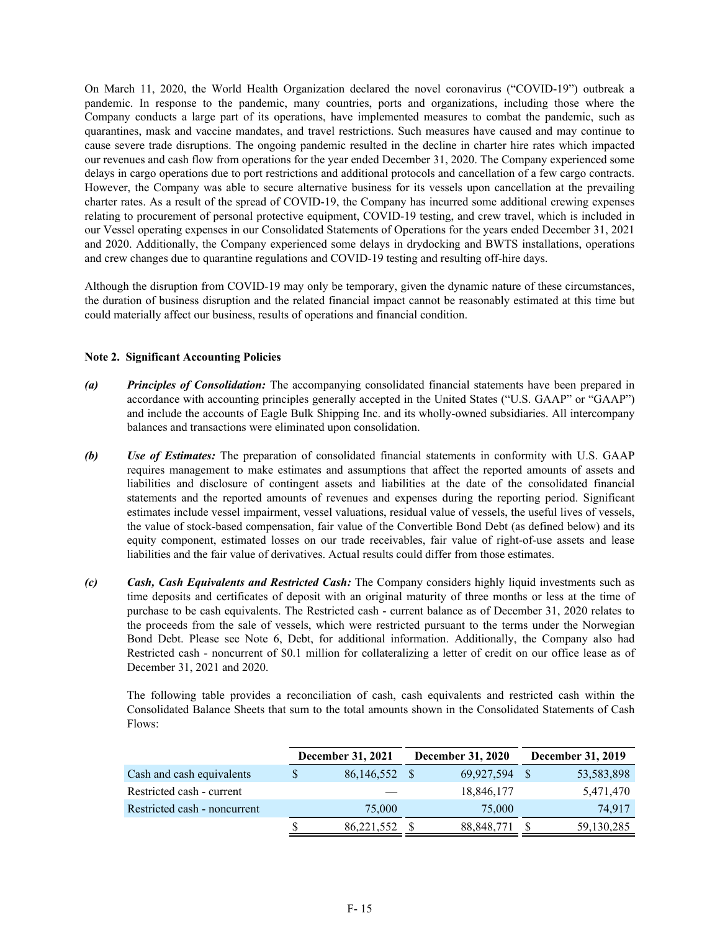On March 11, 2020, the World Health Organization declared the novel coronavirus ("COVID-19") outbreak a pandemic. In response to the pandemic, many countries, ports and organizations, including those where the Company conducts a large part of its operations, have implemented measures to combat the pandemic, such as quarantines, mask and vaccine mandates, and travel restrictions. Such measures have caused and may continue to cause severe trade disruptions. The ongoing pandemic resulted in the decline in charter hire rates which impacted our revenues and cash flow from operations for the year ended December 31, 2020. The Company experienced some delays in cargo operations due to port restrictions and additional protocols and cancellation of a few cargo contracts. However, the Company was able to secure alternative business for its vessels upon cancellation at the prevailing charter rates. As a result of the spread of COVID-19, the Company has incurred some additional crewing expenses relating to procurement of personal protective equipment, COVID-19 testing, and crew travel, which is included in our Vessel operating expenses in our Consolidated Statements of Operations for the years ended December 31, 2021 and 2020. Additionally, the Company experienced some delays in drydocking and BWTS installations, operations and crew changes due to quarantine regulations and COVID-19 testing and resulting off-hire days.

Although the disruption from COVID-19 may only be temporary, given the dynamic nature of these circumstances, the duration of business disruption and the related financial impact cannot be reasonably estimated at this time but could materially affect our business, results of operations and financial condition.

## **Note 2. Significant Accounting Policies**

- *(a) Principles of Consolidation:* The accompanying consolidated financial statements have been prepared in accordance with accounting principles generally accepted in the United States ("U.S. GAAP" or "GAAP") and include the accounts of Eagle Bulk Shipping Inc. and its wholly-owned subsidiaries. All intercompany balances and transactions were eliminated upon consolidation.
- *(b) Use of Estimates:* The preparation of consolidated financial statements in conformity with U.S. GAAP requires management to make estimates and assumptions that affect the reported amounts of assets and liabilities and disclosure of contingent assets and liabilities at the date of the consolidated financial statements and the reported amounts of revenues and expenses during the reporting period. Significant estimates include vessel impairment, vessel valuations, residual value of vessels, the useful lives of vessels, the value of stock-based compensation, fair value of the Convertible Bond Debt (as defined below) and its equity component, estimated losses on our trade receivables, fair value of right-of-use assets and lease liabilities and the fair value of derivatives. Actual results could differ from those estimates.
- *(c) Cash, Cash Equivalents and Restricted Cash:* The Company considers highly liquid investments such as time deposits and certificates of deposit with an original maturity of three months or less at the time of purchase to be cash equivalents. The Restricted cash - current balance as of December 31, 2020 relates to the proceeds from the sale of vessels, which were restricted pursuant to the terms under the Norwegian Bond Debt. Please see Note 6, Debt, for additional information. Additionally, the Company also had Restricted cash - noncurrent of \$0.1 million for collateralizing a letter of credit on our office lease as of December 31, 2021 and 2020.

The following table provides a reconciliation of cash, cash equivalents and restricted cash within the Consolidated Balance Sheets that sum to the total amounts shown in the Consolidated Statements of Cash Flows:

|                              | December 31, 2021 | <b>December 31, 2020</b> | December 31, 2019 |
|------------------------------|-------------------|--------------------------|-------------------|
| Cash and cash equivalents    | 86,146,552 \$     | 69,927,594               | 53,583,898        |
| Restricted cash - current    |                   | 18,846,177               | 5,471,470         |
| Restricted cash - noncurrent | 75,000            | 75,000                   | 74,917            |
|                              | 86,221,552        | 88,848,771               | 59,130,285        |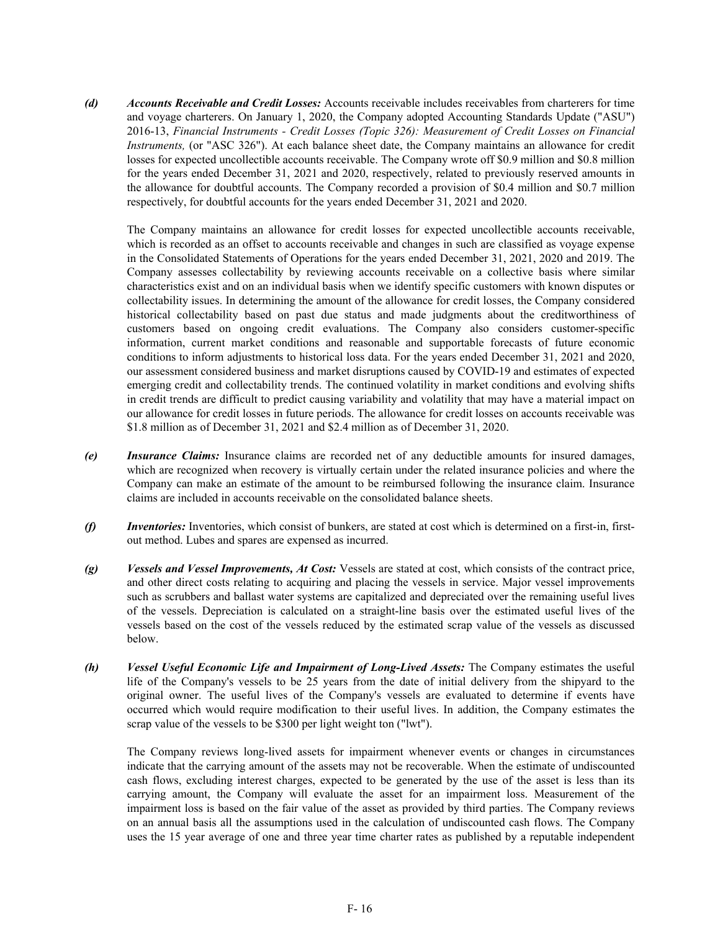*(d) Accounts Receivable and Credit Losses:* Accounts receivable includes receivables from charterers for time and voyage charterers. On January 1, 2020, the Company adopted Accounting Standards Update ("ASU") 2016-13, *Financial Instruments - Credit Losses (Topic 326): Measurement of Credit Losses on Financial Instruments,* (or "ASC 326"). At each balance sheet date, the Company maintains an allowance for credit losses for expected uncollectible accounts receivable. The Company wrote off \$0.9 million and \$0.8 million for the years ended December 31, 2021 and 2020, respectively, related to previously reserved amounts in the allowance for doubtful accounts. The Company recorded a provision of \$0.4 million and \$0.7 million respectively, for doubtful accounts for the years ended December 31, 2021 and 2020.

The Company maintains an allowance for credit losses for expected uncollectible accounts receivable, which is recorded as an offset to accounts receivable and changes in such are classified as voyage expense in the Consolidated Statements of Operations for the years ended December 31, 2021, 2020 and 2019. The Company assesses collectability by reviewing accounts receivable on a collective basis where similar characteristics exist and on an individual basis when we identify specific customers with known disputes or collectability issues. In determining the amount of the allowance for credit losses, the Company considered historical collectability based on past due status and made judgments about the creditworthiness of customers based on ongoing credit evaluations. The Company also considers customer-specific information, current market conditions and reasonable and supportable forecasts of future economic conditions to inform adjustments to historical loss data. For the years ended December 31, 2021 and 2020, our assessment considered business and market disruptions caused by COVID-19 and estimates of expected emerging credit and collectability trends. The continued volatility in market conditions and evolving shifts in credit trends are difficult to predict causing variability and volatility that may have a material impact on our allowance for credit losses in future periods. The allowance for credit losses on accounts receivable was \$1.8 million as of December 31, 2021 and \$2.4 million as of December 31, 2020.

- *(e) Insurance Claims:* Insurance claims are recorded net of any deductible amounts for insured damages, which are recognized when recovery is virtually certain under the related insurance policies and where the Company can make an estimate of the amount to be reimbursed following the insurance claim. Insurance claims are included in accounts receivable on the consolidated balance sheets.
- *(f) Inventories:* Inventories, which consist of bunkers, are stated at cost which is determined on a first-in, firstout method. Lubes and spares are expensed as incurred.
- *(g) Vessels and Vessel Improvements, At Cost:* Vessels are stated at cost, which consists of the contract price, and other direct costs relating to acquiring and placing the vessels in service. Major vessel improvements such as scrubbers and ballast water systems are capitalized and depreciated over the remaining useful lives of the vessels. Depreciation is calculated on a straight-line basis over the estimated useful lives of the vessels based on the cost of the vessels reduced by the estimated scrap value of the vessels as discussed below.
- *(h) Vessel Useful Economic Life and Impairment of Long-Lived Assets:* The Company estimates the useful life of the Company's vessels to be 25 years from the date of initial delivery from the shipyard to the original owner. The useful lives of the Company's vessels are evaluated to determine if events have occurred which would require modification to their useful lives. In addition, the Company estimates the scrap value of the vessels to be \$300 per light weight ton ("lwt").

The Company reviews long-lived assets for impairment whenever events or changes in circumstances indicate that the carrying amount of the assets may not be recoverable. When the estimate of undiscounted cash flows, excluding interest charges, expected to be generated by the use of the asset is less than its carrying amount, the Company will evaluate the asset for an impairment loss. Measurement of the impairment loss is based on the fair value of the asset as provided by third parties. The Company reviews on an annual basis all the assumptions used in the calculation of undiscounted cash flows. The Company uses the 15 year average of one and three year time charter rates as published by a reputable independent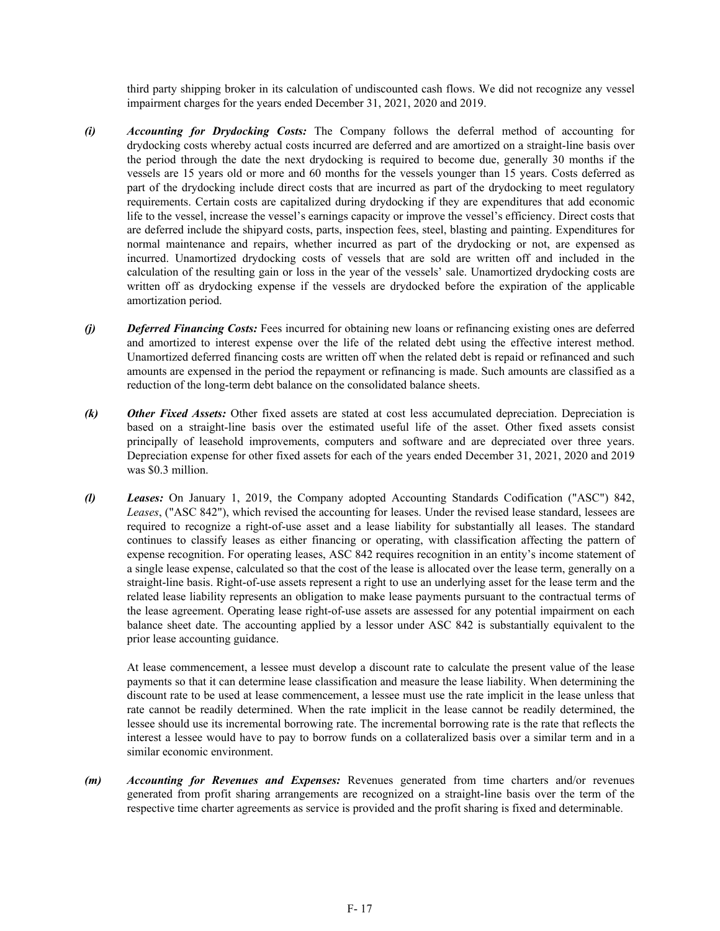third party shipping broker in its calculation of undiscounted cash flows. We did not recognize any vessel impairment charges for the years ended December 31, 2021, 2020 and 2019.

- *(i) Accounting for Drydocking Costs:* The Company follows the deferral method of accounting for drydocking costs whereby actual costs incurred are deferred and are amortized on a straight-line basis over the period through the date the next drydocking is required to become due, generally 30 months if the vessels are 15 years old or more and 60 months for the vessels younger than 15 years. Costs deferred as part of the drydocking include direct costs that are incurred as part of the drydocking to meet regulatory requirements. Certain costs are capitalized during drydocking if they are expenditures that add economic life to the vessel, increase the vessel's earnings capacity or improve the vessel's efficiency. Direct costs that are deferred include the shipyard costs, parts, inspection fees, steel, blasting and painting. Expenditures for normal maintenance and repairs, whether incurred as part of the drydocking or not, are expensed as incurred. Unamortized drydocking costs of vessels that are sold are written off and included in the calculation of the resulting gain or loss in the year of the vessels' sale. Unamortized drydocking costs are written off as drydocking expense if the vessels are drydocked before the expiration of the applicable amortization period.
- *(j) Deferred Financing Costs:* Fees incurred for obtaining new loans or refinancing existing ones are deferred and amortized to interest expense over the life of the related debt using the effective interest method. Unamortized deferred financing costs are written off when the related debt is repaid or refinanced and such amounts are expensed in the period the repayment or refinancing is made. Such amounts are classified as a reduction of the long-term debt balance on the consolidated balance sheets.
- *(k) Other Fixed Assets:* Other fixed assets are stated at cost less accumulated depreciation. Depreciation is based on a straight-line basis over the estimated useful life of the asset. Other fixed assets consist principally of leasehold improvements, computers and software and are depreciated over three years. Depreciation expense for other fixed assets for each of the years ended December 31, 2021, 2020 and 2019 was \$0.3 million.
- *(l) Leases:* On January 1, 2019, the Company adopted Accounting Standards Codification ("ASC") 842, *Leases*, ("ASC 842"), which revised the accounting for leases. Under the revised lease standard, lessees are required to recognize a right-of-use asset and a lease liability for substantially all leases. The standard continues to classify leases as either financing or operating, with classification affecting the pattern of expense recognition. For operating leases, ASC 842 requires recognition in an entity's income statement of a single lease expense, calculated so that the cost of the lease is allocated over the lease term, generally on a straight-line basis. Right-of-use assets represent a right to use an underlying asset for the lease term and the related lease liability represents an obligation to make lease payments pursuant to the contractual terms of the lease agreement. Operating lease right-of-use assets are assessed for any potential impairment on each balance sheet date. The accounting applied by a lessor under ASC 842 is substantially equivalent to the prior lease accounting guidance.

At lease commencement, a lessee must develop a discount rate to calculate the present value of the lease payments so that it can determine lease classification and measure the lease liability. When determining the discount rate to be used at lease commencement, a lessee must use the rate implicit in the lease unless that rate cannot be readily determined. When the rate implicit in the lease cannot be readily determined, the lessee should use its incremental borrowing rate. The incremental borrowing rate is the rate that reflects the interest a lessee would have to pay to borrow funds on a collateralized basis over a similar term and in a similar economic environment.

*(m) Accounting for Revenues and Expenses:* Revenues generated from time charters and/or revenues generated from profit sharing arrangements are recognized on a straight-line basis over the term of the respective time charter agreements as service is provided and the profit sharing is fixed and determinable.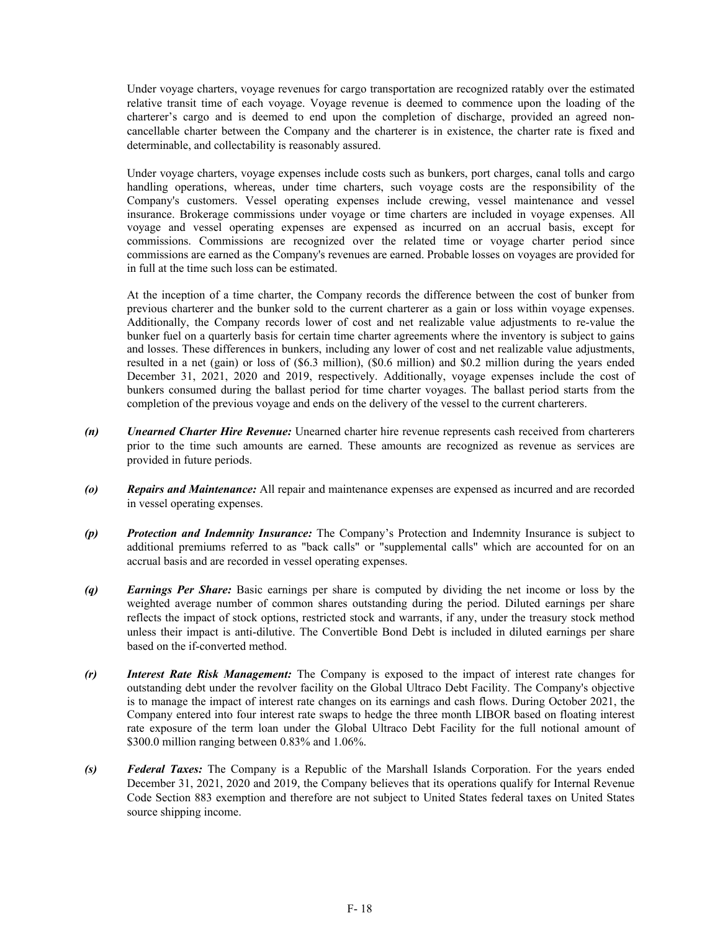Under voyage charters, voyage revenues for cargo transportation are recognized ratably over the estimated relative transit time of each voyage. Voyage revenue is deemed to commence upon the loading of the charterer's cargo and is deemed to end upon the completion of discharge, provided an agreed noncancellable charter between the Company and the charterer is in existence, the charter rate is fixed and determinable, and collectability is reasonably assured.

Under voyage charters, voyage expenses include costs such as bunkers, port charges, canal tolls and cargo handling operations, whereas, under time charters, such voyage costs are the responsibility of the Company's customers. Vessel operating expenses include crewing, vessel maintenance and vessel insurance. Brokerage commissions under voyage or time charters are included in voyage expenses. All voyage and vessel operating expenses are expensed as incurred on an accrual basis, except for commissions. Commissions are recognized over the related time or voyage charter period since commissions are earned as the Company's revenues are earned. Probable losses on voyages are provided for in full at the time such loss can be estimated.

At the inception of a time charter, the Company records the difference between the cost of bunker from previous charterer and the bunker sold to the current charterer as a gain or loss within voyage expenses. Additionally, the Company records lower of cost and net realizable value adjustments to re-value the bunker fuel on a quarterly basis for certain time charter agreements where the inventory is subject to gains and losses. These differences in bunkers, including any lower of cost and net realizable value adjustments, resulted in a net (gain) or loss of (\$6.3 million), (\$0.6 million) and \$0.2 million during the years ended December 31, 2021, 2020 and 2019, respectively. Additionally, voyage expenses include the cost of bunkers consumed during the ballast period for time charter voyages. The ballast period starts from the completion of the previous voyage and ends on the delivery of the vessel to the current charterers.

- *(n) Unearned Charter Hire Revenue:* Unearned charter hire revenue represents cash received from charterers prior to the time such amounts are earned. These amounts are recognized as revenue as services are provided in future periods.
- *(o) Repairs and Maintenance:* All repair and maintenance expenses are expensed as incurred and are recorded in vessel operating expenses.
- *(p) Protection and Indemnity Insurance:* The Company's Protection and Indemnity Insurance is subject to additional premiums referred to as "back calls" or "supplemental calls" which are accounted for on an accrual basis and are recorded in vessel operating expenses.
- *(q) Earnings Per Share:* Basic earnings per share is computed by dividing the net income or loss by the weighted average number of common shares outstanding during the period. Diluted earnings per share reflects the impact of stock options, restricted stock and warrants, if any, under the treasury stock method unless their impact is anti-dilutive. The Convertible Bond Debt is included in diluted earnings per share based on the if-converted method.
- *(r) Interest Rate Risk Management:* The Company is exposed to the impact of interest rate changes for outstanding debt under the revolver facility on the Global Ultraco Debt Facility. The Company's objective is to manage the impact of interest rate changes on its earnings and cash flows. During October 2021, the Company entered into four interest rate swaps to hedge the three month LIBOR based on floating interest rate exposure of the term loan under the Global Ultraco Debt Facility for the full notional amount of \$300.0 million ranging between 0.83% and 1.06%.
- *(s) Federal Taxes:* The Company is a Republic of the Marshall Islands Corporation. For the years ended December 31, 2021, 2020 and 2019, the Company believes that its operations qualify for Internal Revenue Code Section 883 exemption and therefore are not subject to United States federal taxes on United States source shipping income.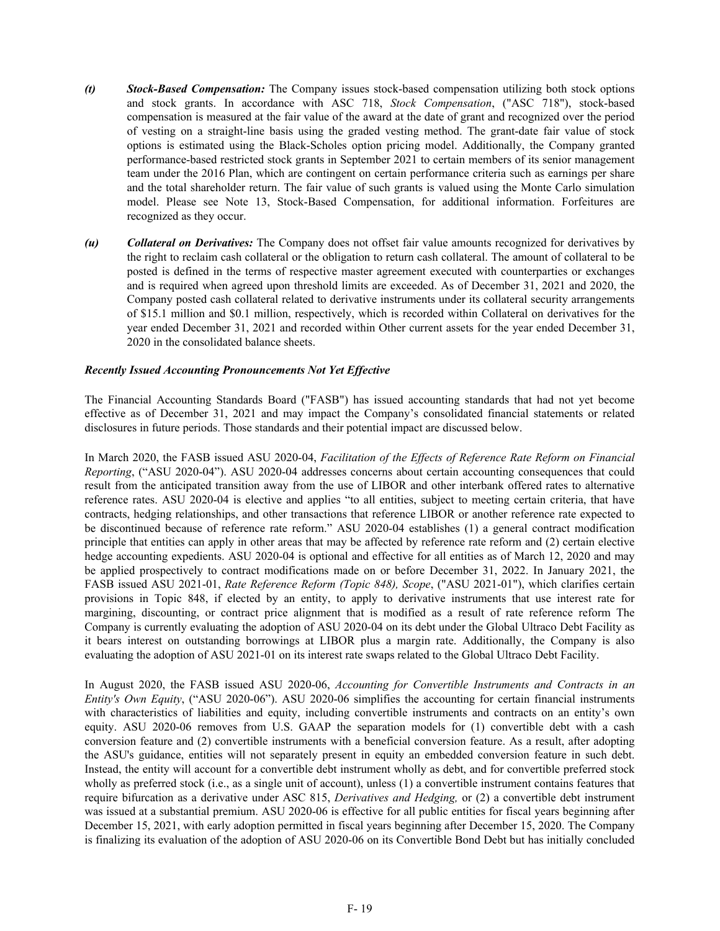- *(t) Stock-Based Compensation:* The Company issues stock-based compensation utilizing both stock options and stock grants. In accordance with ASC 718, *Stock Compensation*, ("ASC 718"), stock-based compensation is measured at the fair value of the award at the date of grant and recognized over the period of vesting on a straight-line basis using the graded vesting method. The grant-date fair value of stock options is estimated using the Black-Scholes option pricing model. Additionally, the Company granted performance-based restricted stock grants in September 2021 to certain members of its senior management team under the 2016 Plan, which are contingent on certain performance criteria such as earnings per share and the total shareholder return. The fair value of such grants is valued using the Monte Carlo simulation model. Please see Note 13, Stock-Based Compensation, for additional information. Forfeitures are recognized as they occur.
- *(u) Collateral on Derivatives:* The Company does not offset fair value amounts recognized for derivatives by the right to reclaim cash collateral or the obligation to return cash collateral. The amount of collateral to be posted is defined in the terms of respective master agreement executed with counterparties or exchanges and is required when agreed upon threshold limits are exceeded. As of December 31, 2021 and 2020, the Company posted cash collateral related to derivative instruments under its collateral security arrangements of \$15.1 million and \$0.1 million, respectively, which is recorded within Collateral on derivatives for the year ended December 31, 2021 and recorded within Other current assets for the year ended December 31, 2020 in the consolidated balance sheets.

## *Recently Issued Accounting Pronouncements Not Yet Effective*

The Financial Accounting Standards Board ("FASB") has issued accounting standards that had not yet become effective as of December 31, 2021 and may impact the Company's consolidated financial statements or related disclosures in future periods. Those standards and their potential impact are discussed below.

In March 2020, the FASB issued ASU 2020-04, *Facilitation of the Effects of Reference Rate Reform on Financial Reporting*, ("ASU 2020-04"). ASU 2020-04 addresses concerns about certain accounting consequences that could result from the anticipated transition away from the use of LIBOR and other interbank offered rates to alternative reference rates. ASU 2020-04 is elective and applies "to all entities, subject to meeting certain criteria, that have contracts, hedging relationships, and other transactions that reference LIBOR or another reference rate expected to be discontinued because of reference rate reform." ASU 2020-04 establishes (1) a general contract modification principle that entities can apply in other areas that may be affected by reference rate reform and (2) certain elective hedge accounting expedients. ASU 2020-04 is optional and effective for all entities as of March 12, 2020 and may be applied prospectively to contract modifications made on or before December 31, 2022. In January 2021, the FASB issued ASU 2021-01, *Rate Reference Reform (Topic 848), Scope*, ("ASU 2021-01"), which clarifies certain provisions in Topic 848, if elected by an entity, to apply to derivative instruments that use interest rate for margining, discounting, or contract price alignment that is modified as a result of rate reference reform The Company is currently evaluating the adoption of ASU 2020-04 on its debt under the Global Ultraco Debt Facility as it bears interest on outstanding borrowings at LIBOR plus a margin rate. Additionally, the Company is also evaluating the adoption of ASU 2021-01 on its interest rate swaps related to the Global Ultraco Debt Facility.

In August 2020, the FASB issued ASU 2020-06, *Accounting for Convertible Instruments and Contracts in an Entity's Own Equity*, ("ASU 2020-06"). ASU 2020-06 simplifies the accounting for certain financial instruments with characteristics of liabilities and equity, including convertible instruments and contracts on an entity's own equity. ASU 2020-06 removes from U.S. GAAP the separation models for (1) convertible debt with a cash conversion feature and (2) convertible instruments with a beneficial conversion feature. As a result, after adopting the ASU's guidance, entities will not separately present in equity an embedded conversion feature in such debt. Instead, the entity will account for a convertible debt instrument wholly as debt, and for convertible preferred stock wholly as preferred stock (i.e., as a single unit of account), unless (1) a convertible instrument contains features that require bifurcation as a derivative under ASC 815, *Derivatives and Hedging,* or (2) a convertible debt instrument was issued at a substantial premium. ASU 2020-06 is effective for all public entities for fiscal years beginning after December 15, 2021, with early adoption permitted in fiscal years beginning after December 15, 2020. The Company is finalizing its evaluation of the adoption of ASU 2020-06 on its Convertible Bond Debt but has initially concluded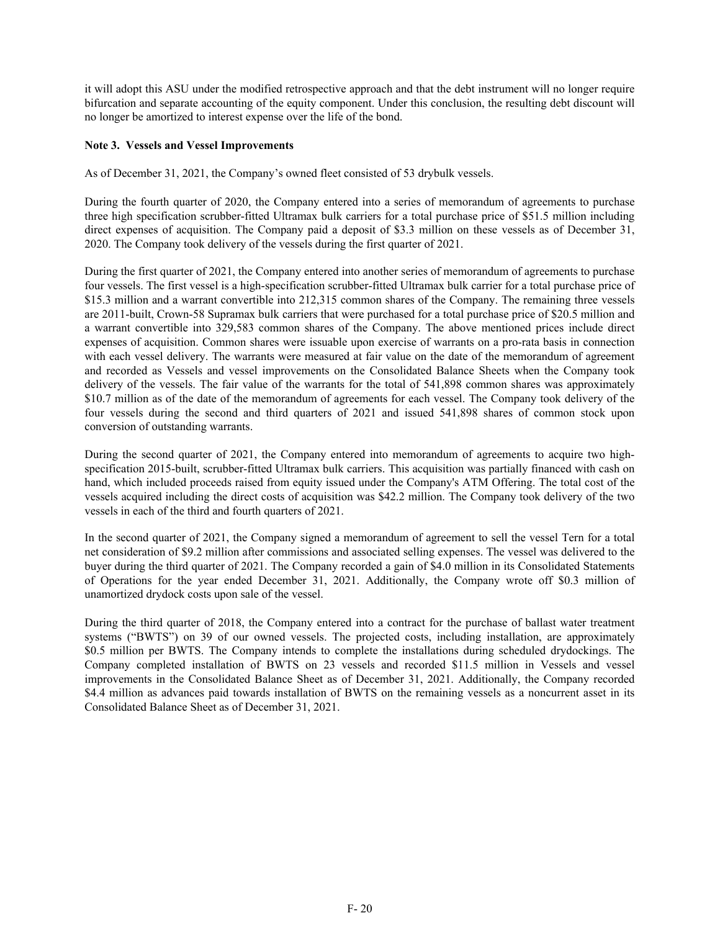it will adopt this ASU under the modified retrospective approach and that the debt instrument will no longer require bifurcation and separate accounting of the equity component. Under this conclusion, the resulting debt discount will no longer be amortized to interest expense over the life of the bond.

## **Note 3. Vessels and Vessel Improvements**

As of December 31, 2021, the Company's owned fleet consisted of 53 drybulk vessels.

During the fourth quarter of 2020, the Company entered into a series of memorandum of agreements to purchase three high specification scrubber-fitted Ultramax bulk carriers for a total purchase price of \$51.5 million including direct expenses of acquisition. The Company paid a deposit of \$3.3 million on these vessels as of December 31, 2020. The Company took delivery of the vessels during the first quarter of 2021.

During the first quarter of 2021, the Company entered into another series of memorandum of agreements to purchase four vessels. The first vessel is a high-specification scrubber-fitted Ultramax bulk carrier for a total purchase price of \$15.3 million and a warrant convertible into 212,315 common shares of the Company. The remaining three vessels are 2011-built, Crown-58 Supramax bulk carriers that were purchased for a total purchase price of \$20.5 million and a warrant convertible into 329,583 common shares of the Company. The above mentioned prices include direct expenses of acquisition. Common shares were issuable upon exercise of warrants on a pro-rata basis in connection with each vessel delivery. The warrants were measured at fair value on the date of the memorandum of agreement and recorded as Vessels and vessel improvements on the Consolidated Balance Sheets when the Company took delivery of the vessels. The fair value of the warrants for the total of 541,898 common shares was approximately \$10.7 million as of the date of the memorandum of agreements for each vessel. The Company took delivery of the four vessels during the second and third quarters of 2021 and issued 541,898 shares of common stock upon conversion of outstanding warrants.

During the second quarter of 2021, the Company entered into memorandum of agreements to acquire two highspecification 2015-built, scrubber-fitted Ultramax bulk carriers. This acquisition was partially financed with cash on hand, which included proceeds raised from equity issued under the Company's ATM Offering. The total cost of the vessels acquired including the direct costs of acquisition was \$42.2 million. The Company took delivery of the two vessels in each of the third and fourth quarters of 2021.

In the second quarter of 2021, the Company signed a memorandum of agreement to sell the vessel Tern for a total net consideration of \$9.2 million after commissions and associated selling expenses. The vessel was delivered to the buyer during the third quarter of 2021. The Company recorded a gain of \$4.0 million in its Consolidated Statements of Operations for the year ended December 31, 2021. Additionally, the Company wrote off \$0.3 million of unamortized drydock costs upon sale of the vessel.

During the third quarter of 2018, the Company entered into a contract for the purchase of ballast water treatment systems ("BWTS") on 39 of our owned vessels. The projected costs, including installation, are approximately \$0.5 million per BWTS. The Company intends to complete the installations during scheduled drydockings. The Company completed installation of BWTS on 23 vessels and recorded \$11.5 million in Vessels and vessel improvements in the Consolidated Balance Sheet as of December 31, 2021. Additionally, the Company recorded \$4.4 million as advances paid towards installation of BWTS on the remaining vessels as a noncurrent asset in its Consolidated Balance Sheet as of December 31, 2021.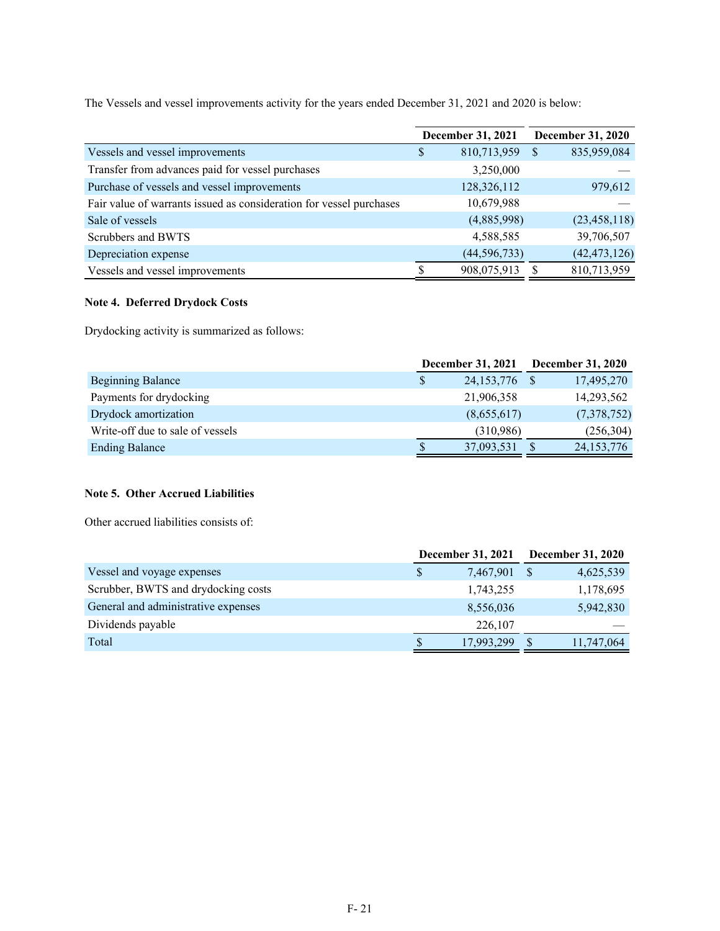The Vessels and vessel improvements activity for the years ended December 31, 2021 and 2020 is below:

|                                                                     | <b>December 31, 2021</b> |    | <b>December 31, 2020</b> |
|---------------------------------------------------------------------|--------------------------|----|--------------------------|
| Vessels and vessel improvements                                     | \$<br>810,713,959        | -S | 835,959,084              |
| Transfer from advances paid for vessel purchases                    | 3,250,000                |    |                          |
| Purchase of vessels and vessel improvements                         | 128,326,112              |    | 979,612                  |
| Fair value of warrants issued as consideration for vessel purchases | 10,679,988               |    |                          |
| Sale of vessels                                                     | (4,885,998)              |    | (23, 458, 118)           |
| Scrubbers and BWTS                                                  | 4,588,585                |    | 39,706,507               |
| Depreciation expense                                                | (44, 596, 733)           |    | (42, 473, 126)           |
| Vessels and vessel improvements                                     | 908,075,913              |    | 810,713,959              |

# **Note 4. Deferred Drydock Costs**

Drydocking activity is summarized as follows:

|                                  | December 31, 2021  | <b>December 31, 2020</b> |
|----------------------------------|--------------------|--------------------------|
| Beginning Balance                | \$<br>24, 153, 776 | 17,495,270               |
| Payments for drydocking          | 21,906,358         | 14,293,562               |
| Drydock amortization             | (8,655,617)        | (7,378,752)              |
| Write-off due to sale of vessels | (310,986)          | (256, 304)               |
| <b>Ending Balance</b>            | 37,093,531         | 24, 153, 776             |

## **Note 5. Other Accrued Liabilities**

Other accrued liabilities consists of:

|                                     |   | <b>December 31, 2021</b> | <b>December 31, 2020</b> |            |  |
|-------------------------------------|---|--------------------------|--------------------------|------------|--|
| Vessel and voyage expenses          |   | 7,467,901                |                          | 4,625,539  |  |
| Scrubber, BWTS and drydocking costs |   | 1,743,255                |                          | 1,178,695  |  |
| General and administrative expenses |   | 8,556,036                |                          | 5,942,830  |  |
| Dividends payable                   |   | 226,107                  |                          |            |  |
| Total                               | S | 17,993,299               |                          | 11,747,064 |  |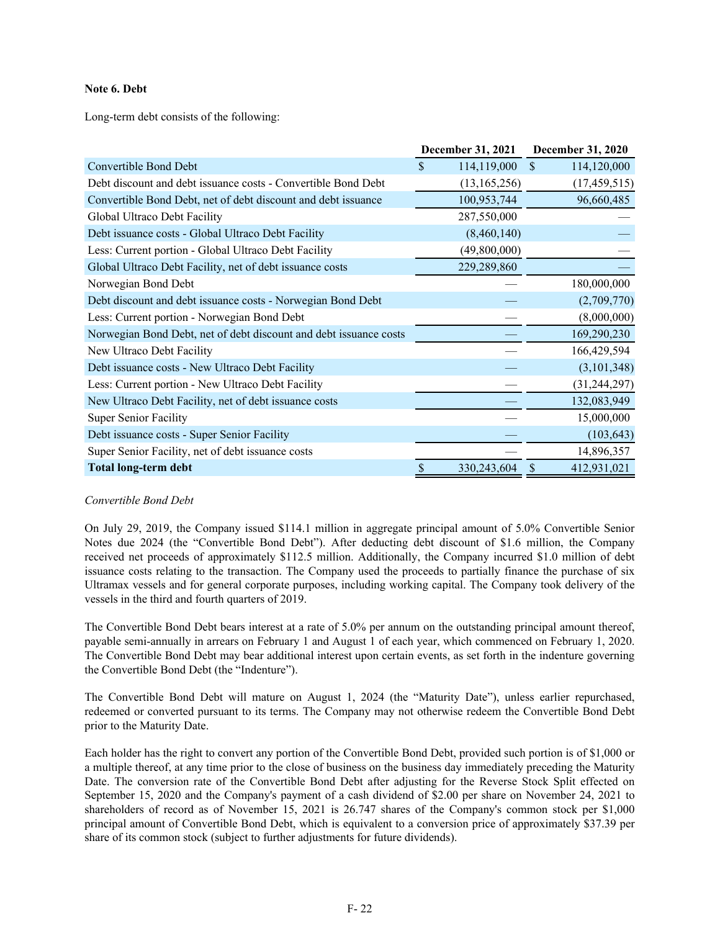## **Note 6. Debt**

Long-term debt consists of the following:

|                                                                   |                    | December 31, 2021 | <b>December 31, 2020</b>     |
|-------------------------------------------------------------------|--------------------|-------------------|------------------------------|
| <b>Convertible Bond Debt</b>                                      | $\mathbf{\hat{S}}$ | 114,119,000       | $\mathcal{S}$<br>114,120,000 |
| Debt discount and debt issuance costs - Convertible Bond Debt     |                    | (13, 165, 256)    | (17, 459, 515)               |
| Convertible Bond Debt, net of debt discount and debt issuance     |                    | 100,953,744       | 96,660,485                   |
| Global Ultraco Debt Facility                                      |                    | 287,550,000       |                              |
| Debt issuance costs - Global Ultraco Debt Facility                |                    | (8,460,140)       |                              |
| Less: Current portion - Global Ultraco Debt Facility              |                    | (49,800,000)      |                              |
| Global Ultraco Debt Facility, net of debt issuance costs          |                    | 229,289,860       |                              |
| Norwegian Bond Debt                                               |                    |                   | 180,000,000                  |
| Debt discount and debt issuance costs - Norwegian Bond Debt       |                    |                   | (2,709,770)                  |
| Less: Current portion - Norwegian Bond Debt                       |                    |                   | (8,000,000)                  |
| Norwegian Bond Debt, net of debt discount and debt issuance costs |                    |                   | 169,290,230                  |
| New Ultraco Debt Facility                                         |                    |                   | 166,429,594                  |
| Debt issuance costs - New Ultraco Debt Facility                   |                    |                   | (3, 101, 348)                |
| Less: Current portion - New Ultraco Debt Facility                 |                    |                   | (31, 244, 297)               |
| New Ultraco Debt Facility, net of debt issuance costs             |                    |                   | 132,083,949                  |
| <b>Super Senior Facility</b>                                      |                    |                   | 15,000,000                   |
| Debt issuance costs - Super Senior Facility                       |                    |                   | (103, 643)                   |
| Super Senior Facility, net of debt issuance costs                 |                    |                   | 14,896,357                   |
| <b>Total long-term debt</b>                                       | \$                 | 330,243,604       | 412,931,021<br>S             |

### *Convertible Bond Debt*

On July 29, 2019, the Company issued \$114.1 million in aggregate principal amount of 5.0% Convertible Senior Notes due 2024 (the "Convertible Bond Debt"). After deducting debt discount of \$1.6 million, the Company received net proceeds of approximately \$112.5 million. Additionally, the Company incurred \$1.0 million of debt issuance costs relating to the transaction. The Company used the proceeds to partially finance the purchase of six Ultramax vessels and for general corporate purposes, including working capital. The Company took delivery of the vessels in the third and fourth quarters of 2019.

The Convertible Bond Debt bears interest at a rate of 5.0% per annum on the outstanding principal amount thereof, payable semi-annually in arrears on February 1 and August 1 of each year, which commenced on February 1, 2020. The Convertible Bond Debt may bear additional interest upon certain events, as set forth in the indenture governing the Convertible Bond Debt (the "Indenture").

The Convertible Bond Debt will mature on August 1, 2024 (the "Maturity Date"), unless earlier repurchased, redeemed or converted pursuant to its terms. The Company may not otherwise redeem the Convertible Bond Debt prior to the Maturity Date.

Each holder has the right to convert any portion of the Convertible Bond Debt, provided such portion is of \$1,000 or a multiple thereof, at any time prior to the close of business on the business day immediately preceding the Maturity Date. The conversion rate of the Convertible Bond Debt after adjusting for the Reverse Stock Split effected on September 15, 2020 and the Company's payment of a cash dividend of \$2.00 per share on November 24, 2021 to shareholders of record as of November 15, 2021 is 26.747 shares of the Company's common stock per \$1,000 principal amount of Convertible Bond Debt, which is equivalent to a conversion price of approximately \$37.39 per share of its common stock (subject to further adjustments for future dividends).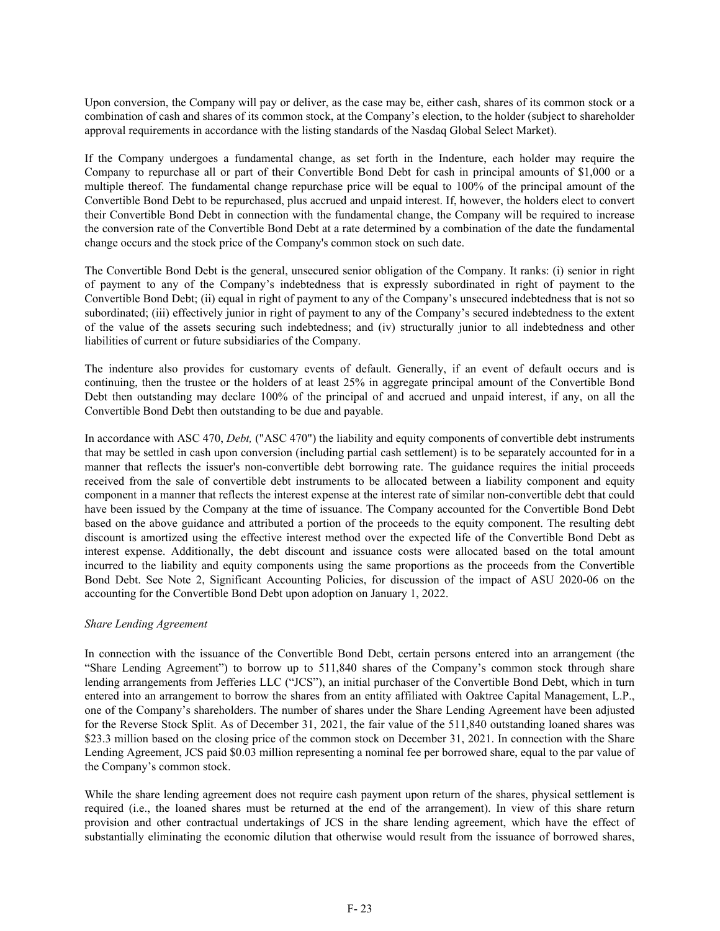Upon conversion, the Company will pay or deliver, as the case may be, either cash, shares of its common stock or a combination of cash and shares of its common stock, at the Company's election, to the holder (subject to shareholder approval requirements in accordance with the listing standards of the Nasdaq Global Select Market).

If the Company undergoes a fundamental change, as set forth in the Indenture, each holder may require the Company to repurchase all or part of their Convertible Bond Debt for cash in principal amounts of \$1,000 or a multiple thereof. The fundamental change repurchase price will be equal to 100% of the principal amount of the Convertible Bond Debt to be repurchased, plus accrued and unpaid interest. If, however, the holders elect to convert their Convertible Bond Debt in connection with the fundamental change, the Company will be required to increase the conversion rate of the Convertible Bond Debt at a rate determined by a combination of the date the fundamental change occurs and the stock price of the Company's common stock on such date.

The Convertible Bond Debt is the general, unsecured senior obligation of the Company. It ranks: (i) senior in right of payment to any of the Company's indebtedness that is expressly subordinated in right of payment to the Convertible Bond Debt; (ii) equal in right of payment to any of the Company's unsecured indebtedness that is not so subordinated; (iii) effectively junior in right of payment to any of the Company's secured indebtedness to the extent of the value of the assets securing such indebtedness; and (iv) structurally junior to all indebtedness and other liabilities of current or future subsidiaries of the Company.

The indenture also provides for customary events of default. Generally, if an event of default occurs and is continuing, then the trustee or the holders of at least 25% in aggregate principal amount of the Convertible Bond Debt then outstanding may declare 100% of the principal of and accrued and unpaid interest, if any, on all the Convertible Bond Debt then outstanding to be due and payable.

In accordance with ASC 470, *Debt,* ("ASC 470") the liability and equity components of convertible debt instruments that may be settled in cash upon conversion (including partial cash settlement) is to be separately accounted for in a manner that reflects the issuer's non-convertible debt borrowing rate. The guidance requires the initial proceeds received from the sale of convertible debt instruments to be allocated between a liability component and equity component in a manner that reflects the interest expense at the interest rate of similar non-convertible debt that could have been issued by the Company at the time of issuance. The Company accounted for the Convertible Bond Debt based on the above guidance and attributed a portion of the proceeds to the equity component. The resulting debt discount is amortized using the effective interest method over the expected life of the Convertible Bond Debt as interest expense. Additionally, the debt discount and issuance costs were allocated based on the total amount incurred to the liability and equity components using the same proportions as the proceeds from the Convertible Bond Debt. See Note 2, Significant Accounting Policies, for discussion of the impact of ASU 2020-06 on the accounting for the Convertible Bond Debt upon adoption on January 1, 2022.

## *Share Lending Agreement*

In connection with the issuance of the Convertible Bond Debt, certain persons entered into an arrangement (the "Share Lending Agreement") to borrow up to 511,840 shares of the Company's common stock through share lending arrangements from Jefferies LLC ("JCS"), an initial purchaser of the Convertible Bond Debt, which in turn entered into an arrangement to borrow the shares from an entity affiliated with Oaktree Capital Management, L.P., one of the Company's shareholders. The number of shares under the Share Lending Agreement have been adjusted for the Reverse Stock Split. As of December 31, 2021, the fair value of the 511,840 outstanding loaned shares was \$23.3 million based on the closing price of the common stock on December 31, 2021. In connection with the Share Lending Agreement, JCS paid \$0.03 million representing a nominal fee per borrowed share, equal to the par value of the Company's common stock.

While the share lending agreement does not require cash payment upon return of the shares, physical settlement is required (i.e., the loaned shares must be returned at the end of the arrangement). In view of this share return provision and other contractual undertakings of JCS in the share lending agreement, which have the effect of substantially eliminating the economic dilution that otherwise would result from the issuance of borrowed shares,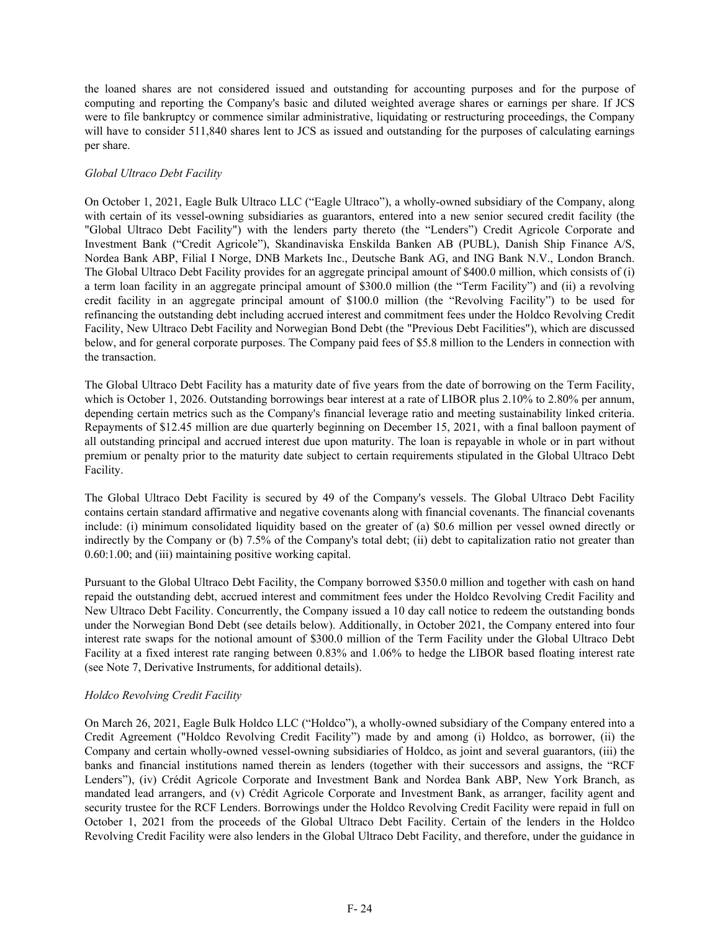the loaned shares are not considered issued and outstanding for accounting purposes and for the purpose of computing and reporting the Company's basic and diluted weighted average shares or earnings per share. If JCS were to file bankruptcy or commence similar administrative, liquidating or restructuring proceedings, the Company will have to consider 511,840 shares lent to JCS as issued and outstanding for the purposes of calculating earnings per share.

## *Global Ultraco Debt Facility*

On October 1, 2021, Eagle Bulk Ultraco LLC ("Eagle Ultraco"), a wholly-owned subsidiary of the Company, along with certain of its vessel-owning subsidiaries as guarantors, entered into a new senior secured credit facility (the "Global Ultraco Debt Facility") with the lenders party thereto (the "Lenders") Credit Agricole Corporate and Investment Bank ("Credit Agricole"), Skandinaviska Enskilda Banken AB (PUBL), Danish Ship Finance A/S, Nordea Bank ABP, Filial I Norge, DNB Markets Inc., Deutsche Bank AG, and ING Bank N.V., London Branch. The Global Ultraco Debt Facility provides for an aggregate principal amount of \$400.0 million, which consists of (i) a term loan facility in an aggregate principal amount of \$300.0 million (the "Term Facility") and (ii) a revolving credit facility in an aggregate principal amount of \$100.0 million (the "Revolving Facility") to be used for refinancing the outstanding debt including accrued interest and commitment fees under the Holdco Revolving Credit Facility, New Ultraco Debt Facility and Norwegian Bond Debt (the "Previous Debt Facilities"), which are discussed below, and for general corporate purposes. The Company paid fees of \$5.8 million to the Lenders in connection with the transaction.

The Global Ultraco Debt Facility has a maturity date of five years from the date of borrowing on the Term Facility, which is October 1, 2026. Outstanding borrowings bear interest at a rate of LIBOR plus 2.10% to 2.80% per annum, depending certain metrics such as the Company's financial leverage ratio and meeting sustainability linked criteria. Repayments of \$12.45 million are due quarterly beginning on December 15, 2021, with a final balloon payment of all outstanding principal and accrued interest due upon maturity. The loan is repayable in whole or in part without premium or penalty prior to the maturity date subject to certain requirements stipulated in the Global Ultraco Debt Facility.

The Global Ultraco Debt Facility is secured by 49 of the Company's vessels. The Global Ultraco Debt Facility contains certain standard affirmative and negative covenants along with financial covenants. The financial covenants include: (i) minimum consolidated liquidity based on the greater of (a) \$0.6 million per vessel owned directly or indirectly by the Company or (b) 7.5% of the Company's total debt; (ii) debt to capitalization ratio not greater than 0.60:1.00; and (iii) maintaining positive working capital.

Pursuant to the Global Ultraco Debt Facility, the Company borrowed \$350.0 million and together with cash on hand repaid the outstanding debt, accrued interest and commitment fees under the Holdco Revolving Credit Facility and New Ultraco Debt Facility. Concurrently, the Company issued a 10 day call notice to redeem the outstanding bonds under the Norwegian Bond Debt (see details below). Additionally, in October 2021, the Company entered into four interest rate swaps for the notional amount of \$300.0 million of the Term Facility under the Global Ultraco Debt Facility at a fixed interest rate ranging between 0.83% and 1.06% to hedge the LIBOR based floating interest rate (see Note 7, Derivative Instruments, for additional details).

## *Holdco Revolving Credit Facility*

On March 26, 2021, Eagle Bulk Holdco LLC ("Holdco"), a wholly-owned subsidiary of the Company entered into a Credit Agreement ("Holdco Revolving Credit Facility") made by and among (i) Holdco, as borrower, (ii) the Company and certain wholly-owned vessel-owning subsidiaries of Holdco, as joint and several guarantors, (iii) the banks and financial institutions named therein as lenders (together with their successors and assigns, the "RCF Lenders"), (iv) Crédit Agricole Corporate and Investment Bank and Nordea Bank ABP, New York Branch, as mandated lead arrangers, and (v) Crédit Agricole Corporate and Investment Bank, as arranger, facility agent and security trustee for the RCF Lenders. Borrowings under the Holdco Revolving Credit Facility were repaid in full on October 1, 2021 from the proceeds of the Global Ultraco Debt Facility. Certain of the lenders in the Holdco Revolving Credit Facility were also lenders in the Global Ultraco Debt Facility, and therefore, under the guidance in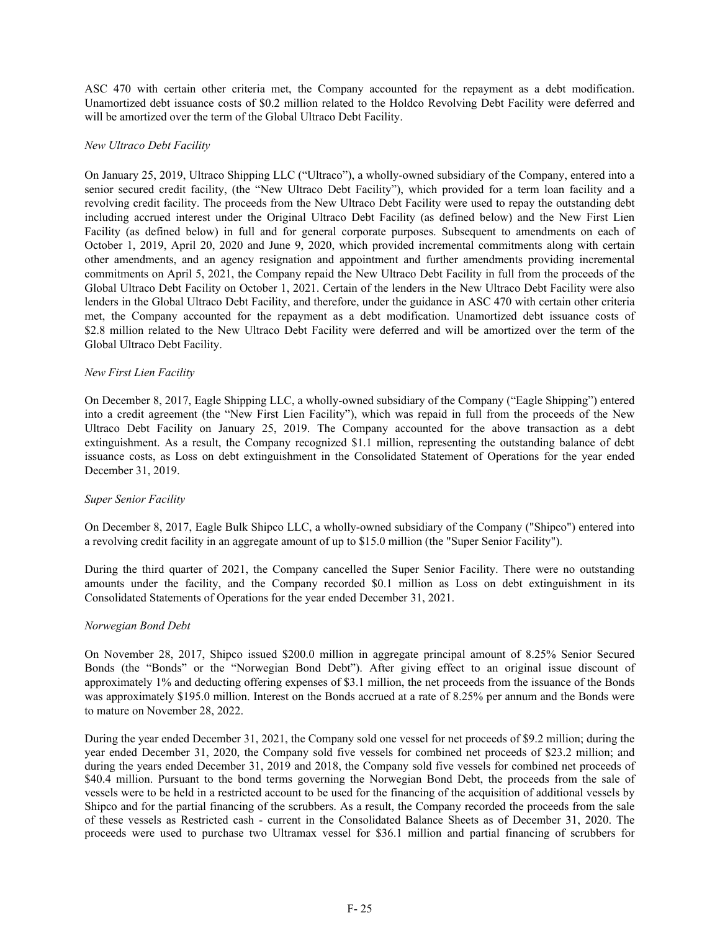ASC 470 with certain other criteria met, the Company accounted for the repayment as a debt modification. Unamortized debt issuance costs of \$0.2 million related to the Holdco Revolving Debt Facility were deferred and will be amortized over the term of the Global Ultraco Debt Facility.

### *New Ultraco Debt Facility*

On January 25, 2019, Ultraco Shipping LLC ("Ultraco"), a wholly-owned subsidiary of the Company, entered into a senior secured credit facility, (the "New Ultraco Debt Facility"), which provided for a term loan facility and a revolving credit facility. The proceeds from the New Ultraco Debt Facility were used to repay the outstanding debt including accrued interest under the Original Ultraco Debt Facility (as defined below) and the New First Lien Facility (as defined below) in full and for general corporate purposes. Subsequent to amendments on each of October 1, 2019, April 20, 2020 and June 9, 2020, which provided incremental commitments along with certain other amendments, and an agency resignation and appointment and further amendments providing incremental commitments on April 5, 2021, the Company repaid the New Ultraco Debt Facility in full from the proceeds of the Global Ultraco Debt Facility on October 1, 2021. Certain of the lenders in the New Ultraco Debt Facility were also lenders in the Global Ultraco Debt Facility, and therefore, under the guidance in ASC 470 with certain other criteria met, the Company accounted for the repayment as a debt modification. Unamortized debt issuance costs of \$2.8 million related to the New Ultraco Debt Facility were deferred and will be amortized over the term of the Global Ultraco Debt Facility.

## *New First Lien Facility*

On December 8, 2017, Eagle Shipping LLC, a wholly-owned subsidiary of the Company ("Eagle Shipping") entered into a credit agreement (the "New First Lien Facility"), which was repaid in full from the proceeds of the New Ultraco Debt Facility on January 25, 2019. The Company accounted for the above transaction as a debt extinguishment. As a result, the Company recognized \$1.1 million, representing the outstanding balance of debt issuance costs, as Loss on debt extinguishment in the Consolidated Statement of Operations for the year ended December 31, 2019.

## *Super Senior Facility*

On December 8, 2017, Eagle Bulk Shipco LLC, a wholly-owned subsidiary of the Company ("Shipco") entered into a revolving credit facility in an aggregate amount of up to \$15.0 million (the "Super Senior Facility").

During the third quarter of 2021, the Company cancelled the Super Senior Facility. There were no outstanding amounts under the facility, and the Company recorded \$0.1 million as Loss on debt extinguishment in its Consolidated Statements of Operations for the year ended December 31, 2021.

### *Norwegian Bond Debt*

On November 28, 2017, Shipco issued \$200.0 million in aggregate principal amount of 8.25% Senior Secured Bonds (the "Bonds" or the "Norwegian Bond Debt"). After giving effect to an original issue discount of approximately 1% and deducting offering expenses of \$3.1 million, the net proceeds from the issuance of the Bonds was approximately \$195.0 million. Interest on the Bonds accrued at a rate of 8.25% per annum and the Bonds were to mature on November 28, 2022.

During the year ended December 31, 2021, the Company sold one vessel for net proceeds of \$9.2 million; during the year ended December 31, 2020, the Company sold five vessels for combined net proceeds of \$23.2 million; and during the years ended December 31, 2019 and 2018, the Company sold five vessels for combined net proceeds of \$40.4 million. Pursuant to the bond terms governing the Norwegian Bond Debt, the proceeds from the sale of vessels were to be held in a restricted account to be used for the financing of the acquisition of additional vessels by Shipco and for the partial financing of the scrubbers. As a result, the Company recorded the proceeds from the sale of these vessels as Restricted cash - current in the Consolidated Balance Sheets as of December 31, 2020. The proceeds were used to purchase two Ultramax vessel for \$36.1 million and partial financing of scrubbers for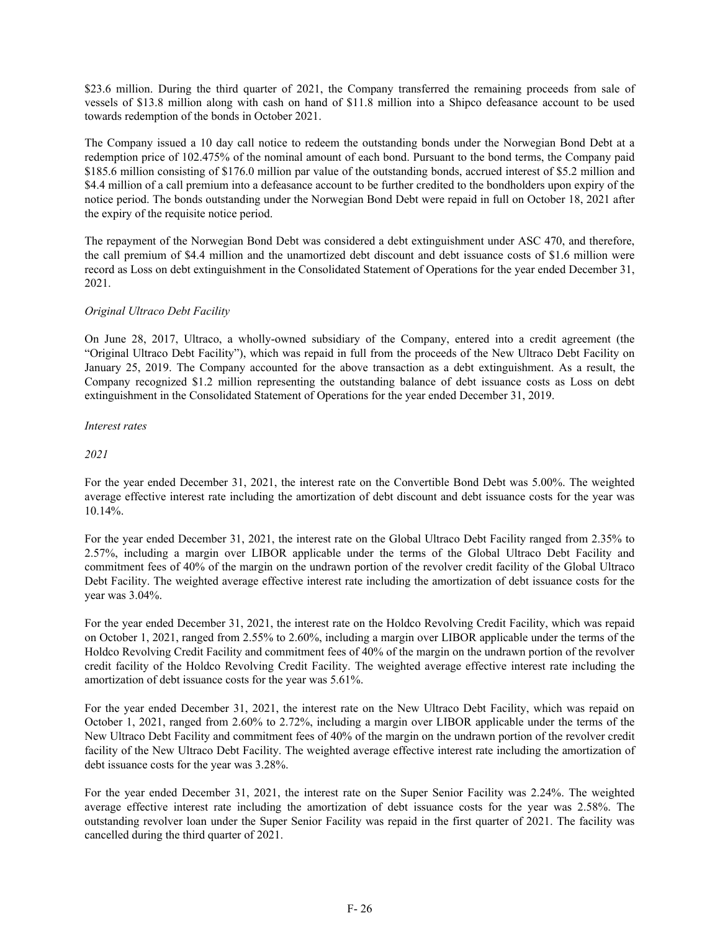\$23.6 million. During the third quarter of 2021, the Company transferred the remaining proceeds from sale of vessels of \$13.8 million along with cash on hand of \$11.8 million into a Shipco defeasance account to be used towards redemption of the bonds in October 2021.

The Company issued a 10 day call notice to redeem the outstanding bonds under the Norwegian Bond Debt at a redemption price of 102.475% of the nominal amount of each bond. Pursuant to the bond terms, the Company paid \$185.6 million consisting of \$176.0 million par value of the outstanding bonds, accrued interest of \$5.2 million and \$4.4 million of a call premium into a defeasance account to be further credited to the bondholders upon expiry of the notice period. The bonds outstanding under the Norwegian Bond Debt were repaid in full on October 18, 2021 after the expiry of the requisite notice period.

The repayment of the Norwegian Bond Debt was considered a debt extinguishment under ASC 470, and therefore, the call premium of \$4.4 million and the unamortized debt discount and debt issuance costs of \$1.6 million were record as Loss on debt extinguishment in the Consolidated Statement of Operations for the year ended December 31, 2021.

## *Original Ultraco Debt Facility*

On June 28, 2017, Ultraco, a wholly-owned subsidiary of the Company, entered into a credit agreement (the "Original Ultraco Debt Facility"), which was repaid in full from the proceeds of the New Ultraco Debt Facility on January 25, 2019. The Company accounted for the above transaction as a debt extinguishment. As a result, the Company recognized \$1.2 million representing the outstanding balance of debt issuance costs as Loss on debt extinguishment in the Consolidated Statement of Operations for the year ended December 31, 2019.

*Interest rates*

*2021*

For the year ended December 31, 2021, the interest rate on the Convertible Bond Debt was 5.00%. The weighted average effective interest rate including the amortization of debt discount and debt issuance costs for the year was 10.14%.

For the year ended December 31, 2021, the interest rate on the Global Ultraco Debt Facility ranged from 2.35% to 2.57%, including a margin over LIBOR applicable under the terms of the Global Ultraco Debt Facility and commitment fees of 40% of the margin on the undrawn portion of the revolver credit facility of the Global Ultraco Debt Facility. The weighted average effective interest rate including the amortization of debt issuance costs for the year was 3.04%.

For the year ended December 31, 2021, the interest rate on the Holdco Revolving Credit Facility, which was repaid on October 1, 2021, ranged from 2.55% to 2.60%, including a margin over LIBOR applicable under the terms of the Holdco Revolving Credit Facility and commitment fees of 40% of the margin on the undrawn portion of the revolver credit facility of the Holdco Revolving Credit Facility. The weighted average effective interest rate including the amortization of debt issuance costs for the year was 5.61%.

For the year ended December 31, 2021, the interest rate on the New Ultraco Debt Facility, which was repaid on October 1, 2021, ranged from 2.60% to 2.72%, including a margin over LIBOR applicable under the terms of the New Ultraco Debt Facility and commitment fees of 40% of the margin on the undrawn portion of the revolver credit facility of the New Ultraco Debt Facility. The weighted average effective interest rate including the amortization of debt issuance costs for the year was 3.28%.

For the year ended December 31, 2021, the interest rate on the Super Senior Facility was 2.24%. The weighted average effective interest rate including the amortization of debt issuance costs for the year was 2.58%. The outstanding revolver loan under the Super Senior Facility was repaid in the first quarter of 2021. The facility was cancelled during the third quarter of 2021.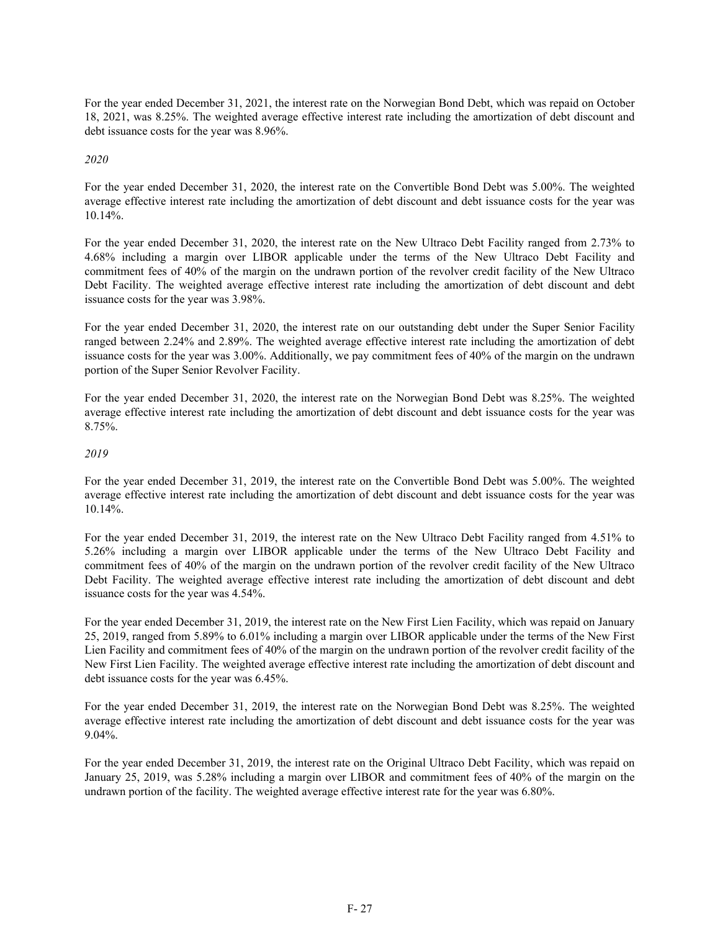For the year ended December 31, 2021, the interest rate on the Norwegian Bond Debt, which was repaid on October 18, 2021, was 8.25%. The weighted average effective interest rate including the amortization of debt discount and debt issuance costs for the year was 8.96%.

## *2020*

For the year ended December 31, 2020, the interest rate on the Convertible Bond Debt was 5.00%. The weighted average effective interest rate including the amortization of debt discount and debt issuance costs for the year was 10.14%.

For the year ended December 31, 2020, the interest rate on the New Ultraco Debt Facility ranged from 2.73% to 4.68% including a margin over LIBOR applicable under the terms of the New Ultraco Debt Facility and commitment fees of 40% of the margin on the undrawn portion of the revolver credit facility of the New Ultraco Debt Facility. The weighted average effective interest rate including the amortization of debt discount and debt issuance costs for the year was 3.98%.

For the year ended December 31, 2020, the interest rate on our outstanding debt under the Super Senior Facility ranged between 2.24% and 2.89%. The weighted average effective interest rate including the amortization of debt issuance costs for the year was 3.00%. Additionally, we pay commitment fees of 40% of the margin on the undrawn portion of the Super Senior Revolver Facility.

For the year ended December 31, 2020, the interest rate on the Norwegian Bond Debt was 8.25%. The weighted average effective interest rate including the amortization of debt discount and debt issuance costs for the year was 8.75%.

## *2019*

For the year ended December 31, 2019, the interest rate on the Convertible Bond Debt was 5.00%. The weighted average effective interest rate including the amortization of debt discount and debt issuance costs for the year was 10.14%.

For the year ended December 31, 2019, the interest rate on the New Ultraco Debt Facility ranged from 4.51% to 5.26% including a margin over LIBOR applicable under the terms of the New Ultraco Debt Facility and commitment fees of 40% of the margin on the undrawn portion of the revolver credit facility of the New Ultraco Debt Facility. The weighted average effective interest rate including the amortization of debt discount and debt issuance costs for the year was 4.54%.

For the year ended December 31, 2019, the interest rate on the New First Lien Facility, which was repaid on January 25, 2019, ranged from 5.89% to 6.01% including a margin over LIBOR applicable under the terms of the New First Lien Facility and commitment fees of 40% of the margin on the undrawn portion of the revolver credit facility of the New First Lien Facility. The weighted average effective interest rate including the amortization of debt discount and debt issuance costs for the year was 6.45%.

For the year ended December 31, 2019, the interest rate on the Norwegian Bond Debt was 8.25%. The weighted average effective interest rate including the amortization of debt discount and debt issuance costs for the year was 9.04%.

For the year ended December 31, 2019, the interest rate on the Original Ultraco Debt Facility, which was repaid on January 25, 2019, was 5.28% including a margin over LIBOR and commitment fees of 40% of the margin on the undrawn portion of the facility. The weighted average effective interest rate for the year was 6.80%.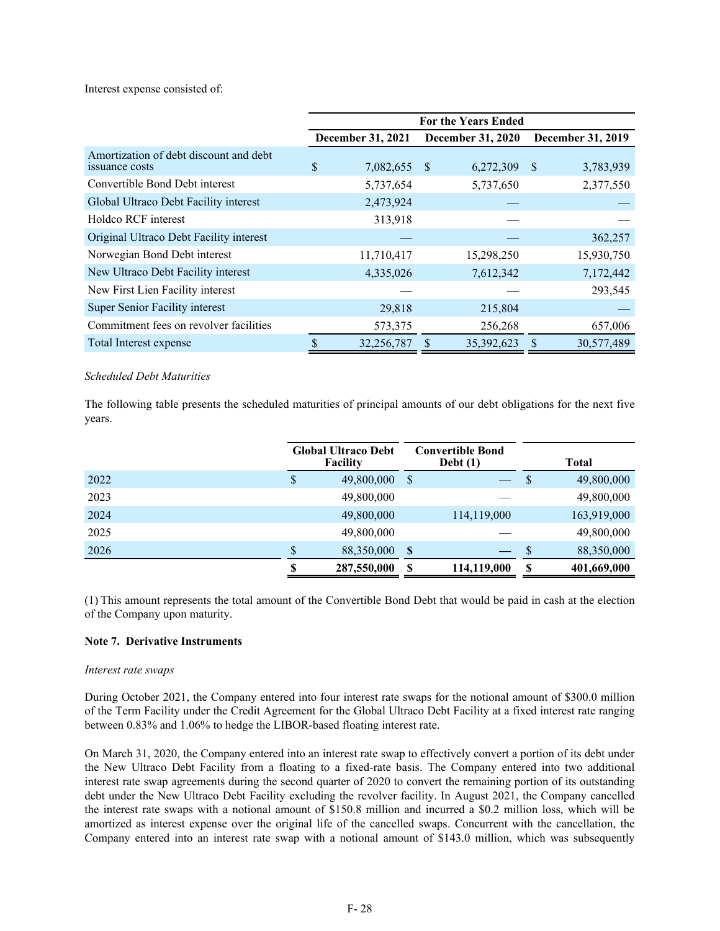Interest expense consisted of:

|                                                          | <b>For the Years Ended</b> |                   |              |                          |               |                          |  |  |
|----------------------------------------------------------|----------------------------|-------------------|--------------|--------------------------|---------------|--------------------------|--|--|
|                                                          |                            | December 31, 2021 |              | <b>December 31, 2020</b> |               | <b>December 31, 2019</b> |  |  |
| Amortization of debt discount and debt<br>issuance costs | \$.                        | 7,082,655         | <sup>S</sup> | 6,272,309                | <sup>\$</sup> | 3,783,939                |  |  |
| Convertible Bond Debt interest                           |                            | 5,737,654         |              | 5,737,650                |               | 2,377,550                |  |  |
| Global Ultraco Debt Facility interest                    |                            | 2,473,924         |              |                          |               |                          |  |  |
| Holdco RCF interest                                      |                            | 313,918           |              |                          |               |                          |  |  |
| Original Ultraco Debt Facility interest                  |                            |                   |              |                          |               | 362,257                  |  |  |
| Norwegian Bond Debt interest                             |                            | 11,710,417        |              | 15,298,250               |               | 15,930,750               |  |  |
| New Ultraco Debt Facility interest                       |                            | 4,335,026         |              | 7,612,342                |               | 7,172,442                |  |  |
| New First Lien Facility interest                         |                            |                   |              |                          |               | 293,545                  |  |  |
| Super Senior Facility interest                           |                            | 29,818            |              | 215,804                  |               |                          |  |  |
| Commitment fees on revolver facilities                   |                            | 573,375           |              | 256,268                  |               | 657,006                  |  |  |
| Total Interest expense                                   |                            | 32,256,787        |              | 35,392,623               |               | 30,577,489               |  |  |

### *Scheduled Debt Maturities*

The following table presents the scheduled maturities of principal amounts of our debt obligations for the next five years.

|      |    | <b>Global Ultraco Debt</b><br>Facility |              | <b>Convertible Bond</b><br>Debt $(1)$ |    | <b>Total</b> |
|------|----|----------------------------------------|--------------|---------------------------------------|----|--------------|
| 2022 | S  | 49,800,000                             | -S           |                                       | S  | 49,800,000   |
| 2023 |    | 49,800,000                             |              |                                       |    | 49,800,000   |
| 2024 |    | 49,800,000                             |              | 114,119,000                           |    | 163,919,000  |
| 2025 |    | 49,800,000                             |              |                                       |    | 49,800,000   |
| 2026 | \$ | 88,350,000                             | $\mathbf{s}$ |                                       | S  | 88,350,000   |
|      | Я  | 287,550,000                            | \$           | 114,119,000                           | \$ | 401,669,000  |

(1) This amount represents the total amount of the Convertible Bond Debt that would be paid in cash at the election of the Company upon maturity.

### **Note 7. Derivative Instruments**

#### *Interest rate swaps*

During October 2021, the Company entered into four interest rate swaps for the notional amount of \$300.0 million of the Term Facility under the Credit Agreement for the Global Ultraco Debt Facility at a fixed interest rate ranging between 0.83% and 1.06% to hedge the LIBOR-based floating interest rate.

On March 31, 2020, the Company entered into an interest rate swap to effectively convert a portion of its debt under the New Ultraco Debt Facility from a floating to a fixed-rate basis. The Company entered into two additional interest rate swap agreements during the second quarter of 2020 to convert the remaining portion of its outstanding debt under the New Ultraco Debt Facility excluding the revolver facility. In August 2021, the Company cancelled the interest rate swaps with a notional amount of \$150.8 million and incurred a \$0.2 million loss, which will be amortized as interest expense over the original life of the cancelled swaps. Concurrent with the cancellation, the Company entered into an interest rate swap with a notional amount of \$143.0 million, which was subsequently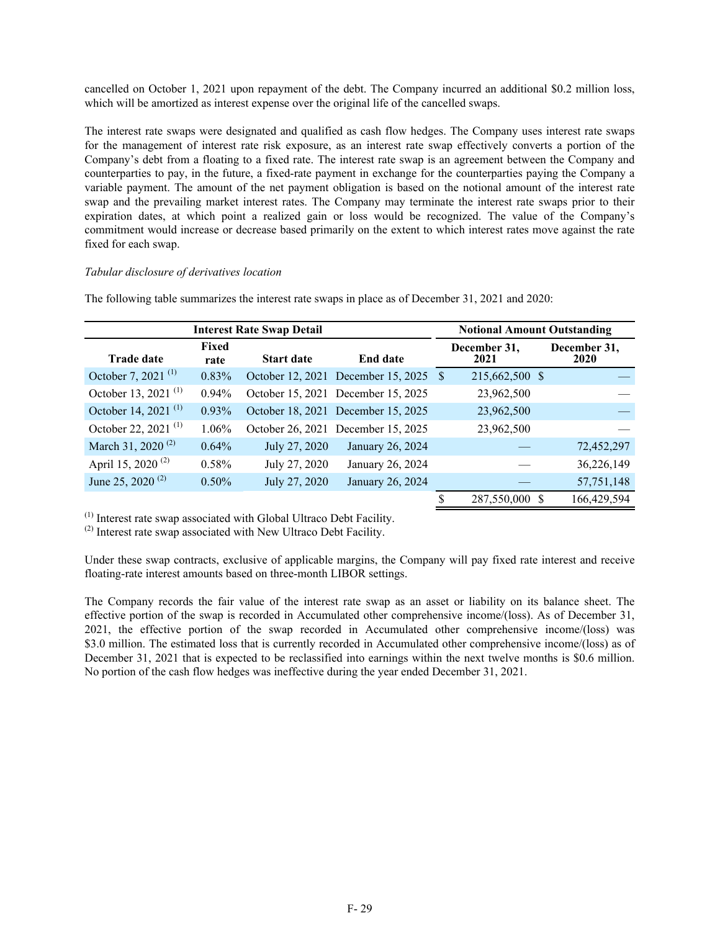cancelled on October 1, 2021 upon repayment of the debt. The Company incurred an additional \$0.2 million loss, which will be amortized as interest expense over the original life of the cancelled swaps.

The interest rate swaps were designated and qualified as cash flow hedges. The Company uses interest rate swaps for the management of interest rate risk exposure, as an interest rate swap effectively converts a portion of the Company's debt from a floating to a fixed rate. The interest rate swap is an agreement between the Company and counterparties to pay, in the future, a fixed-rate payment in exchange for the counterparties paying the Company a variable payment. The amount of the net payment obligation is based on the notional amount of the interest rate swap and the prevailing market interest rates. The Company may terminate the interest rate swaps prior to their expiration dates, at which point a realized gain or loss would be recognized. The value of the Company's commitment would increase or decrease based primarily on the extent to which interest rates move against the rate fixed for each swap.

### *Tabular disclosure of derivatives location*

|                                 | <b>Notional Amount Outstanding</b> |                   |                                    |                      |                      |
|---------------------------------|------------------------------------|-------------------|------------------------------------|----------------------|----------------------|
| <b>Trade date</b>               | Fixed<br>rate                      | <b>Start date</b> | <b>End date</b>                    | December 31,<br>2021 | December 31,<br>2020 |
| October 7, 2021 $(1)$           | 0.83%                              |                   | October 12, 2021 December 15, 2025 | 215,662,500 \$       |                      |
| October 13, 2021 <sup>(1)</sup> | 0.94%                              |                   | October 15, 2021 December 15, 2025 | 23,962,500           |                      |
| October 14, 2021 $^{(1)}$       | 0.93%                              |                   | October 18, 2021 December 15, 2025 | 23,962,500           |                      |
| October 22, 2021 <sup>(1)</sup> | 1.06%                              |                   | October 26, 2021 December 15, 2025 | 23,962,500           |                      |
| March 31, 2020 <sup>(2)</sup>   | 0.64%                              | July 27, 2020     | January 26, 2024                   |                      | 72,452,297           |
| April 15, 2020 <sup>(2)</sup>   | $0.58\%$                           | July 27, 2020     | January 26, 2024                   |                      | 36,226,149           |
| June 25, 2020 <sup>(2)</sup>    | $0.50\%$                           | July 27, 2020     | January 26, 2024                   |                      | 57,751,148           |
|                                 |                                    |                   |                                    | 287,550,000 \$       | 166,429,594          |

The following table summarizes the interest rate swaps in place as of December 31, 2021 and 2020:

(1) Interest rate swap associated with Global Ultraco Debt Facility.

(2) Interest rate swap associated with New Ultraco Debt Facility.

Under these swap contracts, exclusive of applicable margins, the Company will pay fixed rate interest and receive floating-rate interest amounts based on three-month LIBOR settings.

The Company records the fair value of the interest rate swap as an asset or liability on its balance sheet. The effective portion of the swap is recorded in Accumulated other comprehensive income/(loss). As of December 31, 2021, the effective portion of the swap recorded in Accumulated other comprehensive income/(loss) was \$3.0 million. The estimated loss that is currently recorded in Accumulated other comprehensive income/(loss) as of December 31, 2021 that is expected to be reclassified into earnings within the next twelve months is \$0.6 million. No portion of the cash flow hedges was ineffective during the year ended December 31, 2021.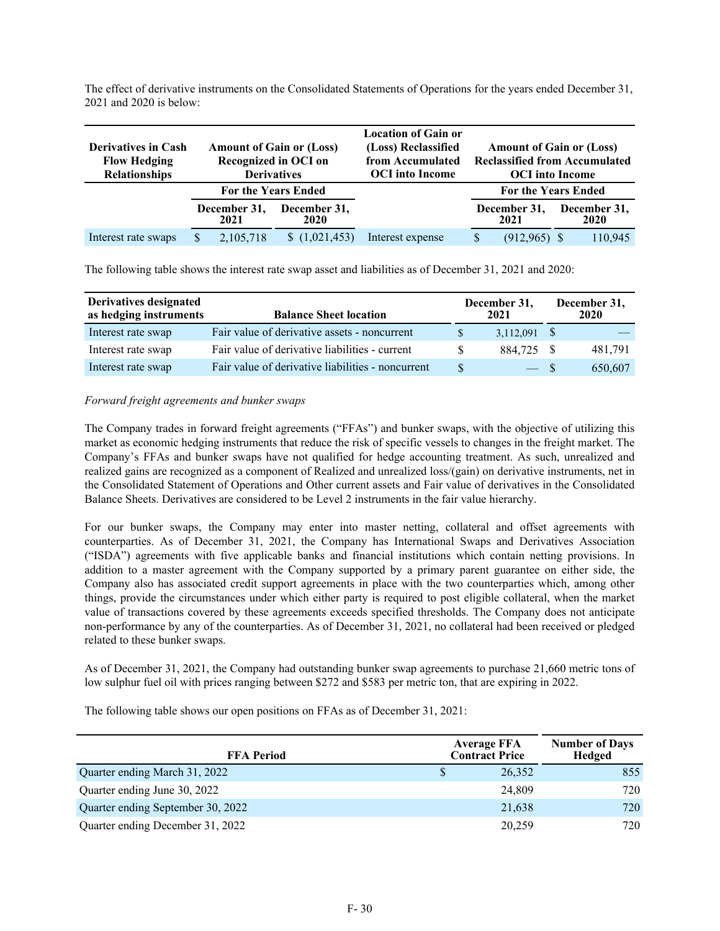The effect of derivative instruments on the Consolidated Statements of Operations for the years ended December 31, 2021 and 2020 is below:

|                            |                      |                                 | <b>Location of Gain or</b> |                                      |                      |
|----------------------------|----------------------|---------------------------------|----------------------------|--------------------------------------|----------------------|
| <b>Derivatives in Cash</b> |                      | <b>Amount of Gain or (Loss)</b> | (Loss) Reclassified        | <b>Amount of Gain or (Loss)</b>      |                      |
| <b>Flow Hedging</b>        |                      | Recognized in OCI on            | from Accumulated           | <b>Reclassified from Accumulated</b> |                      |
| <b>Relationships</b>       |                      | <b>Derivatives</b>              | <b>OCI</b> into Income     | <b>OCI</b> into Income               |                      |
|                            |                      | <b>For the Years Ended</b>      |                            | <b>For the Years Ended</b>           |                      |
|                            | December 31,<br>2021 | December 31,<br>2020            |                            | December 31,<br>2021                 | December 31,<br>2020 |
| Interest rate swaps        | 2,105,718            | (1,021,453)                     | Interest expense           | (912, 965)                           | 110,945              |

The following table shows the interest rate swap asset and liabilities as of December 31, 2021 and 2020:

| Derivatives designated<br>as hedging instruments | <b>Balance Sheet location</b>                     | December 31,<br>2021 |  | December 31,<br>2020 |
|--------------------------------------------------|---------------------------------------------------|----------------------|--|----------------------|
| Interest rate swap                               | Fair value of derivative assets - noncurrent      | $3,112,091$ \$       |  |                      |
| Interest rate swap                               | Fair value of derivative liabilities - current    | 884,725 \$           |  | 481.791              |
| Interest rate swap                               | Fair value of derivative liabilities - noncurrent | $-$ \$               |  | 650,607              |

## *Forward freight agreements and bunker swaps*

The Company trades in forward freight agreements ("FFAs") and bunker swaps, with the objective of utilizing this market as economic hedging instruments that reduce the risk of specific vessels to changes in the freight market. The Company's FFAs and bunker swaps have not qualified for hedge accounting treatment. As such, unrealized and realized gains are recognized as a component of Realized and unrealized loss/(gain) on derivative instruments, net in the Consolidated Statement of Operations and Other current assets and Fair value of derivatives in the Consolidated Balance Sheets. Derivatives are considered to be Level 2 instruments in the fair value hierarchy.

For our bunker swaps, the Company may enter into master netting, collateral and offset agreements with counterparties. As of December 31, 2021, the Company has International Swaps and Derivatives Association ("ISDA") agreements with five applicable banks and financial institutions which contain netting provisions. In addition to a master agreement with the Company supported by a primary parent guarantee on either side, the Company also has associated credit support agreements in place with the two counterparties which, among other things, provide the circumstances under which either party is required to post eligible collateral, when the market value of transactions covered by these agreements exceeds specified thresholds. The Company does not anticipate non-performance by any of the counterparties. As of December 31, 2021, no collateral had been received or pledged related to these bunker swaps.

As of December 31, 2021, the Company had outstanding bunker swap agreements to purchase 21,660 metric tons of low sulphur fuel oil with prices ranging between \$272 and \$583 per metric ton, that are expiring in 2022.

The following table shows our open positions on FFAs as of December 31, 2021:

| <b>FFA Period</b>                 | <b>Average FFA</b><br><b>Contract Price</b> |        | <b>Number of Days</b><br>Hedged |  |
|-----------------------------------|---------------------------------------------|--------|---------------------------------|--|
| Quarter ending March 31, 2022     | \$                                          | 26,352 | 855                             |  |
| Quarter ending June 30, 2022      |                                             | 24,809 | 720                             |  |
| Quarter ending September 30, 2022 |                                             | 21,638 | 720                             |  |
| Quarter ending December 31, 2022  |                                             | 20.259 | 720                             |  |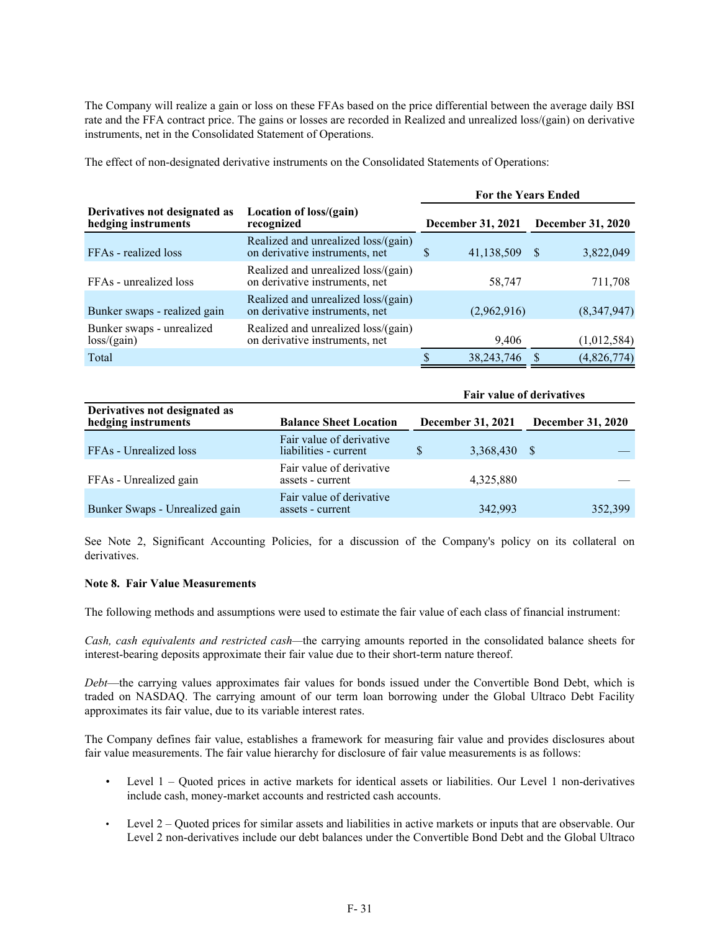The Company will realize a gain or loss on these FFAs based on the price differential between the average daily BSI rate and the FFA contract price. The gains or losses are recorded in Realized and unrealized loss/(gain) on derivative instruments, net in the Consolidated Statement of Operations.

The effect of non-designated derivative instruments on the Consolidated Statements of Operations:

|                                                      |                                                                       | <b>For the Years Ended</b> |              |   |                          |  |  |  |  |
|------------------------------------------------------|-----------------------------------------------------------------------|----------------------------|--------------|---|--------------------------|--|--|--|--|
| Derivatives not designated as<br>hedging instruments | Location of loss/(gain)<br>recognized                                 | December 31, 2021          |              |   | <b>December 31, 2020</b> |  |  |  |  |
| FFAs - realized loss                                 | Realized and unrealized loss/(gain)<br>on derivative instruments, net | \$.                        | 41,138,509   | S | 3,822,049                |  |  |  |  |
| FFAs - unrealized loss                               | Realized and unrealized loss/(gain)<br>on derivative instruments, net |                            | 58,747       |   | 711,708                  |  |  |  |  |
| Bunker swaps - realized gain                         | Realized and unrealized loss/(gain)<br>on derivative instruments, net |                            | (2,962,916)  |   | (8,347,947)              |  |  |  |  |
| Bunker swaps - unrealized<br>loss/(gain)             | Realized and unrealized loss/(gain)<br>on derivative instruments, net |                            | 9,406        |   | (1,012,584)              |  |  |  |  |
| Total                                                |                                                                       | S                          | 38, 243, 746 |   | (4,826,774)              |  |  |  |  |

|                                                      |                                                   |                   | <b>Fair value of derivatives</b> |
|------------------------------------------------------|---------------------------------------------------|-------------------|----------------------------------|
| Derivatives not designated as<br>hedging instruments | <b>Balance Sheet Location</b>                     | December 31, 2021 | <b>December 31, 2020</b>         |
| FFAs - Unrealized loss                               | Fair value of derivative<br>liabilities - current | S<br>3,368,430    | - S                              |
| FFAs - Unrealized gain                               | Fair value of derivative<br>assets - current      | 4,325,880         |                                  |
| Bunker Swaps - Unrealized gain                       | Fair value of derivative<br>assets - current      | 342,993           | 352,399                          |

See Note 2, Significant Accounting Policies, for a discussion of the Company's policy on its collateral on derivatives.

## **Note 8. Fair Value Measurements**

The following methods and assumptions were used to estimate the fair value of each class of financial instrument:

*Cash, cash equivalents and restricted cash—*the carrying amounts reported in the consolidated balance sheets for interest-bearing deposits approximate their fair value due to their short-term nature thereof.

*Debt*—the carrying values approximates fair values for bonds issued under the Convertible Bond Debt, which is traded on NASDAQ. The carrying amount of our term loan borrowing under the Global Ultraco Debt Facility approximates its fair value, due to its variable interest rates.

The Company defines fair value, establishes a framework for measuring fair value and provides disclosures about fair value measurements. The fair value hierarchy for disclosure of fair value measurements is as follows:

- Level 1 Quoted prices in active markets for identical assets or liabilities. Our Level 1 non-derivatives include cash, money-market accounts and restricted cash accounts.
- Level 2 Quoted prices for similar assets and liabilities in active markets or inputs that are observable. Our Level 2 non-derivatives include our debt balances under the Convertible Bond Debt and the Global Ultraco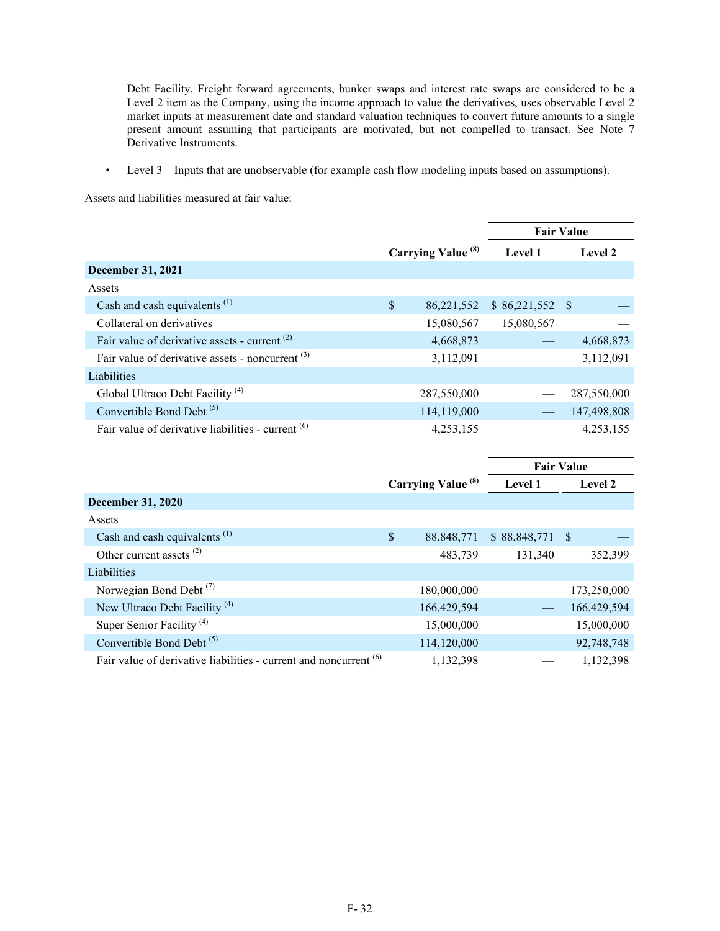Debt Facility. Freight forward agreements, bunker swaps and interest rate swaps are considered to be a Level 2 item as the Company, using the income approach to value the derivatives, uses observable Level 2 market inputs at measurement date and standard valuation techniques to convert future amounts to a single present amount assuming that participants are motivated, but not compelled to transact. See Note 7 Derivative Instruments.

• Level 3 – Inputs that are unobservable (for example cash flow modeling inputs based on assumptions).

Assets and liabilities measured at fair value:

|                                                               |                           | <b>Fair Value</b> |     |                |
|---------------------------------------------------------------|---------------------------|-------------------|-----|----------------|
|                                                               | <b>Carrying Value (8)</b> | Level 1           |     | <b>Level 2</b> |
| <b>December 31, 2021</b>                                      |                           |                   |     |                |
| Assets                                                        |                           |                   |     |                |
| Cash and cash equivalents $^{(1)}$                            | \$<br>86,221,552          | \$86,221,552      | - S |                |
| Collateral on derivatives                                     | 15,080,567                | 15,080,567        |     |                |
| Fair value of derivative assets - current $(2)$               | 4,668,873                 |                   |     | 4,668,873      |
| Fair value of derivative assets - noncurrent $(3)$            | 3,112,091                 |                   |     | 3,112,091      |
| Liabilities                                                   |                           |                   |     |                |
| Global Ultraco Debt Facility <sup>(4)</sup>                   | 287,550,000               |                   |     | 287,550,000    |
| Convertible Bond Debt <sup>(5)</sup>                          | 114,119,000               |                   |     | 147,498,808    |
| Fair value of derivative liabilities - current <sup>(6)</sup> | 4,253,155                 |                   |     | 4,253,155      |

|                                                                              |                               | <b>Fair Value</b> |      |                |
|------------------------------------------------------------------------------|-------------------------------|-------------------|------|----------------|
|                                                                              | Carrying Value <sup>(8)</sup> | Level 1           |      | <b>Level 2</b> |
| <b>December 31, 2020</b>                                                     |                               |                   |      |                |
| Assets                                                                       |                               |                   |      |                |
| Cash and cash equivalents <sup>(1)</sup>                                     | \$<br>88, 848, 771            | \$88,848,771      | - \$ |                |
| Other current assets $^{(2)}$                                                | 483,739                       | 131,340           |      | 352,399        |
| Liabilities                                                                  |                               |                   |      |                |
| Norwegian Bond Debt $(7)$                                                    | 180,000,000                   |                   |      | 173,250,000    |
| New Ultraco Debt Facility <sup>(4)</sup>                                     | 166,429,594                   |                   |      | 166,429,594    |
| Super Senior Facility <sup>(4)</sup>                                         | 15,000,000                    |                   |      | 15,000,000     |
| Convertible Bond Debt <sup>(5)</sup>                                         | 114,120,000                   |                   |      | 92,748,748     |
| Fair value of derivative liabilities - current and noncurrent <sup>(6)</sup> | 1,132,398                     |                   |      | 1,132,398      |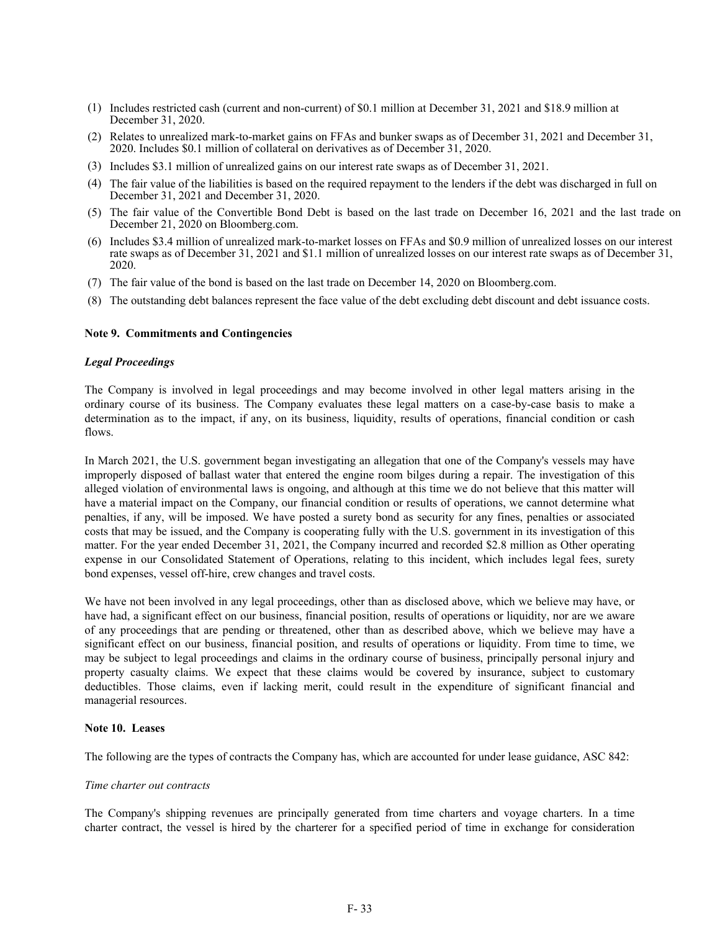- (1) Includes restricted cash (current and non-current) of \$0.1 million at December 31, 2021 and \$18.9 million at December 31, 2020.
- (2) Relates to unrealized mark-to-market gains on FFAs and bunker swaps as of December 31, 2021 and December 31, 2020. Includes \$0.1 million of collateral on derivatives as of December 31, 2020.
- (3) Includes \$3.1 million of unrealized gains on our interest rate swaps as of December 31, 2021.
- (4) The fair value of the liabilities is based on the required repayment to the lenders if the debt was discharged in full on December 31, 2021 and December 31, 2020.
- (5) The fair value of the Convertible Bond Debt is based on the last trade on December 16, 2021 and the last trade on December 21, 2020 on Bloomberg.com.
- (6) Includes \$3.4 million of unrealized mark-to-market losses on FFAs and \$0.9 million of unrealized losses on our interest rate swaps as of December 31, 2021 and \$1.1 million of unrealized losses on our interest rate swaps as of December 31, 2020.
- (7) The fair value of the bond is based on the last trade on December 14, 2020 on Bloomberg.com.
- (8) The outstanding debt balances represent the face value of the debt excluding debt discount and debt issuance costs.

#### **Note 9. Commitments and Contingencies**

#### *Legal Proceedings*

The Company is involved in legal proceedings and may become involved in other legal matters arising in the ordinary course of its business. The Company evaluates these legal matters on a case-by-case basis to make a determination as to the impact, if any, on its business, liquidity, results of operations, financial condition or cash flows.

In March 2021, the U.S. government began investigating an allegation that one of the Company's vessels may have improperly disposed of ballast water that entered the engine room bilges during a repair. The investigation of this alleged violation of environmental laws is ongoing, and although at this time we do not believe that this matter will have a material impact on the Company, our financial condition or results of operations, we cannot determine what penalties, if any, will be imposed. We have posted a surety bond as security for any fines, penalties or associated costs that may be issued, and the Company is cooperating fully with the U.S. government in its investigation of this matter. For the year ended December 31, 2021, the Company incurred and recorded \$2.8 million as Other operating expense in our Consolidated Statement of Operations, relating to this incident, which includes legal fees, surety bond expenses, vessel off-hire, crew changes and travel costs.

We have not been involved in any legal proceedings, other than as disclosed above, which we believe may have, or have had, a significant effect on our business, financial position, results of operations or liquidity, nor are we aware of any proceedings that are pending or threatened, other than as described above, which we believe may have a significant effect on our business, financial position, and results of operations or liquidity. From time to time, we may be subject to legal proceedings and claims in the ordinary course of business, principally personal injury and property casualty claims. We expect that these claims would be covered by insurance, subject to customary deductibles. Those claims, even if lacking merit, could result in the expenditure of significant financial and managerial resources.

### **Note 10. Leases**

The following are the types of contracts the Company has, which are accounted for under lease guidance, ASC 842:

#### *Time charter out contracts*

The Company's shipping revenues are principally generated from time charters and voyage charters. In a time charter contract, the vessel is hired by the charterer for a specified period of time in exchange for consideration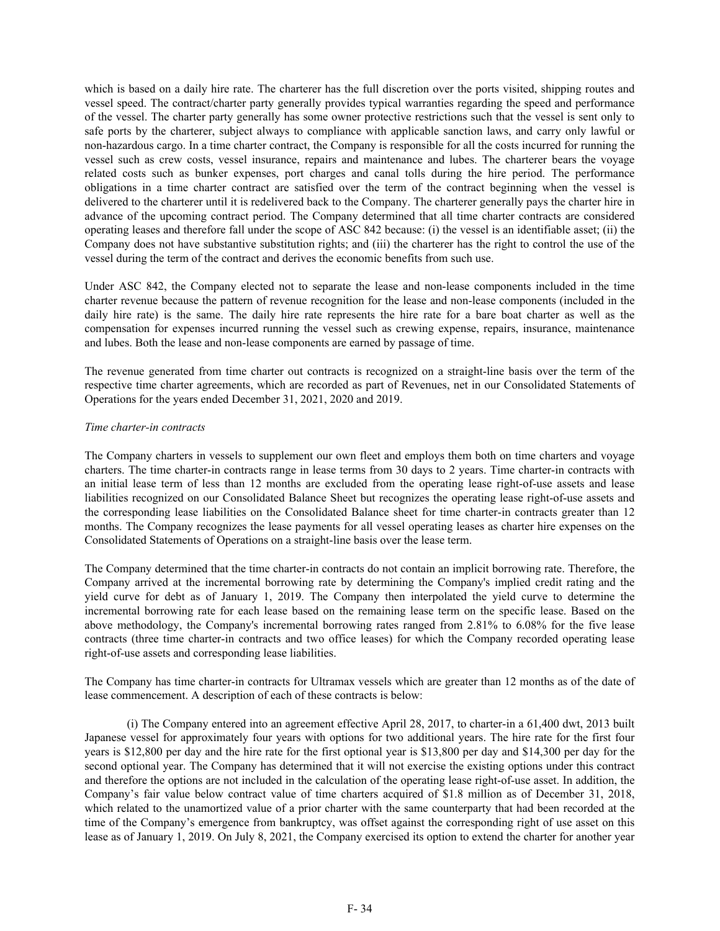which is based on a daily hire rate. The charterer has the full discretion over the ports visited, shipping routes and vessel speed. The contract/charter party generally provides typical warranties regarding the speed and performance of the vessel. The charter party generally has some owner protective restrictions such that the vessel is sent only to safe ports by the charterer, subject always to compliance with applicable sanction laws, and carry only lawful or non-hazardous cargo. In a time charter contract, the Company is responsible for all the costs incurred for running the vessel such as crew costs, vessel insurance, repairs and maintenance and lubes. The charterer bears the voyage related costs such as bunker expenses, port charges and canal tolls during the hire period. The performance obligations in a time charter contract are satisfied over the term of the contract beginning when the vessel is delivered to the charterer until it is redelivered back to the Company. The charterer generally pays the charter hire in advance of the upcoming contract period. The Company determined that all time charter contracts are considered operating leases and therefore fall under the scope of ASC 842 because: (i) the vessel is an identifiable asset; (ii) the Company does not have substantive substitution rights; and (iii) the charterer has the right to control the use of the vessel during the term of the contract and derives the economic benefits from such use.

Under ASC 842, the Company elected not to separate the lease and non-lease components included in the time charter revenue because the pattern of revenue recognition for the lease and non-lease components (included in the daily hire rate) is the same. The daily hire rate represents the hire rate for a bare boat charter as well as the compensation for expenses incurred running the vessel such as crewing expense, repairs, insurance, maintenance and lubes. Both the lease and non-lease components are earned by passage of time.

The revenue generated from time charter out contracts is recognized on a straight-line basis over the term of the respective time charter agreements, which are recorded as part of Revenues, net in our Consolidated Statements of Operations for the years ended December 31, 2021, 2020 and 2019.

## *Time charter-in contracts*

The Company charters in vessels to supplement our own fleet and employs them both on time charters and voyage charters. The time charter-in contracts range in lease terms from 30 days to 2 years. Time charter-in contracts with an initial lease term of less than 12 months are excluded from the operating lease right-of-use assets and lease liabilities recognized on our Consolidated Balance Sheet but recognizes the operating lease right-of-use assets and the corresponding lease liabilities on the Consolidated Balance sheet for time charter-in contracts greater than 12 months. The Company recognizes the lease payments for all vessel operating leases as charter hire expenses on the Consolidated Statements of Operations on a straight-line basis over the lease term.

The Company determined that the time charter-in contracts do not contain an implicit borrowing rate. Therefore, the Company arrived at the incremental borrowing rate by determining the Company's implied credit rating and the yield curve for debt as of January 1, 2019. The Company then interpolated the yield curve to determine the incremental borrowing rate for each lease based on the remaining lease term on the specific lease. Based on the above methodology, the Company's incremental borrowing rates ranged from 2.81% to 6.08% for the five lease contracts (three time charter-in contracts and two office leases) for which the Company recorded operating lease right-of-use assets and corresponding lease liabilities.

The Company has time charter-in contracts for Ultramax vessels which are greater than 12 months as of the date of lease commencement. A description of each of these contracts is below:

 (i) The Company entered into an agreement effective April 28, 2017, to charter-in a 61,400 dwt, 2013 built Japanese vessel for approximately four years with options for two additional years. The hire rate for the first four years is \$12,800 per day and the hire rate for the first optional year is \$13,800 per day and \$14,300 per day for the second optional year. The Company has determined that it will not exercise the existing options under this contract and therefore the options are not included in the calculation of the operating lease right-of-use asset. In addition, the Company's fair value below contract value of time charters acquired of \$1.8 million as of December 31, 2018, which related to the unamortized value of a prior charter with the same counterparty that had been recorded at the time of the Company's emergence from bankruptcy, was offset against the corresponding right of use asset on this lease as of January 1, 2019. On July 8, 2021, the Company exercised its option to extend the charter for another year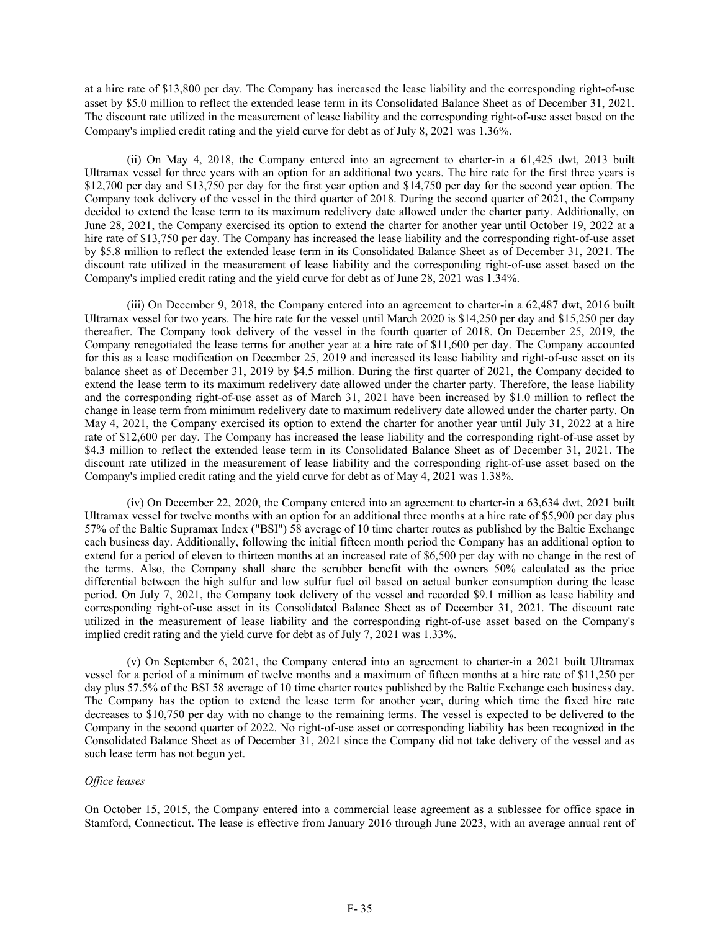at a hire rate of \$13,800 per day. The Company has increased the lease liability and the corresponding right-of-use asset by \$5.0 million to reflect the extended lease term in its Consolidated Balance Sheet as of December 31, 2021. The discount rate utilized in the measurement of lease liability and the corresponding right-of-use asset based on the Company's implied credit rating and the yield curve for debt as of July 8, 2021 was 1.36%.

 (ii) On May 4, 2018, the Company entered into an agreement to charter-in a 61,425 dwt, 2013 built Ultramax vessel for three years with an option for an additional two years. The hire rate for the first three years is \$12,700 per day and \$13,750 per day for the first year option and \$14,750 per day for the second year option. The Company took delivery of the vessel in the third quarter of 2018. During the second quarter of 2021, the Company decided to extend the lease term to its maximum redelivery date allowed under the charter party. Additionally, on June 28, 2021, the Company exercised its option to extend the charter for another year until October 19, 2022 at a hire rate of \$13,750 per day. The Company has increased the lease liability and the corresponding right-of-use asset by \$5.8 million to reflect the extended lease term in its Consolidated Balance Sheet as of December 31, 2021. The discount rate utilized in the measurement of lease liability and the corresponding right-of-use asset based on the Company's implied credit rating and the yield curve for debt as of June 28, 2021 was 1.34%.

 (iii) On December 9, 2018, the Company entered into an agreement to charter-in a 62,487 dwt, 2016 built Ultramax vessel for two years. The hire rate for the vessel until March 2020 is \$14,250 per day and \$15,250 per day thereafter. The Company took delivery of the vessel in the fourth quarter of 2018. On December 25, 2019, the Company renegotiated the lease terms for another year at a hire rate of \$11,600 per day. The Company accounted for this as a lease modification on December 25, 2019 and increased its lease liability and right-of-use asset on its balance sheet as of December 31, 2019 by \$4.5 million. During the first quarter of 2021, the Company decided to extend the lease term to its maximum redelivery date allowed under the charter party. Therefore, the lease liability and the corresponding right-of-use asset as of March 31, 2021 have been increased by \$1.0 million to reflect the change in lease term from minimum redelivery date to maximum redelivery date allowed under the charter party. On May 4, 2021, the Company exercised its option to extend the charter for another year until July 31, 2022 at a hire rate of \$12,600 per day. The Company has increased the lease liability and the corresponding right-of-use asset by \$4.3 million to reflect the extended lease term in its Consolidated Balance Sheet as of December 31, 2021. The discount rate utilized in the measurement of lease liability and the corresponding right-of-use asset based on the Company's implied credit rating and the yield curve for debt as of May 4, 2021 was 1.38%.

(iv) On December 22, 2020, the Company entered into an agreement to charter-in a 63,634 dwt, 2021 built Ultramax vessel for twelve months with an option for an additional three months at a hire rate of \$5,900 per day plus 57% of the Baltic Supramax Index ("BSI") 58 average of 10 time charter routes as published by the Baltic Exchange each business day. Additionally, following the initial fifteen month period the Company has an additional option to extend for a period of eleven to thirteen months at an increased rate of \$6,500 per day with no change in the rest of the terms. Also, the Company shall share the scrubber benefit with the owners 50% calculated as the price differential between the high sulfur and low sulfur fuel oil based on actual bunker consumption during the lease period. On July 7, 2021, the Company took delivery of the vessel and recorded \$9.1 million as lease liability and corresponding right-of-use asset in its Consolidated Balance Sheet as of December 31, 2021. The discount rate utilized in the measurement of lease liability and the corresponding right-of-use asset based on the Company's implied credit rating and the yield curve for debt as of July 7, 2021 was 1.33%.

(v) On September 6, 2021, the Company entered into an agreement to charter-in a 2021 built Ultramax vessel for a period of a minimum of twelve months and a maximum of fifteen months at a hire rate of \$11,250 per day plus 57.5% of the BSI 58 average of 10 time charter routes published by the Baltic Exchange each business day. The Company has the option to extend the lease term for another year, during which time the fixed hire rate decreases to \$10,750 per day with no change to the remaining terms. The vessel is expected to be delivered to the Company in the second quarter of 2022. No right-of-use asset or corresponding liability has been recognized in the Consolidated Balance Sheet as of December 31, 2021 since the Company did not take delivery of the vessel and as such lease term has not begun yet.

### *Office leases*

On October 15, 2015, the Company entered into a commercial lease agreement as a sublessee for office space in Stamford, Connecticut. The lease is effective from January 2016 through June 2023, with an average annual rent of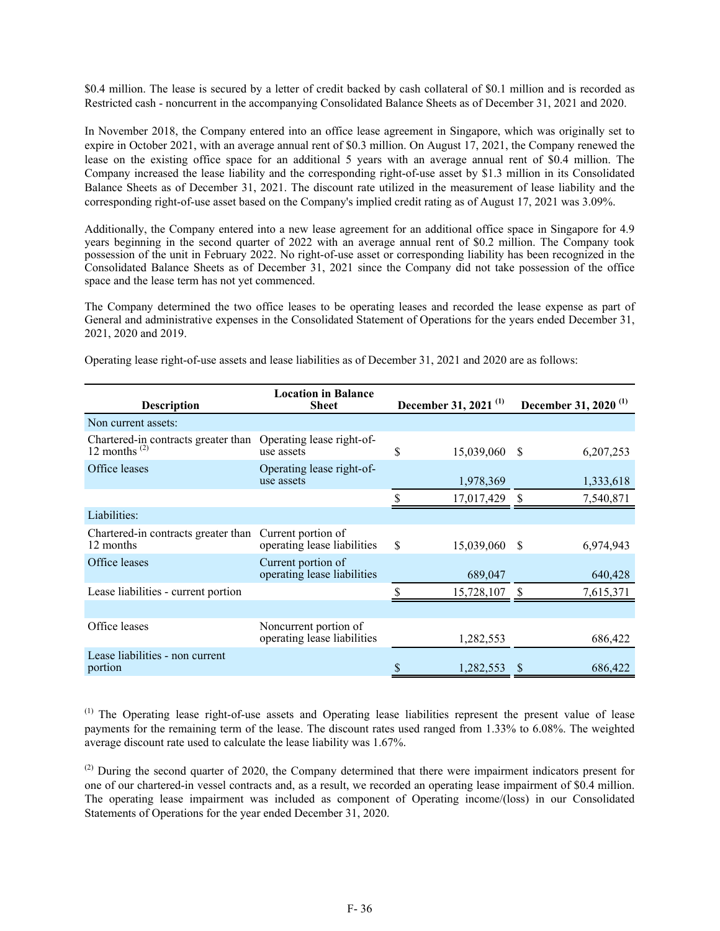\$0.4 million. The lease is secured by a letter of credit backed by cash collateral of \$0.1 million and is recorded as Restricted cash - noncurrent in the accompanying Consolidated Balance Sheets as of December 31, 2021 and 2020.

In November 2018, the Company entered into an office lease agreement in Singapore, which was originally set to expire in October 2021, with an average annual rent of \$0.3 million. On August 17, 2021, the Company renewed the lease on the existing office space for an additional 5 years with an average annual rent of \$0.4 million. The Company increased the lease liability and the corresponding right-of-use asset by \$1.3 million in its Consolidated Balance Sheets as of December 31, 2021. The discount rate utilized in the measurement of lease liability and the corresponding right-of-use asset based on the Company's implied credit rating as of August 17, 2021 was 3.09%.

Additionally, the Company entered into a new lease agreement for an additional office space in Singapore for 4.9 years beginning in the second quarter of 2022 with an average annual rent of \$0.2 million. The Company took possession of the unit in February 2022. No right-of-use asset or corresponding liability has been recognized in the Consolidated Balance Sheets as of December 31, 2021 since the Company did not take possession of the office space and the lease term has not yet commenced.

The Company determined the two office leases to be operating leases and recorded the lease expense as part of General and administrative expenses in the Consolidated Statement of Operations for the years ended December 31, 2021, 2020 and 2019.

| <b>Location in Balance</b><br><b>Description</b><br><b>Sheet</b> |                                                      | December 31, 2021 <sup>(1)</sup> | December 31, 2020 <sup>(1)</sup> |
|------------------------------------------------------------------|------------------------------------------------------|----------------------------------|----------------------------------|
| Non current assets:                                              |                                                      |                                  |                                  |
| Chartered-in contracts greater than<br>12 months $^{(2)}$        | Operating lease right-of-<br>use assets              | \$<br>15,039,060 \$              | 6,207,253                        |
| Office leases                                                    | Operating lease right-of-<br>use assets              | 1,978,369                        | 1,333,618                        |
|                                                                  |                                                      | \$<br>17,017,429                 | 7,540,871                        |
| Liabilities:                                                     |                                                      |                                  |                                  |
| Chartered-in contracts greater than<br>12 months                 | Current portion of<br>operating lease liabilities    | \$<br>15,039,060 \$              | 6,974,943                        |
| Office leases                                                    | Current portion of<br>operating lease liabilities    | 689,047                          | 640,428                          |
| Lease liabilities - current portion                              |                                                      | \$<br>15,728,107                 | 7,615,371                        |
|                                                                  |                                                      |                                  |                                  |
| Office leases                                                    | Noncurrent portion of<br>operating lease liabilities | 1,282,553                        | 686,422                          |
| Lease liabilities - non current<br>portion                       |                                                      | 1,282,553                        | 686,422                          |

Operating lease right-of-use assets and lease liabilities as of December 31, 2021 and 2020 are as follows:

(1) The Operating lease right-of-use assets and Operating lease liabilities represent the present value of lease payments for the remaining term of the lease. The discount rates used ranged from 1.33% to 6.08%. The weighted average discount rate used to calculate the lease liability was 1.67%.

<sup>(2)</sup> During the second quarter of 2020, the Company determined that there were impairment indicators present for one of our chartered-in vessel contracts and, as a result, we recorded an operating lease impairment of \$0.4 million. The operating lease impairment was included as component of Operating income/(loss) in our Consolidated Statements of Operations for the year ended December 31, 2020.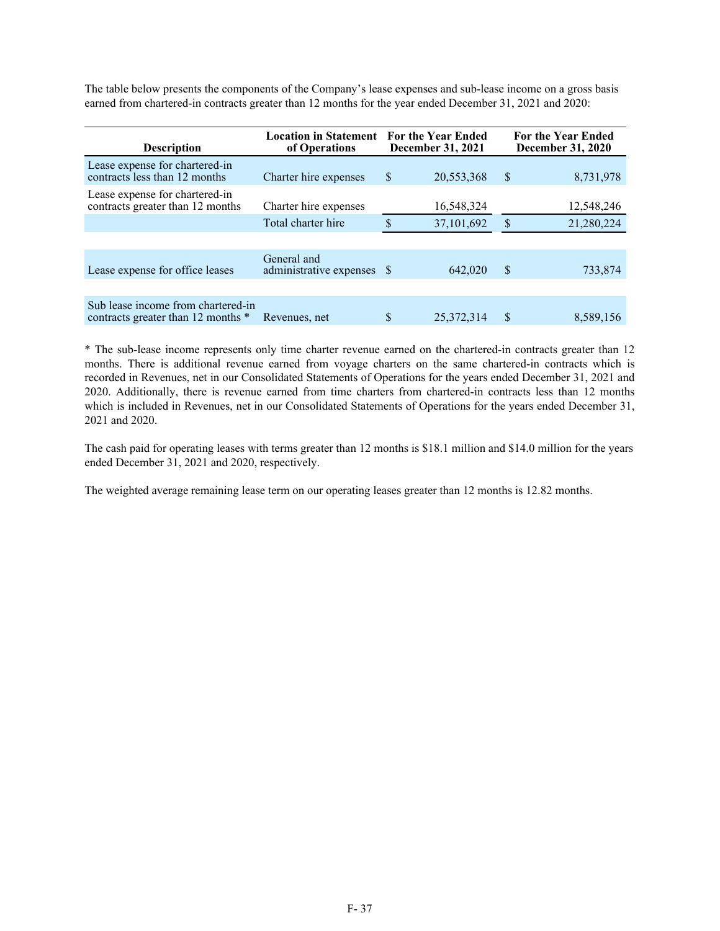The table below presents the components of the Company's lease expenses and sub-lease income on a gross basis earned from chartered-in contracts greater than 12 months for the year ended December 31, 2021 and 2020:

| <b>Location in Statement</b><br><b>Description</b><br>of Operations      |                                           |    | <b>For the Year Ended</b><br>December 31, 2021 | <b>For the Year Ended</b><br><b>December 31, 2020</b> |            |  |
|--------------------------------------------------------------------------|-------------------------------------------|----|------------------------------------------------|-------------------------------------------------------|------------|--|
| Lease expense for chartered-in<br>contracts less than 12 months          | Charter hire expenses                     | \$ | 20,553,368                                     | \$                                                    | 8,731,978  |  |
| Lease expense for chartered-in<br>contracts greater than 12 months       | Charter hire expenses                     |    | 16,548,324                                     |                                                       | 12,548,246 |  |
|                                                                          | Total charter hire                        | S  | 37,101,692                                     | $\mathcal{S}$                                         | 21,280,224 |  |
|                                                                          |                                           |    |                                                |                                                       |            |  |
| Lease expense for office leases                                          | General and<br>administrative expenses \$ |    | 642,020                                        | <sup>\$</sup>                                         | 733,874    |  |
|                                                                          |                                           |    |                                                |                                                       |            |  |
| Sub lease income from chartered-in<br>contracts greater than 12 months * | Revenues, net                             | \$ | 25,372,314                                     | \$                                                    | 8,589,156  |  |

\* The sub-lease income represents only time charter revenue earned on the chartered-in contracts greater than 12 months. There is additional revenue earned from voyage charters on the same chartered-in contracts which is recorded in Revenues, net in our Consolidated Statements of Operations for the years ended December 31, 2021 and 2020. Additionally, there is revenue earned from time charters from chartered-in contracts less than 12 months which is included in Revenues, net in our Consolidated Statements of Operations for the years ended December 31, 2021 and 2020.

The cash paid for operating leases with terms greater than 12 months is \$18.1 million and \$14.0 million for the years ended December 31, 2021 and 2020, respectively.

The weighted average remaining lease term on our operating leases greater than 12 months is 12.82 months.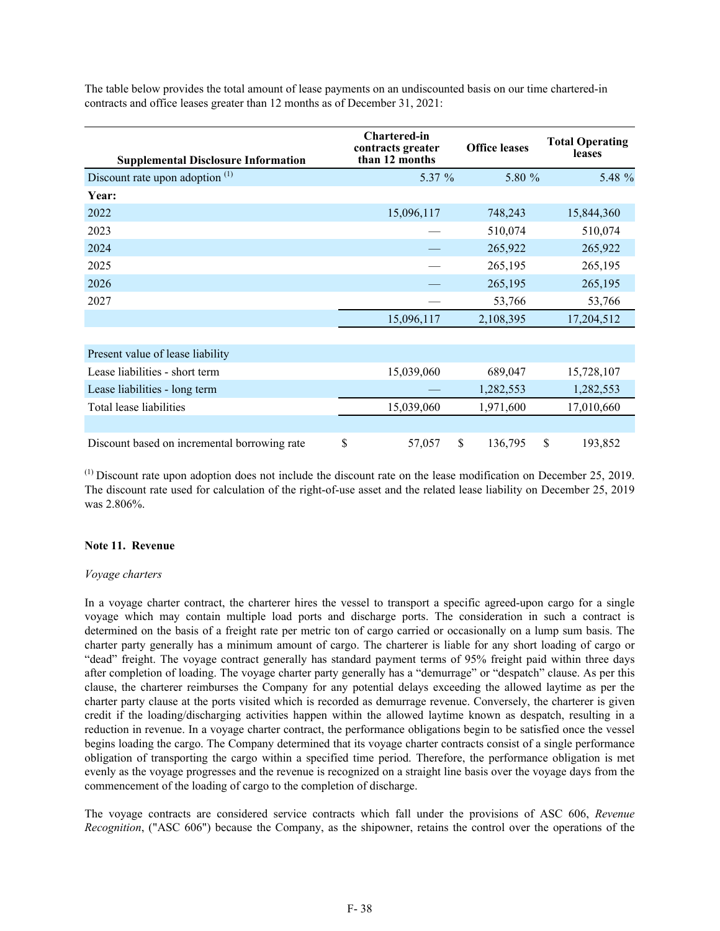The table below provides the total amount of lease payments on an undiscounted basis on our time chartered-in contracts and office leases greater than 12 months as of December 31, 2021:

| <b>Supplemental Disclosure Information</b>   | <b>Chartered-in</b><br>contracts greater<br>than 12 months | <b>Office leases</b> |        | <b>Total Operating</b><br>leases |
|----------------------------------------------|------------------------------------------------------------|----------------------|--------|----------------------------------|
| Discount rate upon adoption <sup>(1)</sup>   | 5.37 %                                                     |                      | 5.80 % | 5.48 %                           |
| Year:                                        |                                                            |                      |        |                                  |
| 2022                                         | 15,096,117                                                 | 748,243              |        | 15,844,360                       |
| 2023                                         |                                                            | 510,074              |        | 510,074                          |
| 2024                                         |                                                            | 265,922              |        | 265,922                          |
| 2025                                         |                                                            | 265,195              |        | 265,195                          |
| 2026                                         |                                                            | 265,195              |        | 265,195                          |
| 2027                                         |                                                            | 53,766               |        | 53,766                           |
|                                              | 15,096,117                                                 | 2,108,395            |        | 17,204,512                       |
|                                              |                                                            |                      |        |                                  |
| Present value of lease liability             |                                                            |                      |        |                                  |
| Lease liabilities - short term               | 15,039,060                                                 | 689,047              |        | 15,728,107                       |
| Lease liabilities - long term                |                                                            | 1,282,553            |        | 1,282,553                        |
| Total lease liabilities                      | 15,039,060                                                 | 1,971,600            |        | 17,010,660                       |
|                                              |                                                            |                      |        |                                  |
| Discount based on incremental borrowing rate | \$<br>57,057                                               | \$<br>136,795        |        | \$<br>193,852                    |

 $<sup>(1)</sup>$  Discount rate upon adoption does not include the discount rate on the lease modification on December 25, 2019.</sup> The discount rate used for calculation of the right-of-use asset and the related lease liability on December 25, 2019 was 2.806%.

## **Note 11. Revenue**

## *Voyage charters*

In a voyage charter contract, the charterer hires the vessel to transport a specific agreed-upon cargo for a single voyage which may contain multiple load ports and discharge ports. The consideration in such a contract is determined on the basis of a freight rate per metric ton of cargo carried or occasionally on a lump sum basis. The charter party generally has a minimum amount of cargo. The charterer is liable for any short loading of cargo or "dead" freight. The voyage contract generally has standard payment terms of 95% freight paid within three days after completion of loading. The voyage charter party generally has a "demurrage" or "despatch" clause. As per this clause, the charterer reimburses the Company for any potential delays exceeding the allowed laytime as per the charter party clause at the ports visited which is recorded as demurrage revenue. Conversely, the charterer is given credit if the loading/discharging activities happen within the allowed laytime known as despatch, resulting in a reduction in revenue. In a voyage charter contract, the performance obligations begin to be satisfied once the vessel begins loading the cargo. The Company determined that its voyage charter contracts consist of a single performance obligation of transporting the cargo within a specified time period. Therefore, the performance obligation is met evenly as the voyage progresses and the revenue is recognized on a straight line basis over the voyage days from the commencement of the loading of cargo to the completion of discharge.

The voyage contracts are considered service contracts which fall under the provisions of ASC 606, *Revenue Recognition*, ("ASC 606") because the Company, as the shipowner, retains the control over the operations of the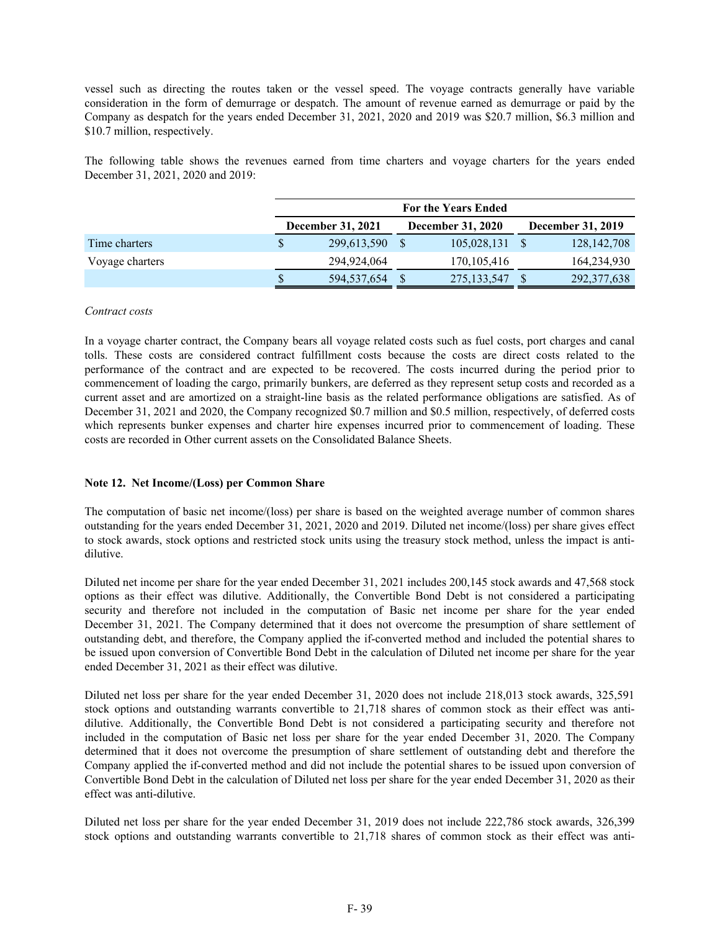vessel such as directing the routes taken or the vessel speed. The voyage contracts generally have variable consideration in the form of demurrage or despatch. The amount of revenue earned as demurrage or paid by the Company as despatch for the years ended December 31, 2021, 2020 and 2019 was \$20.7 million, \$6.3 million and \$10.7 million, respectively.

The following table shows the revenues earned from time charters and voyage charters for the years ended December 31, 2021, 2020 and 2019:

|                 |                          | <b>For the Years Ended</b> |  |                          |                          |               |  |  |  |  |  |
|-----------------|--------------------------|----------------------------|--|--------------------------|--------------------------|---------------|--|--|--|--|--|
|                 | <b>December 31, 2021</b> |                            |  | <b>December 31, 2020</b> | <b>December 31, 2019</b> |               |  |  |  |  |  |
| Time charters   | S                        | 299,613,590                |  | 105,028,131              |                          | 128, 142, 708 |  |  |  |  |  |
| Voyage charters |                          | 294,924,064                |  | 170, 105, 416            |                          | 164,234,930   |  |  |  |  |  |
|                 | \$                       | 594,537,654                |  | 275, 133, 547            |                          | 292,377,638   |  |  |  |  |  |

## *Contract costs*

In a voyage charter contract, the Company bears all voyage related costs such as fuel costs, port charges and canal tolls. These costs are considered contract fulfillment costs because the costs are direct costs related to the performance of the contract and are expected to be recovered. The costs incurred during the period prior to commencement of loading the cargo, primarily bunkers, are deferred as they represent setup costs and recorded as a current asset and are amortized on a straight-line basis as the related performance obligations are satisfied. As of December 31, 2021 and 2020, the Company recognized \$0.7 million and \$0.5 million, respectively, of deferred costs which represents bunker expenses and charter hire expenses incurred prior to commencement of loading. These costs are recorded in Other current assets on the Consolidated Balance Sheets.

## **Note 12. Net Income/(Loss) per Common Share**

The computation of basic net income/(loss) per share is based on the weighted average number of common shares outstanding for the years ended December 31, 2021, 2020 and 2019. Diluted net income/(loss) per share gives effect to stock awards, stock options and restricted stock units using the treasury stock method, unless the impact is antidilutive.

Diluted net income per share for the year ended December 31, 2021 includes 200,145 stock awards and 47,568 stock options as their effect was dilutive. Additionally, the Convertible Bond Debt is not considered a participating security and therefore not included in the computation of Basic net income per share for the year ended December 31, 2021. The Company determined that it does not overcome the presumption of share settlement of outstanding debt, and therefore, the Company applied the if-converted method and included the potential shares to be issued upon conversion of Convertible Bond Debt in the calculation of Diluted net income per share for the year ended December 31, 2021 as their effect was dilutive.

Diluted net loss per share for the year ended December 31, 2020 does not include 218,013 stock awards, 325,591 stock options and outstanding warrants convertible to 21,718 shares of common stock as their effect was antidilutive. Additionally, the Convertible Bond Debt is not considered a participating security and therefore not included in the computation of Basic net loss per share for the year ended December 31, 2020. The Company determined that it does not overcome the presumption of share settlement of outstanding debt and therefore the Company applied the if-converted method and did not include the potential shares to be issued upon conversion of Convertible Bond Debt in the calculation of Diluted net loss per share for the year ended December 31, 2020 as their effect was anti-dilutive.

Diluted net loss per share for the year ended December 31, 2019 does not include 222,786 stock awards, 326,399 stock options and outstanding warrants convertible to 21,718 shares of common stock as their effect was anti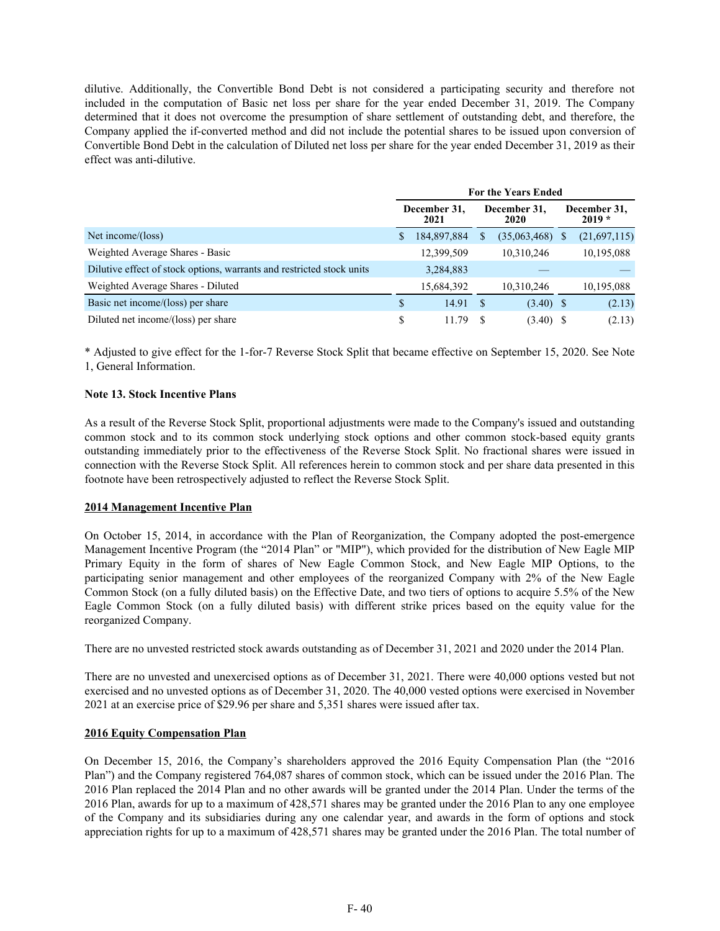dilutive. Additionally, the Convertible Bond Debt is not considered a participating security and therefore not included in the computation of Basic net loss per share for the year ended December 31, 2019. The Company determined that it does not overcome the presumption of share settlement of outstanding debt, and therefore, the Company applied the if-converted method and did not include the potential shares to be issued upon conversion of Convertible Bond Debt in the calculation of Diluted net loss per share for the year ended December 31, 2019 as their effect was anti-dilutive.

|                                                                       | <b>For the Years Ended</b> |                      |    |                      |  |                          |  |  |
|-----------------------------------------------------------------------|----------------------------|----------------------|----|----------------------|--|--------------------------|--|--|
|                                                                       |                            | December 31,<br>2021 |    | December 31,<br>2020 |  | December 31,<br>$2019 *$ |  |  |
| Net income/(loss)                                                     |                            | 184,897,884          | S. | $(35,063,468)$ \$    |  | (21,697,115)             |  |  |
| Weighted Average Shares - Basic                                       |                            | 12,399,509           |    | 10.310.246           |  | 10,195,088               |  |  |
| Dilutive effect of stock options, warrants and restricted stock units |                            | 3,284,883            |    |                      |  |                          |  |  |
| Weighted Average Shares - Diluted                                     |                            | 15,684,392           |    | 10,310,246           |  | 10,195,088               |  |  |
| Basic net income/(loss) per share                                     | S                          | 14.91                | S  | $(3.40)$ \$          |  | (2.13)                   |  |  |
| Diluted net income/(loss) per share                                   | S                          | 11.79                |    | $(3.40)$ \$          |  | (2.13)                   |  |  |

\* Adjusted to give effect for the 1-for-7 Reverse Stock Split that became effective on September 15, 2020. See Note 1, General Information.

## **Note 13. Stock Incentive Plans**

As a result of the Reverse Stock Split, proportional adjustments were made to the Company's issued and outstanding common stock and to its common stock underlying stock options and other common stock-based equity grants outstanding immediately prior to the effectiveness of the Reverse Stock Split. No fractional shares were issued in connection with the Reverse Stock Split. All references herein to common stock and per share data presented in this footnote have been retrospectively adjusted to reflect the Reverse Stock Split.

### **2014 Management Incentive Plan**

On October 15, 2014, in accordance with the Plan of Reorganization, the Company adopted the post-emergence Management Incentive Program (the "2014 Plan" or "MIP"), which provided for the distribution of New Eagle MIP Primary Equity in the form of shares of New Eagle Common Stock, and New Eagle MIP Options, to the participating senior management and other employees of the reorganized Company with 2% of the New Eagle Common Stock (on a fully diluted basis) on the Effective Date, and two tiers of options to acquire 5.5% of the New Eagle Common Stock (on a fully diluted basis) with different strike prices based on the equity value for the reorganized Company.

There are no unvested restricted stock awards outstanding as of December 31, 2021 and 2020 under the 2014 Plan.

There are no unvested and unexercised options as of December 31, 2021. There were 40,000 options vested but not exercised and no unvested options as of December 31, 2020. The 40,000 vested options were exercised in November 2021 at an exercise price of \$29.96 per share and 5,351 shares were issued after tax.

### **2016 Equity Compensation Plan**

On December 15, 2016, the Company's shareholders approved the 2016 Equity Compensation Plan (the "2016 Plan") and the Company registered 764,087 shares of common stock, which can be issued under the 2016 Plan. The 2016 Plan replaced the 2014 Plan and no other awards will be granted under the 2014 Plan. Under the terms of the 2016 Plan, awards for up to a maximum of 428,571 shares may be granted under the 2016 Plan to any one employee of the Company and its subsidiaries during any one calendar year, and awards in the form of options and stock appreciation rights for up to a maximum of 428,571 shares may be granted under the 2016 Plan. The total number of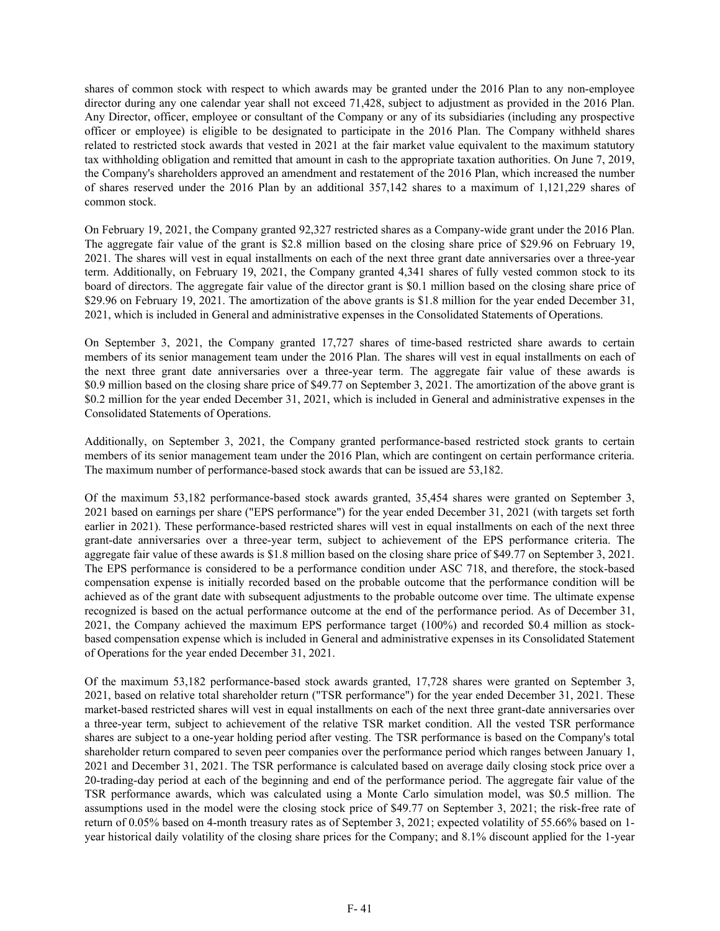shares of common stock with respect to which awards may be granted under the 2016 Plan to any non-employee director during any one calendar year shall not exceed 71,428, subject to adjustment as provided in the 2016 Plan. Any Director, officer, employee or consultant of the Company or any of its subsidiaries (including any prospective officer or employee) is eligible to be designated to participate in the 2016 Plan. The Company withheld shares related to restricted stock awards that vested in 2021 at the fair market value equivalent to the maximum statutory tax withholding obligation and remitted that amount in cash to the appropriate taxation authorities. On June 7, 2019, the Company's shareholders approved an amendment and restatement of the 2016 Plan, which increased the number of shares reserved under the 2016 Plan by an additional 357,142 shares to a maximum of 1,121,229 shares of common stock.

On February 19, 2021, the Company granted 92,327 restricted shares as a Company-wide grant under the 2016 Plan. The aggregate fair value of the grant is \$2.8 million based on the closing share price of \$29.96 on February 19, 2021. The shares will vest in equal installments on each of the next three grant date anniversaries over a three-year term. Additionally, on February 19, 2021, the Company granted 4,341 shares of fully vested common stock to its board of directors. The aggregate fair value of the director grant is \$0.1 million based on the closing share price of \$29.96 on February 19, 2021. The amortization of the above grants is \$1.8 million for the year ended December 31, 2021, which is included in General and administrative expenses in the Consolidated Statements of Operations.

On September 3, 2021, the Company granted 17,727 shares of time-based restricted share awards to certain members of its senior management team under the 2016 Plan. The shares will vest in equal installments on each of the next three grant date anniversaries over a three-year term. The aggregate fair value of these awards is \$0.9 million based on the closing share price of \$49.77 on September 3, 2021. The amortization of the above grant is \$0.2 million for the year ended December 31, 2021, which is included in General and administrative expenses in the Consolidated Statements of Operations.

Additionally, on September 3, 2021, the Company granted performance-based restricted stock grants to certain members of its senior management team under the 2016 Plan, which are contingent on certain performance criteria. The maximum number of performance-based stock awards that can be issued are 53,182.

Of the maximum 53,182 performance-based stock awards granted, 35,454 shares were granted on September 3, 2021 based on earnings per share ("EPS performance") for the year ended December 31, 2021 (with targets set forth earlier in 2021). These performance-based restricted shares will vest in equal installments on each of the next three grant-date anniversaries over a three-year term, subject to achievement of the EPS performance criteria. The aggregate fair value of these awards is \$1.8 million based on the closing share price of \$49.77 on September 3, 2021. The EPS performance is considered to be a performance condition under ASC 718, and therefore, the stock-based compensation expense is initially recorded based on the probable outcome that the performance condition will be achieved as of the grant date with subsequent adjustments to the probable outcome over time. The ultimate expense recognized is based on the actual performance outcome at the end of the performance period. As of December 31, 2021, the Company achieved the maximum EPS performance target (100%) and recorded \$0.4 million as stockbased compensation expense which is included in General and administrative expenses in its Consolidated Statement of Operations for the year ended December 31, 2021.

Of the maximum 53,182 performance-based stock awards granted, 17,728 shares were granted on September 3, 2021, based on relative total shareholder return ("TSR performance") for the year ended December 31, 2021. These market-based restricted shares will vest in equal installments on each of the next three grant-date anniversaries over a three-year term, subject to achievement of the relative TSR market condition. All the vested TSR performance shares are subject to a one-year holding period after vesting. The TSR performance is based on the Company's total shareholder return compared to seven peer companies over the performance period which ranges between January 1, 2021 and December 31, 2021. The TSR performance is calculated based on average daily closing stock price over a 20-trading-day period at each of the beginning and end of the performance period. The aggregate fair value of the TSR performance awards, which was calculated using a Monte Carlo simulation model, was \$0.5 million. The assumptions used in the model were the closing stock price of \$49.77 on September 3, 2021; the risk-free rate of return of 0.05% based on 4-month treasury rates as of September 3, 2021; expected volatility of 55.66% based on 1 year historical daily volatility of the closing share prices for the Company; and 8.1% discount applied for the 1-year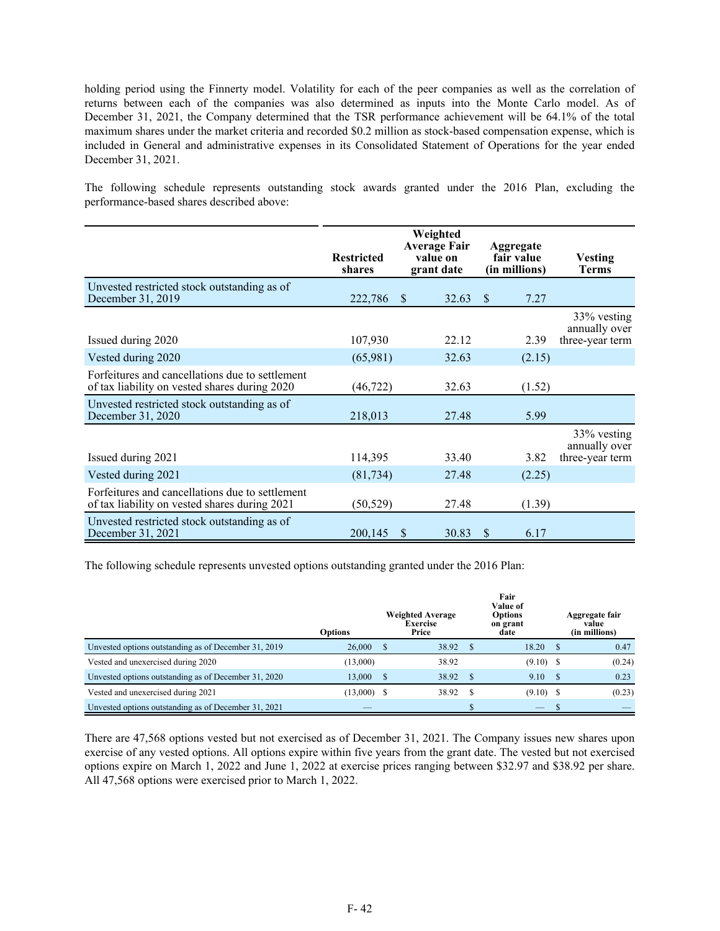holding period using the Finnerty model. Volatility for each of the peer companies as well as the correlation of returns between each of the companies was also determined as inputs into the Monte Carlo model. As of December 31, 2021, the Company determined that the TSR performance achievement will be 64.1% of the total maximum shares under the market criteria and recorded \$0.2 million as stock-based compensation expense, which is included in General and administrative expenses in its Consolidated Statement of Operations for the year ended December 31, 2021.

The following schedule represents outstanding stock awards granted under the 2016 Plan, excluding the performance-based shares described above:

|                                                                                                  | Weighted<br>Average Fair<br>value on<br><b>Restricted</b><br>shares<br>grant date |                       | Aggregate<br>fair value<br>(in millions) | <b>Vesting</b><br><b>Terms</b>                  |
|--------------------------------------------------------------------------------------------------|-----------------------------------------------------------------------------------|-----------------------|------------------------------------------|-------------------------------------------------|
| Unvested restricted stock outstanding as of<br>December 31, 2019                                 | 222,786                                                                           | 32.63<br><sup>S</sup> | <sup>\$</sup><br>7.27                    |                                                 |
| Issued during 2020                                                                               | 107,930                                                                           | 22.12                 | 2.39                                     | 33% vesting<br>annually over<br>three-year term |
| Vested during 2020                                                                               | (65,981)                                                                          | 32.63                 | (2.15)                                   |                                                 |
| Forfeitures and cancellations due to settlement<br>of tax liability on vested shares during 2020 | (46, 722)                                                                         | 32.63                 | (1.52)                                   |                                                 |
| Unvested restricted stock outstanding as of<br>December 31, 2020                                 | 218,013                                                                           | 27.48                 | 5.99                                     |                                                 |
| Issued during 2021                                                                               | 114,395                                                                           | 33.40                 | 3.82                                     | 33% vesting<br>annually over<br>three-year term |
| Vested during 2021                                                                               | (81, 734)                                                                         | 27.48                 | (2.25)                                   |                                                 |
| Forfeitures and cancellations due to settlement<br>of tax liability on vested shares during 2021 | (50, 529)                                                                         | 27.48                 | (1.39)                                   |                                                 |
| Unvested restricted stock outstanding as of<br>December 31, 2021                                 | 200,145                                                                           | 30.83<br>S            | \$<br>6.17                               |                                                 |

The following schedule represents unvested options outstanding granted under the 2016 Plan:

|                                                      | <b>Options</b> | <b>Weighted Average</b><br><b>Exercise</b><br>Price |   | Fair<br>Value of<br>Options<br>on grant<br>date | Aggregate fair<br>value<br>(in millions) |
|------------------------------------------------------|----------------|-----------------------------------------------------|---|-------------------------------------------------|------------------------------------------|
| Unvested options outstanding as of December 31, 2019 | 26,000         | 38.92                                               | S | 18.20                                           | 0.47                                     |
| Vested and unexercised during 2020                   | (13,000)       | 38.92                                               |   | $(9.10)$ \$                                     | (0.24)                                   |
| Unvested options outstanding as of December 31, 2020 | 13.000         | 38.92                                               |   | 9.10                                            | 0.23                                     |
| Vested and unexercised during 2021                   | $(13,000)$ \$  | 38.92                                               | S | $(9.10)$ \$                                     | (0.23)                                   |
| Unvested options outstanding as of December 31, 2021 |                |                                                     |   |                                                 |                                          |

There are 47,568 options vested but not exercised as of December 31, 2021. The Company issues new shares upon exercise of any vested options. All options expire within five years from the grant date. The vested but not exercised options expire on March 1, 2022 and June 1, 2022 at exercise prices ranging between \$32.97 and \$38.92 per share. All 47,568 options were exercised prior to March 1, 2022.